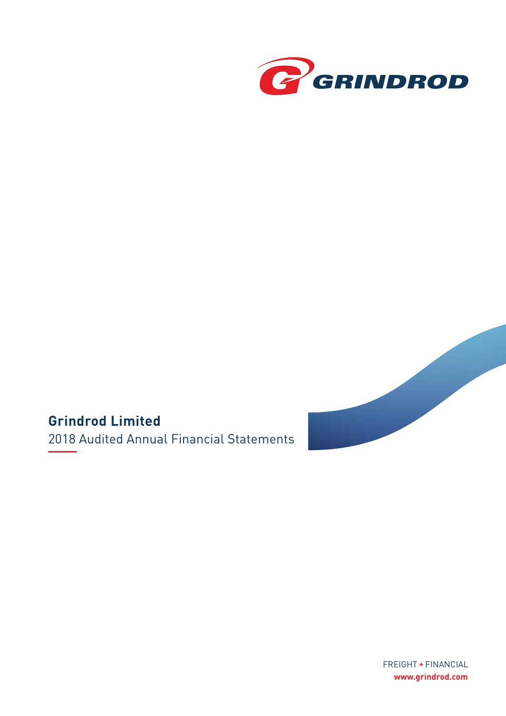



### **Grindrod Limited**

2018 Audited Annual Financial Statements

FREIGHT + FINANCIAL **www.grindrod.com**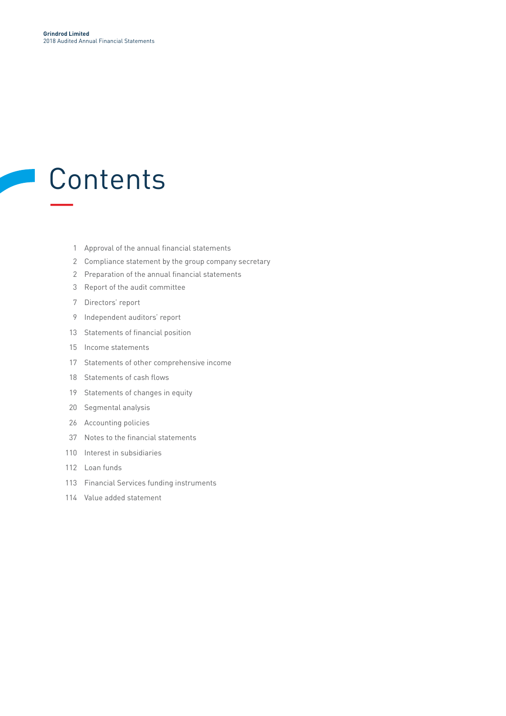# **Contents** —

**A** 

- Approval of the annual financial statements
- Compliance statement by the group company secretary
- Preparation of the annual financial statements
- Report of the audit committee
- Directors' report
- Independent auditors' report
- Statements of financial position
- Income statements
- Statements of other comprehensive income
- Statements of cash flows
- Statements of changes in equity
- Segmental analysis
- Accounting policies
- Notes to the financial statements
- Interest in subsidiaries
- Loan funds
- Financial Services funding instruments
- Value added statement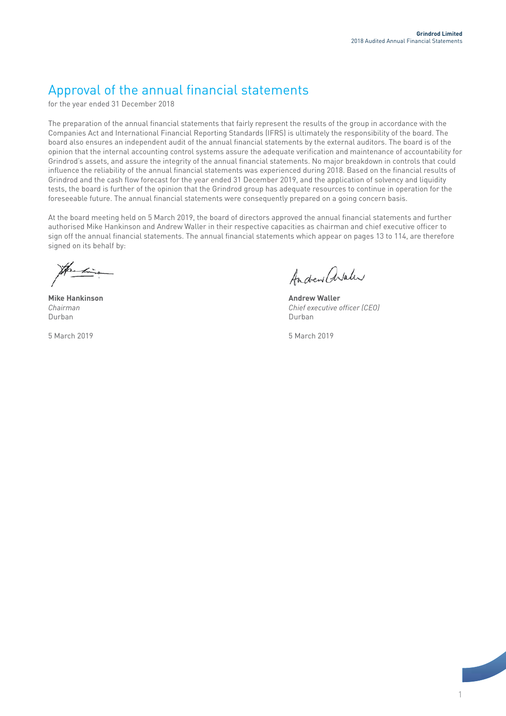### Approval of the annual financial statements

for the year ended 31 December 2018

The preparation of the annual financial statements that fairly represent the results of the group in accordance with the Companies Act and International Financial Reporting Standards (IFRS) is ultimately the responsibility of the board. The board also ensures an independent audit of the annual financial statements by the external auditors. The board is of the opinion that the internal accounting control systems assure the adequate verification and maintenance of accountability for Grindrod's assets, and assure the integrity of the annual financial statements. No major breakdown in controls that could influence the reliability of the annual financial statements was experienced during 2018. Based on the financial results of Grindrod and the cash flow forecast for the year ended 31 December 2019, and the application of solvency and liquidity tests, the board is further of the opinion that the Grindrod group has adequate resources to continue in operation for the foreseeable future. The annual financial statements were consequently prepared on a going concern basis.

At the board meeting held on 5 March 2019, the board of directors approved the annual financial statements and further authorised Mike Hankinson and Andrew Waller in their respective capacities as chairman and chief executive officer to sign off the annual financial statements. The annual financial statements which appear on pages 13 to 114, are therefore signed on its behalf by:

**Mike Hankinson Andrew Waller** Durban Durban

5 March 2019 5 March 2019

Andrew arahr

*Chairman Chief executive officer (CEO)*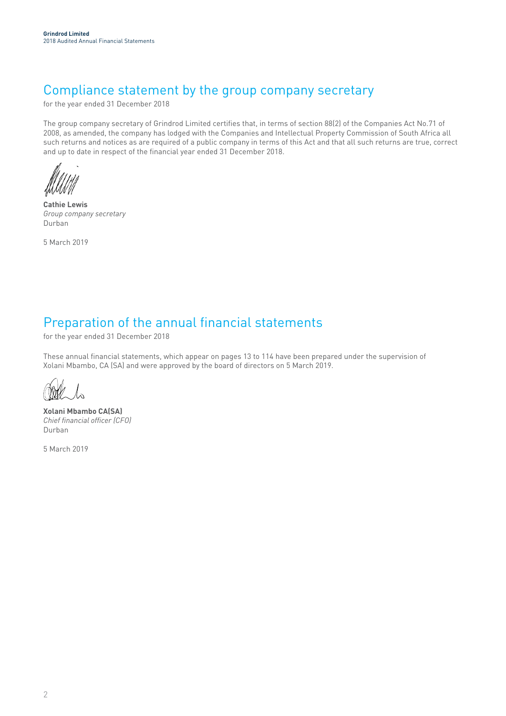### Compliance statement by the group company secretary

for the year ended 31 December 2018

The group company secretary of Grindrod Limited certifies that, in terms of section 88(2) of the Companies Act No.71 of 2008, as amended, the company has lodged with the Companies and Intellectual Property Commission of South Africa all such returns and notices as are required of a public company in terms of this Act and that all such returns are true, correct and up to date in respect of the financial year ended 31 December 2018.

**Cathie Lewis**  *Group company secretary* Durban

5 March 2019

### Preparation of the annual financial statements

for the year ended 31 December 2018

These annual financial statements, which appear on pages 13 to 114 have been prepared under the supervision of Xolani Mbambo, CA (SA) and were approved by the board of directors on 5 March 2019.

 $\lambda$ 

**Xolani Mbambo CA(SA)** *Chief financial officer (CFO)* Durban

5 March 2019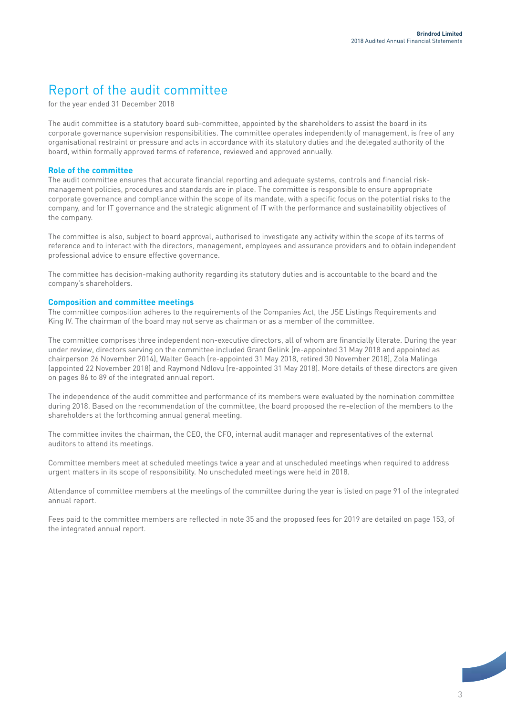### Report of the audit committee

for the year ended 31 December 2018

The audit committee is a statutory board sub-committee, appointed by the shareholders to assist the board in its corporate governance supervision responsibilities. The committee operates independently of management, is free of any organisational restraint or pressure and acts in accordance with its statutory duties and the delegated authority of the board, within formally approved terms of reference, reviewed and approved annually.

#### **Role of the committee**

The audit committee ensures that accurate financial reporting and adequate systems, controls and financial riskmanagement policies, procedures and standards are in place. The committee is responsible to ensure appropriate corporate governance and compliance within the scope of its mandate, with a specific focus on the potential risks to the company, and for IT governance and the strategic alignment of IT with the performance and sustainability objectives of the company.

The committee is also, subject to board approval, authorised to investigate any activity within the scope of its terms of reference and to interact with the directors, management, employees and assurance providers and to obtain independent professional advice to ensure effective governance.

The committee has decision-making authority regarding its statutory duties and is accountable to the board and the company's shareholders.

#### **Composition and committee meetings**

The committee composition adheres to the requirements of the Companies Act, the JSE Listings Requirements and King IV. The chairman of the board may not serve as chairman or as a member of the committee.

The committee comprises three independent non-executive directors, all of whom are financially literate. During the year under review, directors serving on the committee included Grant Gelink (re-appointed 31 May 2018 and appointed as chairperson 26 November 2014), Walter Geach (re-appointed 31 May 2018, retired 30 November 2018), Zola Malinga (appointed 22 November 2018) and Raymond Ndlovu (re-appointed 31 May 2018). More details of these directors are given on pages 86 to 89 of the integrated annual report.

The independence of the audit committee and performance of its members were evaluated by the nomination committee during 2018. Based on the recommendation of the committee, the board proposed the re-election of the members to the shareholders at the forthcoming annual general meeting.

The committee invites the chairman, the CEO, the CFO, internal audit manager and representatives of the external auditors to attend its meetings.

Committee members meet at scheduled meetings twice a year and at unscheduled meetings when required to address urgent matters in its scope of responsibility. No unscheduled meetings were held in 2018.

Attendance of committee members at the meetings of the committee during the year is listed on page 91 of the integrated annual report.

Fees paid to the committee members are reflected in note 35 and the proposed fees for 2019 are detailed on page 153, of the integrated annual report.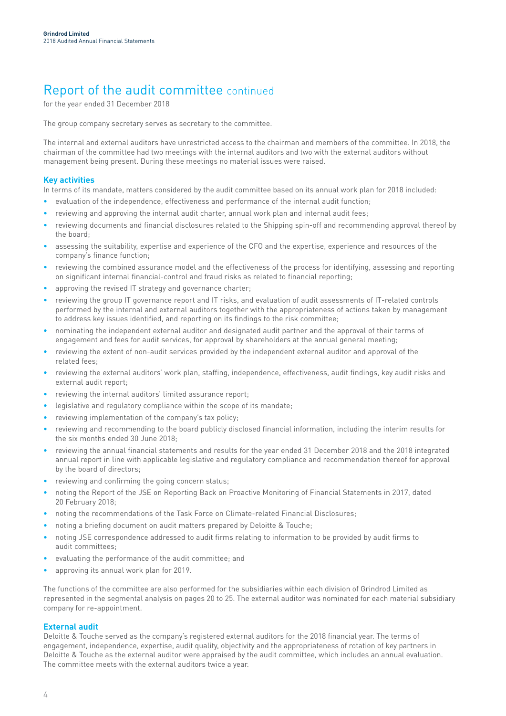### Report of the audit committee continued

for the year ended 31 December 2018

The group company secretary serves as secretary to the committee.

The internal and external auditors have unrestricted access to the chairman and members of the committee. In 2018, the chairman of the committee had two meetings with the internal auditors and two with the external auditors without management being present. During these meetings no material issues were raised.

#### **Key activities**

In terms of its mandate, matters considered by the audit committee based on its annual work plan for 2018 included:

- evaluation of the independence, effectiveness and performance of the internal audit function;
- reviewing and approving the internal audit charter, annual work plan and internal audit fees;
- reviewing documents and financial disclosures related to the Shipping spin-off and recommending approval thereof by the board;
- assessing the suitability, expertise and experience of the CFO and the expertise, experience and resources of the company's finance function;
- reviewing the combined assurance model and the effectiveness of the process for identifying, assessing and reporting on significant internal financial-control and fraud risks as related to financial reporting;
- approving the revised IT strategy and governance charter;
- reviewing the group IT governance report and IT risks, and evaluation of audit assessments of IT-related controls performed by the internal and external auditors together with the appropriateness of actions taken by management to address key issues identified, and reporting on its findings to the risk committee;
- nominating the independent external auditor and designated audit partner and the approval of their terms of engagement and fees for audit services, for approval by shareholders at the annual general meeting;
- reviewing the extent of non-audit services provided by the independent external auditor and approval of the related fees;
- reviewing the external auditors' work plan, staffing, independence, effectiveness, audit findings, key audit risks and external audit report;
- reviewing the internal auditors' limited assurance report;
- legislative and regulatory compliance within the scope of its mandate;
- reviewing implementation of the company's tax policy;
- reviewing and recommending to the board publicly disclosed financial information, including the interim results for the six months ended 30 June 2018;
- reviewing the annual financial statements and results for the year ended 31 December 2018 and the 2018 integrated annual report in line with applicable legislative and regulatory compliance and recommendation thereof for approval by the board of directors;
- reviewing and confirming the going concern status;
- noting the Report of the JSE on Reporting Back on Proactive Monitoring of Financial Statements in 2017, dated 20 February 2018;
- noting the recommendations of the Task Force on Climate-related Financial Disclosures;
- noting a briefing document on audit matters prepared by Deloitte & Touche;
- noting JSE correspondence addressed to audit firms relating to information to be provided by audit firms to audit committees;
- evaluating the performance of the audit committee; and
- approving its annual work plan for 2019.

The functions of the committee are also performed for the subsidiaries within each division of Grindrod Limited as represented in the segmental analysis on pages 20 to 25. The external auditor was nominated for each material subsidiary company for re-appointment.

#### **External audit**

Deloitte & Touche served as the company's registered external auditors for the 2018 financial year. The terms of engagement, independence, expertise, audit quality, objectivity and the appropriateness of rotation of key partners in Deloitte & Touche as the external auditor were appraised by the audit committee, which includes an annual evaluation. The committee meets with the external auditors twice a year.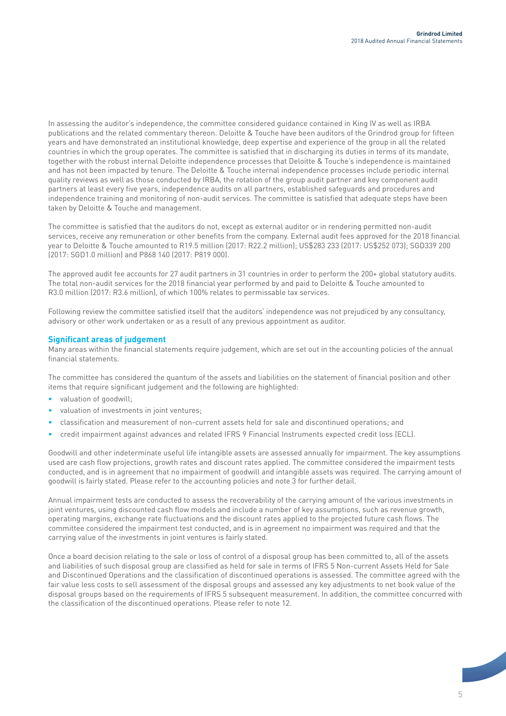In assessing the auditor's independence, the committee considered guidance contained in King IV as well as IRBA publications and the related commentary thereon. Deloitte & Touche have been auditors of the Grindrod group for fifteen years and have demonstrated an institutional knowledge, deep expertise and experience of the group in all the related countries in which the group operates. The committee is satisfied that in discharging its duties in terms of its mandate, together with the robust internal Deloitte independence processes that Deloitte & Touche's independence is maintained and has not been impacted by tenure. The Deloitte & Touche internal independence processes include periodic internal quality reviews as well as those conducted by IRBA, the rotation of the group audit partner and key component audit partners at least every five years, independence audits on all partners, established safeguards and procedures and independence training and monitoring of non-audit services. The committee is satisfied that adequate steps have been taken by Deloitte & Touche and management.

The committee is satisfied that the auditors do not, except as external auditor or in rendering permitted non-audit services, receive any remuneration or other benefits from the company. External audit fees approved for the 2018 financial year to Deloitte & Touche amounted to R19.5 million (2017: R22.2 million); US\$283 233 (2017: US\$252 073); SGD339 200 (2017: SGD1.0 million) and P868 140 (2017: P819 000).

The approved audit fee accounts for 27 audit partners in 31 countries in order to perform the 200+ global statutory audits. The total non-audit services for the 2018 financial year performed by and paid to Deloitte & Touche amounted to R3.0 million (2017: R3.6 million), of which 100% relates to permissable tax services.

Following review the committee satisfied itself that the auditors' independence was not prejudiced by any consultancy, advisory or other work undertaken or as a result of any previous appointment as auditor.

#### **Significant areas of judgement**

Many areas within the financial statements require judgement, which are set out in the accounting policies of the annual financial statements.

The committee has considered the quantum of the assets and liabilities on the statement of financial position and other items that require significant judgement and the following are highlighted:

- valuation of goodwill:
- valuation of investments in joint ventures;
- classification and measurement of non-current assets held for sale and discontinued operations; and
- credit impairment against advances and related IFRS 9 Financial Instruments expected credit loss (ECL).

Goodwill and other indeterminate useful life intangible assets are assessed annually for impairment. The key assumptions used are cash flow projections, growth rates and discount rates applied. The committee considered the impairment tests conducted, and is in agreement that no impairment of goodwill and intangible assets was required. The carrying amount of goodwill is fairly stated. Please refer to the accounting policies and note 3 for further detail.

Annual impairment tests are conducted to assess the recoverability of the carrying amount of the various investments in joint ventures, using discounted cash flow models and include a number of key assumptions, such as revenue growth, operating margins, exchange rate fluctuations and the discount rates applied to the projected future cash flows. The committee considered the impairment test conducted, and is in agreement no impairment was required and that the carrying value of the investments in joint ventures is fairly stated.

Once a board decision relating to the sale or loss of control of a disposal group has been committed to, all of the assets and liabilities of such disposal group are classified as held for sale in terms of IFRS 5 Non-current Assets Held for Sale and Discontinued Operations and the classification of discontinued operations is assessed. The committee agreed with the fair value less costs to sell assessment of the disposal groups and assessed any key adjustments to net book value of the disposal groups based on the requirements of IFRS 5 subsequent measurement. In addition, the committee concurred with the classification of the discontinued operations. Please refer to note 12.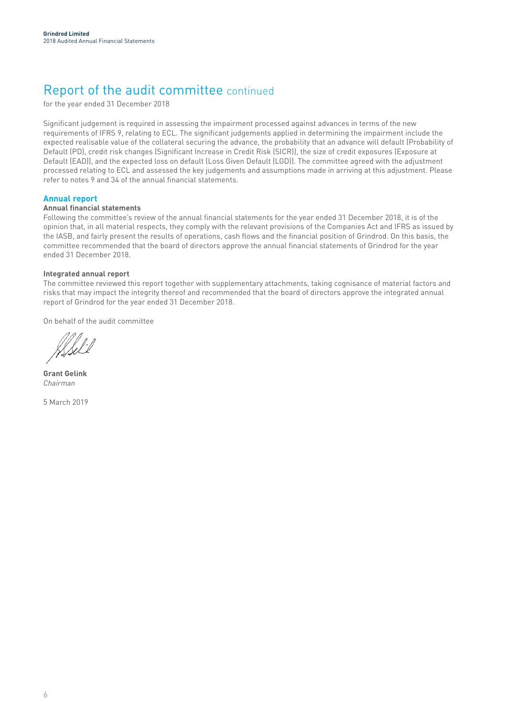### Report of the audit committee continued

for the year ended 31 December 2018

Significant judgement is required in assessing the impairment processed against advances in terms of the new requirements of IFRS 9, relating to ECL. The significant judgements applied in determining the impairment include the expected realisable value of the collateral securing the advance, the probability that an advance will default (Probability of Default (PD), credit risk changes (Significant Increase in Credit Risk (SICR)), the size of credit exposures (Exposure at Default (EAD)), and the expected loss on default (Loss Given Default (LGD)). The committee agreed with the adjustment processed relating to ECL and assessed the key judgements and assumptions made in arriving at this adjustment. Please refer to notes 9 and 34 of the annual financial statements.

#### **Annual report**

#### **Annual financial statements**

Following the committee's review of the annual financial statements for the year ended 31 December 2018, it is of the opinion that, in all material respects, they comply with the relevant provisions of the Companies Act and IFRS as issued by the IASB, and fairly present the results of operations, cash flows and the financial position of Grindrod. On this basis, the committee recommended that the board of directors approve the annual financial statements of Grindrod for the year ended 31 December 2018.

#### **Integrated annual report**

The committee reviewed this report together with supplementary attachments, taking cognisance of material factors and risks that may impact the integrity thereof and recommended that the board of directors approve the integrated annual report of Grindrod for the year ended 31 December 2018.

On behalf of the audit committee

**Grant Gelink** *Chairman*

5 March 2019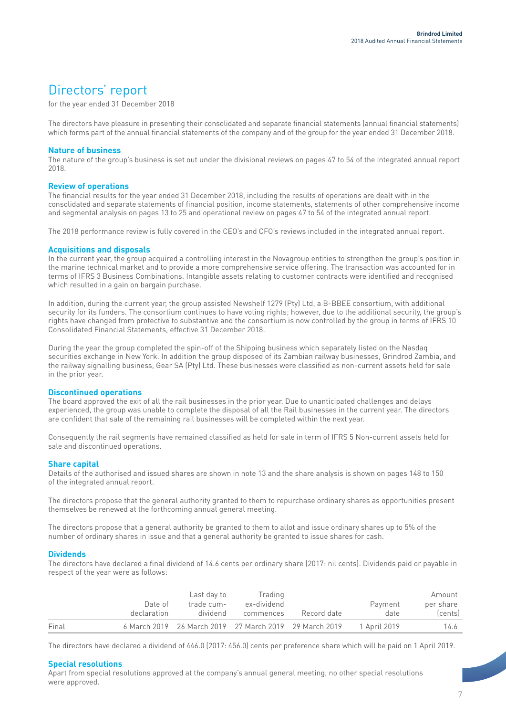### Directors' report

for the year ended 31 December 2018

The directors have pleasure in presenting their consolidated and separate financial statements (annual financial statements) which forms part of the annual financial statements of the company and of the group for the year ended 31 December 2018.

#### **Nature of business**

The nature of the group's business is set out under the divisional reviews on pages 47 to 54 of the integrated annual report 2018.

#### **Review of operations**

The financial results for the year ended 31 December 2018, including the results of operations are dealt with in the consolidated and separate statements of financial position, income statements, statements of other comprehensive income and segmental analysis on pages 13 to 25 and operational review on pages 47 to 54 of the integrated annual report.

The 2018 performance review is fully covered in the CEO's and CFO's reviews included in the integrated annual report.

#### **Acquisitions and disposals**

In the current year, the group acquired a controlling interest in the Novagroup entities to strengthen the group's position in the marine technical market and to provide a more comprehensive service offering. The transaction was accounted for in terms of IFRS 3 Business Combinations. Intangible assets relating to customer contracts were identified and recognised which resulted in a gain on bargain purchase.

In addition, during the current year, the group assisted Newshelf 1279 (Pty) Ltd, a B-BBEE consortium, with additional security for its funders. The consortium continues to have voting rights; however, due to the additional security, the group's rights have changed from protective to substantive and the consortium is now controlled by the group in terms of IFRS 10 Consolidated Financial Statements, effective 31 December 2018.

During the year the group completed the spin-off of the Shipping business which separately listed on the Nasdaq securities exchange in New York. In addition the group disposed of its Zambian railway businesses, Grindrod Zambia, and the railway signalling business, Gear SA (Pty) Ltd. These businesses were classified as non-current assets held for sale in the prior year.

#### **Discontinued operations**

The board approved the exit of all the rail businesses in the prior year. Due to unanticipated challenges and delays experienced, the group was unable to complete the disposal of all the Rail businesses in the current year. The directors are confident that sale of the remaining rail businesses will be completed within the next year.

Consequently the rail segments have remained classified as held for sale in term of IFRS 5 Non-current assets held for sale and discontinued operations.

#### **Share capital**

Details of the authorised and issued shares are shown in note 13 and the share analysis is shown on pages 148 to 150 of the integrated annual report.

The directors propose that the general authority granted to them to repurchase ordinary shares as opportunities present themselves be renewed at the forthcoming annual general meeting.

The directors propose that a general authority be granted to them to allot and issue ordinary shares up to 5% of the number of ordinary shares in issue and that a general authority be granted to issue shares for cash.

#### **Dividends**

The directors have declared a final dividend of 14.6 cents per ordinary share (2017: nil cents). Dividends paid or payable in respect of the year were as follows:

|       |             | Last day to | Trading     |                                                        |              | Amount    |
|-------|-------------|-------------|-------------|--------------------------------------------------------|--------------|-----------|
|       | Date of     | trade cum-  | ex-dividend |                                                        | Payment      | per share |
|       | declaration | dividend    | commences   | Record date                                            | date         | (cents)   |
| Final |             |             |             | 6 March 2019 26 March 2019 27 March 2019 29 March 2019 | 1 April 2019 | 14.6      |

The directors have declared a dividend of 446.0 (2017: 456.0) cents per preference share which will be paid on 1 April 2019.

#### **Special resolutions**

Apart from special resolutions approved at the company's annual general meeting, no other special resolutions were approved.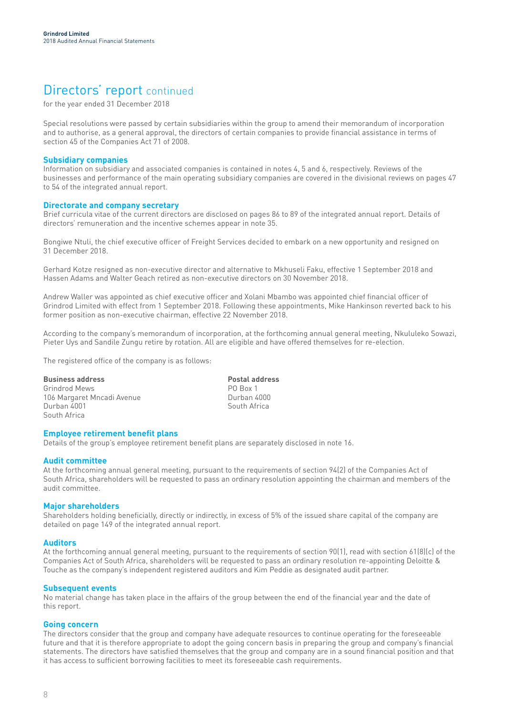### Directors' report continued

for the year ended 31 December 2018

Special resolutions were passed by certain subsidiaries within the group to amend their memorandum of incorporation and to authorise, as a general approval, the directors of certain companies to provide financial assistance in terms of section 45 of the Companies Act 71 of 2008.

#### **Subsidiary companies**

Information on subsidiary and associated companies is contained in notes 4, 5 and 6, respectively. Reviews of the businesses and performance of the main operating subsidiary companies are covered in the divisional reviews on pages 47 to 54 of the integrated annual report.

#### **Directorate and company secretary**

Brief curricula vitae of the current directors are disclosed on pages 86 to 89 of the integrated annual report. Details of directors' remuneration and the incentive schemes appear in note 35.

Bongiwe Ntuli, the chief executive officer of Freight Services decided to embark on a new opportunity and resigned on 31 December 2018.

Gerhard Kotze resigned as non-executive director and alternative to Mkhuseli Faku, effective 1 September 2018 and Hassen Adams and Walter Geach retired as non-executive directors on 30 November 2018.

Andrew Waller was appointed as chief executive officer and Xolani Mbambo was appointed chief financial officer of Grindrod Limited with effect from 1 September 2018. Following these appointments, Mike Hankinson reverted back to his former position as non-executive chairman, effective 22 November 2018.

According to the company's memorandum of incorporation, at the forthcoming annual general meeting, Nkululeko Sowazi, Pieter Uys and Sandile Zungu retire by rotation. All are eligible and have offered themselves for re-election.

The registered office of the company is as follows:

**Business address**<br> **Business address**<br> **Business address**<br> **PO Box 1** Grindrod Mews<br>106 Margaret Mncadi Avenue **1999 - PO Box 1**<br>Durban 4000 106 Margaret Mncadi Avenue<br>Durban 4001 South Africa

South Africa

#### **Employee retirement benefit plans**

Details of the group's employee retirement benefit plans are separately disclosed in note 16.

#### **Audit committee**

At the forthcoming annual general meeting, pursuant to the requirements of section 94(2) of the Companies Act of South Africa, shareholders will be requested to pass an ordinary resolution appointing the chairman and members of the audit committee.

#### **Major shareholders**

Shareholders holding beneficially, directly or indirectly, in excess of 5% of the issued share capital of the company are detailed on page 149 of the integrated annual report.

#### **Auditors**

At the forthcoming annual general meeting, pursuant to the requirements of section 90(1), read with section 61(8)(c) of the Companies Act of South Africa, shareholders will be requested to pass an ordinary resolution re-appointing Deloitte & Touche as the company's independent registered auditors and Kim Peddie as designated audit partner.

#### **Subsequent events**

No material change has taken place in the affairs of the group between the end of the financial year and the date of this report.

#### **Going concern**

The directors consider that the group and company have adequate resources to continue operating for the foreseeable future and that it is therefore appropriate to adopt the going concern basis in preparing the group and company's financial statements. The directors have satisfied themselves that the group and company are in a sound financial position and that it has access to sufficient borrowing facilities to meet its foreseeable cash requirements.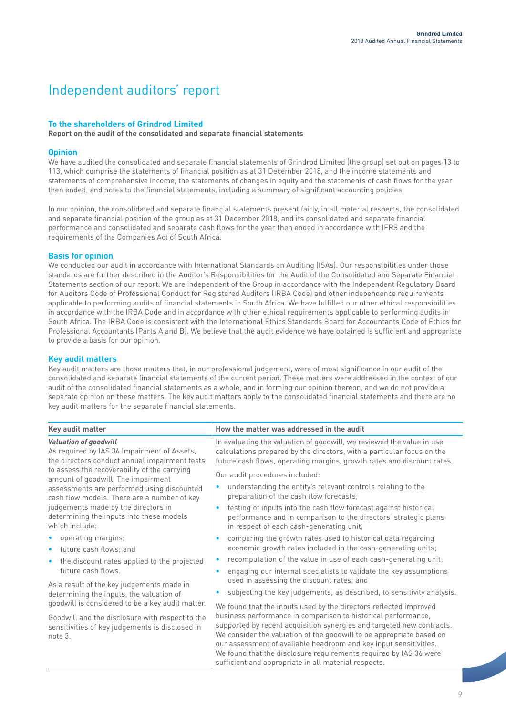### Independent auditors' report

### **To the shareholders of Grindrod Limited**

**Report on the audit of the consolidated and separate financial statements** 

#### **Opinion**

We have audited the consolidated and separate financial statements of Grindrod Limited (the group) set out on pages 13 to 113, which comprise the statements of financial position as at 31 December 2018, and the income statements and statements of comprehensive income, the statements of changes in equity and the statements of cash flows for the year then ended, and notes to the financial statements, including a summary of significant accounting policies.

In our opinion, the consolidated and separate financial statements present fairly, in all material respects, the consolidated and separate financial position of the group as at 31 December 2018, and its consolidated and separate financial performance and consolidated and separate cash flows for the year then ended in accordance with IFRS and the requirements of the Companies Act of South Africa.

#### **Basis for opinion**

We conducted our audit in accordance with International Standards on Auditing (ISAs). Our responsibilities under those standards are further described in the Auditor's Responsibilities for the Audit of the Consolidated and Separate Financial Statements section of our report. We are independent of the Group in accordance with the Independent Regulatory Board for Auditors Code of Professional Conduct for Registered Auditors (IRBA Code) and other independence requirements applicable to performing audits of financial statements in South Africa. We have fulfilled our other ethical responsibilities in accordance with the IRBA Code and in accordance with other ethical requirements applicable to performing audits in South Africa. The IRBA Code is consistent with the International Ethics Standards Board for Accountants Code of Ethics for Professional Accountants (Parts A and B). We believe that the audit evidence we have obtained is sufficient and appropriate to provide a basis for our opinion.

#### **Key audit matters**

Key audit matters are those matters that, in our professional judgement, were of most significance in our audit of the consolidated and separate financial statements of the current period. These matters were addressed in the context of our audit of the consolidated financial statements as a whole, and in forming our opinion thereon, and we do not provide a separate opinion on these matters. The key audit matters apply to the consolidated financial statements and there are no key audit matters for the separate financial statements.

| Key audit matter                                                                                                                                                                | How the matter was addressed in the audit                                                                                                                                                                                                                                                                                                       |
|---------------------------------------------------------------------------------------------------------------------------------------------------------------------------------|-------------------------------------------------------------------------------------------------------------------------------------------------------------------------------------------------------------------------------------------------------------------------------------------------------------------------------------------------|
| <b>Valuation of goodwill</b><br>As required by IAS 36 Impairment of Assets,<br>the directors conduct annual impairment tests                                                    | In evaluating the valuation of goodwill, we reviewed the value in use<br>calculations prepared by the directors, with a particular focus on the<br>future cash flows, operating margins, growth rates and discount rates.                                                                                                                       |
| to assess the recoverability of the carrying<br>amount of goodwill. The impairment<br>assessments are performed using discounted<br>cash flow models. There are a number of key | Our audit procedures included:<br>understanding the entity's relevant controls relating to the<br>preparation of the cash flow forecasts;                                                                                                                                                                                                       |
| judgements made by the directors in<br>determining the inputs into these models<br>which include:                                                                               | testing of inputs into the cash flow forecast against historical<br>performance and in comparison to the directors' strategic plans<br>in respect of each cash-generating unit;                                                                                                                                                                 |
| operating margins;<br>$\bullet$<br>future cash flows; and<br>$\bullet$<br>the discount rates applied to the projected<br>$\bullet$<br>future cash flows.                        | comparing the growth rates used to historical data regarding<br>$\bullet$<br>economic growth rates included in the cash-generating units;<br>recomputation of the value in use of each cash-generating unit;<br>۰<br>engaging our internal specialists to validate the key assumptions<br>$\bullet$                                             |
| As a result of the key judgements made in<br>determining the inputs, the valuation of<br>goodwill is considered to be a key audit matter.                                       | used in assessing the discount rates; and<br>subjecting the key judgements, as described, to sensitivity analysis.<br>We found that the inputs used by the directors reflected improved<br>business performance in comparison to historical performance,                                                                                        |
| Goodwill and the disclosure with respect to the<br>sensitivities of key judgements is disclosed in<br>note 3.                                                                   | supported by recent acquisition synergies and targeted new contracts.<br>We consider the valuation of the goodwill to be appropriate based on<br>our assessment of available headroom and key input sensitivities.<br>We found that the disclosure requirements required by IAS 36 were<br>sufficient and appropriate in all material respects. |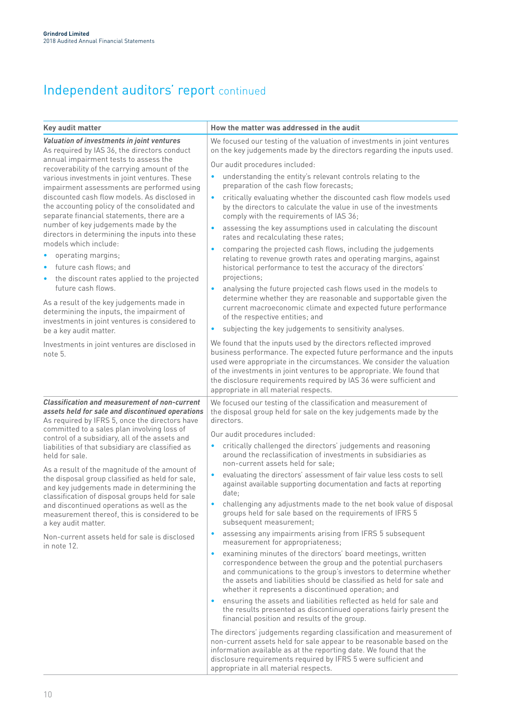## Independent auditors' report continued

| Key audit matter                                                                                                                                                                                                                                                                                                                                                                                                                                                                                                                                                                                                                                                                                                                                       | How the matter was addressed in the audit                                                                                                                                                                                                                                                                                                                                                                                                                                                                                                                                                                                                                                                                                                                                                                                                                                                                                                                                                                               |
|--------------------------------------------------------------------------------------------------------------------------------------------------------------------------------------------------------------------------------------------------------------------------------------------------------------------------------------------------------------------------------------------------------------------------------------------------------------------------------------------------------------------------------------------------------------------------------------------------------------------------------------------------------------------------------------------------------------------------------------------------------|-------------------------------------------------------------------------------------------------------------------------------------------------------------------------------------------------------------------------------------------------------------------------------------------------------------------------------------------------------------------------------------------------------------------------------------------------------------------------------------------------------------------------------------------------------------------------------------------------------------------------------------------------------------------------------------------------------------------------------------------------------------------------------------------------------------------------------------------------------------------------------------------------------------------------------------------------------------------------------------------------------------------------|
| Valuation of investments in joint ventures<br>As required by IAS 36, the directors conduct                                                                                                                                                                                                                                                                                                                                                                                                                                                                                                                                                                                                                                                             | We focused our testing of the valuation of investments in joint ventures<br>on the key judgements made by the directors regarding the inputs used.                                                                                                                                                                                                                                                                                                                                                                                                                                                                                                                                                                                                                                                                                                                                                                                                                                                                      |
| annual impairment tests to assess the<br>recoverability of the carrying amount of the<br>various investments in joint ventures. These<br>impairment assessments are performed using<br>discounted cash flow models. As disclosed in<br>the accounting policy of the consolidated and<br>separate financial statements, there are a<br>number of key judgements made by the<br>directors in determining the inputs into these<br>models which include:<br>• operating margins;<br>• future cash flows; and<br>• the discount rates applied to the projected<br>future cash flows.<br>As a result of the key judgements made in<br>determining the inputs, the impairment of<br>investments in joint ventures is considered to<br>be a key audit matter. | Our audit procedures included:<br>understanding the entity's relevant controls relating to the<br>٠<br>preparation of the cash flow forecasts;<br>critically evaluating whether the discounted cash flow models used<br>$\bullet$<br>by the directors to calculate the value in use of the investments<br>comply with the requirements of IAS 36;<br>assessing the key assumptions used in calculating the discount<br>$\bullet$<br>rates and recalculating these rates;<br>comparing the projected cash flows, including the judgements<br>۰<br>relating to revenue growth rates and operating margins, against<br>historical performance to test the accuracy of the directors'<br>projections;<br>analysing the future projected cash flows used in the models to<br>$\bullet$<br>determine whether they are reasonable and supportable given the<br>current macroeconomic climate and expected future performance<br>of the respective entities; and<br>subjecting the key judgements to sensitivity analyses.<br>٠ |
| Investments in joint ventures are disclosed in<br>note 5.                                                                                                                                                                                                                                                                                                                                                                                                                                                                                                                                                                                                                                                                                              | We found that the inputs used by the directors reflected improved<br>business performance. The expected future performance and the inputs<br>used were appropriate in the circumstances. We consider the valuation<br>of the investments in joint ventures to be appropriate. We found that<br>the disclosure requirements required by IAS 36 were sufficient and<br>appropriate in all material respects.                                                                                                                                                                                                                                                                                                                                                                                                                                                                                                                                                                                                              |
| <b>Classification and measurement of non-current</b><br>assets held for sale and discontinued operations<br>As required by IFRS 5, once the directors have<br>committed to a sales plan involving loss of<br>control of a subsidiary, all of the assets and<br>liabilities of that subsidiary are classified as<br>held for sale.                                                                                                                                                                                                                                                                                                                                                                                                                      | We focused our testing of the classification and measurement of<br>the disposal group held for sale on the key judgements made by the<br>directors.<br>Our audit procedures included:<br>critically challenged the directors' judgements and reasoning<br>٠<br>around the reclassification of investments in subsidiaries as                                                                                                                                                                                                                                                                                                                                                                                                                                                                                                                                                                                                                                                                                            |
| As a result of the magnitude of the amount of<br>the disposal group classified as held for sale,<br>and key judgements made in determining the<br>classification of disposal groups held for sale<br>and discontinued operations as well as the<br>measurement thereof, this is considered to be<br>a key audit matter.                                                                                                                                                                                                                                                                                                                                                                                                                                | non-current assets held for sale;<br>evaluating the directors' assessment of fair value less costs to sell<br>$\bullet$<br>against available supporting documentation and facts at reporting<br>date;<br>challenging any adjustments made to the net book value of disposal<br>groups held for sale based on the requirements of IFRS 5<br>subsequent measurement;                                                                                                                                                                                                                                                                                                                                                                                                                                                                                                                                                                                                                                                      |
| Non-current assets held for sale is disclosed<br>in note 12.                                                                                                                                                                                                                                                                                                                                                                                                                                                                                                                                                                                                                                                                                           | assessing any impairments arising from IFRS 5 subsequent<br>٠<br>measurement for appropriateness;<br>examining minutes of the directors' board meetings, written<br>٠<br>correspondence between the group and the potential purchasers<br>and communications to the group's investors to determine whether<br>the assets and liabilities should be classified as held for sale and<br>whether it represents a discontinued operation; and<br>ensuring the assets and liabilities reflected as held for sale and<br>٠<br>the results presented as discontinued operations fairly present the<br>financial position and results of the group.<br>The directors' judgements regarding classification and measurement of<br>non-current assets held for sale appear to be reasonable based on the<br>information available as at the reporting date. We found that the<br>disclosure requirements required by IFRS 5 were sufficient and<br>appropriate in all material respects.                                           |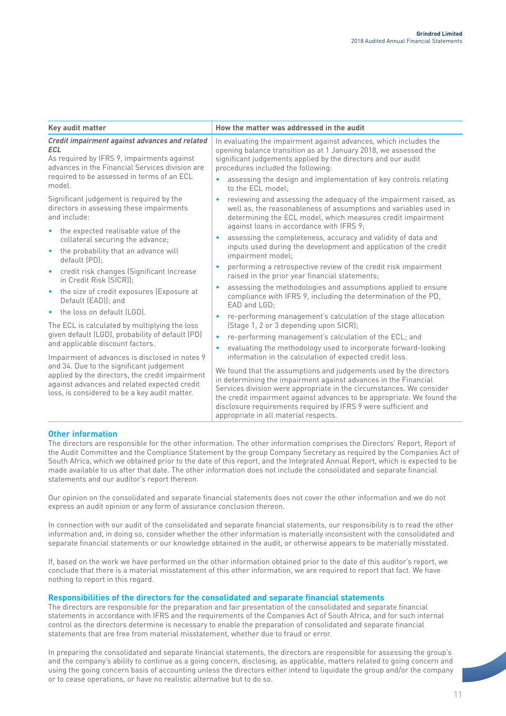| Key audit matter                                                                                                                                                                                                                                                                                                                                                                                                                                                                                                                                                                                                                                                                                                                                                                                                                                                   | How the matter was addressed in the audit                                                                                                                                                                                                                                                                                                                                                                                                                                                                                                                                                                                                                                                                                                                                                                                                                                                                                                                                                                                                                                                                                                                                                                                                                                                                                                                                                                             |  |  |  |
|--------------------------------------------------------------------------------------------------------------------------------------------------------------------------------------------------------------------------------------------------------------------------------------------------------------------------------------------------------------------------------------------------------------------------------------------------------------------------------------------------------------------------------------------------------------------------------------------------------------------------------------------------------------------------------------------------------------------------------------------------------------------------------------------------------------------------------------------------------------------|-----------------------------------------------------------------------------------------------------------------------------------------------------------------------------------------------------------------------------------------------------------------------------------------------------------------------------------------------------------------------------------------------------------------------------------------------------------------------------------------------------------------------------------------------------------------------------------------------------------------------------------------------------------------------------------------------------------------------------------------------------------------------------------------------------------------------------------------------------------------------------------------------------------------------------------------------------------------------------------------------------------------------------------------------------------------------------------------------------------------------------------------------------------------------------------------------------------------------------------------------------------------------------------------------------------------------------------------------------------------------------------------------------------------------|--|--|--|
| Credit impairment against advances and related<br><b>ECL</b><br>As required by IFRS 9, impairments against<br>advances in the Financial Services division are<br>required to be assessed in terms of an ECL<br>model.                                                                                                                                                                                                                                                                                                                                                                                                                                                                                                                                                                                                                                              | In evaluating the impairment against advances, which includes the<br>opening balance transition as at 1 January 2018, we assessed the<br>significant judgements applied by the directors and our audit<br>procedures included the following:<br>assessing the design and implementation of key controls relating<br>to the ECL model:                                                                                                                                                                                                                                                                                                                                                                                                                                                                                                                                                                                                                                                                                                                                                                                                                                                                                                                                                                                                                                                                                 |  |  |  |
| Significant judgement is required by the<br>directors in assessing these impairments<br>and include:<br>the expected realisable value of the<br>$\bullet$<br>collateral securing the advance;<br>the probability that an advance will<br>$\bullet$<br>default (PD);<br>credit risk changes (Significant Increase<br>$\bullet$<br>in Credit Risk (SICR));<br>the size of credit exposures (Exposure at<br>$\bullet$<br>Default (EAD)); and<br>the loss on default (LGD).<br>The ECL is calculated by multiplying the loss<br>given default (LGD), probability of default (PD)<br>and applicable discount factors.<br>Impairment of advances is disclosed in notes 9<br>and 34. Due to the significant judgement<br>applied by the directors, the credit impairment<br>against advances and related expected credit<br>loss, is considered to be a key audit matter. | reviewing and assessing the adequacy of the impairment raised, as<br>well as, the reasonableness of assumptions and variables used in<br>determining the ECL model, which measures credit impairment<br>against loans in accordance with IFRS 9;<br>assessing the completeness, accuracy and validity of data and<br>inputs used during the development and application of the credit<br>impairment model;<br>performing a retrospective review of the credit risk impairment<br>$\bullet$<br>raised in the prior year financial statements;<br>assessing the methodologies and assumptions applied to ensure<br>compliance with IFRS 9, including the determination of the PD,<br>EAD and LGD:<br>re-performing management's calculation of the stage allocation<br>(Stage 1, 2 or 3 depending upon SICR);<br>re-performing management's calculation of the ECL; and<br>$\bullet$<br>evaluating the methodology used to incorporate forward-looking<br>information in the calculation of expected credit loss.<br>We found that the assumptions and judgements used by the directors<br>in determining the impairment against advances in the Financial<br>Services division were appropriate in the circumstances. We consider<br>the credit impairment against advances to be appropriate. We found the<br>disclosure requirements required by IFRS 9 were sufficient and<br>appropriate in all material respects. |  |  |  |

#### **Other information**

The directors are responsible for the other information. The other information comprises the Directors' Report, Report of the Audit Committee and the Compliance Statement by the group Company Secretary as required by the Companies Act of South Africa, which we obtained prior to the date of this report, and the Integrated Annual Report, which is expected to be made available to us after that date. The other information does not include the consolidated and separate financial statements and our auditor's report thereon.

Our opinion on the consolidated and separate financial statements does not cover the other information and we do not express an audit opinion or any form of assurance conclusion thereon.

In connection with our audit of the consolidated and separate financial statements, our responsibility is to read the other information and, in doing so, consider whether the other information is materially inconsistent with the consolidated and separate financial statements or our knowledge obtained in the audit, or otherwise appears to be materially misstated.

If, based on the work we have performed on the other information obtained prior to the date of this auditor's report, we conclude that there is a material misstatement of this other information, we are required to report that fact. We have nothing to report in this regard.

#### **Responsibilities of the directors for the consolidated and separate financial statements**

The directors are responsible for the preparation and fair presentation of the consolidated and separate financial statements in accordance with IFRS and the requirements of the Companies Act of South Africa, and for such internal control as the directors determine is necessary to enable the preparation of consolidated and separate financial statements that are free from material misstatement, whether due to fraud or error.

In preparing the consolidated and separate financial statements, the directors are responsible for assessing the group's and the company's ability to continue as a going concern, disclosing, as applicable, matters related to going concern and using the going concern basis of accounting unless the directors either intend to liquidate the group and/or the company or to cease operations, or have no realistic alternative but to do so.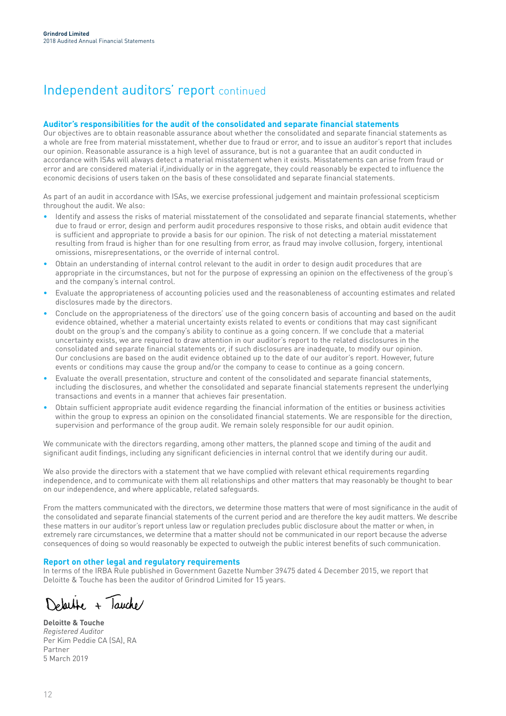### Independent auditors' report continued

#### **Auditor's responsibilities for the audit of the consolidated and separate financial statements**

Our objectives are to obtain reasonable assurance about whether the consolidated and separate financial statements as a whole are free from material misstatement, whether due to fraud or error, and to issue an auditor's report that includes our opinion. Reasonable assurance is a high level of assurance, but is not a guarantee that an audit conducted in accordance with ISAs will always detect a material misstatement when it exists. Misstatements can arise from fraud or error and are considered material if,individually or in the aggregate, they could reasonably be expected to influence the economic decisions of users taken on the basis of these consolidated and separate financial statements.

As part of an audit in accordance with ISAs, we exercise professional judgement and maintain professional scepticism throughout the audit. We also:

- Identify and assess the risks of material misstatement of the consolidated and separate financial statements, whether due to fraud or error, design and perform audit procedures responsive to those risks, and obtain audit evidence that is sufficient and appropriate to provide a basis for our opinion. The risk of not detecting a material misstatement resulting from fraud is higher than for one resulting from error, as fraud may involve collusion, forgery, intentional omissions, misrepresentations, or the override of internal control.
- Obtain an understanding of internal control relevant to the audit in order to design audit procedures that are appropriate in the circumstances, but not for the purpose of expressing an opinion on the effectiveness of the group's and the company's internal control.
- Evaluate the appropriateness of accounting policies used and the reasonableness of accounting estimates and related disclosures made by the directors.
- Conclude on the appropriateness of the directors' use of the going concern basis of accounting and based on the audit evidence obtained, whether a material uncertainty exists related to events or conditions that may cast significant doubt on the group's and the company's ability to continue as a going concern. If we conclude that a material uncertainty exists, we are required to draw attention in our auditor's report to the related disclosures in the consolidated and separate financial statements or, if such disclosures are inadequate, to modify our opinion. Our conclusions are based on the audit evidence obtained up to the date of our auditor's report. However, future events or conditions may cause the group and/or the company to cease to continue as a going concern.
- Evaluate the overall presentation, structure and content of the consolidated and separate financial statements, including the disclosures, and whether the consolidated and separate financial statements represent the underlying transactions and events in a manner that achieves fair presentation.
- Obtain sufficient appropriate audit evidence regarding the financial information of the entities or business activities within the group to express an opinion on the consolidated financial statements. We are responsible for the direction, supervision and performance of the group audit. We remain solely responsible for our audit opinion.

We communicate with the directors regarding, among other matters, the planned scope and timing of the audit and significant audit findings, including any significant deficiencies in internal control that we identify during our audit.

We also provide the directors with a statement that we have complied with relevant ethical requirements regarding independence, and to communicate with them all relationships and other matters that may reasonably be thought to bear on our independence, and where applicable, related safeguards.

From the matters communicated with the directors, we determine those matters that were of most significance in the audit of the consolidated and separate financial statements of the current period and are therefore the key audit matters. We describe these matters in our auditor's report unless law or regulation precludes public disclosure about the matter or when, in extremely rare circumstances, we determine that a matter should not be communicated in our report because the adverse consequences of doing so would reasonably be expected to outweigh the public interest benefits of such communication.

#### **Report on other legal and regulatory requirements**

In terms of the IRBA Rule published in Government Gazette Number 39475 dated 4 December 2015, we report that Deloitte & Touche has been the auditor of Grindrod Limited for 15 years.

Delative + Tauche

**Deloitte & Touche** *Registered Auditor* Per Kim Peddie CA (SA), RA Partner 5 March 2019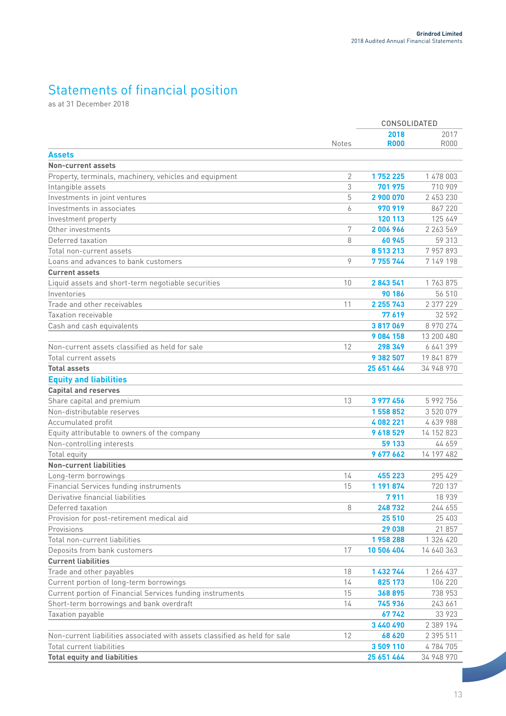### Statements of financial position

as at 31 December 2018

|                                                                            |              | CONSOLIDATED |            |
|----------------------------------------------------------------------------|--------------|--------------|------------|
|                                                                            |              | 2018         | 2017       |
|                                                                            | <b>Notes</b> | <b>R000</b>  | R000       |
| Assets                                                                     |              |              |            |
| <b>Non-current assets</b>                                                  |              |              |            |
| Property, terminals, machinery, vehicles and equipment                     | 2            | 1752225      | 1 478 003  |
| Intangible assets                                                          | 3            | 701 975      | 710 909    |
| Investments in joint ventures                                              | 5            | 2 900 070    | 2 453 230  |
| Investments in associates                                                  | 6            | 970 919      | 867 220    |
| Investment property                                                        |              | 120 113      | 125 649    |
| Other investments                                                          | 7            | 2006966      | 2 263 569  |
| Deferred taxation                                                          | 8            | 60945        | 59 313     |
| Total non-current assets                                                   |              | 8513213      | 7957893    |
| Loans and advances to bank customers                                       | 9            | 7 755 744    | 7 149 198  |
| <b>Current assets</b>                                                      |              |              |            |
| Liquid assets and short-term negotiable securities                         | 10           | 2843541      | 1763875    |
| Inventories                                                                |              | 90 186       | 56 510     |
| Trade and other receivables                                                | 11           | 2 2 5 7 4 3  | 2 377 229  |
| Taxation receivable                                                        |              | 77619        | 32 592     |
| Cash and cash equivalents                                                  |              | 3817069      | 8 970 274  |
|                                                                            |              | 9 084 158    | 13 200 480 |
| Non-current assets classified as held for sale                             | 12           | 298 349      | 6 641 399  |
| Total current assets                                                       |              | 9 382 507    | 19 841 879 |
| <b>Total assets</b>                                                        |              | 25 651 464   | 34 948 970 |
| <b>Equity and liabilities</b>                                              |              |              |            |
| <b>Capital and reserves</b>                                                |              |              |            |
| Share capital and premium                                                  | 13           | 3 977 456    | 5 992 756  |
| Non-distributable reserves                                                 |              | 1558852      | 3 520 079  |
| Accumulated profit                                                         |              | 4082221      | 4639988    |
| Equity attributable to owners of the company                               |              | 9618529      | 14 152 823 |
| Non-controlling interests                                                  |              | 59 133       | 44 659     |
| Total equity                                                               |              | 9 677 662    | 14 197 482 |
| <b>Non-current liabilities</b>                                             |              |              |            |
| Long-term borrowings                                                       | 14           | 455 223      | 295 429    |
| Financial Services funding instruments                                     | 15           | 1 191 874    | 720 137    |
| Derivative financial liabilities                                           |              | 7911         | 18 939     |
| Deferred taxation                                                          | 8            | 248732       | 244 655    |
| Provision for post-retirement medical aid                                  |              | 25 510       | 25 403     |
| Provisions                                                                 |              | 29 038       | 21 857     |
| Total non-current liabilities                                              |              | 1958288      | 1 326 420  |
| Deposits from bank customers                                               | 17           | 10 506 404   | 14 640 363 |
| <b>Current liabilities</b>                                                 |              |              |            |
| Trade and other payables                                                   | 18           | 1 432 744    | 1 266 437  |
| Current portion of long-term borrowings                                    | 14           | 825 173      | 106 220    |
| Current portion of Financial Services funding instruments                  | 15           | 368895       | 738 953    |
| Short-term borrowings and bank overdraft                                   | 14           | 745 936      | 243 661    |
| Taxation payable                                                           |              | 67742        | 33 923     |
|                                                                            |              | 3 440 490    | 2 389 194  |
| Non-current liabilities associated with assets classified as held for sale | 12           | 68 620       | 2 395 511  |
| <b>Total current liabilities</b>                                           |              | 3509110      | 4784705    |
| <b>Total equity and liabilities</b>                                        |              | 25 651 464   | 34 948 970 |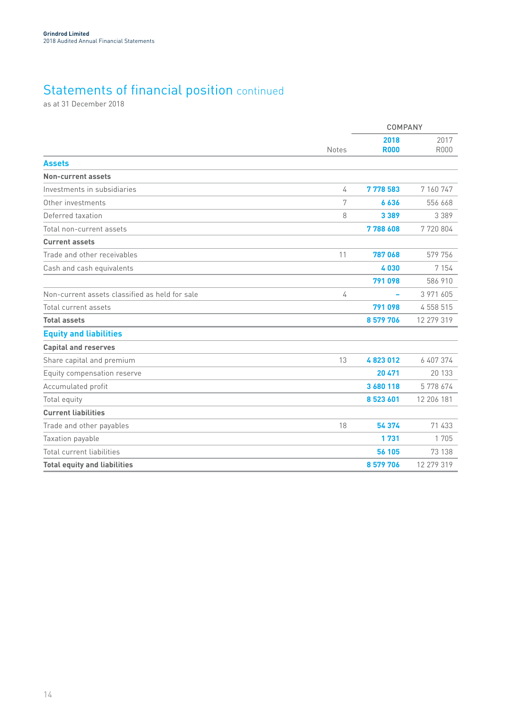### Statements of financial position continued

as at 31 December 2018

|                                                |              | <b>COMPANY</b>      |                     |  |
|------------------------------------------------|--------------|---------------------|---------------------|--|
|                                                | <b>Notes</b> | 2018<br><b>R000</b> | 2017<br><b>R000</b> |  |
| <b>Assets</b>                                  |              |                     |                     |  |
| Non-current assets                             |              |                     |                     |  |
| Investments in subsidiaries                    | 4            | 7778583             | 7 160 747           |  |
| Other investments                              | 7            | 6636                | 556 668             |  |
| Deferred taxation                              | 8            | 3 3 8 9             | 3 3 8 9             |  |
| Total non-current assets                       |              | 7788608             | 7720804             |  |
| <b>Current assets</b>                          |              |                     |                     |  |
| Trade and other receivables                    | 11           | 787068              | 579 756             |  |
| Cash and cash equivalents                      |              | 4030                | 7 1 5 4             |  |
|                                                |              | 791 098             | 586 910             |  |
| Non-current assets classified as held for sale | 4            |                     | 3 971 605           |  |
| Total current assets                           |              | 791 098             | 4 558 515           |  |
| <b>Total assets</b>                            |              | 8 579 706           | 12 279 319          |  |
| <b>Equity and liabilities</b>                  |              |                     |                     |  |
| <b>Capital and reserves</b>                    |              |                     |                     |  |
| Share capital and premium                      | 13           | 4823012             | 6 407 374           |  |
| Equity compensation reserve                    |              | 20 471              | 20 133              |  |
| Accumulated profit                             |              | 3 680 118           | 5778674             |  |
| Total equity                                   |              | 8523601             | 12 206 181          |  |
| <b>Current liabilities</b>                     |              |                     |                     |  |
| Trade and other payables                       | 18           | 54 374              | 71 433              |  |
| Taxation payable                               |              | 1731                | 1 705               |  |
| Total current liabilities                      |              | 56 105              | 73 138              |  |
| <b>Total equity and liabilities</b>            |              | 8 579 706           | 12 279 319          |  |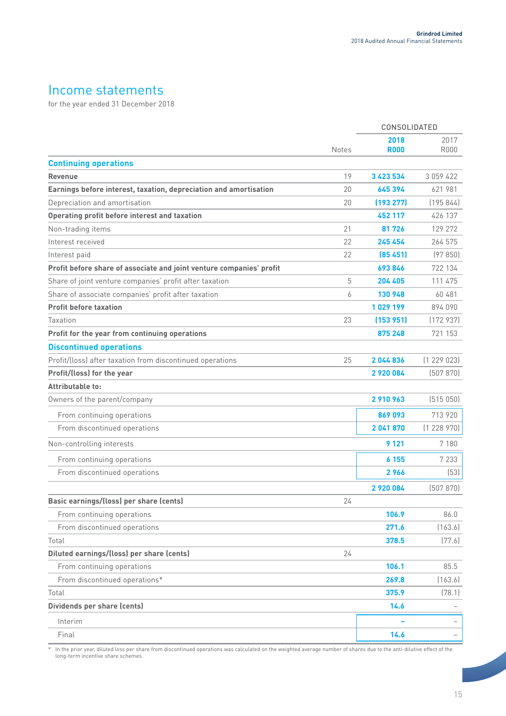### Income statements

for the year ended 31 December 2018

|                                                                      |              | CONSOLIDATED        |              |
|----------------------------------------------------------------------|--------------|---------------------|--------------|
|                                                                      | <b>Notes</b> | 2018<br><b>R000</b> | 2017<br>R000 |
| <b>Continuing operations</b>                                         |              |                     |              |
| <b>Revenue</b>                                                       | 19           | 3 423 534           | 3 059 422    |
| Earnings before interest, taxation, depreciation and amortisation    | 20           | 645 394             | 621 981      |
| Depreciation and amortisation                                        | 20           | (193 277)           | (195844)     |
| Operating profit before interest and taxation                        |              | 452 117             | 426 137      |
| Non-trading items                                                    | 21           | 81726               | 129 272      |
| Interest received                                                    | 22           | 245 454             | 264 575      |
| Interest paid                                                        | 22           | (85, 451)           | (97850)      |
| Profit before share of associate and joint venture companies' profit |              | 693846              | 722 134      |
| Share of joint venture companies' profit after taxation              | 5            | 204 405             | 111 475      |
| Share of associate companies' profit after taxation                  | 6            | 130 948             | 60 481       |
| <b>Profit before taxation</b>                                        |              | 1029199             | 894 090      |
| Taxation                                                             | 23           | (153951)            | (172937)     |
| Profit for the year from continuing operations                       |              | 875 248             | 721 153      |
| <b>Discontinued operations</b>                                       |              |                     |              |
| Profit/(loss) after taxation from discontinued operations            | 25           | 2044836             | (1229023)    |
| Profit/(loss) for the year                                           |              | 2920084             | (507 870)    |
| Attributable to:                                                     |              |                     |              |
| Owners of the parent/company                                         |              | 2910963             | (515050)     |
| From continuing operations                                           |              | 869093              | 713 920      |
| From discontinued operations                                         |              | 2 041 870           | (1228970)    |
| Non-controlling interests                                            |              | 9 1 2 1             | 7 180        |
| From continuing operations                                           |              | 6 155               | 7 2 3 3      |
| From discontinued operations                                         |              | 2966                | (53)         |
|                                                                      |              | 2 920 084           | (507 870)    |
| Basic earnings/(loss) per share (cents)                              | 24           |                     |              |
| From continuing operations                                           |              | 106.9               | 86.0         |
| From discontinued operations                                         |              | 271.6               | (163.6)      |
| Total                                                                |              | 378.5               | (77.6)       |
| Diluted earnings/(loss) per share (cents)                            | 24           |                     |              |
| From continuing operations                                           |              | 106.1               | 85.5         |
| From discontinued operations*                                        |              | 269.8               | (163.6)      |
| Total                                                                |              | 375.9               | (78.1)       |
| Dividends per share (cents)                                          |              | 14.6                |              |
| Interim                                                              |              |                     |              |
| Final                                                                |              | 14.6                |              |

\* In the prior year, diluted loss per share from discontinued operations was calculated on the weighted average number of shares due to the anti-dilutive effect of the long-term incentive share schemes.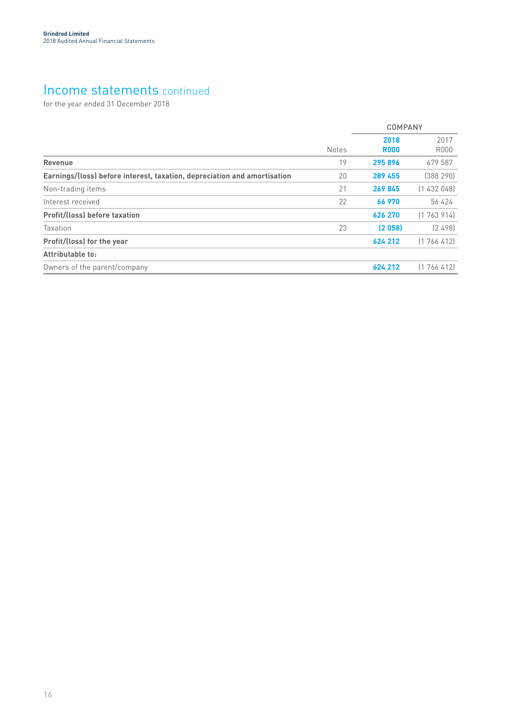### Income statements continued

for the year ended 31 December 2018

|                                                                          |              | COMPANY             |                     |
|--------------------------------------------------------------------------|--------------|---------------------|---------------------|
|                                                                          | <b>Notes</b> | 2018<br><b>R000</b> | 2017<br><b>R000</b> |
| <b>Revenue</b>                                                           | 19           | 295896              | 679 587             |
| Earnings/(loss) before interest, taxation, depreciation and amortisation | 20           | 289 455             | [388 290]           |
| Non-trading items                                                        | 21           | 269845              | (1432048)           |
| Interest received                                                        | 22           | 66 970              | 56 424              |
| <b>Profit/(loss) before taxation</b>                                     |              | 626 270             | (1763914)           |
| Taxation                                                                 | 23           | (2058)              | [2498]              |
| Profit/(loss) for the year                                               |              | 624 212             | [1766412]           |
| Attributable to:                                                         |              |                     |                     |
| Owners of the parent/company                                             |              | 624 212             | (1766412)           |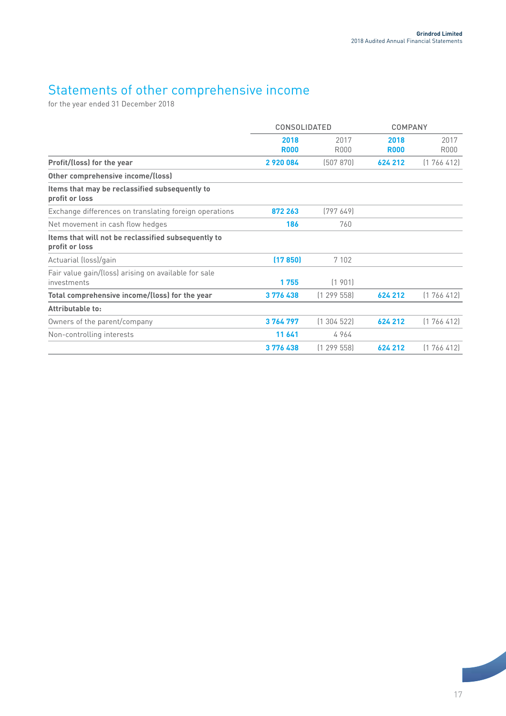### Statements of other comprehensive income

for the year ended 31 December 2018

|                                                                       | <b>CONSOLIDATED</b> |              | <b>COMPANY</b>      |              |
|-----------------------------------------------------------------------|---------------------|--------------|---------------------|--------------|
|                                                                       | 2018<br><b>R000</b> | 2017<br>R000 | 2018<br><b>R000</b> | 2017<br>R000 |
| Profit/(loss) for the year                                            | 2920084             | (507 870)    | 624 212             | (1766412)    |
| Other comprehensive income/(loss)                                     |                     |              |                     |              |
| Items that may be reclassified subsequently to<br>profit or loss      |                     |              |                     |              |
| Exchange differences on translating foreign operations                | 872 263             | (797649)     |                     |              |
| Net movement in cash flow hedges                                      | 186                 | 760          |                     |              |
| Items that will not be reclassified subsequently to<br>profit or loss |                     |              |                     |              |
| Actuarial (loss)/gain                                                 | (17850)             | 7 1 0 2      |                     |              |
| Fair value gain/(loss) arising on available for sale<br>investments   | 1755                | (1901)       |                     |              |
| Total comprehensive income/(loss) for the year                        | 3776438             | (1299558)    | 624 212             | (1766412)    |
| Attributable to:                                                      |                     |              |                     |              |
| Owners of the parent/company                                          | 3764797             | (1304522)    | 624 212             | (1766412)    |
| Non-controlling interests                                             | 11 641              | 4964         |                     |              |
|                                                                       | 3776438             | (1299558)    | 624 212             | (1766412)    |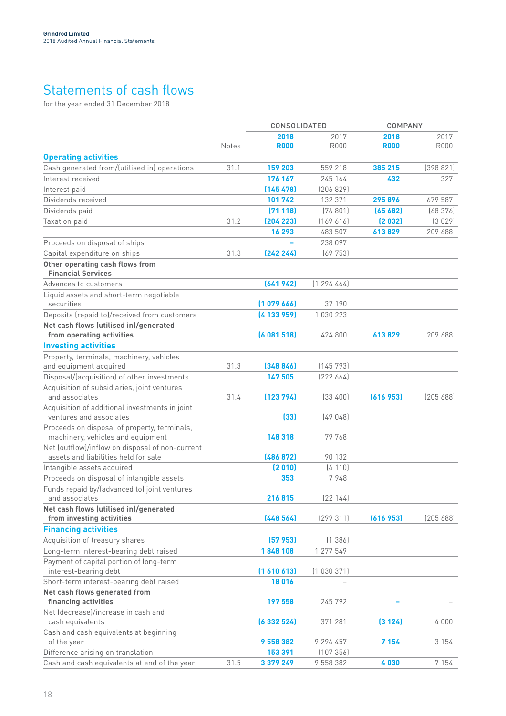### Statements of cash flows

for the year ended 31 December 2018

|                                                                           |              | CONSOLIDATED |               | <b>COMPANY</b> |           |
|---------------------------------------------------------------------------|--------------|--------------|---------------|----------------|-----------|
|                                                                           |              | 2018         | 2017          | 2018           | 2017      |
|                                                                           | <b>Notes</b> | <b>R000</b>  | <b>R000</b>   | <b>R000</b>    | R000      |
| <b>Operating activities</b>                                               |              |              |               |                |           |
| Cash generated from/(utilised in) operations                              | 31.1         | 159 203      | 559 218       | 385 215        | (398821)  |
| Interest received                                                         |              | 176 167      | 245 164       | 432            | 327       |
| Interest paid                                                             |              | (145 478)    | (206 829)     |                |           |
| Dividends received                                                        |              | 101742       | 132 371       | 295896         | 679 587   |
| Dividends paid                                                            |              | (71118)      | (76801)       | (65682)        | (68376)   |
| Taxation paid                                                             | 31.2         | (204 223)    | (169616)      | (2032)         | (3029)    |
|                                                                           |              | 16 293       | 483 507       | 613829         | 209 688   |
| Proceeds on disposal of ships                                             |              |              | 238 097       |                |           |
| Capital expenditure on ships                                              | 31.3         | (242 244)    | (69753)       |                |           |
| Other operating cash flows from                                           |              |              |               |                |           |
| <b>Financial Services</b>                                                 |              |              |               |                |           |
| Advances to customers                                                     |              | (641942)     | [1 294 464]   |                |           |
| Liquid assets and short-term negotiable                                   |              |              |               |                |           |
| securities                                                                |              | (107966)     | 37 190        |                |           |
| Deposits (repaid to)/received from customers                              |              | (4133959)    | 1 0 3 0 2 2 3 |                |           |
| Net cash flows (utilised in)/generated                                    |              |              |               |                |           |
| from operating activities                                                 |              | (6081518)    | 424 800       | 613829         | 209 688   |
| <b>Investing activities</b>                                               |              |              |               |                |           |
| Property, terminals, machinery, vehicles                                  |              |              |               |                |           |
| and equipment acquired                                                    | 31.3         | (348846)     | (145793)      |                |           |
| Disposal/(acquisition) of other investments                               |              | 147 505      | [222 664]     |                |           |
| Acquisition of subsidiaries, joint ventures                               |              |              |               |                |           |
| and associates                                                            | 31.4         | (123794)     | (33 400)      | (616953)       | [205 688] |
| Acquisition of additional investments in joint<br>ventures and associates |              | (33)         | (49048)       |                |           |
| Proceeds on disposal of property, terminals,                              |              |              |               |                |           |
| machinery, vehicles and equipment                                         |              | 148 318      | 79 768        |                |           |
| Net (outflow)/inflow on disposal of non-current                           |              |              |               |                |           |
| assets and liabilities held for sale                                      |              | (486 872)    | 90 132        |                |           |
| Intangible assets acquired                                                |              | (2010)       | (4110)        |                |           |
| Proceeds on disposal of intangible assets                                 |              | 353          | 7948          |                |           |
| Funds repaid by/(advanced to) joint ventures                              |              |              |               |                |           |
| and associates                                                            |              | 216815       | [22 144]      |                |           |
| Net cash flows (utilised in)/generated<br>from investing activities       |              |              |               |                | [20568]   |
|                                                                           |              | (448564)     | (299311)      | (616953)       |           |
| <b>Financing activities</b>                                               |              |              |               |                |           |
| Acquisition of treasury shares                                            |              | (57953)      | (1386)        |                |           |
| Long-term interest-bearing debt raised                                    |              | 1848 108     | 1 277 549     |                |           |
| Payment of capital portion of long-term                                   |              | (1610613)    | (1030371)     |                |           |
| interest-bearing debt<br>Short-term interest-bearing debt raised          |              | 18016        |               |                |           |
| Net cash flows generated from                                             |              |              |               |                |           |
| financing activities                                                      |              | 197 558      | 245 792       |                |           |
| Net (decrease)/increase in cash and                                       |              |              |               |                |           |
| cash equivalents                                                          |              | (6332524)    | 371 281       | (3124)         | 4 0 0 0   |
| Cash and cash equivalents at beginning                                    |              |              |               |                |           |
| of the year                                                               |              | 9 558 382    | 9 294 457     | 7 154          | 3 154     |
| Difference arising on translation                                         |              | 153 391      | (107356)      |                |           |
| Cash and cash equivalents at end of the year                              | 31.5         | 3 379 249    | 9 558 382     | 4030           | 7 1 5 4   |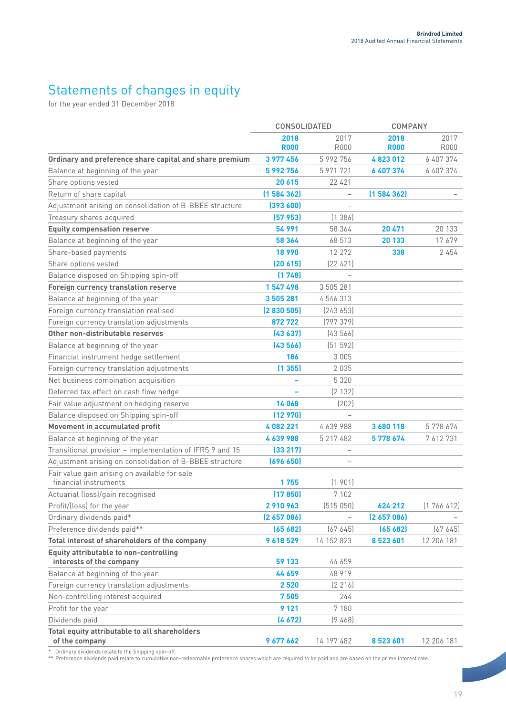### Statements of changes in equity

for the year ended 31 December 2018

|                                                                 | CONSOLIDATED |                          | <b>COMPANY</b> |             |
|-----------------------------------------------------------------|--------------|--------------------------|----------------|-------------|
|                                                                 | 2018         | 2017                     | 2018           | 2017        |
|                                                                 | <b>R000</b>  | <b>R000</b>              | <b>R000</b>    | <b>R000</b> |
| Ordinary and preference share capital and share premium         | 3 977 456    | 5 992 756                | 4823012        | 6 407 374   |
| Balance at beginning of the year                                | 5 992 756    | 5 971 721                | 6 407 374      | 6 407 374   |
| Share options vested                                            | 20 615       | 22 4 21                  |                |             |
| Return of share capital                                         | (1584362)    | $\qquad \qquad -$        | (1584362)      |             |
| Adjustment arising on consolidation of B-BBEE structure         | (393600)     | $\overline{\phantom{0}}$ |                |             |
| Treasury shares acquired                                        | (57953)      | (1386)                   |                |             |
| <b>Equity compensation reserve</b>                              | 54 991       | 58 364                   | 20 471         | 20 133      |
| Balance at beginning of the year                                | 58 364       | 68 513                   | 20 133         | 17679       |
| Share-based payments                                            | 18 990       | 12 272                   | 338            | 2454        |
| Share options vested                                            | (20 615)     | [22 421]                 |                |             |
| Balance disposed on Shipping spin-off                           | (1748)       |                          |                |             |
| Foreign currency translation reserve                            | 1547498      | 3 505 281                |                |             |
| Balance at beginning of the year                                | 3 505 281    | 4 546 313                |                |             |
| Foreign currency translation realised                           | (2830505)    | [243 653]                |                |             |
| Foreign currency translation adjustments                        | 872722       | (797379)                 |                |             |
| Other non-distributable reserves                                | (43637)      | (43566)                  |                |             |
| Balance at beginning of the year                                | (43566)      | (51 592)                 |                |             |
| Financial instrument hedge settlement                           | 186          | 3 0 0 5                  |                |             |
| Foreign currency translation adjustments                        | (1355)       | 2035                     |                |             |
| Net business combination acquisition                            |              | 5 3 2 0                  |                |             |
| Deferred tax effect on cash flow hedge                          |              | (2 132)                  |                |             |
| Fair value adjustment on hedging reserve                        | 14068        | (202)                    |                |             |
| Balance disposed on Shipping spin-off                           | (12970)      |                          |                |             |
| Movement in accumulated profit                                  | 4082221      | 4 639 988                | 3 680 118      | 5778674     |
| Balance at beginning of the year                                | 4639988      | 5 217 482                | 5778674        | 7 612 731   |
| Transitional provision - implementation of IFRS 9 and 15        | (33 217)     | $\qquad \qquad -$        |                |             |
| Adjustment arising on consolidation of B-BBEE structure         | (696 650)    |                          |                |             |
| Fair value gain arising on available for sale                   |              |                          |                |             |
| financial instruments                                           | 1755         | (1901)                   |                |             |
| Actuarial (loss)/gain recognised                                | (17850)      | 7 102                    |                |             |
| Profit/(loss) for the year                                      | 2910963      | (515050)                 | 624 212        | (1766412)   |
| Ordinary dividends paid*                                        | (2657086)    |                          | (2657086)      |             |
| Preference dividends paid**                                     | (65682)      | (67645)                  | (65682)        | (67645)     |
| Total interest of shareholders of the company                   | 9618529      | 14 152 823               | 8 523 601      | 12 206 181  |
| <b>Equity attributable to non-controlling</b>                   |              |                          |                |             |
| interests of the company                                        | 59 133       | 44 659                   |                |             |
| Balance at beginning of the year                                | 44 659       | 48 919                   |                |             |
| Foreign currency translation adjustments                        | 2520         | (2 216)                  |                |             |
| Non-controlling interest acquired                               | 7505         | 244                      |                |             |
| Profit for the year                                             | 9 1 2 1      | 7 180                    |                |             |
| Dividends paid                                                  | (4672)       | (9468)                   |                |             |
| Total equity attributable to all shareholders<br>of the company | 9 677 662    | 14 197 482               | 8 523 601      | 12 206 181  |

\* Ordinary dividends relate to the Shipping spin-off.

\*\* Preference dividends paid relate to cumulative non-redeemable preference shares which are required to be paid and are based on the prime interest rate.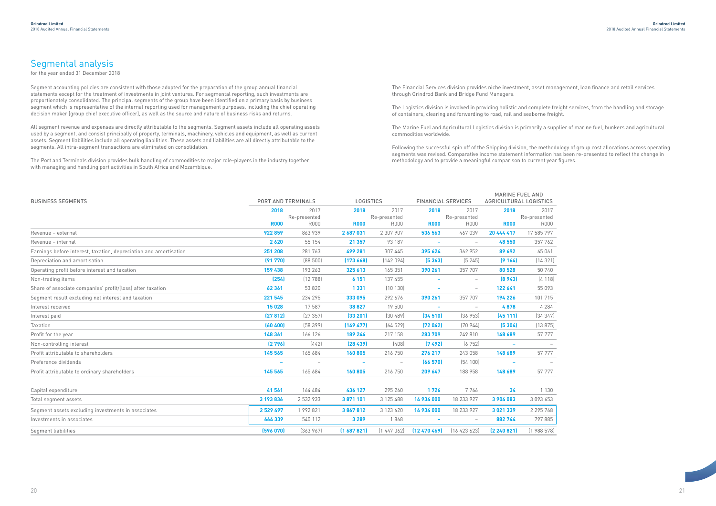### Segmental analysis

for the year ended 31 December 2018

Segment accounting policies are consistent with those adopted for the preparation of the group annual financial statements except for the treatment of investments in joint ventures. For segmental reporting, such investments are proportionately consolidated. The principal segments of the group have been identified on a primary basis by business segment which is representative of the internal reporting used for management purposes, including the chief operating decision maker (group chief executive officer), as well as the source and nature of business risks and returns.

All segment revenue and expenses are directly attributable to the segments. Segment assets include all operating assets used by a segment, and consist principally of property, terminals, machinery, vehicles and equipment, as well as current assets. Segment liabilities include all operating liabilities. These assets and liabilities are all directly attributable to the segments. All intra-segment transactions are eliminated on consolidation.

> STICS 2017 sented R000

The Port and Terminals division provides bulk handling of commodities to major role-players in the industry together with managing and handling port activities in South Africa and Mozambique.

The Financial Services division provides niche investment, asset management, loan finance and retail services through Grindrod Bank and Bridge Fund Managers.

The Logistics division is involved in providing holistic and complete freight services, from the handling and storage of containers, clearing and forwarding to road, rail and seaborne freight.

The Marine Fuel and Agricultural Logistics division is primarily a supplier of marine fuel, bunkers and agricultural commodities worldwide.

Following the successful spin off of the Shipping division, the methodology of group cost allocations across operating segments was revised. Comparative income statement information has been re-presented to reflect the change in methodology and to provide a meaningful comparison to current year figures.

| <b>BUSINESS SEGMENTS</b>                                          | <b>PORT AND TERMINALS</b> |                          |                          | <b>LOGISTICS</b>         |                          | <b>FINANCIAL SERVICES</b>       |                          | <b>MARINE FUEL AND</b><br>AGRICULTURAL LOGISTICS |  |
|-------------------------------------------------------------------|---------------------------|--------------------------|--------------------------|--------------------------|--------------------------|---------------------------------|--------------------------|--------------------------------------------------|--|
|                                                                   | 2018                      | 2017                     | 2018                     | 2017                     | 2018                     | 2017                            | 2018                     | 2017                                             |  |
|                                                                   |                           | Re-presented             |                          | Re-presented             |                          | Re-presented                    |                          | Re-presented                                     |  |
|                                                                   | <b>R000</b>               | <b>R000</b>              | <b>R000</b>              | <b>R000</b>              | <b>R000</b>              | <b>R000</b>                     | <b>R000</b>              | <b>R000</b>                                      |  |
| Revenue - external                                                | 922859                    | 863 939                  | 2 687 031                | 2 307 907                | 536 563                  | 467 039                         | 20 444 417               | 17 585 797                                       |  |
| Revenue - internal                                                | 2 6 2 0                   | 55 154                   | 21 357                   | 93 187                   |                          | $\hspace{0.1mm}-\hspace{0.1mm}$ | 48 550                   | 357 762                                          |  |
| Earnings before interest, taxation, depreciation and amortisation | 251 208                   | 281 763                  | 499 281                  | 307 445                  | 395 624                  | 362 952                         | 89 692                   | 65 061                                           |  |
| Depreciation and amortisation                                     | (91770)                   | (88500)                  | (173668)                 | (142094)                 | (5363)                   | (5245)                          | (9164)                   | (14321)                                          |  |
| Operating profit before interest and taxation                     | 159 438                   | 193 263                  | 325 613                  | 165 351                  | 390 261                  | 357 707                         | 80 528                   | 50 740                                           |  |
| Non-trading items                                                 | (254)                     | (12788)                  | 6 1 5 1                  | 137 455                  | $\overline{\phantom{a}}$ | $\overline{\phantom{0}}$        | (8943)                   | (4118)                                           |  |
| Share of associate companies' profit/(loss) after taxation        | 62 361                    | 53 820                   | 1 3 3 1                  | (10130)                  |                          | $\overline{\phantom{m}}$        | 122 641                  | 55 093                                           |  |
| Segment result excluding net interest and taxation                | 221 545                   | 234 295                  | 333 095                  | 292 676                  | 390 261                  | 357 707                         | 194 226                  | 101 715                                          |  |
| Interest received                                                 | 15028                     | 17 587                   | 38 827                   | 19 500                   |                          |                                 | 4878                     | 4 2 8 4                                          |  |
| Interest paid                                                     | (27812)                   | (27357)                  | (33 201)                 | (30, 489)                | (34510)                  | (36953)                         | (45111)                  | [34347]                                          |  |
| Taxation                                                          | (60 400)                  | (58399)                  | (14947)                  | (64529)                  | (72042)                  | [70944]                         | (5304)                   | (13875)                                          |  |
| Profit for the year                                               | 148 361                   | 166 126                  | 189 244                  | 217 158                  | 283 709                  | 249 810                         | 148 689                  | 57 777                                           |  |
| Non-controlling interest                                          | (2796)                    | (442)                    | (28439)                  | (408)                    | (7492)                   | (6752)                          | $\sim$                   |                                                  |  |
| Profit attributable to shareholders                               | 145 565                   | 165 684                  | 160805                   | 216 750                  | 276 217                  | 243 058                         | 148 689                  | 57 777                                           |  |
| Preference dividends                                              | $\overline{\phantom{a}}$  | $\overline{\phantom{a}}$ | $\overline{\phantom{a}}$ | $\overline{\phantom{m}}$ | (66570)                  | (54100)                         | $\overline{\phantom{a}}$ |                                                  |  |
| Profit attributable to ordinary shareholders                      | 145 565                   | 165 684                  | 160805                   | 216 750                  | 209 647                  | 188 958                         | 148 689                  | 57 777                                           |  |
|                                                                   |                           |                          |                          |                          |                          |                                 |                          |                                                  |  |
| Capital expenditure                                               | 41 561                    | 164 484                  | 436 127                  | 295 260                  | 1726                     | 7766                            | 34                       | 1 1 3 0                                          |  |
| Total segment assets                                              | 3 193 836                 | 2 532 933                | 3871101                  | 3 125 488                | 14 934 000               | 18 233 927                      | 3 904 083                | 3 093 653                                        |  |
| Segment assets excluding investments in associates                | 2529497                   | 1 992 821                | 3867812                  | 3 123 620                | 14 934 000               | 18 233 927                      | 3 0 21 3 39              | 2 295 768                                        |  |
| Investments in associates                                         | 664 339                   | 540 112                  | 3 2 8 9                  | 1868                     |                          |                                 | 882 744                  | 797 885                                          |  |
| Segment liabilities                                               | (596 070)                 | (363967)                 | (1687821)                | (1447062)                | $(12\,470\,469)$         | (16423623)                      | (2 240 821)              | (1988578)                                        |  |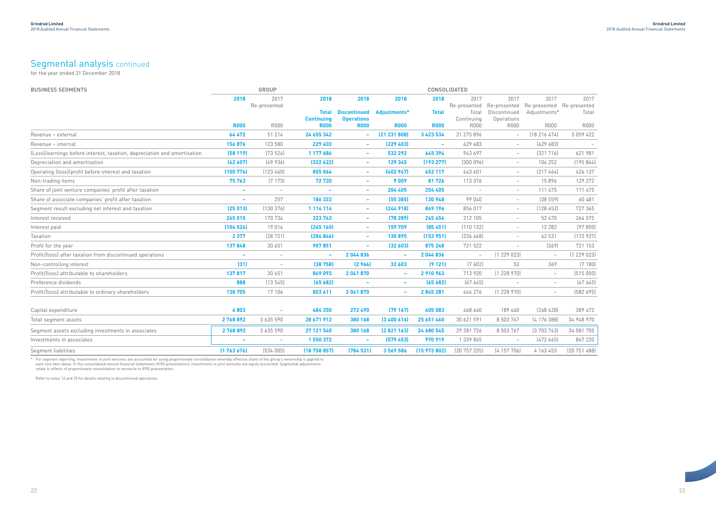### Segmental analysis continued

for the year ended 31 December 2018

| <b>BUSINESS SEGMENTS</b>                                                 |                          | GROUP                           | CONSOLIDATED      |                          |                          |                          |                          |                          |                                                        |                          |
|--------------------------------------------------------------------------|--------------------------|---------------------------------|-------------------|--------------------------|--------------------------|--------------------------|--------------------------|--------------------------|--------------------------------------------------------|--------------------------|
|                                                                          | 2018                     | 2017                            | 2018              | 2018                     | 2018                     | 2018                     | 2017                     | 2017                     | 2017                                                   | 2017                     |
|                                                                          |                          | Re-presented                    | <b>Total</b>      | <b>Discontinued</b>      | Adjustments*             | <b>Total</b>             | Re-presented<br>Total    | Discontinued             | Re-presented Re-presented Re-presented<br>Adjustments* | Total                    |
|                                                                          |                          |                                 | <b>Continuing</b> | <b>Operations</b>        |                          |                          | Continuing               | Operations               |                                                        |                          |
|                                                                          | <b>R000</b>              | <b>R000</b>                     | <b>R000</b>       | <b>R000</b>              | <b>R000</b>              | <b>R000</b>              | <b>R000</b>              | <b>R000</b>              | <b>R000</b>                                            | <b>R000</b>              |
| Revenue - external                                                       | 64 472                   | 51 214                          | 24 655 342        | $\overline{\phantom{a}}$ | (21 231 808)             | 3 4 2 3 5 3 4            | 21 275 896               | $ \,$                    | (18216474)                                             | 3 0 5 9 4 2 2            |
| Revenue - internal                                                       | 156 876                  | 123 580                         | 229 403           | $\sim$                   | (229 403)                | $\overline{\phantom{a}}$ | 629 683                  | $-$                      | (629683)                                               | $\overline{\phantom{a}}$ |
| (Loss)/earnings before interest, taxation, depreciation and amortisation | (58119)                  | (73524)                         | 1 177 686         | $\sim$                   | 532 292                  | 645 394                  | 943 697                  | $-$                      | (321716)                                               | 621 981                  |
| Depreciation and amortisation                                            | (42657)                  | (49936)                         | (322622)          | $\overline{\phantom{a}}$ | 129 345                  | (193 277)                | (300096)                 | $ \,$                    | 104 252                                                | (195844)                 |
| Operating (loss)/profit before interest and taxation                     | (100776)                 | (123 460)                       | 855 064           | $\overline{\phantom{a}}$ | (402947)                 | 452 117                  | 643 601                  | $-$                      | [217464]                                               | 426 137                  |
| Non-trading items                                                        | 75 763                   | (7173)                          | 72720             | $\overline{\phantom{a}}$ | 9009                     | 81726                    | 113 376                  | $ \,$                    | 15896                                                  | 129 272                  |
| Share of joint venture companies' profit after taxation                  | $\overline{\phantom{a}}$ | $\overline{\phantom{a}}$        |                   | $\overline{\phantom{a}}$ | 204 405                  | 204 405                  |                          | $\overline{\phantom{0}}$ | 111 475                                                | 111 475                  |
| Share of associate companies' profit after taxation                      | $\overline{\phantom{a}}$ | 257                             | 186 333           | $\sim$                   | (55385)                  | 130 948                  | 99 040                   | $-$                      | (38559)                                                | 60 481                   |
| Segment result excluding net interest and taxation                       | (25013)                  | (130376)                        | 1 114 114         | $\overline{\phantom{a}}$ | [244918]                 | 869 196                  | 856 017                  | $-$                      | (128652)                                               | 727 365                  |
| Interest received                                                        | 265 010                  | 170 734                         | 323 743           | $\overline{\phantom{a}}$ | (78 289)                 | 245 454                  | 212 105                  | $\overline{\phantom{0}}$ | 52 470                                                 | 264 575                  |
| Interest paid                                                            | (104526)                 | 19014                           | (245 160)         | $\sim$                   | 159 709                  | (85, 451)                | (110132)                 | $\overline{\phantom{0}}$ | 12 28 2                                                | (97850)                  |
| Taxation                                                                 | 2 3 7 7                  | (28721)                         | (284 846)         | ۰                        | 130 895                  | (153951)                 | (236 468)                | $\overline{\phantom{0}}$ | 63 531                                                 | (172937)                 |
| Profit for the year                                                      | 137848                   | 30 651                          | 907851            | $\sim$                   | (32603)                  | 875 248                  | 721 522                  | $\overline{\phantom{0}}$ | (369)                                                  | 721 153                  |
| Profit/(loss) after taxation from discontinued operations                | $\overline{\phantom{a}}$ | $\overline{\phantom{a}}$        | $\sim$            | 2044836                  | $\sim$                   | 2044836                  | $\overline{\phantom{m}}$ | (1229023)                | $\overline{\phantom{a}}$                               | (1229023)                |
| Non-controlling interest                                                 | (31)                     | $\overline{\phantom{0}}$        | (38758)           | (2966)                   | 32 603                   | (9121)                   | (7602)                   | 53                       | 369                                                    | (7180)                   |
| Profit/(loss) attributable to shareholders                               | 137817                   | 30 651                          | 869 093           | 2 041 870                | ٠                        | 2910963                  | 713 920                  | (1228970)                | $\overline{\phantom{m}}$                               | (515050)                 |
| Preference dividends                                                     | 888                      | (13545)                         | (65682)           | $\overline{\phantom{a}}$ | $\overline{\phantom{a}}$ | (65682)                  | (67645)                  | $\overline{\phantom{a}}$ | $-$                                                    | (67645)                  |
| Profit/(loss) attributable to ordinary shareholders                      | 138 705                  | 17 106                          | 803 411           | 2 041 870                | ٠                        | 2845281                  | 646 276                  | (1228970)                | $\overline{\phantom{0}}$                               | (582695)                 |
|                                                                          |                          |                                 |                   |                          |                          |                          |                          |                          |                                                        |                          |
| Capital expenditure                                                      | 4803                     | $\overline{\phantom{a}}$        | 484 250           | 272 490                  | (79167)                  | 405 083                  | 468 640                  | 189 460                  | [268 628]                                              | 389 472                  |
| Total segment assets                                                     | 2768892                  | 3 635 590                       | 28 671 912        | 380 168                  | [3400616]                | 25 651 460               | 30 621 591               | 8 503 767                | (4176388)                                              | 34 948 970               |
| Segment assets excluding investments in associates                       | 2768892                  | 3 635 590                       | 27 121 540        | 380 168                  | (2821163)                | 24 680 545               | 29 281 726               | 8 503 767                | (3703743)                                              | 34 081 750               |
| Investments in associates                                                | ٠                        | $\hspace{0.1mm}-\hspace{0.1mm}$ | 1 550 372         | $\sim$                   | (579 453)                | 970 919                  | 1 339 865                | $-$                      | (472645)                                               | 867 220                  |
| Segment liabilities                                                      | (1763676)                | (534005)                        | (18758857)        | (784531)                 | 3 569 586                | (15973802)               | (20757235)               | (4157706)                | 4 163 453                                              | [20 751 488]             |

For segment reporting, investments in joint ventures are accounted for using proportionate consolidation whereby effective share of the group's ownership is applied to each line item above. In the consolidated annual finan

Refer to notes 12 and 25 for details relating to discontinued operations.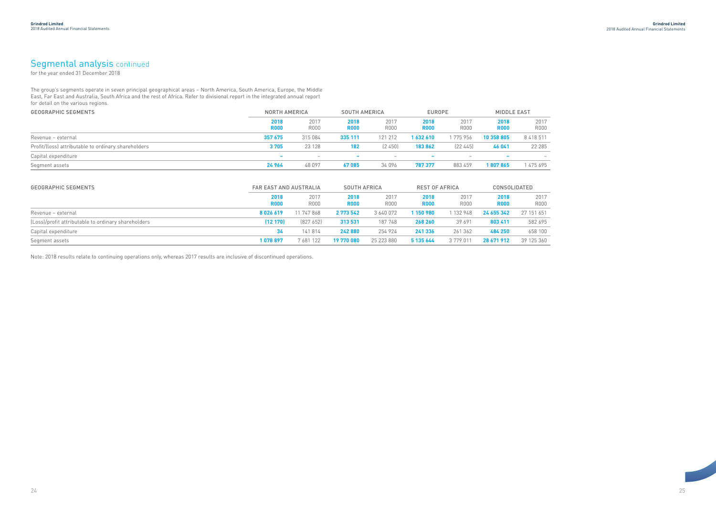### Segmental analysis continued

The group's segments operate in seven principal geographical areas – North America, South America, Europe, the Middle East, Far East and Australia, South Africa and the rest of Africa. Refer to divisional report in the integrated annual report for detail on the various regions.

- 2017 R000
- $\frac{1}{2017}$  $\frac{651}{651}$ <br> $\frac{651}{100}$ <br> $\frac{100}{360}$
- 

| <b>NORTH AMERICA</b>     |              |                          | <b>SOUTH AMERICA</b> |                          | <b>EUROPE</b> |                     | <b>MIDDLE EAST</b>  |  |
|--------------------------|--------------|--------------------------|----------------------|--------------------------|---------------|---------------------|---------------------|--|
| 2018<br><b>R000</b>      | 2017<br>R000 | 2018<br><b>R000</b>      | 2017<br>R000         | 2018<br><b>R000</b>      | 2017<br>R000  | 2018<br><b>R000</b> | 2017<br><b>R000</b> |  |
| 357 675                  | 315 084      | 335 111                  | 121 212              | 1 632 610                | 1 775 956     | 10 358 805          | 8 4 1 8 5 1 1       |  |
| 3705                     | 23 1 28      | 182                      | (2, 450)             | 183 862                  | [22 445]      | 46 041              | 22 285              |  |
| $\overline{\phantom{a}}$ |              | $\overline{\phantom{a}}$ |                      | $\overline{\phantom{a}}$ |               |                     |                     |  |
| 24 964                   | 48 097       | 67085                    | 34 096               | 787 377                  | 883 459       | 1807865             | 475 695             |  |
|                          |              |                          |                      |                          |               |                     |                     |  |

| <b>GEOGRAPHIC SEGMENTS</b>                          | <b>FAR EAST AND AUSTRALIA</b> |              |                     | <b>SOUTH AFRICA</b> |                     | <b>REST OF AFRICA</b> |                     | CONSOLIDATED        |  |
|-----------------------------------------------------|-------------------------------|--------------|---------------------|---------------------|---------------------|-----------------------|---------------------|---------------------|--|
|                                                     | 2018<br><b>R000</b>           | 2017<br>R000 | 2018<br><b>R000</b> | 2017<br><b>R000</b> | 2018<br><b>R000</b> | 2017<br>R000          | 2018<br><b>R000</b> | 2017<br><b>R000</b> |  |
| Revenue - external                                  | 8026619                       | 11 747 868   | 2 773 542           | 3 640 072           | 150980              | 1 132 948             | 24 655 342          | 27 151 651          |  |
| (Loss)/profit attributable to ordinary shareholders | (12170)                       | [827 652]    | 313 531             | 187748              | 268 260             | 39 691                | 803 411             | 582 695             |  |
| Capital expenditure                                 | 34                            | 141814       | 242 880             | 254 924             | 241 336             | 261 362               | 484 250             | 658 100             |  |
| Segment assets                                      | 1078897                       | 7681122      | 19 770 080          | 25 223 880          | 5 135 644           | 3779011               | 28 671 912          | 39 125 360          |  |

Note: 2018 results relate to continuing operations only, whereas 2017 results are inclusive of discontinued operations.

for the year ended 31 December 2018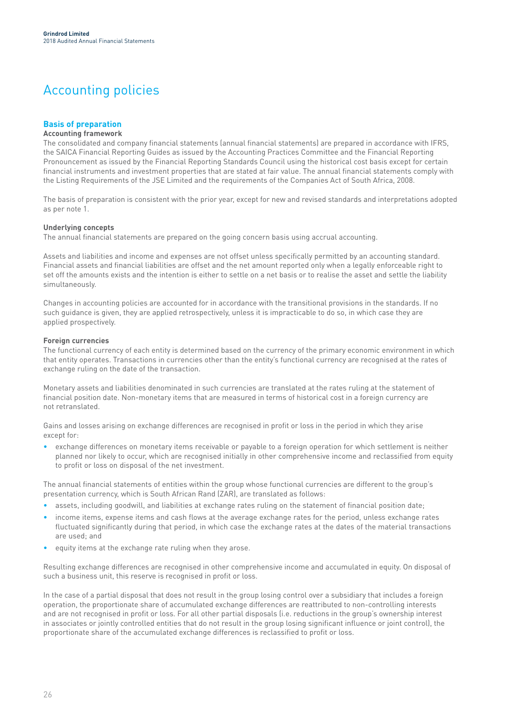### Accounting policies

#### **Basis of preparation**

#### **Accounting framework**

The consolidated and company financial statements (annual financial statements) are prepared in accordance with IFRS, the SAICA Financial Reporting Guides as issued by the Accounting Practices Committee and the Financial Reporting Pronouncement as issued by the Financial Reporting Standards Council using the historical cost basis except for certain financial instruments and investment properties that are stated at fair value. The annual financial statements comply with the Listing Requirements of the JSE Limited and the requirements of the Companies Act of South Africa, 2008.

The basis of preparation is consistent with the prior year, except for new and revised standards and interpretations adopted as per note 1.

#### **Underlying concepts**

The annual financial statements are prepared on the going concern basis using accrual accounting.

Assets and liabilities and income and expenses are not offset unless specifically permitted by an accounting standard. Financial assets and financial liabilities are offset and the net amount reported only when a legally enforceable right to set off the amounts exists and the intention is either to settle on a net basis or to realise the asset and settle the liability simultaneously.

Changes in accounting policies are accounted for in accordance with the transitional provisions in the standards. If no such guidance is given, they are applied retrospectively, unless it is impracticable to do so, in which case they are applied prospectively.

#### **Foreign currencies**

The functional currency of each entity is determined based on the currency of the primary economic environment in which that entity operates. Transactions in currencies other than the entity's functional currency are recognised at the rates of exchange ruling on the date of the transaction.

Monetary assets and liabilities denominated in such currencies are translated at the rates ruling at the statement of financial position date. Non-monetary items that are measured in terms of historical cost in a foreign currency are not retranslated.

Gains and losses arising on exchange differences are recognised in profit or loss in the period in which they arise except for:

• exchange differences on monetary items receivable or payable to a foreign operation for which settlement is neither planned nor likely to occur, which are recognised initially in other comprehensive income and reclassified from equity to profit or loss on disposal of the net investment.

The annual financial statements of entities within the group whose functional currencies are different to the group's presentation currency, which is South African Rand (ZAR), are translated as follows:

- assets, including goodwill, and liabilities at exchange rates ruling on the statement of financial position date;
- income items, expense items and cash flows at the average exchange rates for the period, unless exchange rates fluctuated significantly during that period, in which case the exchange rates at the dates of the material transactions are used; and
- equity items at the exchange rate ruling when they arose.

Resulting exchange differences are recognised in other comprehensive income and accumulated in equity. On disposal of such a business unit, this reserve is recognised in profit or loss.

In the case of a partial disposal that does not result in the group losing control over a subsidiary that includes a foreign operation, the proportionate share of accumulated exchange differences are reattributed to non-controlling interests and are not recognised in profit or loss. For all other partial disposals (i.e. reductions in the group's ownership interest in associates or jointly controlled entities that do not result in the group losing significant influence or joint control), the proportionate share of the accumulated exchange differences is reclassified to profit or loss.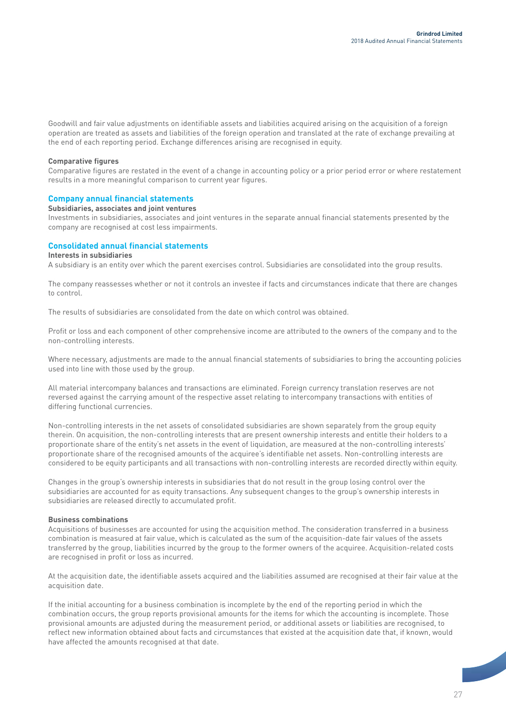Goodwill and fair value adjustments on identifiable assets and liabilities acquired arising on the acquisition of a foreign operation are treated as assets and liabilities of the foreign operation and translated at the rate of exchange prevailing at the end of each reporting period. Exchange differences arising are recognised in equity.

#### **Comparative figures**

Comparative figures are restated in the event of a change in accounting policy or a prior period error or where restatement results in a more meaningful comparison to current year figures.

#### **Company annual financial statements**

#### **Subsidiaries, associates and joint ventures**

Investments in subsidiaries, associates and joint ventures in the separate annual financial statements presented by the company are recognised at cost less impairments.

#### **Consolidated annual financial statements**

#### **Interests in subsidiaries**

A subsidiary is an entity over which the parent exercises control. Subsidiaries are consolidated into the group results.

The company reassesses whether or not it controls an investee if facts and circumstances indicate that there are changes to control.

The results of subsidiaries are consolidated from the date on which control was obtained.

Profit or loss and each component of other comprehensive income are attributed to the owners of the company and to the non-controlling interests.

Where necessary, adjustments are made to the annual financial statements of subsidiaries to bring the accounting policies used into line with those used by the group.

All material intercompany balances and transactions are eliminated. Foreign currency translation reserves are not reversed against the carrying amount of the respective asset relating to intercompany transactions with entities of differing functional currencies.

Non-controlling interests in the net assets of consolidated subsidiaries are shown separately from the group equity therein. On acquisition, the non-controlling interests that are present ownership interests and entitle their holders to a proportionate share of the entity's net assets in the event of liquidation, are measured at the non-controlling interests' proportionate share of the recognised amounts of the acquiree's identifiable net assets. Non-controlling interests are considered to be equity participants and all transactions with non-controlling interests are recorded directly within equity.

Changes in the group's ownership interests in subsidiaries that do not result in the group losing control over the subsidiaries are accounted for as equity transactions. Any subsequent changes to the group's ownership interests in subsidiaries are released directly to accumulated profit.

#### **Business combinations**

Acquisitions of businesses are accounted for using the acquisition method. The consideration transferred in a business combination is measured at fair value, which is calculated as the sum of the acquisition-date fair values of the assets transferred by the group, liabilities incurred by the group to the former owners of the acquiree. Acquisition-related costs are recognised in profit or loss as incurred.

At the acquisition date, the identifiable assets acquired and the liabilities assumed are recognised at their fair value at the acquisition date.

If the initial accounting for a business combination is incomplete by the end of the reporting period in which the combination occurs, the group reports provisional amounts for the items for which the accounting is incomplete. Those provisional amounts are adjusted during the measurement period, or additional assets or liabilities are recognised, to reflect new information obtained about facts and circumstances that existed at the acquisition date that, if known, would have affected the amounts recognised at that date.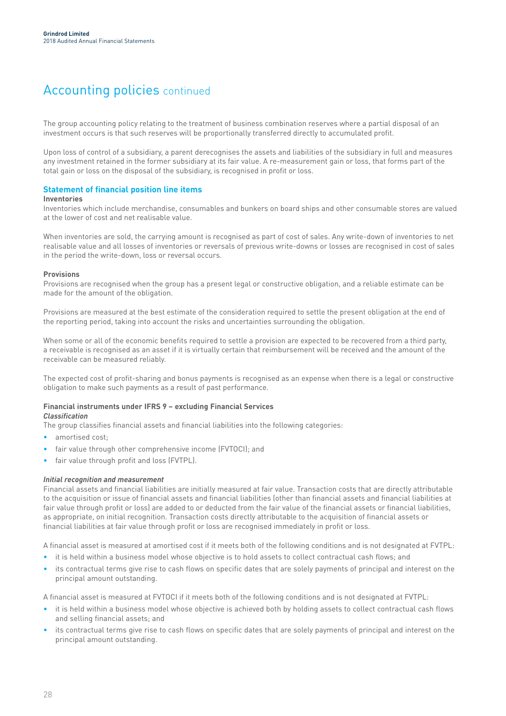### Accounting policies continued

The group accounting policy relating to the treatment of business combination reserves where a partial disposal of an investment occurs is that such reserves will be proportionally transferred directly to accumulated profit.

Upon loss of control of a subsidiary, a parent derecognises the assets and liabilities of the subsidiary in full and measures any investment retained in the former subsidiary at its fair value. A re-measurement gain or loss, that forms part of the total gain or loss on the disposal of the subsidiary, is recognised in profit or loss.

#### **Statement of financial position line items**

#### **Inventories**

Inventories which include merchandise, consumables and bunkers on board ships and other consumable stores are valued at the lower of cost and net realisable value.

When inventories are sold, the carrying amount is recognised as part of cost of sales. Any write-down of inventories to net realisable value and all losses of inventories or reversals of previous write-downs or losses are recognised in cost of sales in the period the write-down, loss or reversal occurs.

#### **Provisions**

Provisions are recognised when the group has a present legal or constructive obligation, and a reliable estimate can be made for the amount of the obligation.

Provisions are measured at the best estimate of the consideration required to settle the present obligation at the end of the reporting period, taking into account the risks and uncertainties surrounding the obligation.

When some or all of the economic benefits required to settle a provision are expected to be recovered from a third party, a receivable is recognised as an asset if it is virtually certain that reimbursement will be received and the amount of the receivable can be measured reliably.

The expected cost of profit-sharing and bonus payments is recognised as an expense when there is a legal or constructive obligation to make such payments as a result of past performance.

#### **Financial instruments under IFRS 9 – excluding Financial Services**

The group classifies financial assets and financial liabilities into the following categories:

amortised cost:

*Classification*

- fair value through other comprehensive income (FVTOCI); and
- fair value through profit and loss (FVTPL).

#### *Initial recognition and measurement*

Financial assets and financial liabilities are initially measured at fair value. Transaction costs that are directly attributable to the acquisition or issue of financial assets and financial liabilities (other than financial assets and financial liabilities at fair value through profit or loss) are added to or deducted from the fair value of the financial assets or financial liabilities, as appropriate, on initial recognition. Transaction costs directly attributable to the acquisition of financial assets or financial liabilities at fair value through profit or loss are recognised immediately in profit or loss.

A financial asset is measured at amortised cost if it meets both of the following conditions and is not designated at FVTPL:

- it is held within a business model whose objective is to hold assets to collect contractual cash flows; and
- its contractual terms give rise to cash flows on specific dates that are solely payments of principal and interest on the principal amount outstanding.

A financial asset is measured at FVTOCI if it meets both of the following conditions and is not designated at FVTPL:

- it is held within a business model whose objective is achieved both by holding assets to collect contractual cash flows and selling financial assets; and
- its contractual terms give rise to cash flows on specific dates that are solely payments of principal and interest on the principal amount outstanding.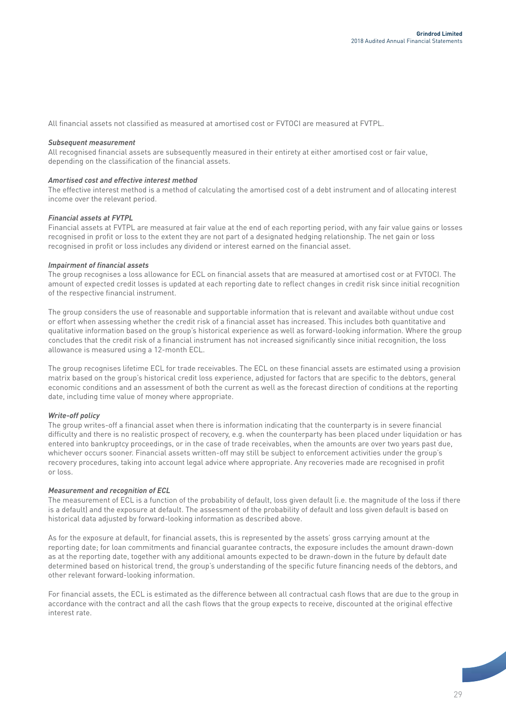All financial assets not classified as measured at amortised cost or FVTOCI are measured at FVTPL.

#### *Subsequent measurement*

All recognised financial assets are subsequently measured in their entirety at either amortised cost or fair value, depending on the classification of the financial assets.

#### *Amortised cost and effective interest method*

The effective interest method is a method of calculating the amortised cost of a debt instrument and of allocating interest income over the relevant period.

#### *Financial assets at FVTPL*

Financial assets at FVTPL are measured at fair value at the end of each reporting period, with any fair value gains or losses recognised in profit or loss to the extent they are not part of a designated hedging relationship. The net gain or loss recognised in profit or loss includes any dividend or interest earned on the financial asset.

#### *Impairment of financial assets*

The group recognises a loss allowance for ECL on financial assets that are measured at amortised cost or at FVTOCI. The amount of expected credit losses is updated at each reporting date to reflect changes in credit risk since initial recognition of the respective financial instrument.

The group considers the use of reasonable and supportable information that is relevant and available without undue cost or effort when assessing whether the credit risk of a financial asset has increased. This includes both quantitative and qualitative information based on the group's historical experience as well as forward-looking information. Where the group concludes that the credit risk of a financial instrument has not increased significantly since initial recognition, the loss allowance is measured using a 12-month ECL.

The group recognises lifetime ECL for trade receivables. The ECL on these financial assets are estimated using a provision matrix based on the group's historical credit loss experience, adjusted for factors that are specific to the debtors, general economic conditions and an assessment of both the current as well as the forecast direction of conditions at the reporting date, including time value of money where appropriate.

#### *Write-off policy*

The group writes-off a financial asset when there is information indicating that the counterparty is in severe financial difficulty and there is no realistic prospect of recovery, e.g. when the counterparty has been placed under liquidation or has entered into bankruptcy proceedings, or in the case of trade receivables, when the amounts are over two years past due, whichever occurs sooner. Financial assets written-off may still be subject to enforcement activities under the group's recovery procedures, taking into account legal advice where appropriate. Any recoveries made are recognised in profit or loss.

#### *Measurement and recognition of ECL*

The measurement of ECL is a function of the probability of default, loss given default (i.e. the magnitude of the loss if there is a default) and the exposure at default. The assessment of the probability of default and loss given default is based on historical data adjusted by forward-looking information as described above.

As for the exposure at default, for financial assets, this is represented by the assets' gross carrying amount at the reporting date; for loan commitments and financial guarantee contracts, the exposure includes the amount drawn-down as at the reporting date, together with any additional amounts expected to be drawn-down in the future by default date determined based on historical trend, the group's understanding of the specific future financing needs of the debtors, and other relevant forward-looking information.

For financial assets, the ECL is estimated as the difference between all contractual cash flows that are due to the group in accordance with the contract and all the cash flows that the group expects to receive, discounted at the original effective interest rate.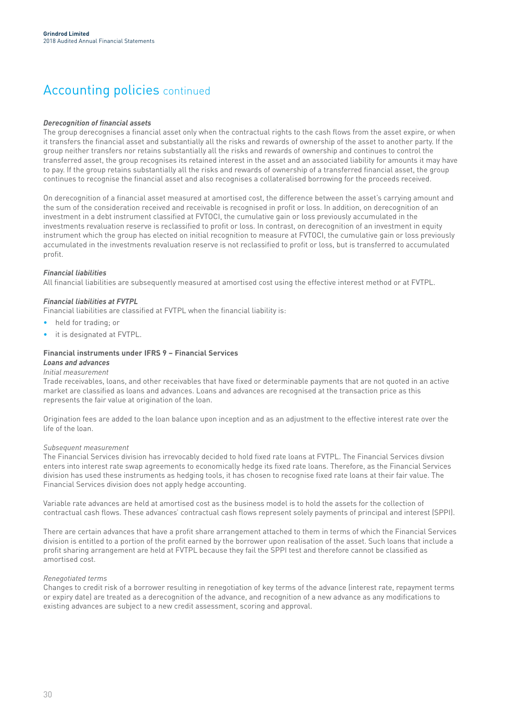### Accounting policies continued

#### *Derecognition of financial assets*

The group derecognises a financial asset only when the contractual rights to the cash flows from the asset expire, or when it transfers the financial asset and substantially all the risks and rewards of ownership of the asset to another party. If the group neither transfers nor retains substantially all the risks and rewards of ownership and continues to control the transferred asset, the group recognises its retained interest in the asset and an associated liability for amounts it may have to pay. If the group retains substantially all the risks and rewards of ownership of a transferred financial asset, the group continues to recognise the financial asset and also recognises a collateralised borrowing for the proceeds received.

On derecognition of a financial asset measured at amortised cost, the difference between the asset's carrying amount and the sum of the consideration received and receivable is recognised in profit or loss. In addition, on derecognition of an investment in a debt instrument classified at FVTOCI, the cumulative gain or loss previously accumulated in the investments revaluation reserve is reclassified to profit or loss. In contrast, on derecognition of an investment in equity instrument which the group has elected on initial recognition to measure at FVTOCI, the cumulative gain or loss previously accumulated in the investments revaluation reserve is not reclassified to profit or loss, but is transferred to accumulated profit.

#### *Financial liabilities*

All financial liabilities are subsequently measured at amortised cost using the effective interest method or at FVTPL.

#### *Financial liabilities at FVTPL*

Financial liabilities are classified at FVTPL when the financial liability is:

- held for trading; or
- it is designated at FVTPL.

#### **Financial instruments under IFRS 9 – Financial Services**

#### *Loans and advances Initial measurement*

Trade receivables, loans, and other receivables that have fixed or determinable payments that are not quoted in an active market are classified as loans and advances. Loans and advances are recognised at the transaction price as this represents the fair value at origination of the loan.

Origination fees are added to the loan balance upon inception and as an adjustment to the effective interest rate over the life of the loan.

#### *Subsequent measurement*

The Financial Services division has irrevocably decided to hold fixed rate loans at FVTPL. The Financial Services divsion enters into interest rate swap agreements to economically hedge its fixed rate loans. Therefore, as the Financial Services division has used these instruments as hedging tools, it has chosen to recognise fixed rate loans at their fair value. The Financial Services division does not apply hedge accounting.

Variable rate advances are held at amortised cost as the business model is to hold the assets for the collection of contractual cash flows. These advances' contractual cash flows represent solely payments of principal and interest (SPPI).

There are certain advances that have a profit share arrangement attached to them in terms of which the Financial Services division is entitled to a portion of the profit earned by the borrower upon realisation of the asset. Such loans that include a profit sharing arrangement are held at FVTPL because they fail the SPPI test and therefore cannot be classified as amortised cost.

#### *Renegotiated terms*

Changes to credit risk of a borrower resulting in renegotiation of key terms of the advance (interest rate, repayment terms or expiry date) are treated as a derecognition of the advance, and recognition of a new advance as any modifications to existing advances are subject to a new credit assessment, scoring and approval.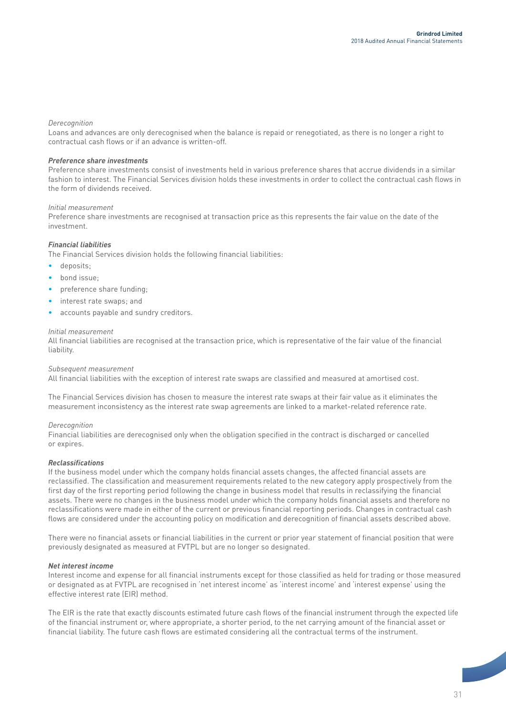#### *Derecognition*

Loans and advances are only derecognised when the balance is repaid or renegotiated, as there is no longer a right to contractual cash flows or if an advance is written-off.

#### *Preference share investments*

Preference share investments consist of investments held in various preference shares that accrue dividends in a similar fashion to interest. The Financial Services division holds these investments in order to collect the contractual cash flows in the form of dividends received.

#### *Initial measurement*

Preference share investments are recognised at transaction price as this represents the fair value on the date of the investment.

#### *Financial liabilities*

The Financial Services division holds the following financial liabilities:

- deposits;
- bond issue;
- preference share funding;
- interest rate swaps; and
- accounts payable and sundry creditors.

#### *Initial measurement*

All financial liabilities are recognised at the transaction price, which is representative of the fair value of the financial liability.

#### *Subsequent measurement*

All financial liabilities with the exception of interest rate swaps are classified and measured at amortised cost.

The Financial Services division has chosen to measure the interest rate swaps at their fair value as it eliminates the measurement inconsistency as the interest rate swap agreements are linked to a market-related reference rate.

#### *Derecognition*

Financial liabilities are derecognised only when the obligation specified in the contract is discharged or cancelled or expires.

#### *Reclassifications*

If the business model under which the company holds financial assets changes, the affected financial assets are reclassified. The classification and measurement requirements related to the new category apply prospectively from the first day of the first reporting period following the change in business model that results in reclassifying the financial assets. There were no changes in the business model under which the company holds financial assets and therefore no reclassifications were made in either of the current or previous financial reporting periods. Changes in contractual cash flows are considered under the accounting policy on modification and derecognition of financial assets described above.

There were no financial assets or financial liabilities in the current or prior year statement of financial position that were previously designated as measured at FVTPL but are no longer so designated.

#### *Net interest income*

Interest income and expense for all financial instruments except for those classified as held for trading or those measured or designated as at FVTPL are recognised in 'net interest income' as 'interest income' and 'interest expense' using the effective interest rate (EIR) method.

The EIR is the rate that exactly discounts estimated future cash flows of the financial instrument through the expected life of the financial instrument or, where appropriate, a shorter period, to the net carrying amount of the financial asset or financial liability. The future cash flows are estimated considering all the contractual terms of the instrument.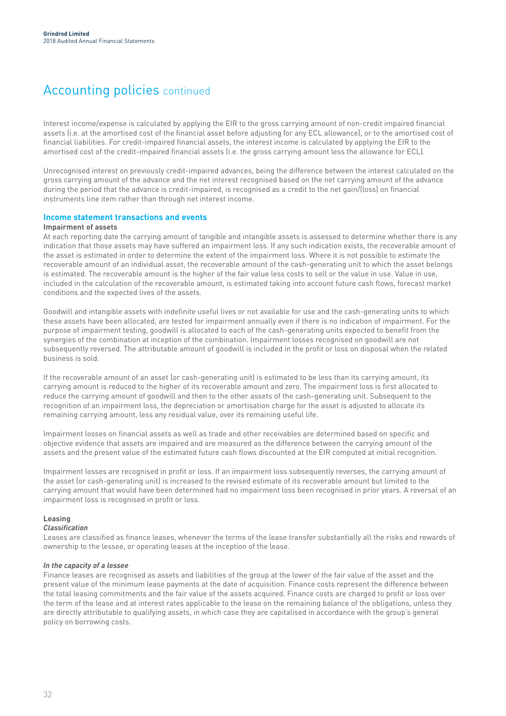### Accounting policies continued

Interest income/expense is calculated by applying the EIR to the gross carrying amount of non-credit impaired financial assets (i.e. at the amortised cost of the financial asset before adjusting for any ECL allowance), or to the amortised cost of financial liabilities. For credit-impaired financial assets, the interest income is calculated by applying the EIR to the amortised cost of the credit-impaired financial assets (i.e. the gross carrying amount less the allowance for ECL).

Unrecognised interest on previously credit-impaired advances, being the difference between the interest calculated on the gross carrying amount of the advance and the net interest recognised based on the net carrying amount of the advance during the period that the advance is credit-impaired, is recognised as a credit to the net gain/(loss) on financial instruments line item rather than through net interest income.

#### **Income statement transactions and events**

#### **Impairment of assets**

At each reporting date the carrying amount of tangible and intangible assets is assessed to determine whether there is any indication that those assets may have suffered an impairment loss. If any such indication exists, the recoverable amount of the asset is estimated in order to determine the extent of the impairment loss. Where it is not possible to estimate the recoverable amount of an individual asset, the recoverable amount of the cash-generating unit to which the asset belongs is estimated. The recoverable amount is the higher of the fair value less costs to sell or the value in use. Value in use, included in the calculation of the recoverable amount, is estimated taking into account future cash flows, forecast market conditions and the expected lives of the assets.

Goodwill and intangible assets with indefinite useful lives or not available for use and the cash-generating units to which these assets have been allocated, are tested for impairment annually even if there is no indication of impairment. For the purpose of impairment testing, goodwill is allocated to each of the cash-generating units expected to benefit from the synergies of the combination at inception of the combination. Impairment losses recognised on goodwill are not subsequently reversed. The attributable amount of goodwill is included in the profit or loss on disposal when the related business is sold.

If the recoverable amount of an asset (or cash-generating unit) is estimated to be less than its carrying amount, its carrying amount is reduced to the higher of its recoverable amount and zero. The impairment loss is first allocated to reduce the carrying amount of goodwill and then to the other assets of the cash-generating unit. Subsequent to the recognition of an impairment loss, the depreciation or amortisation charge for the asset is adjusted to allocate its remaining carrying amount, less any residual value, over its remaining useful life.

Impairment losses on financial assets as well as trade and other receivables are determined based on specific and objective evidence that assets are impaired and are measured as the difference between the carrying amount of the assets and the present value of the estimated future cash flows discounted at the EIR computed at initial recognition.

Impairment losses are recognised in profit or loss. If an impairment loss subsequently reverses, the carrying amount of the asset (or cash-generating unit) is increased to the revised estimate of its recoverable amount but limited to the carrying amount that would have been determined had no impairment loss been recognised in prior years. A reversal of an impairment loss is recognised in profit or loss.

#### **Leasing**

#### *Classification*

Leases are classified as finance leases, whenever the terms of the lease transfer substantially all the risks and rewards of ownership to the lessee, or operating leases at the inception of the lease.

#### *In the capacity of a lessee*

Finance leases are recognised as assets and liabilities of the group at the lower of the fair value of the asset and the present value of the minimum lease payments at the date of acquisition. Finance costs represent the difference between the total leasing commitments and the fair value of the assets acquired. Finance costs are charged to profit or loss over the term of the lease and at interest rates applicable to the lease on the remaining balance of the obligations, unless they are directly attributable to qualifying assets, in which case they are capitalised in accordance with the group's general policy on borrowing costs.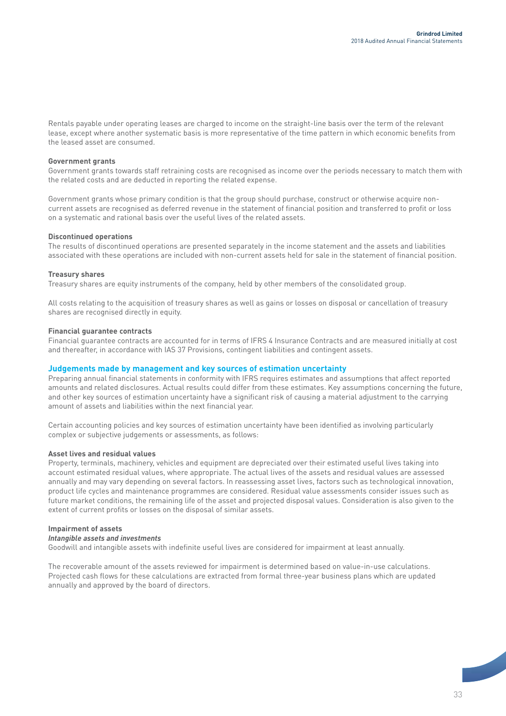Rentals payable under operating leases are charged to income on the straight-line basis over the term of the relevant lease, except where another systematic basis is more representative of the time pattern in which economic benefits from the leased asset are consumed.

#### **Government grants**

Government grants towards staff retraining costs are recognised as income over the periods necessary to match them with the related costs and are deducted in reporting the related expense.

Government grants whose primary condition is that the group should purchase, construct or otherwise acquire noncurrent assets are recognised as deferred revenue in the statement of financial position and transferred to profit or loss on a systematic and rational basis over the useful lives of the related assets.

#### **Discontinued operations**

The results of discontinued operations are presented separately in the income statement and the assets and liabilities associated with these operations are included with non-current assets held for sale in the statement of financial position.

#### **Treasury shares**

Treasury shares are equity instruments of the company, held by other members of the consolidated group.

All costs relating to the acquisition of treasury shares as well as gains or losses on disposal or cancellation of treasury shares are recognised directly in equity.

#### **Financial guarantee contracts**

Financial guarantee contracts are accounted for in terms of IFRS 4 Insurance Contracts and are measured initially at cost and thereafter, in accordance with IAS 37 Provisions, contingent liabilities and contingent assets.

#### **Judgements made by management and key sources of estimation uncertainty**

Preparing annual financial statements in conformity with IFRS requires estimates and assumptions that affect reported amounts and related disclosures. Actual results could differ from these estimates. Key assumptions concerning the future, and other key sources of estimation uncertainty have a significant risk of causing a material adjustment to the carrying amount of assets and liabilities within the next financial year.

Certain accounting policies and key sources of estimation uncertainty have been identified as involving particularly complex or subjective judgements or assessments, as follows:

#### **Asset lives and residual values**

Property, terminals, machinery, vehicles and equipment are depreciated over their estimated useful lives taking into account estimated residual values, where appropriate. The actual lives of the assets and residual values are assessed annually and may vary depending on several factors. In reassessing asset lives, factors such as technological innovation, product life cycles and maintenance programmes are considered. Residual value assessments consider issues such as future market conditions, the remaining life of the asset and projected disposal values. Consideration is also given to the extent of current profits or losses on the disposal of similar assets.

#### **Impairment of assets**

#### *Intangible assets and investments*

Goodwill and intangible assets with indefinite useful lives are considered for impairment at least annually.

The recoverable amount of the assets reviewed for impairment is determined based on value-in-use calculations. Projected cash flows for these calculations are extracted from formal three-year business plans which are updated annually and approved by the board of directors.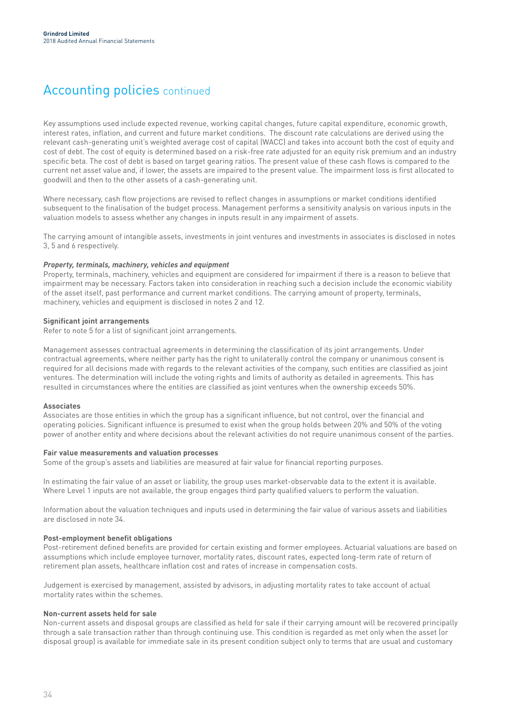### Accounting policies continued

Key assumptions used include expected revenue, working capital changes, future capital expenditure, economic growth, interest rates, inflation, and current and future market conditions. The discount rate calculations are derived using the relevant cash-generating unit's weighted average cost of capital (WACC) and takes into account both the cost of equity and cost of debt. The cost of equity is determined based on a risk-free rate adjusted for an equity risk premium and an industry specific beta. The cost of debt is based on target gearing ratios. The present value of these cash flows is compared to the current net asset value and, if lower, the assets are impaired to the present value. The impairment loss is first allocated to goodwill and then to the other assets of a cash-generating unit.

Where necessary, cash flow projections are revised to reflect changes in assumptions or market conditions identified subsequent to the finalisation of the budget process. Management performs a sensitivity analysis on various inputs in the valuation models to assess whether any changes in inputs result in any impairment of assets.

The carrying amount of intangible assets, investments in joint ventures and investments in associates is disclosed in notes 3, 5 and 6 respectively.

#### *Property, terminals, machinery, vehicles and equipment*

Property, terminals, machinery, vehicles and equipment are considered for impairment if there is a reason to believe that impairment may be necessary. Factors taken into consideration in reaching such a decision include the economic viability of the asset itself, past performance and current market conditions. The carrying amount of property, terminals, machinery, vehicles and equipment is disclosed in notes 2 and 12.

#### **Significant joint arrangements**

Refer to note 5 for a list of significant joint arrangements.

Management assesses contractual agreements in determining the classification of its joint arrangements. Under contractual agreements, where neither party has the right to unilaterally control the company or unanimous consent is required for all decisions made with regards to the relevant activities of the company, such entities are classified as joint ventures. The determination will include the voting rights and limits of authority as detailed in agreements. This has resulted in circumstances where the entities are classified as joint ventures when the ownership exceeds 50%.

#### **Associates**

Associates are those entities in which the group has a significant influence, but not control, over the financial and operating policies. Significant influence is presumed to exist when the group holds between 20% and 50% of the voting power of another entity and where decisions about the relevant activities do not require unanimous consent of the parties.

#### **Fair value measurements and valuation processes**

Some of the group's assets and liabilities are measured at fair value for financial reporting purposes.

In estimating the fair value of an asset or liability, the group uses market-observable data to the extent it is available. Where Level 1 inputs are not available, the group engages third party qualified valuers to perform the valuation.

Information about the valuation techniques and inputs used in determining the fair value of various assets and liabilities are disclosed in note 34.

#### **Post-employment benefit obligations**

Post-retirement defined benefits are provided for certain existing and former employees. Actuarial valuations are based on assumptions which include employee turnover, mortality rates, discount rates, expected long-term rate of return of retirement plan assets, healthcare inflation cost and rates of increase in compensation costs.

Judgement is exercised by management, assisted by advisors, in adjusting mortality rates to take account of actual mortality rates within the schemes.

#### **Non-current assets held for sale**

Non-current assets and disposal groups are classified as held for sale if their carrying amount will be recovered principally through a sale transaction rather than through continuing use. This condition is regarded as met only when the asset (or disposal group) is available for immediate sale in its present condition subject only to terms that are usual and customary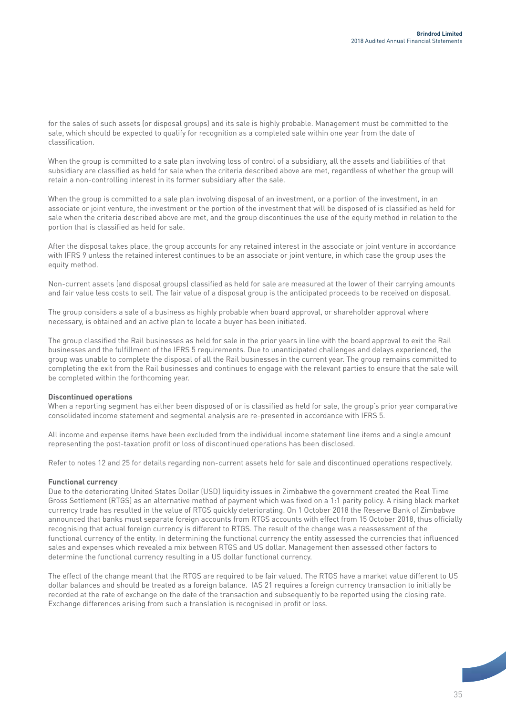for the sales of such assets (or disposal groups) and its sale is highly probable. Management must be committed to the sale, which should be expected to qualify for recognition as a completed sale within one year from the date of classification.

When the group is committed to a sale plan involving loss of control of a subsidiary, all the assets and liabilities of that subsidiary are classified as held for sale when the criteria described above are met, regardless of whether the group will retain a non-controlling interest in its former subsidiary after the sale.

When the group is committed to a sale plan involving disposal of an investment, or a portion of the investment, in an associate or joint venture, the investment or the portion of the investment that will be disposed of is classified as held for sale when the criteria described above are met, and the group discontinues the use of the equity method in relation to the portion that is classified as held for sale.

After the disposal takes place, the group accounts for any retained interest in the associate or joint venture in accordance with IFRS 9 unless the retained interest continues to be an associate or joint venture, in which case the group uses the equity method.

Non-current assets (and disposal groups) classified as held for sale are measured at the lower of their carrying amounts and fair value less costs to sell. The fair value of a disposal group is the anticipated proceeds to be received on disposal.

The group considers a sale of a business as highly probable when board approval, or shareholder approval where necessary, is obtained and an active plan to locate a buyer has been initiated.

The group classified the Rail businesses as held for sale in the prior years in line with the board approval to exit the Rail businesses and the fulfillment of the IFRS 5 requirements. Due to unanticipated challenges and delays experienced, the group was unable to complete the disposal of all the Rail businesses in the current year. The group remains committed to completing the exit from the Rail businesses and continues to engage with the relevant parties to ensure that the sale will be completed within the forthcoming year.

#### **Discontinued operations**

When a reporting segment has either been disposed of or is classified as held for sale, the group's prior year comparative consolidated income statement and segmental analysis are re-presented in accordance with IFRS 5.

All income and expense items have been excluded from the individual income statement line items and a single amount representing the post-taxation profit or loss of discontinued operations has been disclosed.

Refer to notes 12 and 25 for details regarding non-current assets held for sale and discontinued operations respectively.

#### **Functional currency**

Due to the deteriorating United States Dollar (USD) liquidity issues in Zimbabwe the government created the Real Time Gross Settlement (RTGS) as an alternative method of payment which was fixed on a 1:1 parity policy. A rising black market currency trade has resulted in the value of RTGS quickly deteriorating. On 1 October 2018 the Reserve Bank of Zimbabwe announced that banks must separate foreign accounts from RTGS accounts with effect from 15 October 2018, thus officially recognising that actual foreign currency is different to RTGS. The result of the change was a reassessment of the functional currency of the entity. In determining the functional currency the entity assessed the currencies that influenced sales and expenses which revealed a mix between RTGS and US dollar. Management then assessed other factors to determine the functional currency resulting in a US dollar functional currency.

The effect of the change meant that the RTGS are required to be fair valued. The RTGS have a market value different to US dollar balances and should be treated as a foreign balance. IAS 21 requires a foreign currency transaction to initially be recorded at the rate of exchange on the date of the transaction and subsequently to be reported using the closing rate. Exchange differences arising from such a translation is recognised in profit or loss.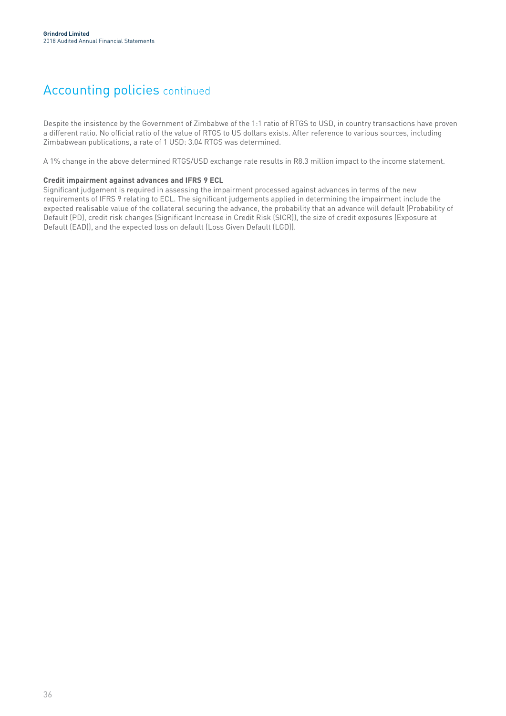### Accounting policies continued

Despite the insistence by the Government of Zimbabwe of the 1:1 ratio of RTGS to USD, in country transactions have proven a different ratio. No official ratio of the value of RTGS to US dollars exists. After reference to various sources, including Zimbabwean publications, a rate of 1 USD: 3.04 RTGS was determined.

A 1% change in the above determined RTGS/USD exchange rate results in R8.3 million impact to the income statement.

#### **Credit impairment against advances and IFRS 9 ECL**

Significant judgement is required in assessing the impairment processed against advances in terms of the new requirements of IFRS 9 relating to ECL. The significant judgements applied in determining the impairment include the expected realisable value of the collateral securing the advance, the probability that an advance will default (Probability of Default (PD), credit risk changes (Significant Increase in Credit Risk (SICR)), the size of credit exposures (Exposure at Default (EAD)), and the expected loss on default (Loss Given Default (LGD)).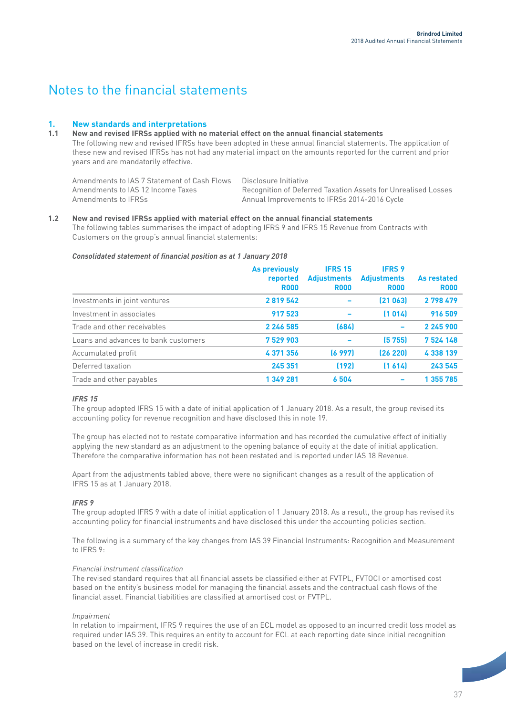### Notes to the financial statements

#### **1. New standards and interpretations**

#### **1.1 New and revised IFRSs applied with no material effect on the annual financial statements** The following new and revised IFRSs have been adopted in these annual financial statements. The application of these new and revised IFRSs has not had any material impact on the amounts reported for the current and prior years and are mandatorily effective.

| Amendments to IAS 7 Statement of Cash Flows Disclosure Initiative |                                                               |
|-------------------------------------------------------------------|---------------------------------------------------------------|
| Amendments to IAS 12 Income Taxes                                 | Recognition of Deferred Taxation Assets for Unrealised Losses |
| Amendments to IFRSs                                               | Annual Improvements to IFRSs 2014-2016 Cycle                  |

#### **1.2 New and revised IFRSs applied with material effect on the annual financial statements** The following tables summarises the impact of adopting IFRS 9 and IFRS 15 Revenue from Contracts with Customers on the group's annual financial statements:

#### *Consolidated statement of financial position as at 1 January 2018*

|                                      | As previously<br>reported<br><b>R000</b> | <b>IFRS 15</b><br><b>Adjustments</b><br><b>R000</b> | <b>IFRS 9</b><br><b>Adjustments</b><br><b>R000</b> | As restated<br><b>R000</b> |
|--------------------------------------|------------------------------------------|-----------------------------------------------------|----------------------------------------------------|----------------------------|
| Investments in joint ventures        | 2819542                                  |                                                     | [21063]                                            | 2 798 479                  |
| Investment in associates             | 917 523                                  |                                                     | (1014)                                             | 916 509                    |
| Trade and other receivables          | 2 2 4 5 5 8 5                            | (684)                                               | $\overline{\phantom{0}}$                           | 2 245 900                  |
| Loans and advances to bank customers | 7529903                                  |                                                     | (5755)                                             | 7 524 148                  |
| Accumulated profit                   | 4371356                                  | (6997)                                              | (26 220)                                           | 4 338 139                  |
| Deferred taxation                    | 245 351                                  | (192)                                               | (1, 614)                                           | 243 545                    |
| Trade and other payables             | 1 349 281                                | 6504                                                |                                                    | 1 355 785                  |
|                                      |                                          |                                                     |                                                    |                            |

#### *IFRS 15*

The group adopted IFRS 15 with a date of initial application of 1 January 2018. As a result, the group revised its accounting policy for revenue recognition and have disclosed this in note 19.

The group has elected not to restate comparative information and has recorded the cumulative effect of initially applying the new standard as an adjustment to the opening balance of equity at the date of initial application. Therefore the comparative information has not been restated and is reported under IAS 18 Revenue.

Apart from the adjustments tabled above, there were no significant changes as a result of the application of IFRS 15 as at 1 January 2018.

#### *IFRS 9*

The group adopted IFRS 9 with a date of initial application of 1 January 2018. As a result, the group has revised its accounting policy for financial instruments and have disclosed this under the accounting policies section.

The following is a summary of the key changes from IAS 39 Financial Instruments: Recognition and Measurement to IFRS 9:

#### *Financial instrument classification*

The revised standard requires that all financial assets be classified either at FVTPL, FVTOCI or amortised cost based on the entity's business model for managing the financial assets and the contractual cash flows of the financial asset. Financial liabilities are classified at amortised cost or FVTPL.

#### *Impairment*

In relation to impairment, IFRS 9 requires the use of an ECL model as opposed to an incurred credit loss model as required under IAS 39. This requires an entity to account for ECL at each reporting date since initial recognition based on the level of increase in credit risk.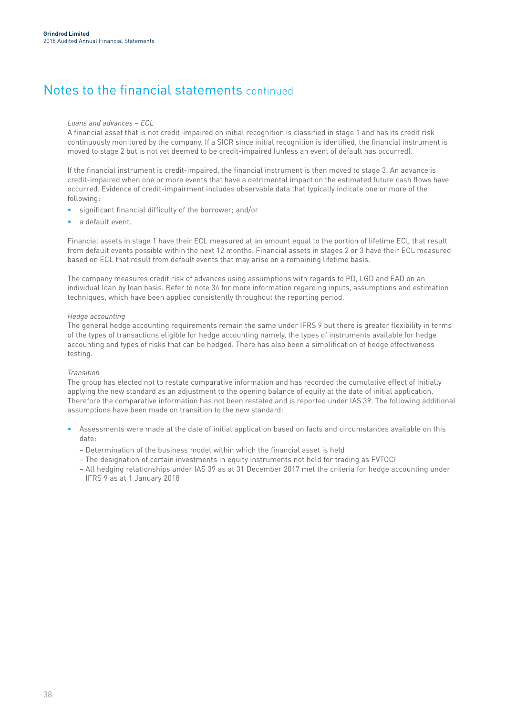### *Loans and advances – ECL*

A financial asset that is not credit-impaired on initial recognition is classified in stage 1 and has its credit risk continuously monitored by the company. If a SICR since initial recognition is identified, the financial instrument is moved to stage 2 but is not yet deemed to be credit-impaired (unless an event of default has occurred).

If the financial instrument is credit-impaired, the financial instrument is then moved to stage 3. An advance is credit-impaired when one or more events that have a detrimental impact on the estimated future cash flows have occurred. Evidence of credit-impairment includes observable data that typically indicate one or more of the following:

- significant financial difficulty of the borrower; and/or
- a default event.

Financial assets in stage 1 have their ECL measured at an amount equal to the portion of lifetime ECL that result from default events possible within the next 12 months. Financial assets in stages 2 or 3 have their ECL measured based on ECL that result from default events that may arise on a remaining lifetime basis.

The company measures credit risk of advances using assumptions with regards to PD, LGD and EAD on an individual loan by loan basis. Refer to note 34 for more information regarding inputs, assumptions and estimation techniques, which have been applied consistently throughout the reporting period.

#### *Hedge accounting*

The general hedge accounting requirements remain the same under IFRS 9 but there is greater flexibility in terms of the types of transactions eligible for hedge accounting namely, the types of instruments available for hedge accounting and types of risks that can be hedged. There has also been a simplification of hedge effectiveness testing.

#### *Transition*

The group has elected not to restate comparative information and has recorded the cumulative effect of initially applying the new standard as an adjustment to the opening balance of equity at the date of initial application. Therefore the comparative information has not been restated and is reported under IAS 39. The following additional assumptions have been made on transition to the new standard:

- Assessments were made at the date of initial application based on facts and circumstances available on this date:
	- Determination of the business model within which the financial asset is held
	- The designation of certain investments in equity instruments not held for trading as FVTOCI
	- All hedging relationships under IAS 39 as at 31 December 2017 met the criteria for hedge accounting under IFRS 9 as at 1 January 2018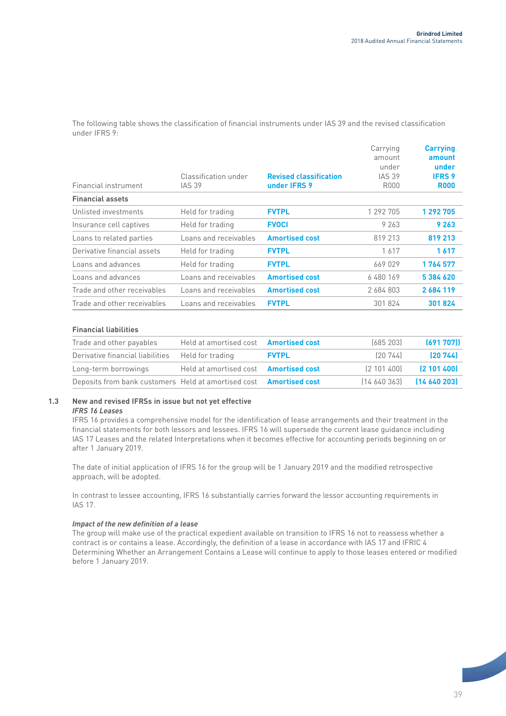The following table shows the classification of financial instruments under IAS 39 and the revised classification under IFRS 9:

| Financial instrument        | Classification under<br><b>IAS 39</b> | <b>Revised classification</b><br>under IFRS 9 | Carrying<br>amount<br>under<br><b>IAS 39</b><br>R000 | <b>Carrying</b><br>amount<br>under<br><b>IFRS 9</b><br><b>R000</b> |
|-----------------------------|---------------------------------------|-----------------------------------------------|------------------------------------------------------|--------------------------------------------------------------------|
| <b>Financial assets</b>     |                                       |                                               |                                                      |                                                                    |
| Unlisted investments        | Held for trading                      | <b>FVTPL</b>                                  | 1 292 705                                            | 1 292 705                                                          |
| Insurance cell captives     | Held for trading                      | <b>FVOCI</b>                                  | 9 263                                                | 9 2 6 3                                                            |
| Loans to related parties    | Loans and receivables                 | <b>Amortised cost</b>                         | 819 213                                              | 819 213                                                            |
| Derivative financial assets | Held for trading                      | <b>FVTPL</b>                                  | 1617                                                 | 1617                                                               |
| Loans and advances          | Held for trading                      | <b>FVTPL</b>                                  | 669 029                                              | 1764577                                                            |
| Loans and advances          | Loans and receivables                 | <b>Amortised cost</b>                         | 6480169                                              | 5384620                                                            |
| Trade and other receivables | Loans and receivables                 | <b>Amortised cost</b>                         | 2 684 803                                            | 2684119                                                            |
| Trade and other receivables | Loans and receivables                 | <b>FVTPL</b>                                  | 301 824                                              | 301824                                                             |
|                             |                                       |                                               |                                                      |                                                                    |

### **Financial liabilities**

| Trade and other payables                                                  | Held at amortised cost <b>Amortised cost</b> |              | (685203)    | (691 707))                        |
|---------------------------------------------------------------------------|----------------------------------------------|--------------|-------------|-----------------------------------|
| Derivative financial liabilities Held for trading                         |                                              | <b>FVTPL</b> | [20744]     | (20744)                           |
| Long-term borrowings                                                      | Held at amortised cost <b>Amortised cost</b> |              | (2 101 400) | <b>21014001</b>                   |
| Deposits from bank customers Held at amortised cost <b>Amortised cost</b> |                                              |              |             | $(14, 640, 363)$ $(14, 640, 203)$ |

## **1.3 New and revised IFRSs in issue but not yet effective**

#### *IFRS 16 Leases*

IFRS 16 provides a comprehensive model for the identification of lease arrangements and their treatment in the financial statements for both lessors and lessees. IFRS 16 will supersede the current lease guidance including IAS 17 Leases and the related Interpretations when it becomes effective for accounting periods beginning on or after 1 January 2019.

The date of initial application of IFRS 16 for the group will be 1 January 2019 and the modified retrospective approach, will be adopted.

In contrast to lessee accounting, IFRS 16 substantially carries forward the lessor accounting requirements in IAS 17.

### *Impact of the new definition of a lease*

The group will make use of the practical expedient available on transition to IFRS 16 not to reassess whether a contract is or contains a lease. Accordingly, the definition of a lease in accordance with IAS 17 and IFRIC 4 Determining Whether an Arrangement Contains a Lease will continue to apply to those leases entered or modified before 1 January 2019.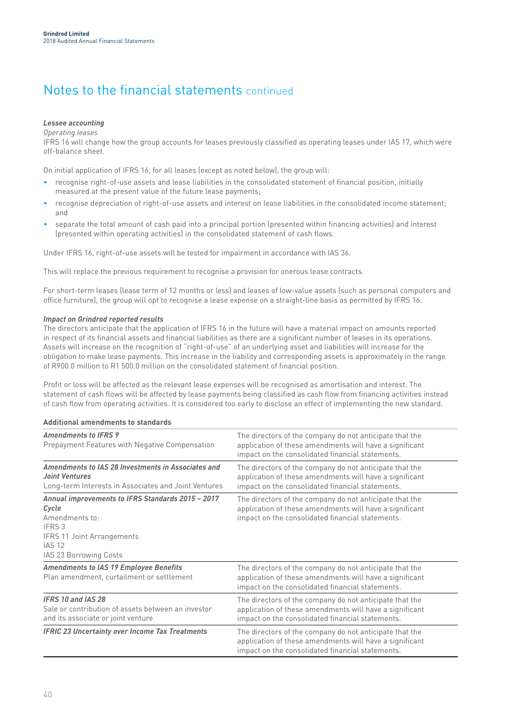### *Lessee accounting*

*Operating leases*

IFRS 16 will change how the group accounts for leases previously classified as operating leases under IAS 17, which were off-balance sheet.

On initial application of IFRS 16, for all leases (except as noted below), the group will:

- recognise right-of-use assets and lease liabilities in the consolidated statement of financial position, initially measured at the present value of the future lease payments;
- recognise depreciation of right-of-use assets and interest on lease liabilities in the consolidated income statement; and
- separate the total amount of cash paid into a principal portion (presented within financing activities) and interest (presented within operating activities) in the consolidated statement of cash flows.

Under IFRS 16, right-of-use assets will be tested for impairment in accordance with IAS 36.

This will replace the previous requirement to recognise a provision for onerous lease contracts.

For short-term leases (lease term of 12 months or less) and leases of low-value assets (such as personal computers and office furniture), the group will opt to recognise a lease expense on a straight-line basis as permitted by IFRS 16.

#### *Impact on Grindrod reported results*

The directors anticipate that the application of IFRS 16 in the future will have a material impact on amounts reported in respect of its financial assets and financial liabilities as there are a significant number of leases in its operations. Assets will increase on the recognition of "right-of-use" of an underlying asset and liabilities will increase for the obligation to make lease payments. This increase in the liability and corresponding assets is approximately in the range of R900.0 million to R1 500.0 million on the consolidated statement of financial position.

Profit or loss will be affected as the relevant lease expenses will be recognised as amortisation and interest. The statement of cash flows will be affected by lease payments being classified as cash flow from financing activities instead of cash flow from operating activities. It is considered too early to disclose an effect of implementing the new standard.

#### **Additional amendments to standards**

| <b>Amendments to IFRS 9</b><br>Prepayment Features with Negative Compensation                                                                                          | The directors of the company do not anticipate that the<br>application of these amendments will have a significant<br>impact on the consolidated financial statements. |
|------------------------------------------------------------------------------------------------------------------------------------------------------------------------|------------------------------------------------------------------------------------------------------------------------------------------------------------------------|
| Amendments to IAS 28 Investments in Associates and<br><b>Joint Ventures</b><br>Long-term Interests in Associates and Joint Ventures                                    | The directors of the company do not anticipate that the<br>application of these amendments will have a significant<br>impact on the consolidated financial statements. |
| Annual improvements to IFRS Standards 2015 - 2017<br>Cycle<br>Amendments to:<br>IFRS 3<br><b>IFRS 11 Joint Arrangements</b><br><b>IAS 12</b><br>IAS 23 Borrowing Costs | The directors of the company do not anticipate that the<br>application of these amendments will have a significant<br>impact on the consolidated financial statements. |
| <b>Amendments to IAS 19 Employee Benefits</b><br>Plan amendment, curtailment or settlement                                                                             | The directors of the company do not anticipate that the<br>application of these amendments will have a significant<br>impact on the consolidated financial statements. |
| <b>IFRS 10 and IAS 28</b><br>Sale or contribution of assets between an investor<br>and its associate or joint venture                                                  | The directors of the company do not anticipate that the<br>application of these amendments will have a significant<br>impact on the consolidated financial statements. |
| <b>IFRIC 23 Uncertainty over Income Tax Treatments</b>                                                                                                                 | The directors of the company do not anticipate that the<br>application of these amendments will have a significant<br>impact on the consolidated financial statements. |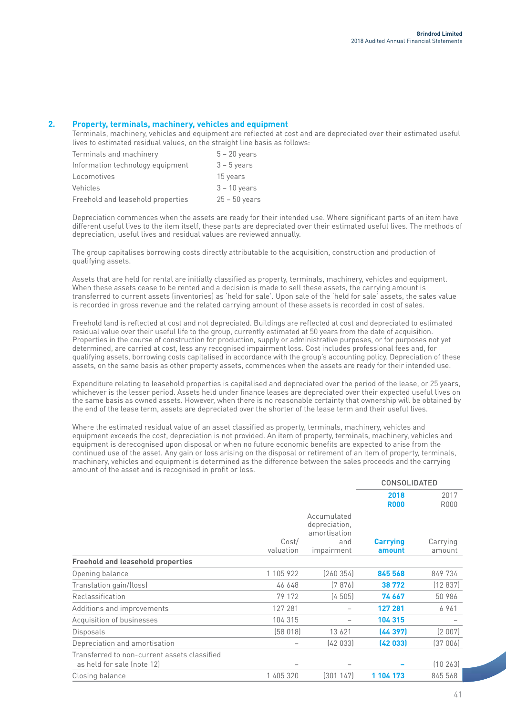### **2. Property, terminals, machinery, vehicles and equipment**

Terminals, machinery, vehicles and equipment are reflected at cost and are depreciated over their estimated useful lives to estimated residual values, on the straight line basis as follows:

| Terminals and machinery           | $5 - 20$ years  |
|-----------------------------------|-----------------|
| Information technology equipment  | $3 - 5$ years   |
| Locomotives                       | 15 years        |
| Vehicles                          | $3 - 10$ years  |
| Freehold and leasehold properties | $25 - 50$ years |

Depreciation commences when the assets are ready for their intended use. Where significant parts of an item have different useful lives to the item itself, these parts are depreciated over their estimated useful lives. The methods of depreciation, useful lives and residual values are reviewed annually.

The group capitalises borrowing costs directly attributable to the acquisition, construction and production of qualifying assets.

Assets that are held for rental are initially classified as property, terminals, machinery, vehicles and equipment. When these assets cease to be rented and a decision is made to sell these assets, the carrying amount is transferred to current assets (inventories) as 'held for sale'. Upon sale of the 'held for sale' assets, the sales value is recorded in gross revenue and the related carrying amount of these assets is recorded in cost of sales.

Freehold land is reflected at cost and not depreciated. Buildings are reflected at cost and depreciated to estimated residual value over their useful life to the group, currently estimated at 50 years from the date of acquisition. Properties in the course of construction for production, supply or administrative purposes, or for purposes not yet determined, are carried at cost, less any recognised impairment loss. Cost includes professional fees and, for qualifying assets, borrowing costs capitalised in accordance with the group's accounting policy. Depreciation of these assets, on the same basis as other property assets, commences when the assets are ready for their intended use.

Expenditure relating to leasehold properties is capitalised and depreciated over the period of the lease, or 25 years, whichever is the lesser period. Assets held under finance leases are depreciated over their expected useful lives on the same basis as owned assets. However, when there is no reasonable certainty that ownership will be obtained by the end of the lease term, assets are depreciated over the shorter of the lease term and their useful lives.

Where the estimated residual value of an asset classified as property, terminals, machinery, vehicles and equipment exceeds the cost, depreciation is not provided. An item of property, terminals, machinery, vehicles and equipment is derecognised upon disposal or when no future economic benefits are expected to arise from the continued use of the asset. Any gain or loss arising on the disposal or retirement of an item of property, terminals, machinery, vehicles and equipment is determined as the difference between the sales proceeds and the carrying amount of the asset and is recognised in profit or loss.

|                                                                            |           |                              | <b>CONSOLIDATED</b> |             |
|----------------------------------------------------------------------------|-----------|------------------------------|---------------------|-------------|
|                                                                            |           |                              | 2018                | 2017        |
|                                                                            |           |                              | <b>R000</b>         | <b>R000</b> |
|                                                                            |           | Accumulated<br>depreciation, |                     |             |
|                                                                            | Cost/     | amortisation<br>and          | <b>Carrying</b>     | Carrying    |
|                                                                            | valuation | impairment                   | amount              | amount      |
| <b>Freehold and leasehold properties</b>                                   |           |                              |                     |             |
| Opening balance                                                            | 1 105 922 | (260354)                     | 845 568             | 849 734     |
| Translation gain/(loss)                                                    | 46 648    | (7876)                       | 38772               | (12837)     |
| Reclassification                                                           | 79 172    | (4505)                       | 74 667              | 50 986      |
| Additions and improvements                                                 | 127 281   |                              | 127 281             | 6961        |
| Acquisition of businesses                                                  | 104 315   |                              | 104 315             |             |
| Disposals                                                                  | (58018)   | 13 6 21                      | (44397)             | (2 007)     |
| Depreciation and amortisation                                              |           | (42033)                      | (42033)             | (37006)     |
| Transferred to non-current assets classified<br>as held for sale (note 12) |           |                              |                     | (10263)     |
| Closing balance                                                            | 1 405 320 | (301147)                     | 1 104 173           | 845 568     |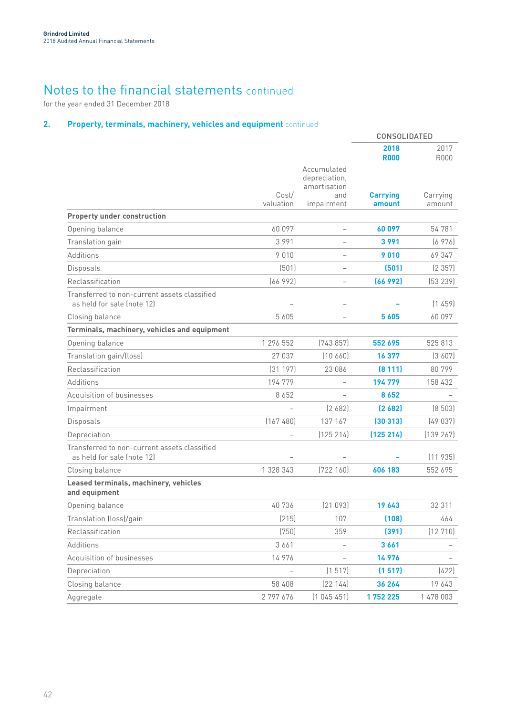for the year ended 31 December 2018

## **2. Property, terminals, machinery, vehicles and equipment** continued

|                                                                            |                          |                                                                   | <b>CONSOLIDATED</b>       |                     |
|----------------------------------------------------------------------------|--------------------------|-------------------------------------------------------------------|---------------------------|---------------------|
|                                                                            |                          |                                                                   | 2018<br><b>R000</b>       | 2017<br><b>R000</b> |
|                                                                            | Cost/<br>valuation       | Accumulated<br>depreciation,<br>amortisation<br>and<br>impairment | <b>Carrying</b><br>amount | Carrying<br>amount  |
| <b>Property under construction</b>                                         |                          |                                                                   |                           |                     |
| Opening balance                                                            | 60 097                   | $\overline{\phantom{0}}$                                          | 60097                     | 54 781              |
| Translation gain                                                           | 3991                     |                                                                   | 3991                      | (6976)              |
| Additions                                                                  | 9010                     | $\overline{\phantom{0}}$                                          | 9010                      | 69 347              |
| Disposals                                                                  | (501)                    | $\qquad \qquad -$                                                 | (501)                     | (2357)              |
| Reclassification                                                           | (66992)                  | $\overline{\phantom{0}}$                                          | (66992)                   | (53 239)            |
| Transferred to non-current assets classified<br>as held for sale (note 12) |                          |                                                                   |                           | (1459)              |
| Closing balance                                                            | 5 6 0 5                  |                                                                   | 5605                      | 60 097              |
| Terminals, machinery, vehicles and equipment                               |                          |                                                                   |                           |                     |
| Opening balance                                                            | 1 296 552                | (743857)                                                          | 552 695                   | 525 813             |
| Translation gain/(loss)                                                    | 27 037                   | (10, 660)                                                         | 16 377                    | (3607)              |
| Reclassification                                                           | (31197)                  | 23 086                                                            | (8111)                    | 80799               |
| Additions                                                                  | 194 779                  |                                                                   | 194779                    | 158 432             |
| Acquisition of businesses                                                  | 8652                     | $\overline{\phantom{0}}$                                          | 8652                      |                     |
| Impairment                                                                 | $\overline{\phantom{0}}$ | [2682]                                                            | [2682]                    | (8503)              |
| Disposals                                                                  | (167480)                 | 137 167                                                           | (30313)                   | (49037)             |
| Depreciation                                                               |                          | (125 214)                                                         | (125 214)                 | (139 267)           |
| Transferred to non-current assets classified<br>as held for sale (note 12) |                          |                                                                   |                           | (11935)             |
| Closing balance                                                            | 1 328 343                | (722 160)                                                         | 606 183                   | 552 695             |
| Leased terminals, machinery, vehicles<br>and equipment                     |                          |                                                                   |                           |                     |
| Opening balance                                                            | 40736                    | [21093]                                                           | 19 643                    | 32 311              |
| Translation (loss)/gain                                                    | (215)                    | 107                                                               | (108)                     | 464                 |
| Reclassification                                                           | (750)                    | 359                                                               | (391)                     | (12710)             |
| Additions                                                                  | 3 6 6 1                  | $\overline{\phantom{0}}$                                          | 3661                      |                     |
| Acquisition of businesses                                                  | 14 976                   |                                                                   | 14976                     |                     |
| Depreciation                                                               | $\overline{\phantom{0}}$ | (1517)                                                            | (1517)                    | (422)               |
| Closing balance                                                            | 58 408                   | [22 144]                                                          | 36 264                    | 19 643              |
| Aggregate                                                                  | 2 797 676                | (1045451)                                                         | 1752225                   | 1 478 003           |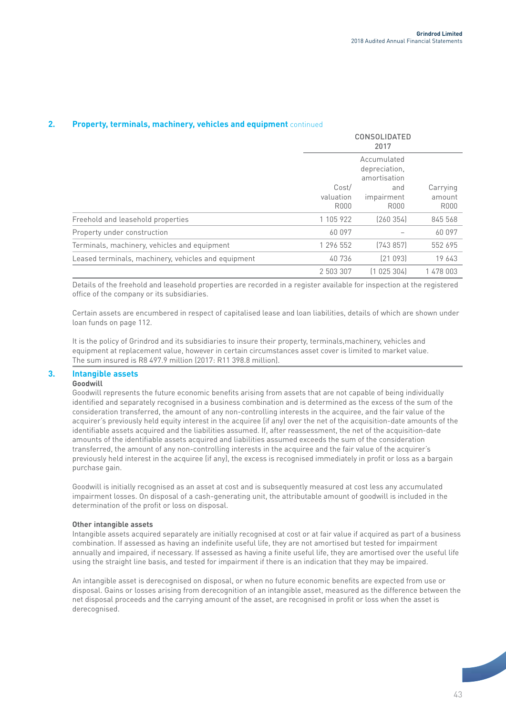| <b>Property, terminals, machinery, vehicles and equipment continued</b> |  |
|-------------------------------------------------------------------------|--|
|-------------------------------------------------------------------------|--|

|                                                     |                            | <b>CONSOLIDATED</b><br>2017<br>Accumulated<br>depreciation,<br>amortisation |                                   |  |
|-----------------------------------------------------|----------------------------|-----------------------------------------------------------------------------|-----------------------------------|--|
|                                                     |                            |                                                                             |                                   |  |
|                                                     | Cost/<br>valuation<br>R000 | and<br>impairment<br>R000                                                   | Carrying<br>amount<br><b>R000</b> |  |
| Freehold and leasehold properties                   | 1 105 922                  | (260354)                                                                    | 845 568                           |  |
| Property under construction                         | 60 097                     |                                                                             | 60 097                            |  |
| Terminals, machinery, vehicles and equipment        | 1 296 552                  | [743857]                                                                    | 552 695                           |  |
| Leased terminals, machinery, vehicles and equipment | 40736                      | [21 093]                                                                    | 19 643                            |  |
|                                                     | 2 503 307                  | (1025304)                                                                   | 1 478 003                         |  |

Details of the freehold and leasehold properties are recorded in a register available for inspection at the registered office of the company or its subsidiaries.

Certain assets are encumbered in respect of capitalised lease and loan liabilities, details of which are shown under loan funds on page 112.

It is the policy of Grindrod and its subsidiaries to insure their property, terminals,machinery, vehicles and equipment at replacement value, however in certain circumstances asset cover is limited to market value. The sum insured is R8 497.9 million (2017: R11 398.8 million).

### **3. Intangible assets**

## **Goodwill**

Goodwill represents the future economic benefits arising from assets that are not capable of being individually identified and separately recognised in a business combination and is determined as the excess of the sum of the consideration transferred, the amount of any non-controlling interests in the acquiree, and the fair value of the acquirer's previously held equity interest in the acquiree (if any) over the net of the acquisition-date amounts of the identifiable assets acquired and the liabilities assumed. If, after reassessment, the net of the acquisition-date amounts of the identifiable assets acquired and liabilities assumed exceeds the sum of the consideration transferred, the amount of any non-controlling interests in the acquiree and the fair value of the acquirer's previously held interest in the acquiree (if any), the excess is recognised immediately in profit or loss as a bargain purchase gain.

Goodwill is initially recognised as an asset at cost and is subsequently measured at cost less any accumulated impairment losses. On disposal of a cash-generating unit, the attributable amount of goodwill is included in the determination of the profit or loss on disposal.

#### **Other intangible assets**

Intangible assets acquired separately are initially recognised at cost or at fair value if acquired as part of a business combination. If assessed as having an indefinite useful life, they are not amortised but tested for impairment annually and impaired, if necessary. If assessed as having a finite useful life, they are amortised over the useful life using the straight line basis, and tested for impairment if there is an indication that they may be impaired.

An intangible asset is derecognised on disposal, or when no future economic benefits are expected from use or disposal. Gains or losses arising from derecognition of an intangible asset, measured as the difference between the net disposal proceeds and the carrying amount of the asset, are recognised in profit or loss when the asset is derecognised.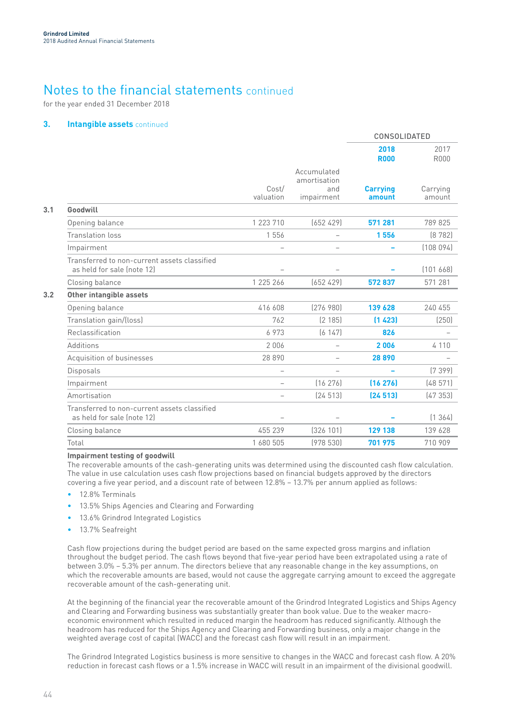for the year ended 31 December 2018

### **3. Intangible assets** continued

|                                                                            |                          |                                                  |                           | CONSOLIDATED        |  |
|----------------------------------------------------------------------------|--------------------------|--------------------------------------------------|---------------------------|---------------------|--|
|                                                                            |                          |                                                  | 2018<br><b>R000</b>       | 2017<br><b>R000</b> |  |
|                                                                            | Cost/<br>valuation       | Accumulated<br>amortisation<br>and<br>impairment | <b>Carrying</b><br>amount | Carrying<br>amount  |  |
| Goodwill                                                                   |                          |                                                  |                           |                     |  |
| Opening balance                                                            | 1 223 710                | (652 429)                                        | 571 281                   | 789 825             |  |
| <b>Translation loss</b>                                                    | 1 5 5 6                  | $\overline{\phantom{0}}$                         | 1556                      | (8782)              |  |
| Impairment                                                                 | $\overline{\phantom{0}}$ |                                                  |                           | (108094)            |  |
| Transferred to non-current assets classified<br>as held for sale (note 12) |                          |                                                  |                           | [101 668]           |  |
| Closing balance                                                            | 1 225 266                | (652, 429)                                       | 572837                    | 571 281             |  |
| Other intangible assets                                                    |                          |                                                  |                           |                     |  |
| Opening balance                                                            | 416 608                  | [276980]                                         | 139 628                   | 240 455             |  |
| Translation gain/(loss)                                                    | 762                      | (2 185)                                          | (1423)                    | (250)               |  |
| Reclassification                                                           | 6973                     | (6147)                                           | 826                       |                     |  |
| Additions                                                                  | 2006                     | $\overline{\phantom{0}}$                         | 2006                      | 4 1 1 0             |  |
| Acquisition of businesses                                                  | 28 890                   |                                                  | 28890                     |                     |  |
| Disposals                                                                  |                          |                                                  |                           | (7399)              |  |
| Impairment                                                                 |                          | (16276)                                          | (16276)                   | (48571)             |  |
| Amortisation                                                               |                          | [24 513]                                         | (24513)                   | (47353)             |  |
| Transferred to non-current assets classified<br>as held for sale (note 12) | $\overline{\phantom{0}}$ | $\overline{\phantom{0}}$                         |                           | (1, 364)            |  |
| Closing balance                                                            | 455 239                  | [326 101]                                        | 129 138                   | 139 628             |  |
| Total                                                                      | 1 680 505                | (978530)                                         | 701 975                   | 710 909             |  |
|                                                                            |                          |                                                  |                           |                     |  |

#### **Impairment testing of goodwill**

The recoverable amounts of the cash-generating units was determined using the discounted cash flow calculation. The value in use calculation uses cash flow projections based on financial budgets approved by the directors covering a five year period, and a discount rate of between 12.8% – 13.7% per annum applied as follows:

- 12.8% Terminals
- 13.5% Ships Agencies and Clearing and Forwarding
- 13.6% Grindrod Integrated Logistics
- 13.7% Seafreight

Cash flow projections during the budget period are based on the same expected gross margins and inflation throughout the budget period. The cash flows beyond that five-year period have been extrapolated using a rate of between 3.0% – 5.3% per annum. The directors believe that any reasonable change in the key assumptions, on which the recoverable amounts are based, would not cause the aggregate carrying amount to exceed the aggregate recoverable amount of the cash-generating unit.

At the beginning of the financial year the recoverable amount of the Grindrod Integrated Logistics and Ships Agency and Clearing and Forwarding business was substantially greater than book value. Due to the weaker macroeconomic environment which resulted in reduced margin the headroom has reduced significantly. Although the headroom has reduced for the Ships Agency and Clearing and Forwarding business, only a major change in the weighted average cost of capital (WACC) and the forecast cash flow will result in an impairment.

The Grindrod Integrated Logistics business is more sensitive to changes in the WACC and forecast cash flow. A 20% reduction in forecast cash flows or a 1.5% increase in WACC will result in an impairment of the divisional goodwill.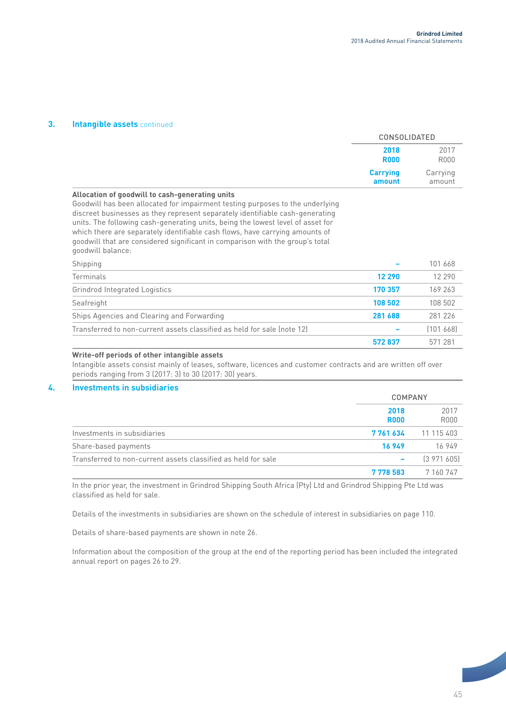### **3. Intangible assets** continued

|                                                                                                                                                                                                                                                                                                                                                                                                                                                                                            | <b>CONSOLIDATED</b>       |                    |
|--------------------------------------------------------------------------------------------------------------------------------------------------------------------------------------------------------------------------------------------------------------------------------------------------------------------------------------------------------------------------------------------------------------------------------------------------------------------------------------------|---------------------------|--------------------|
|                                                                                                                                                                                                                                                                                                                                                                                                                                                                                            | 2018<br><b>R000</b>       | 2017<br>R000       |
|                                                                                                                                                                                                                                                                                                                                                                                                                                                                                            | <b>Carrying</b><br>amount | Carrying<br>amount |
| Allocation of goodwill to cash-generating units<br>Goodwill has been allocated for impairment testing purposes to the underlying<br>discreet businesses as they represent separately identifiable cash-generating<br>units. The following cash-generating units, being the lowest level of asset for<br>which there are separately identifiable cash flows, have carrying amounts of<br>goodwill that are considered significant in comparison with the group's total<br>goodwill balance: |                           |                    |
| Shipping                                                                                                                                                                                                                                                                                                                                                                                                                                                                                   |                           | 101 668            |
| Terminals                                                                                                                                                                                                                                                                                                                                                                                                                                                                                  | 12 290                    | 12 290             |
| <b>Grindrod Integrated Logistics</b>                                                                                                                                                                                                                                                                                                                                                                                                                                                       | 170 357                   | 169 263            |
|                                                                                                                                                                                                                                                                                                                                                                                                                                                                                            | 108 502                   | 108 502            |
| Seafreight                                                                                                                                                                                                                                                                                                                                                                                                                                                                                 |                           |                    |
| Ships Agencies and Clearing and Forwarding                                                                                                                                                                                                                                                                                                                                                                                                                                                 | 281 688                   | 281 226            |
| Transferred to non-current assets classified as held for sale (note 12)                                                                                                                                                                                                                                                                                                                                                                                                                    |                           | [101 668]          |

Intangible assets consist mainly of leases, software, licences and customer contracts and are written off over periods ranging from 3 (2017: 3) to 30 (2017: 30) years.

### **4. Investments in subsidiaries**

|                                                               | <b>COMPANY</b>      |                     |
|---------------------------------------------------------------|---------------------|---------------------|
|                                                               | 2018<br><b>R000</b> | 2017<br><b>R000</b> |
| Investments in subsidiaries                                   | 7761634             | 11 115 403          |
| Share-based payments                                          | 16949               | 16949               |
| Transferred to non-current assets classified as held for sale |                     | [3971605]           |
|                                                               | 7778583             | 7 160 747           |

In the prior year, the investment in Grindrod Shipping South Africa (Pty) Ltd and Grindrod Shipping Pte Ltd was classified as held for sale.

Details of the investments in subsidiaries are shown on the schedule of interest in subsidiaries on page 110.

Details of share-based payments are shown in note 26.

Information about the composition of the group at the end of the reporting period has been included the integrated annual report on pages 26 to 29.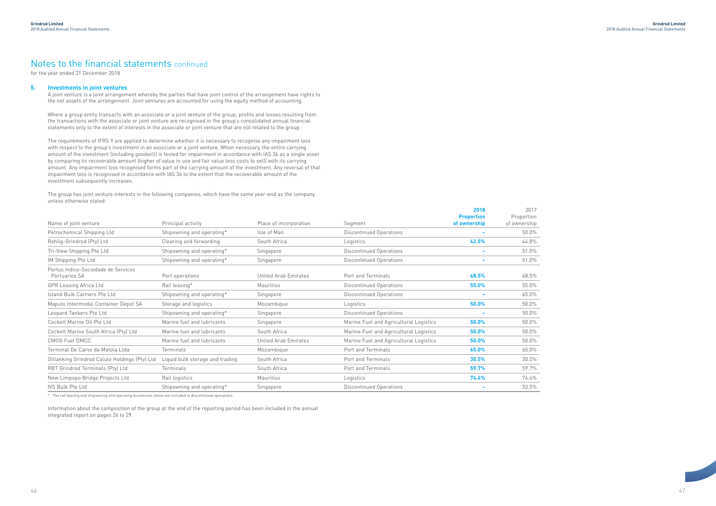$/17$ 

### **5. Investments in joint ventures**

A joint venture is a joint arrangement whereby the parties that have joint control of the arrangement have rights to the net assets of the arrangement. Joint ventures are accounted for using the equity method of accounting.

Where a group entity transacts with an associate or a joint venture of the group, profits and losses resulting from the transactions with the associate or joint venture are recognised in the group's consolidated annual financial statements only to the extent of interests in the associate or joint venture that are not related to the group.

The requirements of IFRS 9 are applied to determine whether it is necessary to recognise any impairment loss with respect to the group's investment in an associate or a joint venture. When necessary, the entire carrying amount of the investment (including goodwill) is tested for impairment in accordance with IAS 36 as a single asset by comparing its recoverable amount (higher of value in use and fair value less costs to sell) with its carrying amount. Any impairment loss recognised forms part of the carrying amount of the investment. Any reversal of that impairment loss is recognised in accordance with IAS 36 to the extent that the recoverable amount of the investment subsequently increases.

The group has joint venture interests in the following companies, which have the same year-end as the company unless otherwise stated:

|                                                      |                                 |                        |                                        | 2018                              | 2017                       |
|------------------------------------------------------|---------------------------------|------------------------|----------------------------------------|-----------------------------------|----------------------------|
| Name of joint venture                                | Principal activity              | Place of incorporation | Segment                                | <b>Proportion</b><br>of ownership | Proportion<br>of ownership |
| Petrochemical Shipping Ltd                           | Shipowning and operating*       | Isle of Man            | <b>Discontinued Operations</b>         | $\overline{\phantom{0}}$          | 50.0%                      |
| Rohlig-Grindrod (Pty) Ltd                            | Clearing and forwarding         | South Africa           | Logistics                              | 42.5%                             | 44.8%                      |
| Tri-View Shipping Pte Ltd                            | Shipowning and operating*       | Singapore              | Discontinued Operations                | $\overline{\phantom{a}}$          | 51.0%                      |
| IM Shipping Pte Ltd                                  | Shipowning and operating*       | Singapore              | <b>Discontinued Operations</b>         | $\overline{\phantom{a}}$          | 51.0%                      |
| Portus Indico-Sociedade de Servicos<br>Portuarios SA | Port operations                 | United Arab Emirates   | Port and Terminals                     | 48.5%                             | 48.5%                      |
| <b>GPR Leasing Africa Ltd</b>                        | Rail leasing*                   | Mauritius              | <b>Discontinued Operations</b>         | 55.0%                             | 55.0%                      |
| Island Bulk Carriers Pte Ltd                         | Shipowning and operating*       | Singapore              | Discontinued Operations                | $\overline{\phantom{0}}$          | 65.0%                      |
| Maputo Intermodal Container Depot SA                 | Storage and logistics           | Mozambique             | Logistics                              | 50.0%                             | 50.0%                      |
| Leopard Tankers Pte Ltd                              | Shipowning and operating*       | Singapore              | Discontinued Operations                | $\overline{\phantom{a}}$          | 50.0%                      |
| Cockett Marine Oil Pte Ltd                           | Marine fuel and lubricants      | Singapore              | Marine Fuel and Agricultural Logistics | 50.0%                             | 50.0%                      |
| Cockett Marine South Africa (Pty) Ltd                | Marine fuel and lubricants      | South Africa           | Marine Fuel and Agricultural Logistics | 50.0%                             | 50.0%                      |
| <b>CMOG Fuel DMCC</b>                                | Marine fuel and lubricants      | United Arab Emirates   | Marine Fuel and Agricultural Logistics | 50.0%                             | 50.0%                      |
| Terminal De Carvo da Matola Ltda                     | <b>Terminals</b>                | Mozambique             | Port and Terminals                     | 65.0%                             | 65.0%                      |
| Oiltanking Grindrod Calulo Holdings (Pty) Ltd        | Liquid bulk storage and trading | South Africa           | Port and Terminals                     | 30.5%                             | 30.5%                      |
| RBT Grindrod Terminals (Pty) Ltd                     | Terminals                       | South Africa           | Port and Terminals                     | 59.7%                             | 59.7%                      |
| New Limpopo Bridge Projects Ltd                      | Rail logistics                  | Mauritius              | Logistics                              | 74.4%                             | 74.4%                      |
| <b>IVS Bulk Pte Ltd</b>                              | Shipowning and operating*       | Singapore              | Discontinued Operations                |                                   | 33.5%                      |

\* The rail leasing and shipowning and operating businesses above are included in discontinued operations.

Information about the composition of the group at the end of the reporting period has been included in the annual integrated report on pages 26 to 29.

## Notes to the financial statements continued

for the year ended 31 December 2018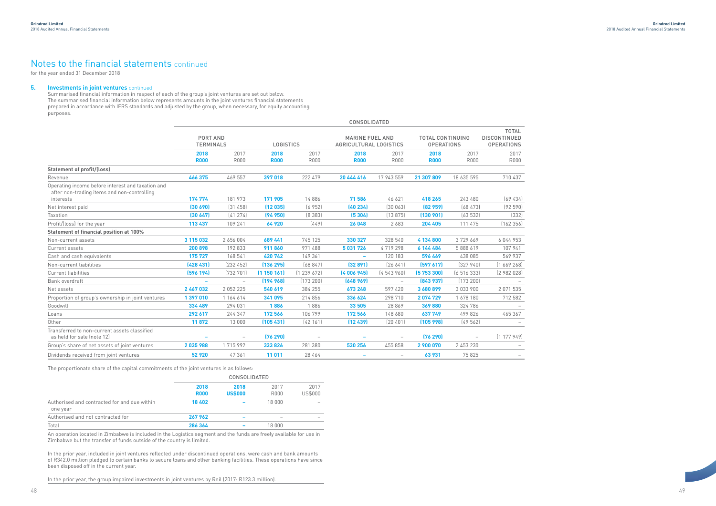Summarised financial information in respect of each of the group's joint ventures are set out below. The summarised financial information below represents amounts in the joint ventures financial statements prepared in accordance with IFRS standards and adjusted by the group, when necessary, for equity accounting purposes.

|                                                                                                  |                                     |                          |             |                                                                      | <b>CONSOLIDATED</b>      |                          |                                              |                          |                                                          |
|--------------------------------------------------------------------------------------------------|-------------------------------------|--------------------------|-------------|----------------------------------------------------------------------|--------------------------|--------------------------|----------------------------------------------|--------------------------|----------------------------------------------------------|
|                                                                                                  | <b>PORT AND</b><br><b>TERMINALS</b> |                          |             | <b>MARINE FUEL AND</b><br><b>LOGISTICS</b><br>AGRICULTURAL LOGISTICS |                          |                          | <b>TOTAL CONTINUING</b><br><b>OPERATIONS</b> |                          | <b>TOTAL</b><br><b>DISCONTINUED</b><br><b>OPERATIONS</b> |
|                                                                                                  | 2018                                | 2017                     | 2018        | 2017                                                                 | 2018                     | 2017                     | 2018                                         | 2017                     | 2017                                                     |
|                                                                                                  | <b>R000</b>                         | <b>R000</b>              | <b>R000</b> | <b>R000</b>                                                          | <b>R000</b>              | <b>R000</b>              | <b>R000</b>                                  | <b>R000</b>              | <b>R000</b>                                              |
| <b>Statement of profit/(loss)</b>                                                                |                                     |                          |             |                                                                      |                          |                          |                                              |                          |                                                          |
| Revenue                                                                                          | 466 375                             | 469 557                  | 397 018     | 222 479                                                              | 20 444 416               | 17 943 559               | 21 307 809                                   | 18 635 595               | 710 437                                                  |
| Operating income before interest and taxation and<br>after non-trading items and non-controlling |                                     |                          |             |                                                                      |                          |                          |                                              |                          |                                                          |
| interests                                                                                        | 174 774                             | 181 973                  | 171 905     | 14886                                                                | 71 586                   | 46 621                   | 418 265                                      | 243 480                  | (69434)                                                  |
| Net interest paid                                                                                | (30 690)                            | [31 458]                 | (12035)     | (6952)                                                               | (40234)                  | (30063)                  | [82959]                                      | (68473)                  | (92590)                                                  |
| Taxation                                                                                         | (30647)                             | [41 274]                 | (94950)     | (8383)                                                               | (5304)                   | (13875)                  | (130901)                                     | (63532)                  | (332)                                                    |
| Profit/(loss) for the year                                                                       | 113 437                             | 109 241                  | 64 920      | (449)                                                                | 26 048                   | 2 683                    | 204 405                                      | 111 475                  | (162 356)                                                |
| <b>Statement of financial position at 100%</b>                                                   |                                     |                          |             |                                                                      |                          |                          |                                              |                          |                                                          |
| Non-current assets                                                                               | 3 115 032                           | 2 656 004                | 689 441     | 745 125                                                              | 330 327                  | 328 540                  | 4 134 800                                    | 3729669                  | 6 044 953                                                |
| Current assets                                                                                   | 200 898                             | 192 833                  | 911860      | 971 488                                                              | 5 031 726                | 4719298                  | 6 144 484                                    | 5 888 619                | 107 941                                                  |
| Cash and cash equivalents                                                                        | 175 727                             | 168 541                  | 420742      | 149 361                                                              | $\overline{\phantom{a}}$ | 120 183                  | 596 469                                      | 438 085                  | 569 937                                                  |
| Non-current liabilities                                                                          | (428431)                            | [232 452]                | (136 295)   | (68847)                                                              | (32891)                  | (26641)                  | (597617)                                     | (327940)                 | (1669268)                                                |
| <b>Current liabilities</b>                                                                       | (596 194)                           | [732 701]                | (1150161)   | [1 239 672]                                                          | (4006945)                | (4543960)                | (5753300)                                    | (6516333)                | (2982028)                                                |
| Bank overdraft                                                                                   | $\overline{\phantom{0}}$            | $\overline{\phantom{m}}$ | (194968)    | (173 200)                                                            | (648969)                 | $\overline{\phantom{m}}$ | (843937)                                     | (173 200)                |                                                          |
| Net assets                                                                                       | 2 467 032                           | 2 0 5 2 2 2 5            | 540 619     | 384 255                                                              | 673 248                  | 597 420                  | 3 680 899                                    | 3 033 900                | 2 0 7 1 5 3 5                                            |
| Proportion of group's ownership in joint ventures                                                | 1 397 010                           | 1 164 614                | 341 095     | 214 856                                                              | 336 624                  | 298 710                  | 2074729                                      | 1678 180                 | 712 582                                                  |
| Goodwill                                                                                         | 334 489                             | 294 031                  | 1886        | 1886                                                                 | 33 505                   | 28 869                   | 369880                                       | 324 786                  |                                                          |
| Loans                                                                                            | 292 617                             | 244 347                  | 172 566     | 106 799                                                              | 172 566                  | 148 680                  | 637 749                                      | 499 826                  | 465 367                                                  |
| Other                                                                                            | 11872                               | 13 000                   | (105 431)   | (42161)                                                              | (12439)                  | (20 401)                 | (105998)                                     | (49562)                  |                                                          |
| Transferred to non-current assets classified<br>as held for sale (note 12)                       | $\overline{\phantom{0}}$            | $\overline{\phantom{a}}$ | (76 290)    | $\overline{\phantom{a}}$                                             | $\overline{\phantom{a}}$ | $\overline{\phantom{m}}$ | (76 290)                                     | $\overline{\phantom{m}}$ | (1177949)                                                |
| Group's share of net assets of joint ventures                                                    | 2035988                             | 1 715 992                | 333 826     | 281 380                                                              | 530 256                  | 455 858                  | 2 900 070                                    | 2 453 230                |                                                          |
| Dividends received from joint ventures                                                           | 52 920                              | 47 361                   | 11 011      | 28 464                                                               |                          | $\overline{\phantom{0}}$ | 63931                                        | 75 825                   |                                                          |

The proportionate share of the capital commitments of the joint ventures is as follows:

|                                                          | <b>CONSOLIDATED</b> |                        |              |                 |
|----------------------------------------------------------|---------------------|------------------------|--------------|-----------------|
|                                                          | 2018<br><b>R000</b> | 2018<br><b>US\$000</b> | 2017<br>R000 | 2017<br>US\$000 |
| Authorised and contracted for and due within<br>one year | 18 402              |                        | 18 000       |                 |
| Authorised and not contracted for                        | 267962              |                        |              |                 |
| Total                                                    | 286 364             |                        | 18 000       |                 |

An operation located in Zimbabwe is included in the Logistics segment and the funds are freely available for use in Zimbabwe but the transfer of funds outside of the country is limited.

In the prior year, included in joint ventures reflected under discontinued operations, were cash and bank amounts of R342.0 million pledged to certain banks to secure loans and other banking facilities. These operations have since been disposed off in the current year.

In the prior year, the group impaired investments in joint ventures by Rnil (2017: R123.3 million).

## Notes to the financial statements continued

for the year ended 31 December 2018

### **5. Investments in joint ventures** continued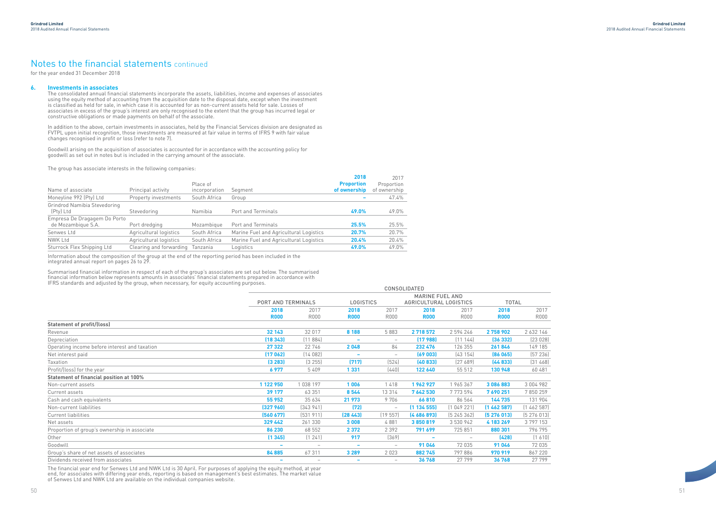### **6. Investments in associates**

The consolidated annual financial statements incorporate the assets, liabilities, income and expenses of associates using the equity method of accounting from the acquisition date to the disposal date, except when the investment is classified as held for sale, in which case it is accounted for as non-current assets held for sale. Losses of associates in excess of the group's interest are only recognised to the extent that the group has incurred legal or constructive obligations or made payments on behalf of the associate.

In addition to the above, certain investments in associates, held by the Financial Services division are designated as FVTPL upon initial recognition, those investments are measured at fair value in terms of IFRS 9 with fair value changes recognised in profit or loss (refer to note 7).

Goodwill arising on the acquisition of associates is accounted for in accordance with the accounting policy for goodwill as set out in notes but is included in the carrying amount of the associate.

The group has associate interests in the following companies:

**2018**

| Name of associate                                  | Principal activity      | Place of<br>incorporation | Segment                                | 2018<br><b>Proportion</b><br>of ownership | 2017<br>Proportion<br>of ownership |
|----------------------------------------------------|-------------------------|---------------------------|----------------------------------------|-------------------------------------------|------------------------------------|
| Moneyline 992 (Pty) Ltd                            | Property investments    | South Africa              | Group                                  |                                           | 47.4%                              |
| Grindrod Namibia Stevedoring<br>(Pty) Ltd          | Stevedoring             | Namibia                   | Port and Terminals                     | 49.0%                                     | 49.0%                              |
| Empresa De Dragagem Do Porto<br>de Mozambique S.A. | Port dredging           | Mozambique                | Port and Terminals                     | 25.5%                                     | 25.5%                              |
| Senwes Ltd                                         | Agricultural logistics  | South Africa              | Marine Fuel and Agricultural Logistics | 20.7%                                     | 20.7%                              |
| NWK Ltd                                            | Agricultural logistics  | South Africa              | Marine Fuel and Agricultural Logistics | 20.4%                                     | 20.4%                              |
| Sturrock Flex Shipping Ltd                         | Clearing and forwarding | Tanzania                  | Logistics                              | 49.0%                                     | 49.0%                              |

Information about the composition of the group at the end of the reporting period has been included in the integrated annual report on pages 26 to 29.

Summarised financial information in respect of each of the group's associates are set out below. The summarised financial information below represents amounts in associates' financial statements prepared in accordance with IFRS standards and adjusted by the group, when necessary, for equity accounting purposes.



|                                                |                    |                          |                  |                          | <b>CONSOLIDATED</b>           |             |             |              |  |
|------------------------------------------------|--------------------|--------------------------|------------------|--------------------------|-------------------------------|-------------|-------------|--------------|--|
|                                                |                    |                          |                  |                          | <b>MARINE FUEL AND</b>        |             |             |              |  |
|                                                | PORT AND TERMINALS |                          | <b>LOGISTICS</b> |                          | <b>AGRICULTURAL LOGISTICS</b> |             |             | <b>TOTAL</b> |  |
|                                                | 2018<br>2017       |                          | 2018             | 2017                     | 2018                          | 2017        | 2018        | 2017         |  |
|                                                | <b>R000</b>        | <b>R000</b>              | <b>R000</b>      | R000                     | <b>R000</b>                   | <b>R000</b> | <b>R000</b> | <b>R000</b>  |  |
| <b>Statement of profit/(loss)</b>              |                    |                          |                  |                          |                               |             |             |              |  |
| Revenue                                        | 32 143             | 32 017                   | 8 1 8 8          | 5883                     | 2 718 572                     | 2 594 246   | 2758902     | 2 632 146    |  |
| Depreciation                                   | (18 343)           | (11884)                  |                  | $\overline{\phantom{m}}$ | (17988)                       | (11144)     | (36 332)    | (23028)      |  |
| Operating income before interest and taxation  | 27 322             | 22 746                   | 2048             | 84                       | 232 476                       | 126 355     | 261846      | 149 185      |  |
| Net interest paid                              | (17062)            | (14082)                  |                  | $\overline{\phantom{0}}$ | (69 003)                      | (43154)     | (86065)     | (57236)      |  |
| Taxation                                       | (3 283)            | (3 255)                  | (717)            | (524)                    | (40833)                       | (27689)     | (44833)     | (31468)      |  |
| Profit/(loss) for the year                     | 6977               | 5409                     | 1 3 3 1          | (440)                    | 122 640                       | 55 512      | 130 948     | 60 481       |  |
| <b>Statement of financial position at 100%</b> |                    |                          |                  |                          |                               |             |             |              |  |
| Non-current assets                             | 1 122 950          | 1 038 197                | 1006             | 1418                     | 1962927                       | 1 965 367   | 3 086 883   | 3 004 982    |  |
| Current assets                                 | 39 177             | 63 351                   | 8 5 4 4          | 13 3 14                  | 7 642 530                     | 7 773 594   | 7690251     | 7850259      |  |
| Cash and cash equivalents                      | 55 952             | 35 634                   | 21 973           | 9706                     | 66810                         | 86 564      | 144 735     | 131 904      |  |
| Non-current liabilities                        | (327960)           | (343941)                 | (72)             |                          | (1134555)                     | (1049221)   | (1462587)   | (1462587)    |  |
| <b>Current liabilities</b>                     | (560 677)          | (531911)                 | (28, 443)        | (19557)                  | [4686893]                     | (5245362)   | (5276013)   | (5276013)    |  |
| Net assets                                     | 329 442            | 261 330                  | 3 0 0 8          | 4881                     | 3850819                       | 3 530 942   | 4 183 269   | 3797153      |  |
| Proportion of group's ownership in associate   | 86 230             | 68 552                   | 2 3 7 2          | 2 3 9 2                  | 791 699                       | 725 851     | 880 301     | 796 795      |  |
| Other                                          | (1345)             | (1241)                   | 917              | (369)                    |                               | $-$         | (428)       | (1 610)      |  |
| Goodwill                                       |                    | $\overline{\phantom{a}}$ |                  | $\overline{\phantom{a}}$ | 91 046                        | 72 035      | 91046       | 72 035       |  |
| Group's share of net assets of associates      | 84 885             | 67311                    | 3 2 8 9          | 2 0 2 3                  | 882745                        | 797886      | 970 919     | 867 220      |  |
| Dividends received from associates             |                    |                          |                  | $\overline{\phantom{m}}$ | 36 768                        | 27 799      | 36768       | 27 799       |  |

The financial year end for Senwes Ltd and NWK Ltd is 30 April. For purposes of applying the equity method, at year end, for associates with differing year ends, reporting is based on management's best estimates. The market value of Senwes Ltd and NWK Ltd are available on the individual companies website.

## Notes to the financial statements continued

for the year ended 31 December 2018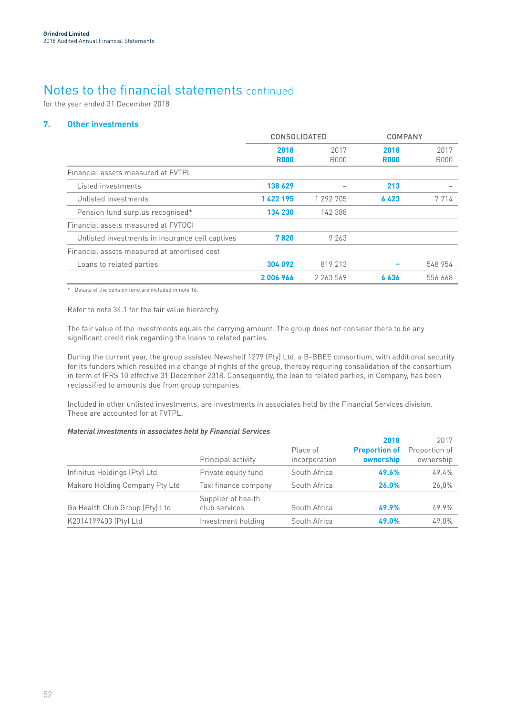for the year ended 31 December 2018

### **7. Other investments**

|                                                 | <b>CONSOLIDATED</b> |              | COMPANY             |                     |
|-------------------------------------------------|---------------------|--------------|---------------------|---------------------|
|                                                 | 2018<br><b>R000</b> | 2017<br>R000 | 2018<br><b>R000</b> | 2017<br><b>R000</b> |
| Financial assets measured at FVTPL              |                     |              |                     |                     |
| Listed investments                              | 138 629             |              | 213                 |                     |
| Unlisted investments                            | 1 422 195           | 1 292 705    | 6423                | 7 7 1 4             |
| Pension fund surplus recognised*                | 134 230             | 142 388      |                     |                     |
| Financial assets measured at EVTOCL             |                     |              |                     |                     |
| Unlisted investments in insurance cell captives | 7820                | 9 2 6 3      |                     |                     |
| Financial assets measured at amortised cost     |                     |              |                     |                     |
| Loans to related parties                        | 304 092             | 819 213      |                     | 548 954             |
|                                                 | 2006966             | 2 263 569    | 6636                | 556 668             |
|                                                 |                     |              |                     |                     |

\* Details of the pension fund are included in note 16.

Refer to note 34.1 for the fair value hierarchy.

The fair value of the investments equals the carrying amount. The group does not consider there to be any significant credit risk regarding the loans to related parties.

During the current year, the group assisted Newshelf 1279 (Pty) Ltd, a B-BBEE consortium, with additional security for its funders which resulted in a change of rights of the group, thereby requiring consolidation of the consortium in term of IFRS 10 effective 31 December 2018. Consequently, the loan to related parties, in Company, has been reclassified to amounts due from group companies.

Included in other unlisted investments, are investments in associates held by the Financial Services division. These are accounted for at FVTPL.

### *Material investments in associates held by Financial Services*

|                                |                      |               | 2018                 | 2017          |
|--------------------------------|----------------------|---------------|----------------------|---------------|
|                                |                      | Place of      | <b>Proportion of</b> | Proportion of |
|                                | Principal activity   | incorporation | ownership            | ownership     |
| Infinitus Holdings (Pty) Ltd   | Private equity fund  | South Africa  | 49.6%                | 49.4%         |
| Makoro Holding Company Pty Ltd | Taxi finance company | South Africa  | 26.0%                | 26,0%         |
|                                | Supplier of health   |               |                      |               |
| Go Health Club Group (Pty) Ltd | club services        | South Africa  | 49.9%                | 49.9%         |
| K2014199403 (Pty) Ltd          | Investment holding   | South Africa  | 49.0%                | 49.0%         |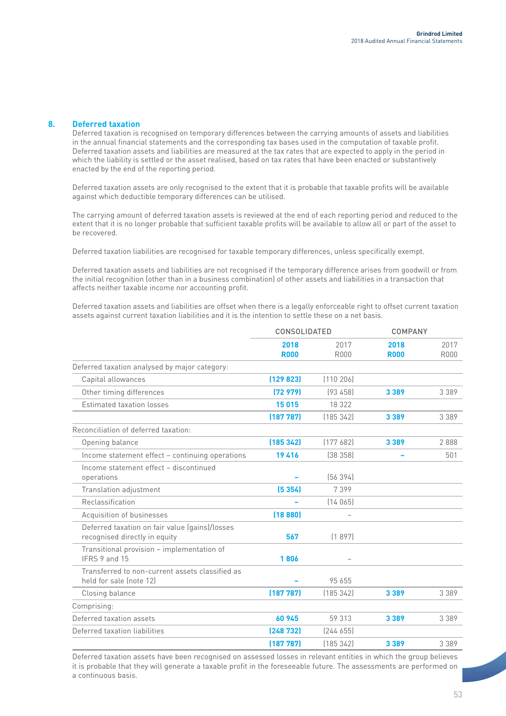### **8. Deferred taxation**

Deferred taxation is recognised on temporary differences between the carrying amounts of assets and liabilities in the annual financial statements and the corresponding tax bases used in the computation of taxable profit. Deferred taxation assets and liabilities are measured at the tax rates that are expected to apply in the period in which the liability is settled or the asset realised, based on tax rates that have been enacted or substantively enacted by the end of the reporting period.

Deferred taxation assets are only recognised to the extent that it is probable that taxable profits will be available against which deductible temporary differences can be utilised.

The carrying amount of deferred taxation assets is reviewed at the end of each reporting period and reduced to the extent that it is no longer probable that sufficient taxable profits will be available to allow all or part of the asset to be recovered.

Deferred taxation liabilities are recognised for taxable temporary differences, unless specifically exempt.

Deferred taxation assets and liabilities are not recognised if the temporary difference arises from goodwill or from the initial recognition (other than in a business combination) of other assets and liabilities in a transaction that affects neither taxable income nor accounting profit.

Deferred taxation assets and liabilities are offset when there is a legally enforceable right to offset current taxation assets against current taxation liabilities and it is the intention to settle these on a net basis.

|                                                                                 | CONSOLIDATED        |                     | COMPANY             |                     |
|---------------------------------------------------------------------------------|---------------------|---------------------|---------------------|---------------------|
|                                                                                 | 2018<br><b>R000</b> | 2017<br><b>R000</b> | 2018<br><b>R000</b> | 2017<br><b>R000</b> |
| Deferred taxation analysed by major category:                                   |                     |                     |                     |                     |
| Capital allowances                                                              | [129 823]           | [110 206]           |                     |                     |
| Other timing differences                                                        | (72979)             | [93 458]            | 3 3 8 9             | 3 3 8 9             |
| Estimated taxation losses                                                       | 15015               | 18 322              |                     |                     |
|                                                                                 | (187787)            | [185 342]           | 3 3 8 9             | 3 3 8 9             |
| Reconciliation of deferred taxation:                                            |                     |                     |                     |                     |
| Opening balance                                                                 | (185342)            | [177682]            | 3 3 8 9             | 2888                |
| Income statement effect - continuing operations                                 | 19416               | [38 358]            |                     | 501                 |
| Income statement effect - discontinued<br>operations                            |                     | [56 394]            |                     |                     |
| Translation adjustment                                                          | (5354)              | 7399                |                     |                     |
| Reclassification                                                                |                     | (14065)             |                     |                     |
| Acquisition of businesses                                                       | (18880)             |                     |                     |                     |
| Deferred taxation on fair value (gains)/losses<br>recognised directly in equity | 567                 | (1897)              |                     |                     |
| Transitional provision - implementation of<br>IFRS 9 and 15                     | 1806                |                     |                     |                     |
| Transferred to non-current assets classified as<br>held for sale (note 12)      |                     | 95 655              |                     |                     |
| Closing balance                                                                 | (187787)            | (185342)            | 3 3 8 9             | 3 3 8 9             |
| Comprising:                                                                     |                     |                     |                     |                     |
| Deferred taxation assets                                                        | 60 945              | 59 313              | 3 3 8 9             | 3 3 8 9             |
| Deferred taxation liabilities                                                   | (248732)            | [244 655]           |                     |                     |
|                                                                                 | (187 787)           | [185342]            | 3 3 8 9             | 3 3 8 9             |

Deferred taxation assets have been recognised on assessed losses in relevant entities in which the group believes it is probable that they will generate a taxable profit in the foreseeable future. The assessments are performed on a continuous basis.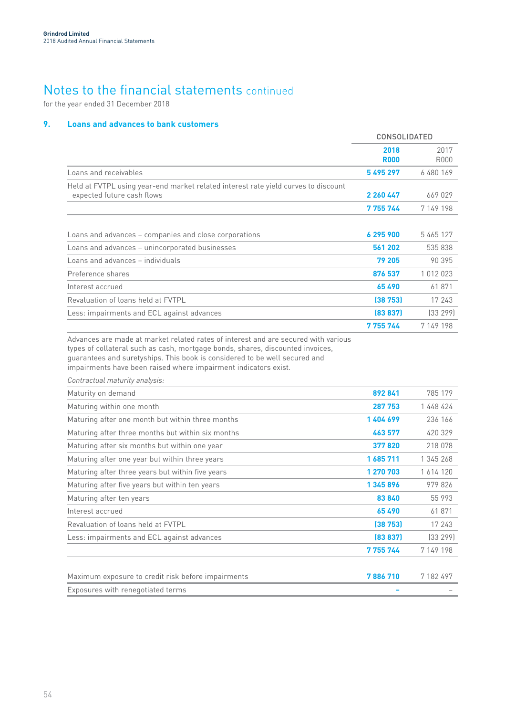for the year ended 31 December 2018

## **9. Loans and advances to bank customers**

|                                                                                                                                                                                                                                                                                                                       | CONSOLIDATED        |                     |
|-----------------------------------------------------------------------------------------------------------------------------------------------------------------------------------------------------------------------------------------------------------------------------------------------------------------------|---------------------|---------------------|
|                                                                                                                                                                                                                                                                                                                       | 2018<br><b>R000</b> | 2017<br><b>R000</b> |
| Loans and receivables                                                                                                                                                                                                                                                                                                 | 5495297             | 6 480 169           |
| Held at FVTPL using year-end market related interest rate yield curves to discount<br>expected future cash flows                                                                                                                                                                                                      | 2 260 447           | 669 029             |
|                                                                                                                                                                                                                                                                                                                       | 7 755 744           | 7 149 198           |
|                                                                                                                                                                                                                                                                                                                       |                     |                     |
| Loans and advances - companies and close corporations                                                                                                                                                                                                                                                                 | 6295900             | 5465127             |
| Loans and advances - unincorporated businesses                                                                                                                                                                                                                                                                        | 561 202             | 535 838             |
| Loans and advances - individuals                                                                                                                                                                                                                                                                                      | 79 205              | 90 395              |
| Preference shares                                                                                                                                                                                                                                                                                                     | 876 537             | 1 012 023           |
| Interest accrued                                                                                                                                                                                                                                                                                                      | 65490               | 61871               |
| Revaluation of loans held at FVTPL                                                                                                                                                                                                                                                                                    | (38753)             | 17 243              |
| Less: impairments and ECL against advances                                                                                                                                                                                                                                                                            | (83 837)            | [33 299]            |
|                                                                                                                                                                                                                                                                                                                       | 7 755 744           | 7 149 198           |
| Advances are made at market related rates of interest and are secured with various<br>types of collateral such as cash, mortgage bonds, shares, discounted invoices,<br>guarantees and suretyships. This book is considered to be well secured and<br>impairments have been raised where impairment indicators exist. |                     |                     |
| Contractual maturity analysis:                                                                                                                                                                                                                                                                                        |                     |                     |
| Maturity on demand                                                                                                                                                                                                                                                                                                    | 892841              | 785 179             |
| Maturing within one month                                                                                                                                                                                                                                                                                             | 287 753             | 1448424             |
| Maturing after one month but within three months                                                                                                                                                                                                                                                                      | 1404699             | 236 166             |
| Maturing after three months but within six months                                                                                                                                                                                                                                                                     | 463 577             | 420 329             |
| Maturing after six months but within one year                                                                                                                                                                                                                                                                         | 377820              | 218 078             |
| Maturing after one year but within three years                                                                                                                                                                                                                                                                        | 1685711             | 1 345 268           |
| Maturing after three years but within five years                                                                                                                                                                                                                                                                      | 1 270 703           | 1 614 120           |
| Maturing after five years but within ten years                                                                                                                                                                                                                                                                        | 1 345 896           | 979826              |
| Maturing after ten years                                                                                                                                                                                                                                                                                              | 83840               | 55 993              |
| Interest accrued                                                                                                                                                                                                                                                                                                      | 65490               | 61871               |
| Revaluation of loans held at FVTPL                                                                                                                                                                                                                                                                                    | (38753)             | 17 243              |
| Less: impairments and ECL against advances                                                                                                                                                                                                                                                                            | (83 837)            | (33 299)            |
|                                                                                                                                                                                                                                                                                                                       | 7 755 744           | 7 149 198           |
| Maximum exposure to credit risk before impairments<br>Exposures with renegotiated terms                                                                                                                                                                                                                               | 7886710<br>۰        | 7 182 497           |
|                                                                                                                                                                                                                                                                                                                       |                     |                     |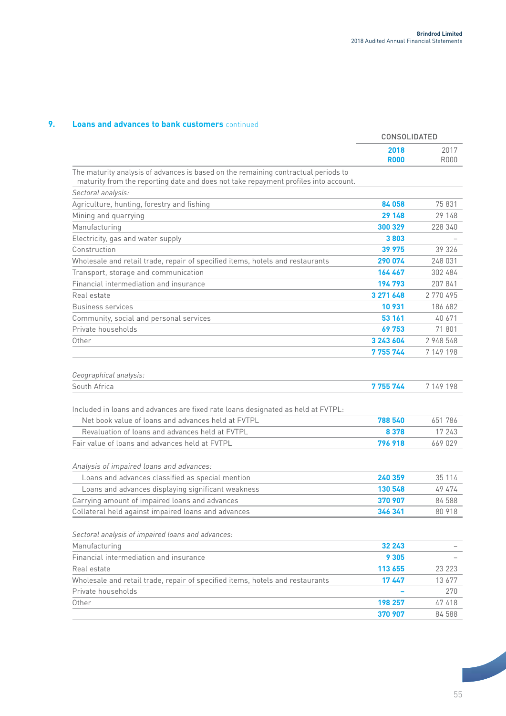### **9. Loans and advances to bank customers** continued

|                                                                                                                                                                           | CONSOLIDATED        |              |
|---------------------------------------------------------------------------------------------------------------------------------------------------------------------------|---------------------|--------------|
|                                                                                                                                                                           | 2018<br><b>R000</b> | 2017<br>R000 |
| The maturity analysis of advances is based on the remaining contractual periods to<br>maturity from the reporting date and does not take repayment profiles into account. |                     |              |
| Sectoral analysis:                                                                                                                                                        |                     |              |
| Agriculture, hunting, forestry and fishing                                                                                                                                | 84 058              | 75831        |
| Mining and quarrying                                                                                                                                                      | 29 148              | 29 148       |
| Manufacturing                                                                                                                                                             | 300 329             | 228 340      |
| Electricity, gas and water supply                                                                                                                                         | 3803                |              |
| Construction                                                                                                                                                              | 39 975              | 39 326       |
| Wholesale and retail trade, repair of specified items, hotels and restaurants                                                                                             | 290 074             | 248 031      |
| Transport, storage and communication                                                                                                                                      | 164 467             | 302 484      |
| Financial intermediation and insurance                                                                                                                                    | 194793              | 207841       |
| Real estate                                                                                                                                                               | 3 271 648           | 2770495      |
| <b>Business services</b>                                                                                                                                                  | 10 931              | 186 682      |
| Community, social and personal services                                                                                                                                   | 53 161              | 40 671       |
| Private households                                                                                                                                                        | 69753               | 71801        |
| Other                                                                                                                                                                     | 3 243 604           | 2 948 548    |
|                                                                                                                                                                           | 7 755 744           | 7 149 198    |
| Geographical analysis:                                                                                                                                                    |                     |              |
| South Africa                                                                                                                                                              | 7755744             | 7 149 198    |
| Included in loans and advances are fixed rate loans designated as held at FVTPL:                                                                                          |                     |              |
| Net book value of loans and advances held at FVTPL                                                                                                                        | 788 540             | 651 786      |
| Revaluation of loans and advances held at FVTPL                                                                                                                           | 8 3 7 8             | 17 243       |
| Fair value of loans and advances held at FVTPL                                                                                                                            | 796 918             | 669 029      |
|                                                                                                                                                                           |                     |              |
| Analysis of impaired loans and advances:                                                                                                                                  |                     |              |
| Loans and advances classified as special mention                                                                                                                          | 240 359             | 35 114       |
| Loans and advances displaying significant weakness                                                                                                                        | 130 548             | 49 474       |
| Carrying amount of impaired loans and advances                                                                                                                            | 370 907             | 84 588       |
| Collateral held against impaired loans and advances                                                                                                                       | 346 341             | 80 918       |
|                                                                                                                                                                           |                     |              |
| Sectoral analysis of impaired loans and advances:                                                                                                                         |                     |              |
| Manufacturing                                                                                                                                                             | 32 243              |              |
| Financial intermediation and insurance                                                                                                                                    | 9 3 0 5             |              |
| Real estate                                                                                                                                                               | 113 655             | 23 223       |
| Wholesale and retail trade, repair of specified items, hotels and restaurants                                                                                             | 17447               | 13 677       |
| Private households                                                                                                                                                        |                     | 270          |
| Other                                                                                                                                                                     | 198 257             | 47418        |
|                                                                                                                                                                           | 370 907             | 84 588       |
|                                                                                                                                                                           |                     |              |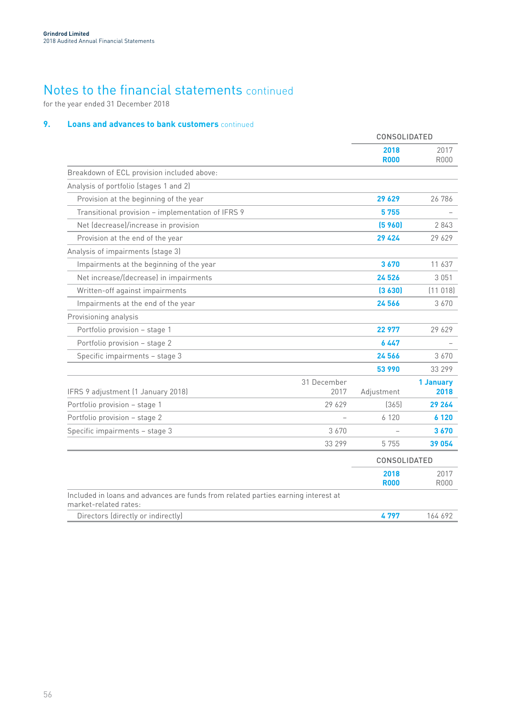for the year ended 31 December 2018

## **9. Loans and advances to bank customers** continued

|                                                                                                            |                     | CONSOLIDATED        |                     |
|------------------------------------------------------------------------------------------------------------|---------------------|---------------------|---------------------|
|                                                                                                            |                     | 2018<br><b>R000</b> | 2017<br><b>R000</b> |
| Breakdown of ECL provision included above:                                                                 |                     |                     |                     |
| Analysis of portfolio (stages 1 and 2)                                                                     |                     |                     |                     |
| Provision at the beginning of the year                                                                     |                     | 29 629              | 26 786              |
| Transitional provision - implementation of IFRS 9                                                          |                     | 5755                |                     |
| Net (decrease)/increase in provision                                                                       |                     | (5, 960)            | 2843                |
| Provision at the end of the year                                                                           |                     | 29 4 24             | 29 629              |
| Analysis of impairments (stage 3)                                                                          |                     |                     |                     |
| Impairments at the beginning of the year                                                                   |                     | 3670                | 11 637              |
| Net increase/(decrease) in impairments                                                                     |                     | 24 5 26             | 3 0 5 1             |
| Written-off against impairments                                                                            |                     | (3630)              | (11018)             |
| Impairments at the end of the year                                                                         |                     | 24 566              | 3 6 7 0             |
| Provisioning analysis                                                                                      |                     |                     |                     |
| Portfolio provision - stage 1                                                                              |                     | 22 977              | 29 629              |
| Portfolio provision - stage 2                                                                              |                     | 6 447               |                     |
| Specific impairments - stage 3                                                                             |                     | 24566               | 3670                |
|                                                                                                            |                     | 53 990              | 33 299              |
| IFRS 9 adjustment (1 January 2018)                                                                         | 31 December<br>2017 | Adjustment          | 1 January<br>2018   |
| Portfolio provision - stage 1                                                                              | 29 629              | (365)               | 29 264              |
| Portfolio provision - stage 2                                                                              |                     | 6 1 2 0             | 6 1 2 0             |
| Specific impairments - stage 3                                                                             | 3670                |                     | 3670                |
|                                                                                                            | 33 299              | 5755                | 39 054              |
|                                                                                                            |                     | CONSOLIDATED        |                     |
|                                                                                                            |                     | 2018<br><b>R000</b> | 2017<br><b>R000</b> |
| Included in loans and advances are funds from related parties earning interest at<br>market-related rates: |                     |                     |                     |
| Directors (directly or indirectly)                                                                         |                     | 4797                | 164 692             |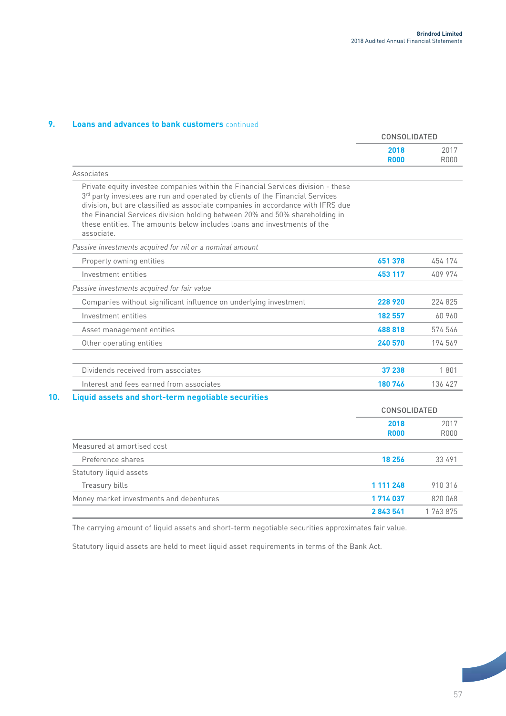## **9. Loans and advances to bank customers** continued

|                                                                                                                                                                                                                                                                                                                                                                                                                              | CONSOLIDATED        |              |
|------------------------------------------------------------------------------------------------------------------------------------------------------------------------------------------------------------------------------------------------------------------------------------------------------------------------------------------------------------------------------------------------------------------------------|---------------------|--------------|
|                                                                                                                                                                                                                                                                                                                                                                                                                              | 2018<br><b>R000</b> | 2017<br>R000 |
| Associates                                                                                                                                                                                                                                                                                                                                                                                                                   |                     |              |
| Private equity investee companies within the Financial Services division - these<br>3rd party investees are run and operated by clients of the Financial Services<br>division, but are classified as associate companies in accordance with IFRS due<br>the Financial Services division holding between 20% and 50% shareholding in<br>these entities. The amounts below includes loans and investments of the<br>associate. |                     |              |
| Passive investments acquired for nil or a nominal amount                                                                                                                                                                                                                                                                                                                                                                     |                     |              |
| Property owning entities                                                                                                                                                                                                                                                                                                                                                                                                     | 651 378             | 454 174      |
| Investment entities                                                                                                                                                                                                                                                                                                                                                                                                          | 453 117             | 409 974      |
| Passive investments acquired for fair value                                                                                                                                                                                                                                                                                                                                                                                  |                     |              |
| Companies without significant influence on underlying investment                                                                                                                                                                                                                                                                                                                                                             | 228 920             | 224 825      |
| Investment entities                                                                                                                                                                                                                                                                                                                                                                                                          | 182 557             | 60 960       |
| Asset management entities                                                                                                                                                                                                                                                                                                                                                                                                    | 488 818             | 574 546      |
| Other operating entities                                                                                                                                                                                                                                                                                                                                                                                                     | 240 570             | 194 569      |
| Dividends received from associates                                                                                                                                                                                                                                                                                                                                                                                           | 37 238              | 1801         |
| Interest and fees earned from associates                                                                                                                                                                                                                                                                                                                                                                                     | 180746              | 136 427      |
| Liquid assets and short-term negotiable securities                                                                                                                                                                                                                                                                                                                                                                           |                     |              |
|                                                                                                                                                                                                                                                                                                                                                                                                                              | <b>CONSOLIDATED</b> |              |
|                                                                                                                                                                                                                                                                                                                                                                                                                              | 2018<br><b>R000</b> | 2017<br>R000 |
| Measured at amortised cost                                                                                                                                                                                                                                                                                                                                                                                                   |                     |              |
| Preference shares                                                                                                                                                                                                                                                                                                                                                                                                            | 18 25 6             | 33 491       |
| Statutory liquid assets                                                                                                                                                                                                                                                                                                                                                                                                      |                     |              |
| Treasury bills                                                                                                                                                                                                                                                                                                                                                                                                               | 1 111 248           | 910316       |
| Money market investments and debentures                                                                                                                                                                                                                                                                                                                                                                                      | 1714037             | 820 068      |
|                                                                                                                                                                                                                                                                                                                                                                                                                              | 2843541             | 1763875      |

The carrying amount of liquid assets and short-term negotiable securities approximates fair value.

Statutory liquid assets are held to meet liquid asset requirements in terms of the Bank Act.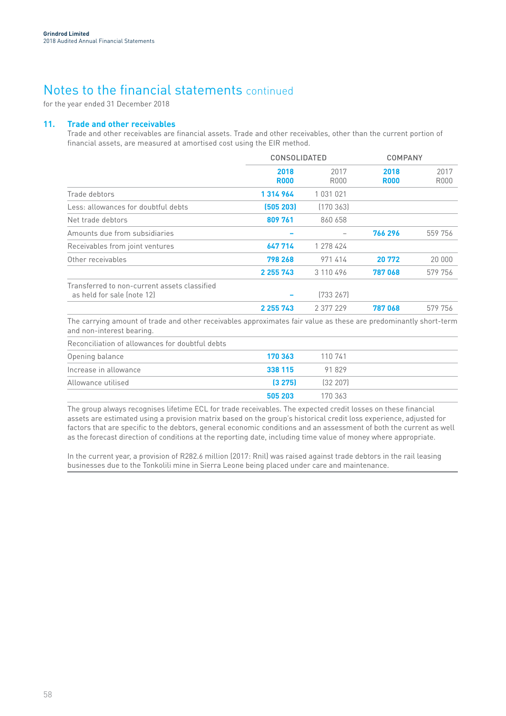for the year ended 31 December 2018

### **11. Trade and other receivables**

Trade and other receivables are financial assets. Trade and other receivables, other than the current portion of financial assets, are measured at amortised cost using the EIR method.

|                                                                                                                 | <b>CONSOLIDATED</b> |              | <b>COMPANY</b>      |              |
|-----------------------------------------------------------------------------------------------------------------|---------------------|--------------|---------------------|--------------|
|                                                                                                                 | 2018<br><b>R000</b> | 2017<br>R000 | 2018<br><b>R000</b> | 2017<br>R000 |
| Trade debtors                                                                                                   | 1314964             | 1 031 021    |                     |              |
| Less: allowances for doubtful debts                                                                             | (505 203)           | (170363)     |                     |              |
| Net trade debtors                                                                                               | 809 761             | 860 658      |                     |              |
| Amounts due from subsidiaries                                                                                   |                     |              | 766 296             | 559 756      |
| Receivables from joint ventures                                                                                 | 647 714             | 1 278 424    |                     |              |
| Other receivables                                                                                               | 798 268             | 971414       | 20 772              | 20 000       |
|                                                                                                                 | 2 2 5 7 4 3         | 3 110 496    | 787068              | 579 756      |
| Transferred to non-current assets classified<br>as held for sale (note 12)                                      |                     | [733 267]    |                     |              |
|                                                                                                                 | 2 255 743           | 2 377 229    | 787068              | 579 756      |
| The carrying amount of trade and other receivables annoximates fair value as these are predominantly short-term |                     |              |                     |              |

The carrying amount of trade and other receivables approximates fair value as these are predominantly short-term and non-interest bearing.

| Reconciliation of allowances for doubtful debts |  |
|-------------------------------------------------|--|
|                                                 |  |

| Opening balance       | 170 363 | 110 741   |  |
|-----------------------|---------|-----------|--|
| Increase in allowance | 338 115 | 91829     |  |
| Allowance utilised    | (3275)  | (32, 207) |  |
|                       | 505 203 | 170 363   |  |

The group always recognises lifetime ECL for trade receivables. The expected credit losses on these financial assets are estimated using a provision matrix based on the group's historical credit loss experience, adjusted for factors that are specific to the debtors, general economic conditions and an assessment of both the current as well as the forecast direction of conditions at the reporting date, including time value of money where appropriate.

In the current year, a provision of R282.6 million (2017: Rnil) was raised against trade debtors in the rail leasing businesses due to the Tonkolili mine in Sierra Leone being placed under care and maintenance.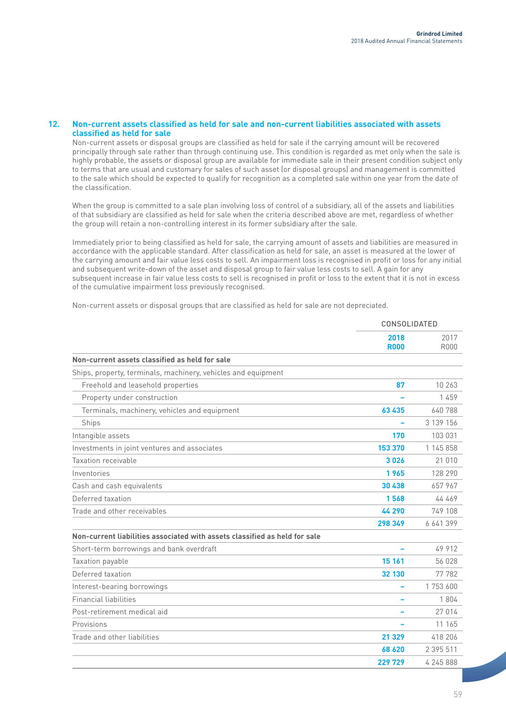### **12. Non-current assets classified as held for sale and non-current liabilities associated with assets classified as held for sale**

Non-current assets or disposal groups are classified as held for sale if the carrying amount will be recovered principally through sale rather than through continuing use. This condition is regarded as met only when the sale is highly probable, the assets or disposal group are available for immediate sale in their present condition subject only to terms that are usual and customary for sales of such asset (or disposal groups) and management is committed to the sale which should be expected to qualify for recognition as a completed sale within one year from the date of the classification.

When the group is committed to a sale plan involving loss of control of a subsidiary, all of the assets and liabilities of that subsidiary are classified as held for sale when the criteria described above are met, regardless of whether the group will retain a non-controlling interest in its former subsidiary after the sale.

Immediately prior to being classified as held for sale, the carrying amount of assets and liabilities are measured in accordance with the applicable standard. After classification as held for sale, an asset is measured at the lower of the carrying amount and fair value less costs to sell. An impairment loss is recognised in profit or loss for any initial and subsequent write-down of the asset and disposal group to fair value less costs to sell. A gain for any subsequent increase in fair value less costs to sell is recognised in profit or loss to the extent that it is not in excess of the cumulative impairment loss previously recognised.

Non-current assets or disposal groups that are classified as held for sale are not depreciated.

|                                                                            | <b>CONSOLIDATED</b> |                     |
|----------------------------------------------------------------------------|---------------------|---------------------|
|                                                                            | 2018<br><b>R000</b> | 2017<br><b>R000</b> |
| Non-current assets classified as held for sale                             |                     |                     |
| Ships, property, terminals, machinery, vehicles and equipment              |                     |                     |
| Freehold and leasehold properties                                          | 87                  | 10 263              |
| Property under construction                                                |                     | 1459                |
| Terminals, machinery, vehicles and equipment                               | 63 435              | 640 788             |
| Ships                                                                      |                     | 3 139 156           |
| Intangible assets                                                          | 170                 | 103 031             |
| Investments in joint ventures and associates                               | 153 370             | 1 145 858           |
| Taxation receivable                                                        | 3026                | 21 0 10             |
| Inventories                                                                | 1965                | 128 290             |
| Cash and cash equivalents                                                  | 30 438              | 657 967             |
| Deferred taxation                                                          | 1568                | 44 469              |
| Trade and other receivables                                                | 44 290              | 749 108             |
|                                                                            | 298 349             | 6 641 399           |
| Non-current liabilities associated with assets classified as held for sale |                     |                     |
| Short-term borrowings and bank overdraft                                   |                     | 49 912              |
| Taxation payable                                                           | 15 161              | 56 028              |
| Deferred taxation                                                          | 32 130              | 77 782              |
| Interest-bearing borrowings                                                | -                   | 1 753 600           |
| <b>Financial liabilities</b>                                               |                     | 1804                |
| Post-retirement medical aid                                                |                     | 27 014              |
| Provisions                                                                 |                     | 11 165              |
| Trade and other liabilities                                                | 21 329              | 418 206             |
|                                                                            | 68 620              | 2 395 511           |
|                                                                            | 229 729             | 4 245 888           |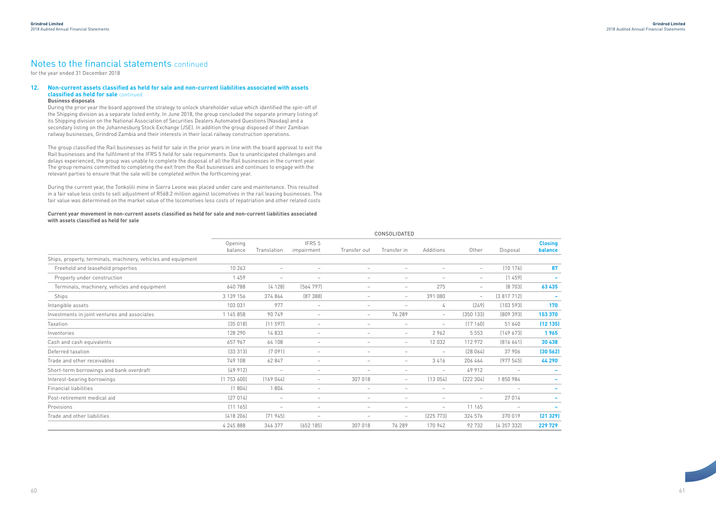### **12. Non-current assets classified as held for sale and non-current liabilities associated with assets classified as held for sale** continued

#### **Business disposals**

During the prior year the board approved the strategy to unlock shareholder value which identified the spin-off of the Shipping division as a separate listed entity. In June 2018, the group concluded the separate primary listing of its Shipping division on the National Association of Securities Dealers Automated Questions (Nasdaq) and a secondary listing on the Johannesburg Stock Exchange (JSE). In addition the group disposed of their Zambian railway businesses, Grindrod Zambia and their interests in their local railway construction operations.

The group classified the Rail businesses as held for sale in the prior years in line with the board approval to exit the Rail businesses and the fulfilment of the IFRS 5 held for sale requirements. Due to unanticipated challenges and delays experienced, the group was unable to complete the disposal of all the Rail businesses in the current year. The group remains committed to completing the exit from the Rail businesses and continues to engage with the relevant parties to ensure that the sale will be completed within the forthcoming year.

During the current year, the Tonkolili mine in Sierra Leone was placed under care and maintenance. This resulted in a fair value less costs to sell adjustment of R568.2 million against locomotives in the rail leasing businesses. The fair value was determined on the market value of the locomotives less costs of repatriation and other related costs

### **Current year movement in non-current assets classified as held for sale and non-current liabilities associated with assets classified as held for sale**

|                                                               | <b>CONSOLIDATED</b> |                          |                          |                          |                          |                          |                          |                                 |                           |
|---------------------------------------------------------------|---------------------|--------------------------|--------------------------|--------------------------|--------------------------|--------------------------|--------------------------|---------------------------------|---------------------------|
|                                                               | Opening<br>balance  | Translation              | IFRS 5<br>impairment     | Transfer out             | Transfer in              | Additions                | Other                    | Disposal                        | <b>Closing</b><br>balance |
| Ships, property, terminals, machinery, vehicles and equipment |                     |                          |                          |                          |                          |                          |                          |                                 |                           |
| Freehold and leasehold properties                             | 10 263              | $\overline{\phantom{a}}$ | $\overline{\phantom{a}}$ | $\overline{\phantom{0}}$ | $\overline{\phantom{a}}$ | $\overline{\phantom{0}}$ | $\overline{\phantom{0}}$ | [10 176]                        | 87                        |
| Property under construction                                   | 1 459               | $\overline{\phantom{m}}$ | $\overline{\phantom{a}}$ | $\qquad \qquad -$        | $\overline{\phantom{a}}$ |                          | $\overline{\phantom{0}}$ | (1459)                          |                           |
| Terminals, machinery, vehicles and equipment                  | 640 788             | (4128)                   | [564797]                 | $\overline{\phantom{0}}$ | $\overline{\phantom{a}}$ | 275                      |                          | [8703]                          | 63 435                    |
| Ships                                                         | 3 139 156           | 374 864                  | (87388)                  | $\overline{\phantom{0}}$ | $\overline{\phantom{0}}$ | 391 080                  | $-$                      | (3817712)                       |                           |
| Intangible assets                                             | 103 031             | 977                      | $\overline{\phantom{a}}$ |                          | $\overline{\phantom{a}}$ | 4                        | (249)                    | (103593)                        | 170                       |
| Investments in joint ventures and associates                  | 1 145 858           | 90 749                   | $-$                      | $-$                      | 76 289                   | $\overline{\phantom{0}}$ | (350133)                 | [809 393]                       | 153 370                   |
| Taxation                                                      | (35018)             | $(11\ 597)$              | $\overline{\phantom{a}}$ | $\overline{\phantom{0}}$ | $\overline{\phantom{a}}$ | $\overline{\phantom{a}}$ | (17160)                  | 51 640                          | (12135)                   |
| Inventories                                                   | 128 290             | 14833                    | $\overline{\phantom{a}}$ |                          | $\overline{\phantom{a}}$ | 2962                     | 5 5 5 3                  | (149673)                        | 1965                      |
| Cash and cash equivalents                                     | 657 967             | 64 108                   | $\overline{\phantom{a}}$ |                          | $\overline{\phantom{a}}$ | 12 0 32                  | 112 972                  | [816641]                        | 30 438                    |
| Deferred taxation                                             | [33313]             | (7091)                   | $-$                      |                          | $\overline{\phantom{a}}$ | $\overline{\phantom{0}}$ | (28064)                  | 37 906                          | (30 562)                  |
| Trade and other receivables                                   | 749 108             | 62 847                   | $\overline{\phantom{a}}$ | $\overline{\phantom{0}}$ | $\overline{\phantom{a}}$ | 3416                     | 206 464                  | (977545)                        | 44 290                    |
| Short-term borrowings and bank overdraft                      | [49912]             | $\overline{\phantom{a}}$ | $\overline{\phantom{a}}$ | $\overline{\phantom{a}}$ | $\overline{\phantom{a}}$ | $\overline{\phantom{a}}$ | 49 912                   | $\hspace{0.1mm}-\hspace{0.1mm}$ |                           |
| Interest-bearing borrowings                                   | (1753600)           | (169044)                 | $-$                      | 307 018                  | $-$                      | (13054)                  | [222 304]                | 1850984                         |                           |
| <b>Financial liabilities</b>                                  | (1804)              | 1804                     | $-$                      | $\overline{\phantom{a}}$ | $\overline{\phantom{a}}$ | $\overline{\phantom{a}}$ | $\overline{\phantom{0}}$ | $\overline{\phantom{a}}$        |                           |
| Post-retirement medical aid                                   | [27014]             | $\overline{\phantom{0}}$ | $\overline{\phantom{0}}$ |                          |                          |                          | $\overline{\phantom{0}}$ | 27 014                          |                           |
| Provisions                                                    | (11165)             | $\overline{\phantom{m}}$ | $\overline{\phantom{0}}$ |                          | $\overline{\phantom{a}}$ | $\overline{\phantom{m}}$ | 11 165                   | $\overline{\phantom{a}}$        |                           |
| Trade and other liabilities                                   | (418206)            | (71945)                  | $\overline{\phantom{a}}$ |                          | $\overline{\phantom{a}}$ | (225 773)                | 324 576                  | 370 019                         | (21329)                   |
|                                                               | 4 245 888           | 346 377                  | (652185)                 | 307 018                  | 76 289                   | 170 942                  | 92732                    | (4 357 332)                     | 229 729                   |

## Notes to the financial statements continued

for the year ended 31 December 2018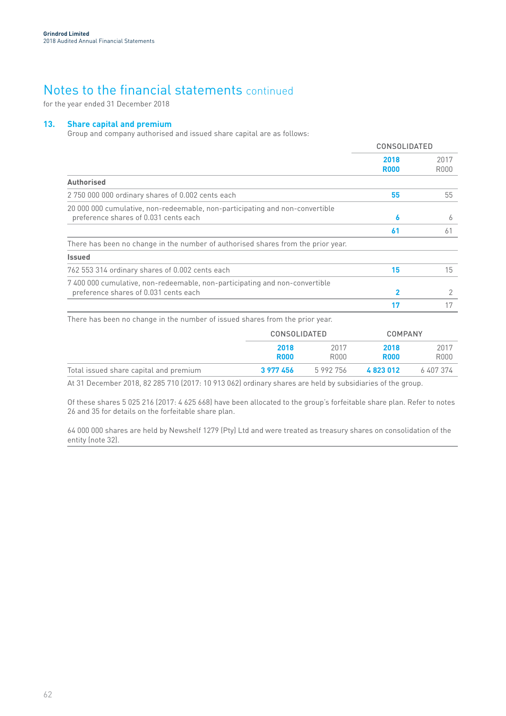for the year ended 31 December 2018

### **13. Share capital and premium**

Group and company authorised and issued share capital are as follows:

|                                                                                                                       | <b>CONSOLIDATED</b> |              |
|-----------------------------------------------------------------------------------------------------------------------|---------------------|--------------|
|                                                                                                                       | 2018<br><b>R000</b> | 2017<br>R000 |
| <b>Authorised</b>                                                                                                     |                     |              |
| 2 750 000 000 ordinary shares of 0.002 cents each                                                                     | 55                  | 55           |
| 20 000 000 cumulative, non-redeemable, non-participating and non-convertible<br>preference shares of 0.031 cents each | 6                   | 6            |
|                                                                                                                       | 61                  | 61           |
| There has been no change in the number of authorised shares from the prior year.                                      |                     |              |
| <b>Issued</b>                                                                                                         |                     |              |
| 762 553 314 ordinary shares of 0.002 cents each                                                                       | 15                  | 15           |
| 7 400 000 cumulative, non-redeemable, non-participating and non-convertible<br>preference shares of 0.031 cents each  | 2                   | 2            |
|                                                                                                                       |                     |              |

There has been no change in the number of issued shares from the prior year.

|                                        |             | CONSOLIDATED |             | <b>COMPANY</b> |
|----------------------------------------|-------------|--------------|-------------|----------------|
|                                        | 2018        | 2017         | 2018        | 2017           |
|                                        | <b>R000</b> | R000         | <b>R000</b> | R000           |
| Total issued share capital and premium | 3 977 456   | 5992756      | 4823012     | 6 407 374      |

At 31 December 2018, 82 285 710 (2017: 10 913 062) ordinary shares are held by subsidiaries of the group.

Of these shares 5 025 216 (2017: 4 625 668) have been allocated to the group's forfeitable share plan. Refer to notes 26 and 35 for details on the forfeitable share plan.

64 000 000 shares are held by Newshelf 1279 (Pty) Ltd and were treated as treasury shares on consolidation of the entity (note 32).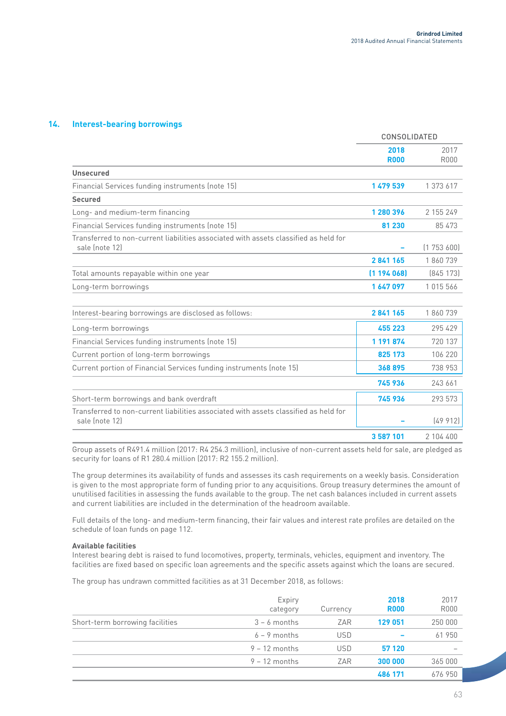### **14. Interest-bearing borrowings**

|                                                                                                        | <b>CONSOLIDATED</b> |              |
|--------------------------------------------------------------------------------------------------------|---------------------|--------------|
|                                                                                                        | 2018<br><b>R000</b> | 2017<br>R000 |
| <b>Unsecured</b>                                                                                       |                     |              |
| Financial Services funding instruments (note 15)                                                       | 1 479 539           | 1 373 617    |
| <b>Secured</b>                                                                                         |                     |              |
| Long- and medium-term financing                                                                        | 1 280 396           | 2 155 249    |
| Financial Services funding instruments (note 15)                                                       | 81 230              | 85 473       |
| Transferred to non-current liabilities associated with assets classified as held for<br>sale (note 12) |                     | (1753600)    |
|                                                                                                        | 2841165             | 1860739      |
| Total amounts repayable within one year                                                                | (1194068)           | [845 173]    |
| Long-term borrowings                                                                                   | 1647097             | 1015566      |
|                                                                                                        |                     |              |
| Interest-bearing borrowings are disclosed as follows:                                                  | 2841165             | 1860739      |
| Long-term borrowings                                                                                   | 455 223             | 295 429      |
| Financial Services funding instruments (note 15)                                                       | 1 191 874           | 720 137      |
| Current portion of long-term borrowings                                                                | 825 173             | 106 220      |
| Current portion of Financial Services funding instruments (note 15)                                    | 368895              | 738 953      |
|                                                                                                        | 745936              | 243 661      |
| Short-term borrowings and bank overdraft                                                               | 745936              | 293 573      |
| Transferred to non-current liabilities associated with assets classified as held for<br>sale (note 12) |                     | (49912)      |
|                                                                                                        | 3587101             | 2 104 400    |
|                                                                                                        |                     |              |

Group assets of R491.4 million (2017: R4 254.3 million), inclusive of non-current assets held for sale, are pledged as security for loans of R1 280.4 million (2017: R2 155.2 million).

The group determines its availability of funds and assesses its cash requirements on a weekly basis. Consideration is given to the most appropriate form of funding prior to any acquisitions. Group treasury determines the amount of unutilised facilities in assessing the funds available to the group. The net cash balances included in current assets and current liabilities are included in the determination of the headroom available.

Full details of the long- and medium-term financing, their fair values and interest rate profiles are detailed on the schedule of loan funds on page 112.

#### **Available facilities**

Interest bearing debt is raised to fund locomotives, property, terminals, vehicles, equipment and inventory. The facilities are fixed based on specific loan agreements and the specific assets against which the loans are secured.

The group has undrawn committed facilities as at 31 December 2018, as follows:

|                                 | Expiry<br>category | Currency   | 2018<br><b>R000</b> | 2017<br><b>R000</b> |
|---------------------------------|--------------------|------------|---------------------|---------------------|
| Short-term borrowing facilities | $3 - 6$ months     | ZAR        | 129 051             | 250 000             |
|                                 | $6 - 9$ months     | <b>USD</b> |                     | 61950               |
|                                 | $9 - 12$ months    | <b>USD</b> | 57 120              |                     |
|                                 | $9 - 12$ months    | ZAR        | 300 000             | 365 000             |
|                                 |                    |            | 486 171             | 676 950             |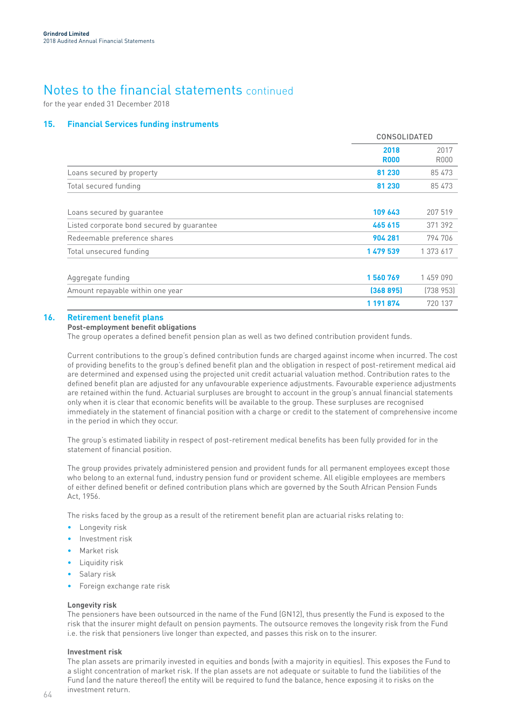for the year ended 31 December 2018

### **15. Financial Services funding instruments**

|                                            | <b>CONSOLIDATED</b> |                     |
|--------------------------------------------|---------------------|---------------------|
|                                            | 2018<br><b>R000</b> | 2017<br><b>R000</b> |
| Loans secured by property                  | 81 230              | 85 473              |
| Total secured funding                      | 81 230              | 85 473              |
| Loans secured by guarantee                 | 109 643             | 207 519             |
| Listed corporate bond secured by quarantee | 465 615             | 371 392             |
| Redeemable preference shares               | 904 281             | 794 706             |
| Total unsecured funding                    | 1 479 539           | 1 373 617           |
| Aggregate funding                          | 1560769             | 1459090             |
| Amount repayable within one year           | (368895)            | [738953]            |
|                                            | 1 191 874           | 720 137             |

### **16. Retirement benefit plans**

### **Post-employment benefit obligations**

The group operates a defined benefit pension plan as well as two defined contribution provident funds.

Current contributions to the group's defined contribution funds are charged against income when incurred. The cost of providing benefits to the group's defined benefit plan and the obligation in respect of post-retirement medical aid are determined and expensed using the projected unit credit actuarial valuation method. Contribution rates to the defined benefit plan are adjusted for any unfavourable experience adjustments. Favourable experience adjustments are retained within the fund. Actuarial surpluses are brought to account in the group's annual financial statements only when it is clear that economic benefits will be available to the group. These surpluses are recognised immediately in the statement of financial position with a charge or credit to the statement of comprehensive income in the period in which they occur.

The group's estimated liability in respect of post-retirement medical benefits has been fully provided for in the statement of financial position.

The group provides privately administered pension and provident funds for all permanent employees except those who belong to an external fund, industry pension fund or provident scheme. All eligible employees are members of either defined benefit or defined contribution plans which are governed by the South African Pension Funds Act, 1956.

The risks faced by the group as a result of the retirement benefit plan are actuarial risks relating to:

- Longevity risk
- Investment risk
- Market risk
- Liquidity risk
- Salary risk
- Foreign exchange rate risk

#### **Longevity risk**

The pensioners have been outsourced in the name of the Fund (GN12), thus presently the Fund is exposed to the risk that the insurer might default on pension payments. The outsource removes the longevity risk from the Fund i.e. the risk that pensioners live longer than expected, and passes this risk on to the insurer.

#### **Investment risk**

The plan assets are primarily invested in equities and bonds (with a majority in equities). This exposes the Fund to a slight concentration of market risk. If the plan assets are not adequate or suitable to fund the liabilities of the Fund (and the nature thereof) the entity will be required to fund the balance, hence exposing it to risks on the investment return.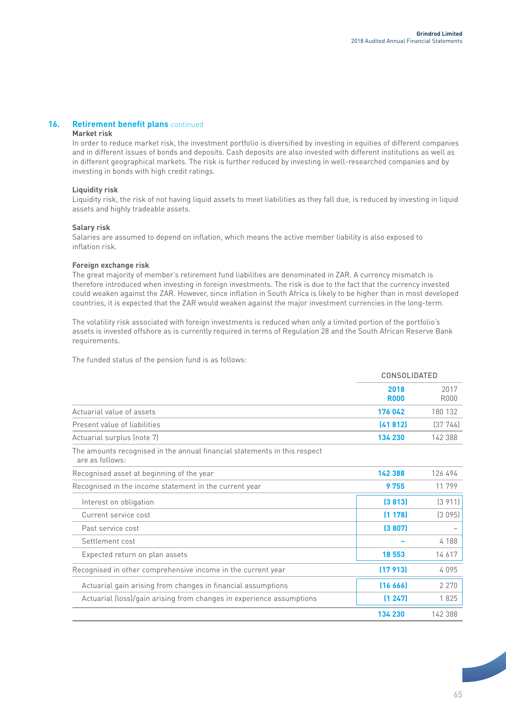### **16.** Retirement benefit plans continued

#### **Market risk**

In order to reduce market risk, the investment portfolio is diversified by investing in equities of different companies and in different issues of bonds and deposits. Cash deposits are also invested with different institutions as well as in different geographical markets. The risk is further reduced by investing in well-researched companies and by investing in bonds with high credit ratings.

### **Liquidity risk**

Liquidity risk, the risk of not having liquid assets to meet liabilities as they fall due, is reduced by investing in liquid assets and highly tradeable assets.

#### **Salary risk**

Salaries are assumed to depend on inflation, which means the active member liability is also exposed to inflation risk.

### **Foreign exchange risk**

The great majority of member's retirement fund liabilities are denominated in ZAR. A currency mismatch is therefore introduced when investing in foreign investments. The risk is due to the fact that the currency invested could weaken against the ZAR. However, since inflation in South Africa is likely to be higher than in most developed countries, it is expected that the ZAR would weaken against the major investment currencies in the long-term.

The volatility risk associated with foreign investments is reduced when only a limited portion of the portfolio's assets is invested offshore as is currently required in terms of Regulation 28 and the South African Reserve Bank requirements.

The funded status of the pension fund is as follows:

|                              |                     | CONSOLIDATED        |  |
|------------------------------|---------------------|---------------------|--|
|                              | 2018<br><b>R000</b> | 2017<br><b>R000</b> |  |
| Actuarial value of assets    | 176 042             | 180 132             |  |
| Present value of liabilities | (41812)             | [37744]             |  |
| Actuarial surplus (note 7)   | 134 230             | 142388              |  |

The amounts recognised in the annual financial statements in this respect are as follows:

| Recognised asset at beginning of the year                            | 142 388  | 126 494 |
|----------------------------------------------------------------------|----------|---------|
| Recognised in the income statement in the current year               | 9755     | 11799   |
| Interest on obligation                                               | (3813)   | (3911)  |
| Current service cost                                                 | (1178)   | (3095)  |
| Past service cost                                                    | (3807)   |         |
| Settlement cost                                                      |          | 4 1 8 8 |
| Expected return on plan assets                                       | 18 553   | 14 617  |
| Recognised in other comprehensive income in the current year         | (17913)  | 4095    |
| Actuarial gain arising from changes in financial assumptions         | [16 666] | 2 2 7 0 |
| Actuarial (loss)/gain arising from changes in experience assumptions | (1247)   | 1825    |
|                                                                      | 134 230  | 142 388 |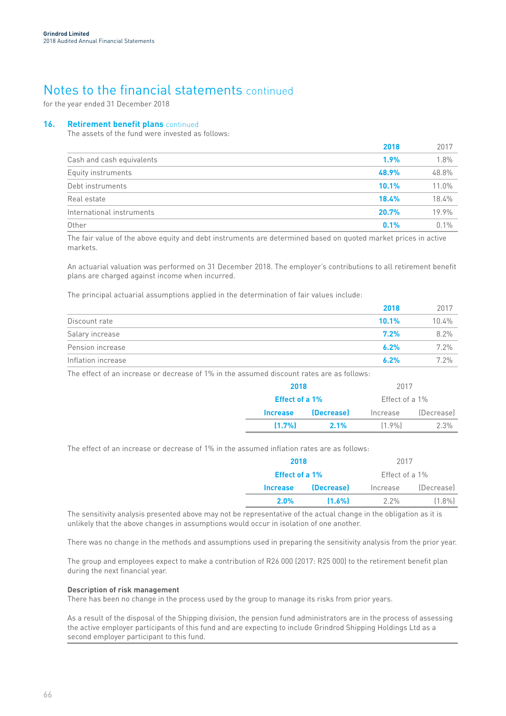for the year ended 31 December 2018

### **16. Retirement benefit plans** continued

The assets of the fund were invested as follows:

|                           | 2018  | 2017    |
|---------------------------|-------|---------|
| Cash and cash equivalents | 1.9%  | 1.8%    |
| Equity instruments        | 48.9% | 48.8%   |
| Debt instruments          | 10.1% | 11.0%   |
| Real estate               | 18.4% | 18.4%   |
| International instruments | 20.7% | 19.9%   |
| Other                     | 0.1%  | $0.1\%$ |

The fair value of the above equity and debt instruments are determined based on quoted market prices in active markets.

An actuarial valuation was performed on 31 December 2018. The employer's contributions to all retirement benefit plans are charged against income when incurred.

The principal actuarial assumptions applied in the determination of fair values include:

|                    | 2018    | 2017  |
|--------------------|---------|-------|
| Discount rate      | 10.1%   | 10.4% |
| Salary increase    | $7.2\%$ | 8.2%  |
| Pension increase   | 6.2%    | 7.2%  |
| Inflation increase | 6.2%    | 7.2%  |

The effect of an increase or decrease of 1% in the assumed discount rates are as follows:

|                       | 2017<br>2018 |                   |            |  |
|-----------------------|--------------|-------------------|------------|--|
| <b>Effect of a 1%</b> |              | Fffect of a $1\%$ |            |  |
| Increase              | (Decrease)   | Increase          | (Decrease) |  |
| (1.7%                 | 2.1%         | $[1.9\%]$         | $2.3\%$    |  |

The effect of an increase or decrease of 1% in the assumed inflation rates are as follows:

| 2017<br>2018          |                   |                   |            |  |
|-----------------------|-------------------|-------------------|------------|--|
| <b>Effect of a 1%</b> |                   | Fffect of a $1\%$ |            |  |
| Increase              | <i>(Decrease)</i> | Increase          | (Decrease) |  |
| 2.0%                  | (1.6%             | 2.2%              | $[1.8\%]$  |  |

The sensitivity analysis presented above may not be representative of the actual change in the obligation as it is unlikely that the above changes in assumptions would occur in isolation of one another.

There was no change in the methods and assumptions used in preparing the sensitivity analysis from the prior year.

The group and employees expect to make a contribution of R26 000 (2017: R25 000) to the retirement benefit plan during the next financial year.

#### **Description of risk management**

There has been no change in the process used by the group to manage its risks from prior years.

As a result of the disposal of the Shipping division, the pension fund administrators are in the process of assessing the active employer participants of this fund and are expecting to include Grindrod Shipping Holdings Ltd as a second employer participant to this fund.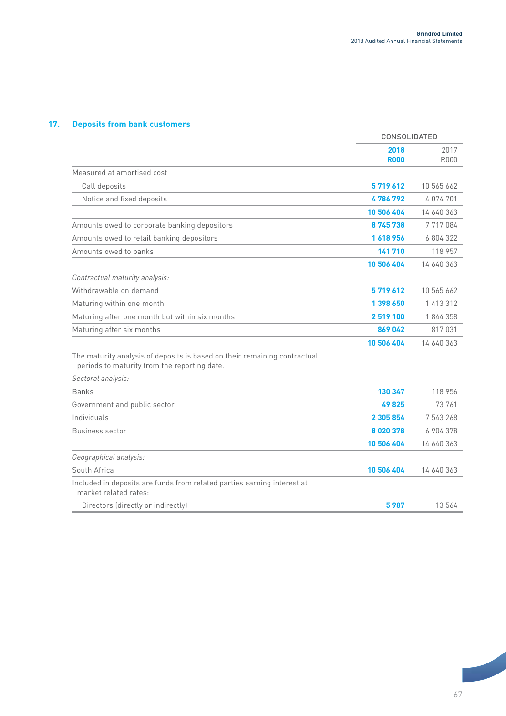## **17. Deposits from bank customers**

|                                                                                                                           | <b>CONSOLIDATED</b> |                     |
|---------------------------------------------------------------------------------------------------------------------------|---------------------|---------------------|
|                                                                                                                           | 2018<br><b>R000</b> | 2017<br><b>R000</b> |
| Measured at amortised cost                                                                                                |                     |                     |
| Call deposits                                                                                                             | 5719612             | 10 565 662          |
| Notice and fixed deposits                                                                                                 | 4 786 792           | 4074701             |
|                                                                                                                           | 10 506 404          | 14 640 363          |
| Amounts owed to corporate banking depositors                                                                              | 8745738             | 7717084             |
| Amounts owed to retail banking depositors                                                                                 | 1618956             | 6804322             |
| Amounts owed to banks                                                                                                     | 141 710             | 118 957             |
|                                                                                                                           | 10 506 404          | 14 640 363          |
| Contractual maturity analysis:                                                                                            |                     |                     |
| Withdrawable on demand                                                                                                    | 5719612             | 10 565 662          |
| Maturing within one month                                                                                                 | 1 398 650           | 1 413 312           |
| Maturing after one month but within six months                                                                            | 2 519 100           | 1844358             |
| Maturing after six months                                                                                                 | 869042              | 817031              |
|                                                                                                                           | 10 506 404          | 14 640 363          |
| The maturity analysis of deposits is based on their remaining contractual<br>periods to maturity from the reporting date. |                     |                     |
| Sectoral analysis:                                                                                                        |                     |                     |
| <b>Banks</b>                                                                                                              | 130 347             | 118 956             |
| Government and public sector                                                                                              | 49825               | 73 761              |
| Individuals                                                                                                               | 2 305 854           | 7 543 268           |
| Business sector                                                                                                           | 8020378             | 6 904 378           |
|                                                                                                                           | 10 506 404          | 14 640 363          |
| Geographical analysis:                                                                                                    |                     |                     |
| South Africa                                                                                                              | 10 506 404          | 14 640 363          |
| Included in deposits are funds from related parties earning interest at<br>market related rates:                          |                     |                     |
| Directors (directly or indirectly)                                                                                        | 5987                | 13 564              |
|                                                                                                                           |                     |                     |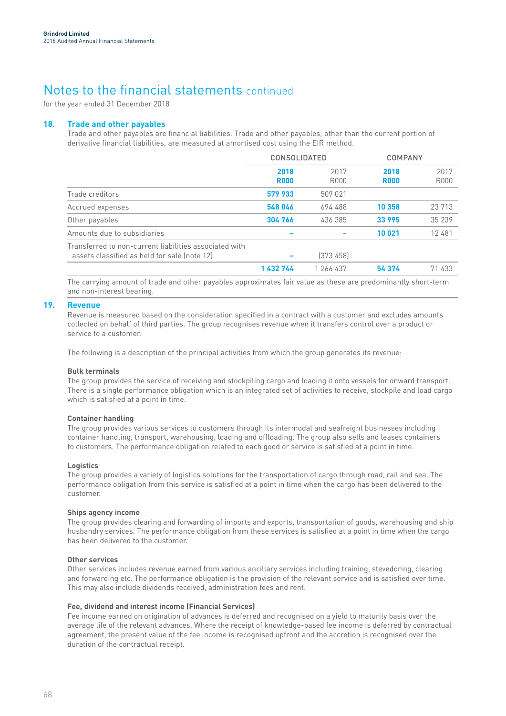for the year ended 31 December 2018

### **18. Trade and other payables**

Trade and other payables are financial liabilities. Trade and other payables, other than the current portion of derivative financial liabilities, are measured at amortised cost using the EIR method.

|                                                                                                        | <b>CONSOLIDATED</b> |              | <b>COMPANY</b>      |                     |
|--------------------------------------------------------------------------------------------------------|---------------------|--------------|---------------------|---------------------|
|                                                                                                        | 2018<br><b>R000</b> | 2017<br>R000 | 2018<br><b>R000</b> | 2017<br><b>R000</b> |
| Trade creditors                                                                                        | 579 933             | 509 021      |                     |                     |
| Accrued expenses                                                                                       | 548 046             | 694 488      | 10 358              | 23 713              |
| Other payables                                                                                         | 304 766             | 436 385      | 33 995              | 35 239              |
| Amounts due to subsidiaries                                                                            |                     |              | 10 021              | 12 481              |
| Transferred to non-current liabilities associated with<br>assets classified as held for sale (note 12) |                     | (373458)     |                     |                     |
|                                                                                                        | 1 432 744           | 1 266 437    | 54 374              | 71 433              |

The carrying amount of trade and other payables approximates fair value as these are predominantly short-term and non-interest bearing.

### **19. Revenue**

Revenue is measured based on the consideration specified in a contract with a customer and excludes amounts collected on behalf of third parties. The group recognises revenue when it transfers control over a product or service to a customer.

The following is a description of the principal activities from which the group generates its revenue:

#### **Bulk terminals**

The group provides the service of receiving and stockpiling cargo and loading it onto vessels for onward transport. There is a single performance obligation which is an integrated set of activities to receive, stockpile and load cargo which is satisfied at a point in time.

#### **Container handling**

The group provides various services to customers through its intermodal and seafreight businesses including container handling, transport, warehousing, loading and offloading. The group also sells and leases containers to customers. The performance obligation related to each good or service is satisfied at a point in time.

#### **Logistics**

The group provides a variety of logistics solutions for the transportation of cargo through road, rail and sea. The performance obligation from this service is satisfied at a point in time when the cargo has been delivered to the customer.

#### **Ships agency income**

The group provides clearing and forwarding of imports and exports, transportation of goods, warehousing and ship husbandry services. The performance obligation from these services is satisfied at a point in time when the cargo has been delivered to the customer.

### **Other services**

Other services includes revenue earned from various ancillary services including training, stevedoring, clearing and forwarding etc. The performance obligation is the provision of the relevant service and is satisfied over time. This may also include dividends received, administration fees and rent.

#### **Fee, dividend and interest income (Financial Services)**

Fee income earned on origination of advances is deferred and recognised on a yield to maturity basis over the average life of the relevant advances. Where the receipt of knowledge-based fee income is deferred by contractual agreement, the present value of the fee income is recognised upfront and the accretion is recognised over the duration of the contractual receipt.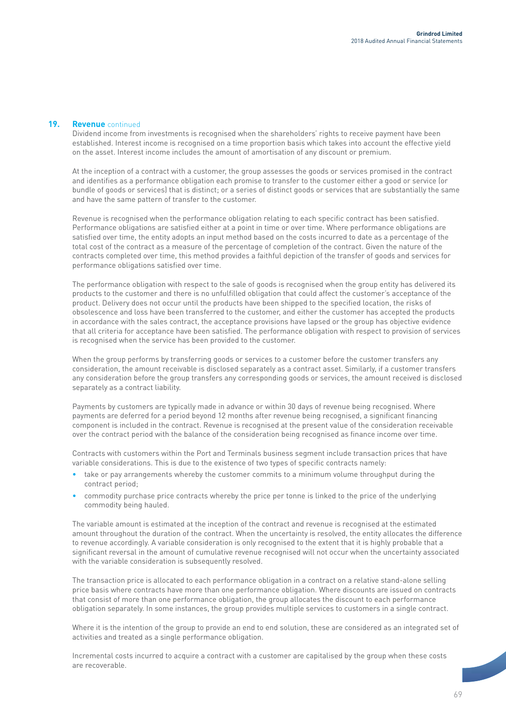### **19. Revenue** continued

Dividend income from investments is recognised when the shareholders' rights to receive payment have been established. Interest income is recognised on a time proportion basis which takes into account the effective yield on the asset. Interest income includes the amount of amortisation of any discount or premium.

At the inception of a contract with a customer, the group assesses the goods or services promised in the contract and identifies as a performance obligation each promise to transfer to the customer either a good or service (or bundle of goods or services) that is distinct; or a series of distinct goods or services that are substantially the same and have the same pattern of transfer to the customer.

Revenue is recognised when the performance obligation relating to each specific contract has been satisfied. Performance obligations are satisfied either at a point in time or over time. Where performance obligations are satisfied over time, the entity adopts an input method based on the costs incurred to date as a percentage of the total cost of the contract as a measure of the percentage of completion of the contract. Given the nature of the contracts completed over time, this method provides a faithful depiction of the transfer of goods and services for performance obligations satisfied over time.

The performance obligation with respect to the sale of goods is recognised when the group entity has delivered its products to the customer and there is no unfulfilled obligation that could affect the customer's acceptance of the product. Delivery does not occur until the products have been shipped to the specified location, the risks of obsolescence and loss have been transferred to the customer, and either the customer has accepted the products in accordance with the sales contract, the acceptance provisions have lapsed or the group has objective evidence that all criteria for acceptance have been satisfied. The performance obligation with respect to provision of services is recognised when the service has been provided to the customer.

When the group performs by transferring goods or services to a customer before the customer transfers any consideration, the amount receivable is disclosed separately as a contract asset. Similarly, if a customer transfers any consideration before the group transfers any corresponding goods or services, the amount received is disclosed separately as a contract liability.

Payments by customers are typically made in advance or within 30 days of revenue being recognised. Where payments are deferred for a period beyond 12 months after revenue being recognised, a significant financing component is included in the contract. Revenue is recognised at the present value of the consideration receivable over the contract period with the balance of the consideration being recognised as finance income over time.

Contracts with customers within the Port and Terminals business segment include transaction prices that have variable considerations. This is due to the existence of two types of specific contracts namely:

- take or pay arrangements whereby the customer commits to a minimum volume throughput during the contract period;
- commodity purchase price contracts whereby the price per tonne is linked to the price of the underlying commodity being hauled.

The variable amount is estimated at the inception of the contract and revenue is recognised at the estimated amount throughout the duration of the contract. When the uncertainty is resolved, the entity allocates the difference to revenue accordingly. A variable consideration is only recognised to the extent that it is highly probable that a significant reversal in the amount of cumulative revenue recognised will not occur when the uncertainty associated with the variable consideration is subsequently resolved.

The transaction price is allocated to each performance obligation in a contract on a relative stand-alone selling price basis where contracts have more than one performance obligation. Where discounts are issued on contracts that consist of more than one performance obligation, the group allocates the discount to each performance obligation separately. In some instances, the group provides multiple services to customers in a single contract.

Where it is the intention of the group to provide an end to end solution, these are considered as an integrated set of activities and treated as a single performance obligation.

Incremental costs incurred to acquire a contract with a customer are capitalised by the group when these costs are recoverable.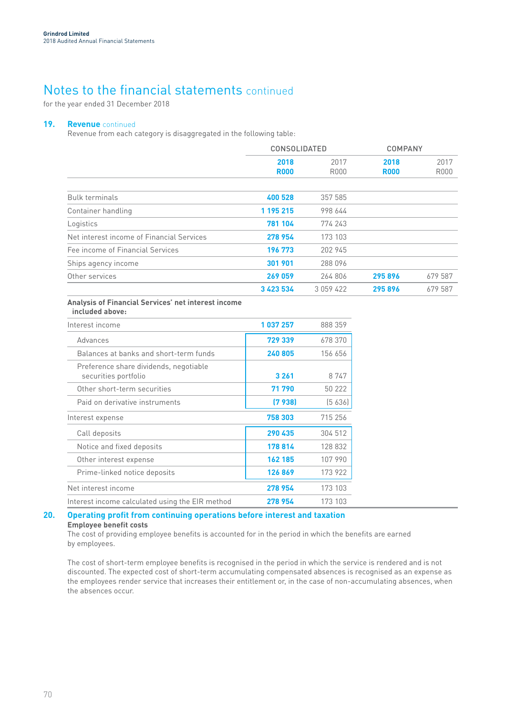for the year ended 31 December 2018

### **19. Revenue** continued

Revenue from each category is disaggregated in the following table:

|                                           | <b>CONSOLIDATED</b> |               | <b>COMPANY</b>      |                     |
|-------------------------------------------|---------------------|---------------|---------------------|---------------------|
|                                           | 2018<br><b>R000</b> | 2017<br>R000  | 2018<br><b>R000</b> | 2017<br><b>R000</b> |
|                                           |                     |               |                     |                     |
| <b>Bulk terminals</b>                     | 400 528             | 357 585       |                     |                     |
| Container handling                        | 1 195 215           | 998 644       |                     |                     |
| Logistics                                 | 781 104             | 774 243       |                     |                     |
| Net interest income of Financial Services | 278 954             | 173 103       |                     |                     |
| Fee income of Financial Services          | 196 773             | 202 945       |                     |                     |
| Ships agency income                       | 301 901             | 288 096       |                     |                     |
| Other services                            | 269 059             | 264 806       | 295896              | 679 587             |
|                                           | 3 423 534           | 3 0 5 9 4 2 2 | 295896              | 679 587             |

#### **Analysis of Financial Services' net interest income included above:**

| Interest income                                                | 1 037 257 | 888 359 |
|----------------------------------------------------------------|-----------|---------|
| Advances                                                       | 729 339   | 678 370 |
| Balances at banks and short-term funds                         | 240805    | 156 656 |
| Preference share dividends, negotiable<br>securities portfolio | 3 2 6 1   | 8747    |
| Other short-term securities                                    | 71 790    | 50 222  |
| Paid on derivative instruments                                 | (7938)    | (5636)  |
| Interest expense                                               | 758 303   | 715 256 |
| Call deposits                                                  | 290 435   | 304 512 |
| Notice and fixed deposits                                      | 178814    | 128 832 |
| Other interest expense                                         | 162 185   | 107 990 |
| Prime-linked notice deposits                                   | 126869    | 173 922 |
| Net interest income                                            | 278 954   | 173 103 |
| Interest income calculated using the EIR method                | 278954    | 173 103 |

## **20. Operating profit from continuing operations before interest and taxation**

**Employee benefit costs**

The cost of providing employee benefits is accounted for in the period in which the benefits are earned by employees.

The cost of short-term employee benefits is recognised in the period in which the service is rendered and is not discounted. The expected cost of short-term accumulating compensated absences is recognised as an expense as the employees render service that increases their entitlement or, in the case of non-accumulating absences, when the absences occur.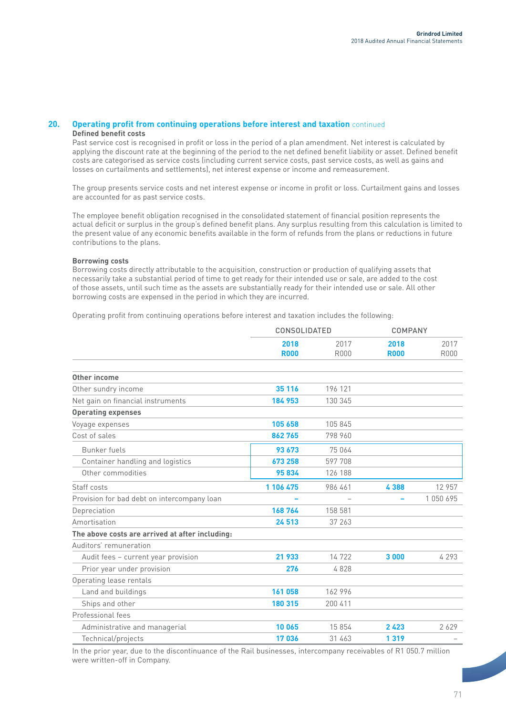### **20. Operating profit from continuing operations before interest and taxation** continued **Defined benefit costs**

Past service cost is recognised in profit or loss in the period of a plan amendment. Net interest is calculated by applying the discount rate at the beginning of the period to the net defined benefit liability or asset. Defined benefit costs are categorised as service costs (including current service costs, past service costs, as well as gains and losses on curtailments and settlements), net interest expense or income and remeasurement.

The group presents service costs and net interest expense or income in profit or loss. Curtailment gains and losses are accounted for as past service costs.

The employee benefit obligation recognised in the consolidated statement of financial position represents the actual deficit or surplus in the group's defined benefit plans. Any surplus resulting from this calculation is limited to the present value of any economic benefits available in the form of refunds from the plans or reductions in future contributions to the plans.

### **Borrowing costs**

Borrowing costs directly attributable to the acquisition, construction or production of qualifying assets that necessarily take a substantial period of time to get ready for their intended use or sale, are added to the cost of those assets, until such time as the assets are substantially ready for their intended use or sale. All other borrowing costs are expensed in the period in which they are incurred.

Operating profit from continuing operations before interest and taxation includes the following:

|                                                 | <b>CONSOLIDATED</b> |                     | <b>COMPANY</b>      |                     |
|-------------------------------------------------|---------------------|---------------------|---------------------|---------------------|
|                                                 | 2018<br><b>R000</b> | 2017<br><b>R000</b> | 2018<br><b>R000</b> | 2017<br><b>R000</b> |
| <b>Other income</b>                             |                     |                     |                     |                     |
| Other sundry income                             | 35 116              | 196 121             |                     |                     |
| Net gain on financial instruments               | 184 953             | 130 345             |                     |                     |
| <b>Operating expenses</b>                       |                     |                     |                     |                     |
| Voyage expenses                                 | 105 658             | 105 845             |                     |                     |
| Cost of sales                                   | 862765              | 798 960             |                     |                     |
| Bunker fuels                                    | 93 673              | 75 064              |                     |                     |
| Container handling and logistics                | 673 258             | 597 708             |                     |                     |
| Other commodities                               | 95834               | 126 188             |                     |                     |
| Staff costs                                     | 1 106 475           | 986 461             | 4388                | 12 957              |
| Provision for bad debt on intercompany loan     |                     |                     |                     | 1050695             |
| Depreciation                                    | 168764              | 158 581             |                     |                     |
| Amortisation                                    | 24 513              | 37 263              |                     |                     |
| The above costs are arrived at after including: |                     |                     |                     |                     |
| Auditors' remuneration                          |                     |                     |                     |                     |
| Audit fees - current year provision             | 21 933              | 14722               | 3000                | 4 2 9 3             |
| Prior year under provision                      | 276                 | 4828                |                     |                     |
| Operating lease rentals                         |                     |                     |                     |                     |
| Land and buildings                              | 161 058             | 162 996             |                     |                     |
| Ships and other                                 | 180 315             | 200 411             |                     |                     |
| Professional fees                               |                     |                     |                     |                     |
| Administrative and managerial                   | 10 065              | 15 8 5 4            | 2423                | 2629                |
| Technical/projects                              | 17036               | 31 463              | 1319                |                     |

In the prior year, due to the discontinuance of the Rail businesses, intercompany receivables of R1 050.7 million were written-off in Company.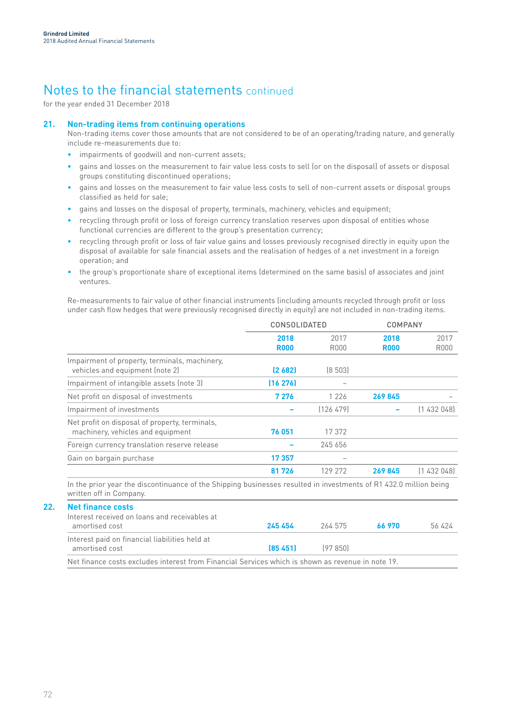for the year ended 31 December 2018

## **21. Non-trading items from continuing operations**

Non-trading items cover those amounts that are not considered to be of an operating/trading nature, and generally include re-measurements due to:

- impairments of goodwill and non-current assets;
- gains and losses on the measurement to fair value less costs to sell (or on the disposal) of assets or disposal groups constituting discontinued operations;
- gains and losses on the measurement to fair value less costs to sell of non-current assets or disposal groups classified as held for sale;
- gains and losses on the disposal of property, terminals, machinery, vehicles and equipment;
- recycling through profit or loss of foreign currency translation reserves upon disposal of entities whose functional currencies are different to the group's presentation currency;
- recycling through profit or loss of fair value gains and losses previously recognised directly in equity upon the disposal of available for sale financial assets and the realisation of hedges of a net investment in a foreign operation; and
- the group's proportionate share of exceptional items (determined on the same basis) of associates and joint ventures.

Re-measurements to fair value of other financial instruments (including amounts recycled through profit or loss under cash flow hedges that were previously recognised directly in equity) are not included in non-trading items.

|                                                                                                                                              |                     | <b>CONSOLIDATED</b> |                     | <b>COMPANY</b> |  |
|----------------------------------------------------------------------------------------------------------------------------------------------|---------------------|---------------------|---------------------|----------------|--|
|                                                                                                                                              | 2018<br><b>R000</b> | 2017<br>R000        | 2018<br><b>R000</b> | 2017<br>R000   |  |
| Impairment of property, terminals, machinery,<br>vehicles and equipment (note 2)                                                             | (2 682)             | [8 503]             |                     |                |  |
| Impairment of intangible assets (note 3)                                                                                                     | (16 276)            |                     |                     |                |  |
| Net profit on disposal of investments                                                                                                        | 7 276               | 1 2 2 6             | 269845              |                |  |
| Impairment of investments                                                                                                                    |                     | [126 479]           |                     | (1432048)      |  |
| Net profit on disposal of property, terminals,<br>machinery, vehicles and equipment                                                          | 76 051              | 17 372              |                     |                |  |
| Foreign currency translation reserve release                                                                                                 |                     | 245 656             |                     |                |  |
| Gain on bargain purchase                                                                                                                     | 17357               |                     |                     |                |  |
|                                                                                                                                              | 81726               | 129 272             | 269845              | (1432048)      |  |
| In the prior year the discontinuance of the Shipping businesses resulted in investments of R1 432.0 million being<br>written off in Company. |                     |                     |                     |                |  |

| Net finance costs                              |           |          |        |        |
|------------------------------------------------|-----------|----------|--------|--------|
| Interest received on loans and receivables at  |           |          |        |        |
| amortised cost                                 | 245 454   | 264 575  | 66.970 | 56 424 |
| Interest paid on financial liabilities held at |           |          |        |        |
| amortised cost                                 | (85, 451) | 197 850) |        |        |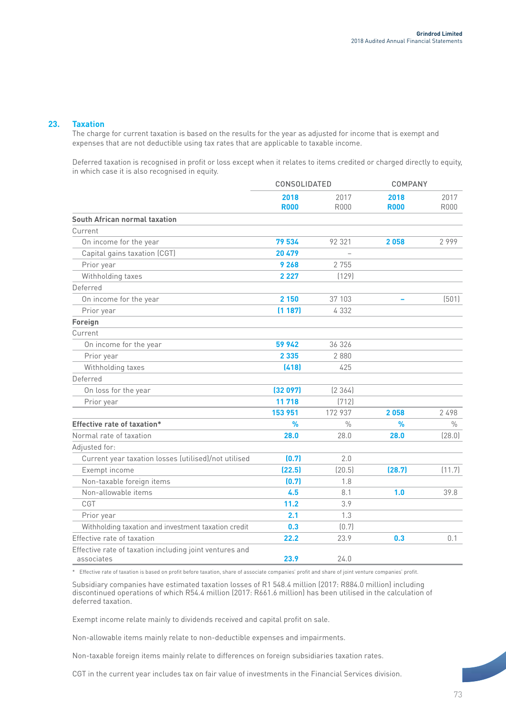### **23. Taxation**

The charge for current taxation is based on the results for the year as adjusted for income that is exempt and expenses that are not deductible using tax rates that are applicable to taxable income.

Deferred taxation is recognised in profit or loss except when it relates to items credited or charged directly to equity, in which case it is also recognised in equity.

|                                                                       | CONSOLIDATED        |                     |                     | <b>COMPANY</b>      |  |
|-----------------------------------------------------------------------|---------------------|---------------------|---------------------|---------------------|--|
|                                                                       | 2018<br><b>R000</b> | 2017<br><b>R000</b> | 2018<br><b>R000</b> | 2017<br><b>R000</b> |  |
| <b>South African normal taxation</b>                                  |                     |                     |                     |                     |  |
| Current                                                               |                     |                     |                     |                     |  |
| On income for the year                                                | 79 534              | 92 321              | 2058                | 2999                |  |
| Capital gains taxation (CGT)                                          | 20 479              |                     |                     |                     |  |
| Prior year                                                            | 9 2 6 8             | 2 7 5 5             |                     |                     |  |
| Withholding taxes                                                     | 2 2 2 7             | (129)               |                     |                     |  |
| Deferred                                                              |                     |                     |                     |                     |  |
| On income for the year                                                | 2 150               | 37 103              |                     | (501)               |  |
| Prior year                                                            | (1187)              | 4 3 3 2             |                     |                     |  |
| Foreign                                                               |                     |                     |                     |                     |  |
| Current                                                               |                     |                     |                     |                     |  |
| On income for the year                                                | 59 942              | 36 326              |                     |                     |  |
| Prior year                                                            | 2 3 3 5             | 2880                |                     |                     |  |
| Withholding taxes                                                     | (418)               | 425                 |                     |                     |  |
| Deferred                                                              |                     |                     |                     |                     |  |
| On loss for the year                                                  | (32097)             | [2 364]             |                     |                     |  |
| Prior year                                                            | 11718               | (712)               |                     |                     |  |
|                                                                       | 153 951             | 172 937             | 2058                | 2498                |  |
| Effective rate of taxation*                                           | %                   | $\frac{0}{0}$       | %                   | $\frac{0}{0}$       |  |
| Normal rate of taxation                                               | 28.0                | 28.0                | 28.0                | (28.0)              |  |
| Adjusted for:                                                         |                     |                     |                     |                     |  |
| Current year taxation losses (utilised)/not utilised                  | (0.7)               | 2.0                 |                     |                     |  |
| Exempt income                                                         | (22.5)              | (20.5)              | (28.7)              | (11.7)              |  |
| Non-taxable foreign items                                             | (0.7)               | 1.8                 |                     |                     |  |
| Non-allowable items                                                   | 4.5                 | 8.1                 | 1.0                 | 39.8                |  |
| CGT                                                                   | 11.2                | 3.9                 |                     |                     |  |
| Prior year                                                            | 2.1                 | 1.3                 |                     |                     |  |
| Withholding taxation and investment taxation credit                   | 0.3                 | (0.7)               |                     |                     |  |
| Effective rate of taxation                                            | 22.2                | 23.9                | 0.3                 | 0.1                 |  |
| Effective rate of taxation including joint ventures and<br>associates | 23.9                | 24.0                |                     |                     |  |

\* Effective rate of taxation is based on profit before taxation, share of associate companies' profit and share of joint venture companies' profit.

Subsidiary companies have estimated taxation losses of R1 548.4 million (2017: R884.0 million) including discontinued operations of which R54.4 million (2017: R661.6 million) has been utilised in the calculation of deferred taxation.

Exempt income relate mainly to dividends received and capital profit on sale.

Non-allowable items mainly relate to non-deductible expenses and impairments.

Non-taxable foreign items mainly relate to differences on foreign subsidiaries taxation rates.

CGT in the current year includes tax on fair value of investments in the Financial Services division.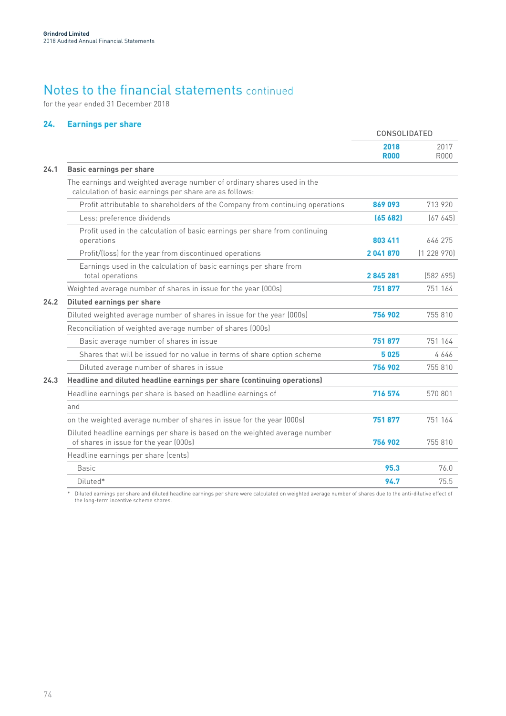for the year ended 31 December 2018

## **24. Earnings per share**

|      |                                                                                                                                    | CONSOLIDATED        |                     |
|------|------------------------------------------------------------------------------------------------------------------------------------|---------------------|---------------------|
|      |                                                                                                                                    | 2018<br><b>R000</b> | 2017<br><b>R000</b> |
| 24.1 | <b>Basic earnings per share</b>                                                                                                    |                     |                     |
|      | The earnings and weighted average number of ordinary shares used in the<br>calculation of basic earnings per share are as follows: |                     |                     |
|      | Profit attributable to shareholders of the Company from continuing operations                                                      | 869 093             | 713 920             |
|      | Less: preference dividends                                                                                                         | (65682)             | (67645)             |
|      | Profit used in the calculation of basic earnings per share from continuing<br>operations                                           | 803 411             | 646 275             |
|      | Profit/(loss) for the year from discontinued operations                                                                            | 2041870             | (1228970)           |
|      | Earnings used in the calculation of basic earnings per share from<br>total operations                                              | 2845281             | [582 695]           |
|      | Weighted average number of shares in issue for the year (000s)                                                                     | 751877              | 751 164             |
| 24.2 | <b>Diluted earnings per share</b>                                                                                                  |                     |                     |
|      | Diluted weighted average number of shares in issue for the year (000s)                                                             | 756 902             | 755 810             |
|      | Reconciliation of weighted average number of shares (000s)                                                                         |                     |                     |
|      | Basic average number of shares in issue                                                                                            | 751877              | 751 164             |
|      | Shares that will be issued for no value in terms of share option scheme                                                            | 5025                | 4646                |
|      | Diluted average number of shares in issue                                                                                          | 756 902             | 755 810             |
| 24.3 | Headline and diluted headline earnings per share (continuing operations)                                                           |                     |                     |
|      | Headline earnings per share is based on headline earnings of                                                                       | 716 574             | 570 801             |
|      | and                                                                                                                                |                     |                     |
|      | on the weighted average number of shares in issue for the year (000s)                                                              | 751877              | 751 164             |
|      | Diluted headline earnings per share is based on the weighted average number<br>of shares in issue for the year (000s)              | 756 902             | 755 810             |
|      | Headline earnings per share (cents)                                                                                                |                     |                     |
|      | <b>Basic</b>                                                                                                                       | 95.3                | 76.0                |
|      | Diluted*                                                                                                                           | 94.7                | 75.5                |

\* Diluted earnings per share and diluted headline earnings per share were calculated on weighted average number of shares due to the anti-dilutive effect of the long-term incentive scheme shares.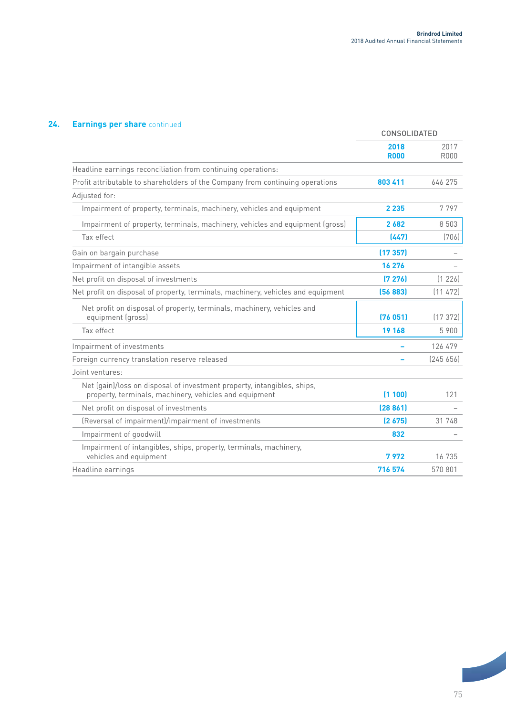## **24. Earnings per share** continued

|                                                                                                                                   | CONSOLIDATED        |                     |
|-----------------------------------------------------------------------------------------------------------------------------------|---------------------|---------------------|
|                                                                                                                                   | 2018<br><b>R000</b> | 2017<br><b>R000</b> |
| Headline earnings reconciliation from continuing operations:                                                                      |                     |                     |
| Profit attributable to shareholders of the Company from continuing operations                                                     | 803 411             | 646 275             |
| Adjusted for:                                                                                                                     |                     |                     |
| Impairment of property, terminals, machinery, vehicles and equipment                                                              | 2 2 3 5             | 7797                |
| Impairment of property, terminals, machinery, vehicles and equipment (gross)                                                      | 2682                | 8 5 0 3             |
| Tax effect                                                                                                                        | (447)               | (706)               |
| Gain on bargain purchase                                                                                                          | (17357)             |                     |
| Impairment of intangible assets                                                                                                   | 16 276              |                     |
| Net profit on disposal of investments                                                                                             | (7276)              | (1 226)             |
| Net profit on disposal of property, terminals, machinery, vehicles and equipment                                                  | (56883)             | [11 472]            |
| Net profit on disposal of property, terminals, machinery, vehicles and<br>equipment (gross)                                       | (76051)             | (17372)             |
| Tax effect                                                                                                                        | 19 168              | 5 900               |
| Impairment of investments                                                                                                         |                     | 126 479             |
| Foreign currency translation reserve released                                                                                     |                     | [245 656]           |
| Joint ventures:                                                                                                                   |                     |                     |
| Net (gain)/loss on disposal of investment property, intangibles, ships,<br>property, terminals, machinery, vehicles and equipment | (1100)              | 121                 |
| Net profit on disposal of investments                                                                                             | (28861)             |                     |
| (Reversal of impairment)/impairment of investments                                                                                | (2675)              | 31 748              |
| Impairment of goodwill                                                                                                            | 832                 |                     |
| Impairment of intangibles, ships, property, terminals, machinery,<br>vehicles and equipment                                       | 7972                | 16 735              |
| Headline earnings                                                                                                                 | 716 574             | 570 801             |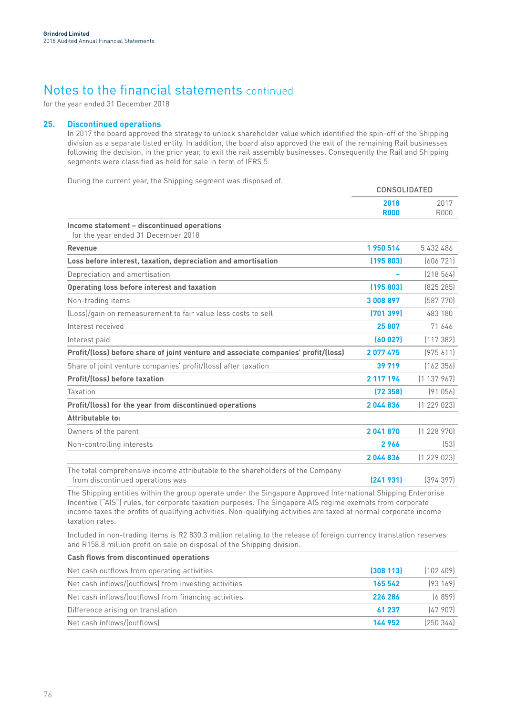for the year ended 31 December 2018

### **25. Discontinued operations**

In 2017 the board approved the strategy to unlock shareholder value which identified the spin-off of the Shipping division as a separate listed entity. In addition, the board also approved the exit of the remaining Rail businesses following the decision, in the prior year, to exit the rail assembly businesses. Consequently the Rail and Shipping segments were classified as held for sale in term of IFRS 5.

During the current year, the Shipping segment was disposed of.

|                                                                                                                    | <b>CONSOLIDATED</b> |                     |
|--------------------------------------------------------------------------------------------------------------------|---------------------|---------------------|
|                                                                                                                    | 2018<br><b>R000</b> | 2017<br><b>R000</b> |
| Income statement - discontinued operations<br>for the year ended 31 December 2018                                  |                     |                     |
| <b>Revenue</b>                                                                                                     | 1950 514            | 5432486             |
| Loss before interest, taxation, depreciation and amortisation                                                      | (195803)            | (606721)            |
| Depreciation and amortisation                                                                                      |                     | [218 564]           |
| <b>Operating loss before interest and taxation</b>                                                                 | [195 803]           | [825 285]           |
| Non-trading items                                                                                                  | 3008897             | (587 770)           |
| (Loss)/gain on remeasurement to fair value less costs to sell                                                      | [701399]            | 483 180             |
| Interest received                                                                                                  | 25 807              | 71 646              |
| Interest paid                                                                                                      | (60027)             | (117382)            |
| Profit/(loss) before share of joint venture and associate companies' profit/(loss)                                 | 2077475             | (975611)            |
| Share of joint venture companies' profit/(loss) after taxation                                                     | 39 719              | (162 356)           |
| <b>Profit/(loss) before taxation</b>                                                                               | 2 117 194           | (1137967)           |
| Taxation                                                                                                           | (72, 358)           | (91056)             |
| Profit/(loss) for the year from discontinued operations                                                            | 2044836             | (1229023)           |
| Attributable to:                                                                                                   |                     |                     |
| Owners of the parent                                                                                               | 2041870             | (1228970)           |
| Non-controlling interests                                                                                          | 2966                | (53)                |
|                                                                                                                    | 2044836             | (1229023)           |
| The total comprehensive income attributable to the shareholders of the Company<br>from discontinued operations was | (241931)            | [394397]            |

The Shipping entities within the group operate under the Singapore Approved International Shipping Enterprise Incentive ("AIS") rules, for corporate taxation purposes. The Singapore AIS regime exempts from corporate income taxes the profits of qualifying activities. Non-qualifying activities are taxed at normal corporate income taxation rates.

Included in non-trading items is R2 830.3 million relating to the release of foreign currency translation reserves and R158.8 million profit on sale on disposal of the Shipping division.

| Cash flows from discontinued operations               |          |            |
|-------------------------------------------------------|----------|------------|
| Net cash outflows from operating activities           | (308113) | (102, 409) |
| Net cash inflows/(outflows) from investing activities | 165 542  | [93 169]   |
| Net cash inflows/(outflows) from financing activities | 226 286  | (6859)     |
| Difference arising on translation                     | 61 237   | (47907)    |
| Net cash inflows/(outflows)                           | 144 952  | (250344)   |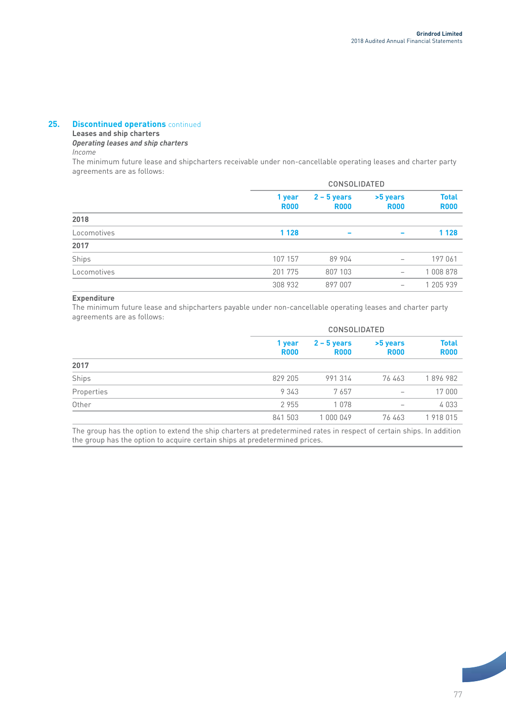### **25. Discontinued operations** continued

### **Leases and ship charters**

*Operating leases and ship charters*

*Income*

The minimum future lease and shipcharters receivable under non-cancellable operating leases and charter party agreements are as follows:

|             |                       | <b>CONSOLIDATED</b>          |                          |                             |  |
|-------------|-----------------------|------------------------------|--------------------------|-----------------------------|--|
|             | 1 year<br><b>R000</b> | $2 - 5$ years<br><b>R000</b> | >5 years<br><b>R000</b>  | <b>Total</b><br><b>R000</b> |  |
| 2018        |                       |                              |                          |                             |  |
| Locomotives | 1 1 2 8               |                              | $\overline{\phantom{a}}$ | 1 1 2 8                     |  |
| 2017        |                       |                              |                          |                             |  |
| Ships       | 107 157               | 89 904                       | $\qquad \qquad -$        | 197 061                     |  |
| Locomotives | 201 775               | 807 103                      | $\qquad \qquad -$        | 1 008 878                   |  |
|             | 308 932               | 897 007                      | $\qquad \qquad -$        | 1 205 939                   |  |

### **Expenditure**

The minimum future lease and shipcharters payable under non-cancellable operating leases and charter party agreements are as follows:

|            |                       | <b>CONSOLIDATED</b>          |                          |                             |
|------------|-----------------------|------------------------------|--------------------------|-----------------------------|
|            | 1 year<br><b>R000</b> | $2 - 5$ years<br><b>R000</b> | >5 years<br><b>R000</b>  | <b>Total</b><br><b>R000</b> |
| 2017       |                       |                              |                          |                             |
| Ships      | 829 205               | 991314                       | 76 463                   | 1896982                     |
| Properties | 9 3 4 3               | 7657                         | $\overline{\phantom{m}}$ | 17 000                      |
| Other      | 2955                  | 1078                         | $\qquad \qquad$          | 4033                        |
|            | 841 503               | 1 000 049                    | 76 463                   | 1918015                     |

The group has the option to extend the ship charters at predetermined rates in respect of certain ships. In addition the group has the option to acquire certain ships at predetermined prices.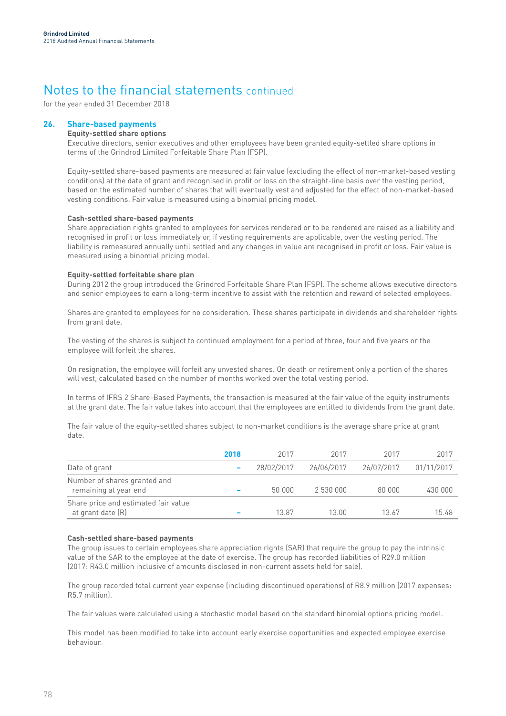for the year ended 31 December 2018

## **26. Share-based payments**

## **Equity-settled share options**

Executive directors, senior executives and other employees have been granted equity-settled share options in terms of the Grindrod Limited Forfeitable Share Plan (FSP).

Equity-settled share-based payments are measured at fair value (excluding the effect of non-market-based vesting conditions) at the date of grant and recognised in profit or loss on the straight-line basis over the vesting period, based on the estimated number of shares that will eventually vest and adjusted for the effect of non-market-based vesting conditions. Fair value is measured using a binomial pricing model.

## **Cash-settled share-based payments**

Share appreciation rights granted to employees for services rendered or to be rendered are raised as a liability and recognised in profit or loss immediately or, if vesting requirements are applicable, over the vesting period. The liability is remeasured annually until settled and any changes in value are recognised in profit or loss. Fair value is measured using a binomial pricing model.

## **Equity-settled forfeitable share plan**

During 2012 the group introduced the Grindrod Forfeitable Share Plan (FSP). The scheme allows executive directors and senior employees to earn a long-term incentive to assist with the retention and reward of selected employees.

Shares are granted to employees for no consideration. These shares participate in dividends and shareholder rights from grant date.

The vesting of the shares is subject to continued employment for a period of three, four and five years or the employee will forfeit the shares.

On resignation, the employee will forfeit any unvested shares. On death or retirement only a portion of the shares will vest, calculated based on the number of months worked over the total vesting period.

In terms of IFRS 2 Share-Based Payments, the transaction is measured at the fair value of the equity instruments at the grant date. The fair value takes into account that the employees are entitled to dividends from the grant date.

The fair value of the equity-settled shares subject to non-market conditions is the average share price at grant date.

|                                                           | 2018 | 2017       | 2017       | 2017       | 2017       |
|-----------------------------------------------------------|------|------------|------------|------------|------------|
| Date of grant                                             |      | 28/02/2017 | 26/06/2017 | 26/07/2017 | 01/11/2017 |
| Number of shares granted and<br>remaining at year end     |      | 50 000     | 2 530 000  | 80.000     | 430 000    |
| Share price and estimated fair value<br>at grant date (R) |      | 13.87      | 13.00.     | 13.67      | 15.48      |

## **Cash-settled share-based payments**

The group issues to certain employees share appreciation rights (SAR) that require the group to pay the intrinsic value of the SAR to the employee at the date of exercise. The group has recorded liabilities of R29.0 million (2017: R43.0 million inclusive of amounts disclosed in non-current assets held for sale).

The group recorded total current year expense (including discontinued operations) of R8.9 million (2017 expenses: R5.7 million).

The fair values were calculated using a stochastic model based on the standard binomial options pricing model.

This model has been modified to take into account early exercise opportunities and expected employee exercise behaviour.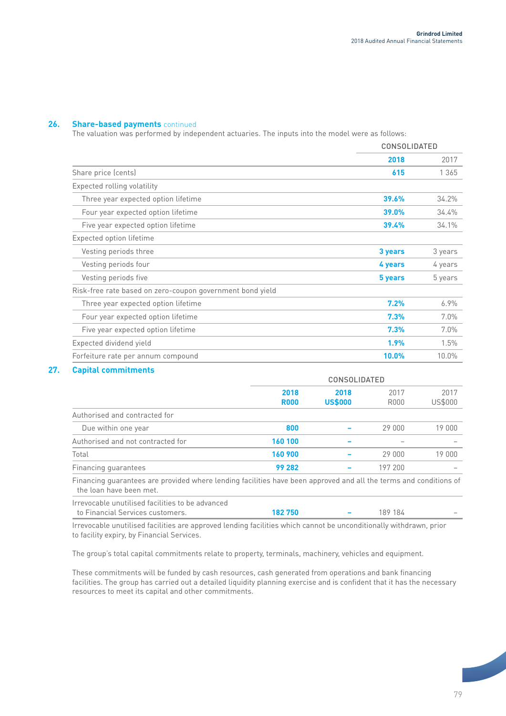## **26. Share-based payments** continued

The valuation was performed by independent actuaries. The inputs into the model were as follows:

|                                                           |         | <b>CONSOLIDATED</b> |  |
|-----------------------------------------------------------|---------|---------------------|--|
|                                                           | 2018    | 2017                |  |
| Share price (cents)                                       | 615     | 1 3 6 5             |  |
| Expected rolling volatility                               |         |                     |  |
| Three year expected option lifetime                       | 39.6%   | 34.2%               |  |
| Four year expected option lifetime                        | 39.0%   | 34.4%               |  |
| Five year expected option lifetime                        | 39.4%   | 34.1%               |  |
| Expected option lifetime                                  |         |                     |  |
| Vesting periods three                                     | 3 years | 3 years             |  |
| Vesting periods four                                      | 4 years | 4 years             |  |
| Vesting periods five                                      | 5 years | 5 years             |  |
| Risk-free rate based on zero-coupon government bond yield |         |                     |  |
| Three year expected option lifetime                       | 7.2%    | $6.9\%$             |  |
| Four year expected option lifetime                        | 7.3%    | 7.0%                |  |
| Five year expected option lifetime                        | 7.3%    | $7.0\%$             |  |
| Expected dividend yield                                   | 1.9%    | 1.5%                |  |
| Forfeiture rate per annum compound                        | 10.0%   | 10.0%               |  |

## **27. Capital commitments**

|                                   | <b>CONSOLIDATED</b> |                        |              |                 |  |
|-----------------------------------|---------------------|------------------------|--------------|-----------------|--|
|                                   | 2018<br><b>R000</b> | 2018<br><b>US\$000</b> | 2017<br>R000 | 2017<br>US\$000 |  |
| Authorised and contracted for     |                     |                        |              |                 |  |
| Due within one year               | 800                 |                        | 29 000       | 19 000          |  |
| Authorised and not contracted for | 160 100             |                        |              |                 |  |
| Total                             | 160 900             |                        | 29 000       | 19 000          |  |
| Financing guarantees              | 99 282              |                        | 197 200      |                 |  |

Financing guarantees are provided where lending facilities have been approved and all the terms and conditions of the loan have been met.

| Irrevocable unutilised facilities to be advanced |        |         |                          |
|--------------------------------------------------|--------|---------|--------------------------|
| to Financial Services customers.                 | 182750 | 189 184 | $\overline{\phantom{a}}$ |

Irrevocable unutilised facilities are approved lending facilities which cannot be unconditionally withdrawn, prior to facility expiry, by Financial Services.

The group's total capital commitments relate to property, terminals, machinery, vehicles and equipment.

These commitments will be funded by cash resources, cash generated from operations and bank financing facilities. The group has carried out a detailed liquidity planning exercise and is confident that it has the necessary resources to meet its capital and other commitments.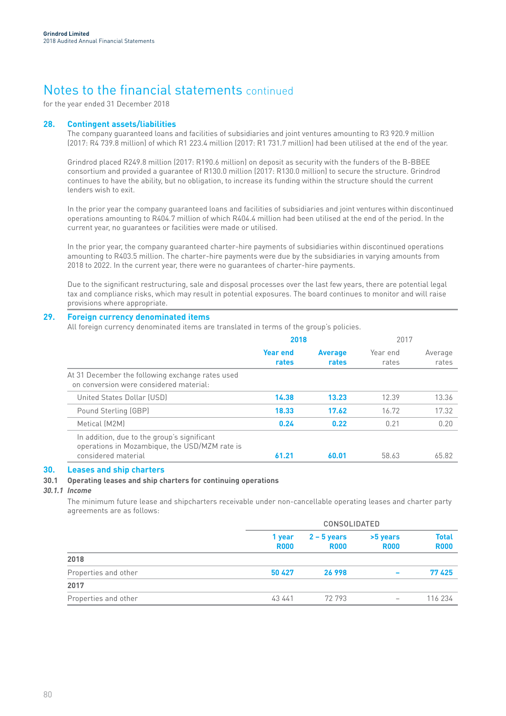for the year ended 31 December 2018

## **28. Contingent assets/liabilities**

The company guaranteed loans and facilities of subsidiaries and joint ventures amounting to R3 920.9 million (2017: R4 739.8 million) of which R1 223.4 million (2017: R1 731.7 million) had been utilised at the end of the year.

Grindrod placed R249.8 million (2017: R190.6 million) on deposit as security with the funders of the B-BBEE consortium and provided a guarantee of R130.0 million (2017: R130.0 million) to secure the structure. Grindrod continues to have the ability, but no obligation, to increase its funding within the structure should the current lenders wish to exit.

In the prior year the company guaranteed loans and facilities of subsidiaries and joint ventures within discontinued operations amounting to R404.7 million of which R404.4 million had been utilised at the end of the period. In the current year, no guarantees or facilities were made or utilised.

In the prior year, the company guaranteed charter-hire payments of subsidiaries within discontinued operations amounting to R403.5 million. The charter-hire payments were due by the subsidiaries in varying amounts from 2018 to 2022. In the current year, there were no guarantees of charter-hire payments.

Due to the significant restructuring, sale and disposal processes over the last few years, there are potential legal tax and compliance risks, which may result in potential exposures. The board continues to monitor and will raise provisions where appropriate.

## **29. Foreign currency denominated items**

All foreign currency denominated items are translated in terms of the group's policies.

|                                                                                                                     | 2018                     |                         | 2017              |                  |
|---------------------------------------------------------------------------------------------------------------------|--------------------------|-------------------------|-------------------|------------------|
|                                                                                                                     | <b>Year end</b><br>rates | <b>Average</b><br>rates | Year end<br>rates | Average<br>rates |
| At 31 December the following exchange rates used<br>on conversion were considered material:                         |                          |                         |                   |                  |
| United States Dollar (USD)                                                                                          | 14.38                    | 13.23                   | 12.39             | 13.36            |
| Pound Sterling (GBP)                                                                                                | 18.33                    | 17.62                   | 16.72             | 17.32            |
| Metical (M2M)                                                                                                       | 0.24                     | 0.22                    | 0.21              | 0.20             |
| In addition, due to the group's significant<br>operations in Mozambique, the USD/MZM rate is<br>considered material | 61.21                    | 60.01                   | 58.63             | 65.82            |

## **30. Leases and ship charters**

## **30.1 Operating leases and ship charters for continuing operations**

## *30.1.1 Income*

The minimum future lease and shipcharters receivable under non-cancellable operating leases and charter party agreements are as follows:

|                      | <b>CONSOLIDATED</b>   |                              |                          |                             |  |
|----------------------|-----------------------|------------------------------|--------------------------|-----------------------------|--|
|                      | 1 year<br><b>R000</b> | $2 - 5$ years<br><b>R000</b> | >5 years<br><b>R000</b>  | <b>Total</b><br><b>R000</b> |  |
| 2018                 |                       |                              |                          |                             |  |
| Properties and other | 50 427                | 26 998                       | $\overline{\phantom{0}}$ | 77425                       |  |
| 2017                 |                       |                              |                          |                             |  |
| Properties and other | 43 441                | 72 793                       | $\overline{\phantom{a}}$ | 116 234                     |  |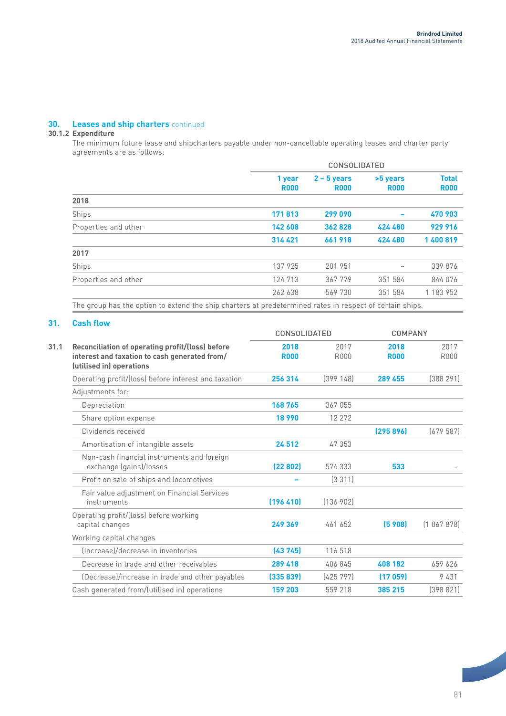## **30. Leases and ship charters** continued

## **30.1.2 Expenditure**

The minimum future lease and shipcharters payable under non-cancellable operating leases and charter party agreements are as follows:

|                      | <b>CONSOLIDATED</b>   |                              |                         |                             |  |  |
|----------------------|-----------------------|------------------------------|-------------------------|-----------------------------|--|--|
|                      | 1 year<br><b>R000</b> | $2 - 5$ years<br><b>R000</b> | >5 years<br><b>R000</b> | <b>Total</b><br><b>R000</b> |  |  |
| 2018                 |                       |                              |                         |                             |  |  |
| Ships                | 171813                | 299 090                      |                         | 470 903                     |  |  |
| Properties and other | 142 608               | 362828                       | 424 480                 | 929 916                     |  |  |
|                      | 314 421               | 661918                       | 424 480                 | 1 400 819                   |  |  |
| 2017                 |                       |                              |                         |                             |  |  |
| Ships                | 137 925               | 201 951                      |                         | 339 876                     |  |  |
| Properties and other | 124 713               | 367 779                      | 351 584                 | 844 076                     |  |  |
|                      | 262 638               | 569 730                      | 351 584                 | 1 183 952                   |  |  |
|                      |                       |                              |                         |                             |  |  |

The group has the option to extend the ship charters at predetermined rates in respect of certain ships.

## **31. Cash flow**

|                                                                                                                               | <b>CONSOLIDATED</b> |              | COMPANY             |                     |
|-------------------------------------------------------------------------------------------------------------------------------|---------------------|--------------|---------------------|---------------------|
| Reconciliation of operating profit/(loss) before<br>interest and taxation to cash generated from/<br>(utilised in) operations | 2018<br><b>R000</b> | 2017<br>R000 | 2018<br><b>R000</b> | 2017<br><b>R000</b> |
| Operating profit/(loss) before interest and taxation                                                                          | 256 314             | [399 148]    | 289 455             | (388 291)           |
| Adjustments for:                                                                                                              |                     |              |                     |                     |
| Depreciation                                                                                                                  | 168765              | 367 055      |                     |                     |
| Share option expense                                                                                                          | 18 990              | 12 27 2      |                     |                     |
| Dividends received                                                                                                            |                     |              | (295896)            | (679587)            |
| Amortisation of intangible assets                                                                                             | 24512               | 47 353       |                     |                     |
| Non-cash financial instruments and foreign<br>exchange (gains)/losses                                                         | (22802)             | 574 333      | 533                 |                     |
| Profit on sale of ships and locomotives                                                                                       |                     | (3311)       |                     |                     |
| Fair value adjustment on Financial Services<br>instruments                                                                    | (196, 410)          | [136902]     |                     |                     |
| Operating profit/(loss) before working<br>capital changes                                                                     | 249 369             | 461 652      | (5, 908)            | (1067878)           |
| Working capital changes                                                                                                       |                     |              |                     |                     |
| (Increase)/decrease in inventories                                                                                            | (43745)             | 116 518      |                     |                     |
| Decrease in trade and other receivables                                                                                       | 289 418             | 406 845      | 408 182             | 659 626             |
| (Decrease)/increase in trade and other payables                                                                               | (335 839)           | (425797)     | (17059)             | 9431                |
| Cash generated from/(utilised in) operations                                                                                  | 159 203             | 559 218      | 385 215             | [398 821]           |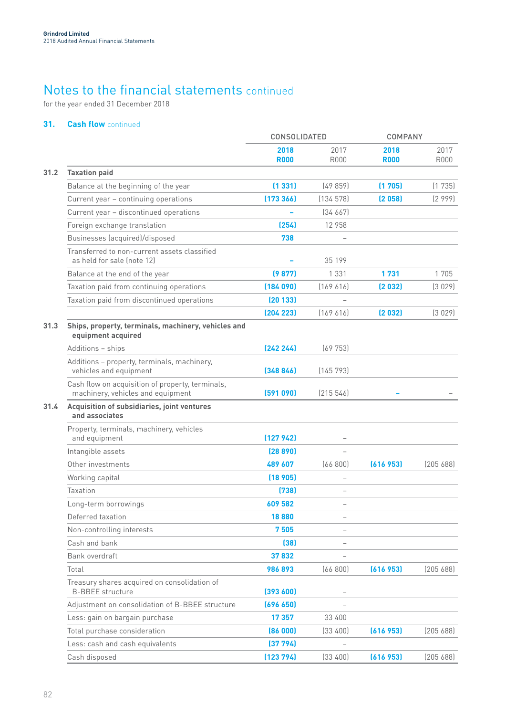for the year ended 31 December 2018

## **31. Cash flow** continued

|      |                                                                                       | <b>CONSOLIDATED</b> |                          | <b>COMPANY</b>      |                     |
|------|---------------------------------------------------------------------------------------|---------------------|--------------------------|---------------------|---------------------|
|      |                                                                                       | 2018<br><b>R000</b> | 2017<br><b>R000</b>      | 2018<br><b>R000</b> | 2017<br><b>R000</b> |
| 31.2 | <b>Taxation paid</b>                                                                  |                     |                          |                     |                     |
|      | Balance at the beginning of the year                                                  | (1331)              | [49859]                  | (1705)              | (1735)              |
|      | Current year - continuing operations                                                  | (173366)            | (134578)                 | (2058)              | (2999)              |
|      | Current year - discontinued operations                                                |                     | [34 667]                 |                     |                     |
|      | Foreign exchange translation                                                          | (254)               | 12 958                   |                     |                     |
|      | Businesses (acquired)/disposed                                                        | 738                 |                          |                     |                     |
|      | Transferred to non-current assets classified<br>as held for sale (note 12)            |                     | 35 199                   |                     |                     |
|      | Balance at the end of the year                                                        | (9877)              | 1 3 3 1                  | 1731                | 1705                |
|      | Taxation paid from continuing operations                                              | (184090)            | [169 616]                | (2 032)             | (3029)              |
|      | Taxation paid from discontinued operations                                            | (20133)             |                          |                     |                     |
|      |                                                                                       | (204 223)           | (169 616)                | (2 032)             | (3029)              |
| 31.3 | Ships, property, terminals, machinery, vehicles and<br>equipment acquired             |                     |                          |                     |                     |
|      | Additions - ships                                                                     | [242 244]           | (69753)                  |                     |                     |
|      | Additions - property, terminals, machinery,<br>vehicles and equipment                 | (348846)            | (145793)                 |                     |                     |
|      | Cash flow on acquisition of property, terminals,<br>machinery, vehicles and equipment | (591090)            | (215 546)                |                     |                     |
| 31.4 | Acquisition of subsidiaries, joint ventures<br>and associates                         |                     |                          |                     |                     |
|      | Property, terminals, machinery, vehicles<br>and equipment                             | (127942)            |                          |                     |                     |
|      | Intangible assets                                                                     | (28890)             |                          |                     |                     |
|      | Other investments                                                                     | 489 607             | [66800]                  | (616 953)           | (205 688)           |
|      | Working capital                                                                       | (18905)             |                          |                     |                     |
|      | Taxation                                                                              | (738)               | $\overline{\phantom{0}}$ |                     |                     |
|      | Long-term borrowings                                                                  | 609 582             | $\overline{\phantom{0}}$ |                     |                     |
|      | Deferred taxation                                                                     | 18880               |                          |                     |                     |
|      | Non-controlling interests                                                             | 7505                |                          |                     |                     |
|      | Cash and bank                                                                         | (38)                |                          |                     |                     |
|      | Bank overdraft                                                                        | 37832               |                          |                     |                     |
|      | Total                                                                                 | 986893              | (66 800)                 | (616953)            | (20568)             |
|      | Treasury shares acquired on consolidation of<br><b>B-BBEE</b> structure               | (393600)            |                          |                     |                     |
|      | Adjustment on consolidation of B-BBEE structure                                       | (696 650)           |                          |                     |                     |
|      | Less: gain on bargain purchase                                                        | 17 357              | 33 400                   |                     |                     |
|      | Total purchase consideration                                                          | (86000)             | (33 400)                 | (616953)            | (205 688)           |
|      | Less: cash and cash equivalents                                                       | (37 794)            |                          |                     |                     |
|      | Cash disposed                                                                         | (123794)            | (33 400)                 | (616953)            | (205 688)           |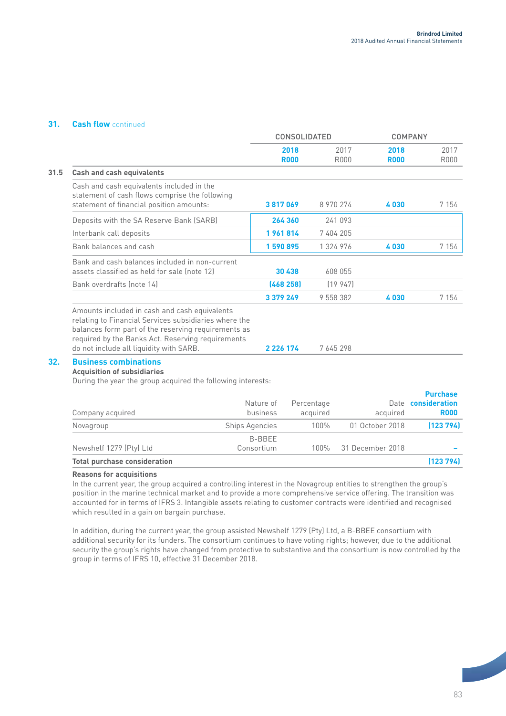## **31. Cash flow** continued

|                                                                                                                                                                                                                    | <b>CONSOLIDATED</b> |              | <b>COMPANY</b>      |                     |
|--------------------------------------------------------------------------------------------------------------------------------------------------------------------------------------------------------------------|---------------------|--------------|---------------------|---------------------|
|                                                                                                                                                                                                                    | 2018<br><b>R000</b> | 2017<br>R000 | 2018<br><b>R000</b> | 2017<br><b>R000</b> |
| <b>Cash and cash equivalents</b>                                                                                                                                                                                   |                     |              |                     |                     |
| Cash and cash equivalents included in the<br>statement of cash flows comprise the following<br>statement of financial position amounts:                                                                            | 3817069             | 8 970 274    | 4030                | 7 1 5 4             |
| Deposits with the SA Reserve Bank (SARB)                                                                                                                                                                           | 264 360             | 241 093      |                     |                     |
| Interbank call deposits                                                                                                                                                                                            | 1961814             | 7404205      |                     |                     |
| Bank balances and cash                                                                                                                                                                                             | 1590895             | 1 324 976    | 4030                | 7 1 5 4             |
| Bank and cash balances included in non-current<br>assets classified as held for sale (note 12)                                                                                                                     | 30 438              | 608 055      |                     |                     |
| Bank overdrafts (note 14)                                                                                                                                                                                          | (468 258)           | (19947)      |                     |                     |
|                                                                                                                                                                                                                    | 3 379 249           | 9 558 382    | 4030                | 7 1 5 4             |
| Amounts included in cash and cash equivalents<br>relating to Financial Services subsidiaries where the<br>balances form part of the reserving requirements as<br>required by the Banks Act. Reserving requirements |                     |              |                     |                     |
| do not include all liquidity with SARB.                                                                                                                                                                            | 2 2 2 4 1 7 4       | 7 645 298    |                     |                     |

## **32. Business combinations**

**Acquisition of subsidiaries**

During the year the group acquired the following interests:

| Company acquired                    | Nature of<br>business | Percentage<br>acquired | acquired         | <b>Purchase</b><br>Date consideration<br><b>R000</b> |
|-------------------------------------|-----------------------|------------------------|------------------|------------------------------------------------------|
| Novagroup                           | <b>Ships Agencies</b> | $100\%$                | 01 October 2018  | (123794)                                             |
| Newshelf 1279 (Pty) Ltd             | B-BBEE<br>Consortium  | 100%                   | 31 December 2018 |                                                      |
| <b>Total purchase consideration</b> |                       |                        |                  | (123794)                                             |

## **Reasons for acquisitions**

In the current year, the group acquired a controlling interest in the Novagroup entities to strengthen the group's position in the marine technical market and to provide a more comprehensive service offering. The transition was accounted for in terms of IFRS 3. Intangible assets relating to customer contracts were identified and recognised which resulted in a gain on bargain purchase.

In addition, during the current year, the group assisted Newshelf 1279 (Pty) Ltd, a B-BBEE consortium with additional security for its funders. The consortium continues to have voting rights; however, due to the additional security the group's rights have changed from protective to substantive and the consortium is now controlled by the group in terms of IFRS 10, effective 31 December 2018.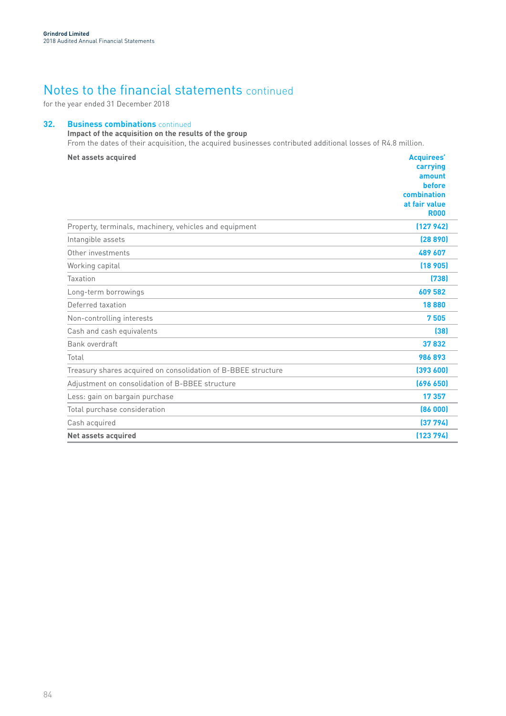for the year ended 31 December 2018

## **32. Business combinations** continued

## **Impact of the acquisition on the results of the group**

From the dates of their acquisition, the acquired businesses contributed additional losses of R4.8 million.

| <b>Net assets acquired</b>                                    | <b>Acquirees'</b><br>carrying<br>amount<br>before<br>combination<br>at fair value<br><b>R000</b> |
|---------------------------------------------------------------|--------------------------------------------------------------------------------------------------|
| Property, terminals, machinery, vehicles and equipment        | (127942)                                                                                         |
| Intangible assets                                             | (28890)                                                                                          |
| Other investments                                             | 489 607                                                                                          |
| Working capital                                               | (18905)                                                                                          |
| Taxation                                                      | (738)                                                                                            |
| Long-term borrowings                                          | 609 582                                                                                          |
| Deferred taxation                                             | 18880                                                                                            |
| Non-controlling interests                                     | 7505                                                                                             |
| Cash and cash equivalents                                     | [38]                                                                                             |
| Bank overdraft                                                | 37832                                                                                            |
| Total                                                         | 986893                                                                                           |
| Treasury shares acquired on consolidation of B-BBEE structure | (393600)                                                                                         |
| Adjustment on consolidation of B-BBEE structure               | (696 650)                                                                                        |
| Less: gain on bargain purchase                                | 17357                                                                                            |
| Total purchase consideration                                  | (86000)                                                                                          |
| Cash acquired                                                 | (37794)                                                                                          |
| <b>Net assets acquired</b>                                    | (123794)                                                                                         |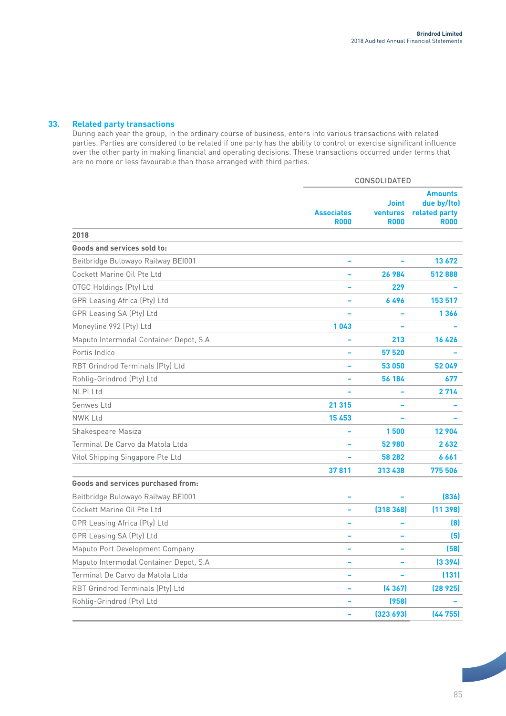## **33. Related party transactions**

During each year the group, in the ordinary course of business, enters into various transactions with related parties. Parties are considered to be related if one party has the ability to control or exercise significant influence over the other party in making financial and operating decisions. These transactions occurred under terms that are no more or less favourable than those arranged with third parties.

|                                        | CONSOLIDATED                     |                                                |                                                               |  |  |
|----------------------------------------|----------------------------------|------------------------------------------------|---------------------------------------------------------------|--|--|
|                                        | <b>Associates</b><br><b>R000</b> | <b>Joint</b><br><b>ventures</b><br><b>R000</b> | <b>Amounts</b><br>due by/(to)<br>related party<br><b>R000</b> |  |  |
| 2018                                   |                                  |                                                |                                                               |  |  |
| Goods and services sold to:            |                                  |                                                |                                                               |  |  |
| Beitbridge Bulowayo Railway BEI001     |                                  |                                                | 13672                                                         |  |  |
| Cockett Marine Oil Pte Ltd             |                                  | 26 984                                         | 512888                                                        |  |  |
| OTGC Holdings (Pty) Ltd                |                                  | 229                                            |                                                               |  |  |
| GPR Leasing Africa (Pty) Ltd           |                                  | 6496                                           | 153 517                                                       |  |  |
| GPR Leasing SA (Pty) Ltd               |                                  |                                                | 1366                                                          |  |  |
| Moneyline 992 (Pty) Ltd                | 1043                             |                                                |                                                               |  |  |
| Maputo Intermodal Container Depot, S.A |                                  | 213                                            | 16 4 26                                                       |  |  |
| Portis Indico                          |                                  | 57 520                                         |                                                               |  |  |
| RBT Grindrod Terminals (Pty) Ltd       |                                  | 53 050                                         | 52049                                                         |  |  |
| Rohlig-Grindrod (Pty) Ltd              |                                  | 56 184                                         | 677                                                           |  |  |
| <b>NLPI Ltd</b>                        |                                  |                                                | 2714                                                          |  |  |
| Senwes Ltd                             | 21 315                           |                                                |                                                               |  |  |
| <b>NWK Ltd</b>                         | 15453                            |                                                |                                                               |  |  |
| Shakespeare Masiza                     |                                  | 1500                                           | 12 904                                                        |  |  |
| Terminal De Carvo da Matola Ltda       |                                  | 52 980                                         | 2632                                                          |  |  |
| Vitol Shipping Singapore Pte Ltd       |                                  | 58 282                                         | 6661                                                          |  |  |
|                                        | 37811                            | 313 438                                        | 775 506                                                       |  |  |
| Goods and services purchased from:     |                                  |                                                |                                                               |  |  |
| Beitbridge Bulowayo Railway BEI001     |                                  |                                                | [836]                                                         |  |  |
| Cockett Marine Oil Pte Ltd             |                                  | (318368)                                       | (11398)                                                       |  |  |
| <b>GPR Leasing Africa (Pty) Ltd</b>    |                                  |                                                | (8)                                                           |  |  |
| GPR Leasing SA (Pty) Ltd               |                                  |                                                | (5)                                                           |  |  |
| Maputo Port Development Company        |                                  |                                                | (58)                                                          |  |  |
| Maputo Intermodal Container Depot, S.A |                                  |                                                | (3394)                                                        |  |  |
| Terminal De Carvo da Matola Ltda       |                                  |                                                | (131)                                                         |  |  |
| RBT Grindrod Terminals (Pty) Ltd       |                                  | (4367)                                         | (28925)                                                       |  |  |
| Rohlig-Grindrod (Pty) Ltd              |                                  | (958)                                          |                                                               |  |  |
|                                        |                                  | (323693)                                       | (44755)                                                       |  |  |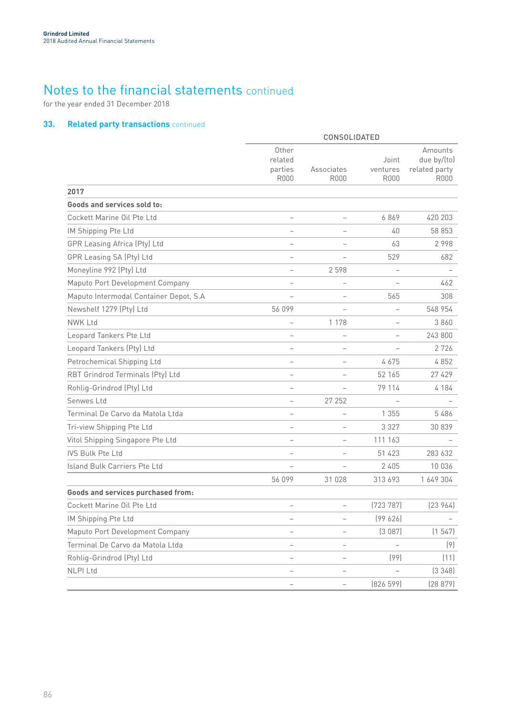for the year ended 31 December 2018

## **33. Related party transactions** continued

|                                        | CONSOLIDATED                               |                           |                                  |                                                 |  |  |  |
|----------------------------------------|--------------------------------------------|---------------------------|----------------------------------|-------------------------------------------------|--|--|--|
|                                        | Other<br>related<br>parties<br><b>R000</b> | Associates<br><b>R000</b> | Joint<br>ventures<br><b>R000</b> | Amounts<br>due by/(to)<br>related party<br>R000 |  |  |  |
| 2017                                   |                                            |                           |                                  |                                                 |  |  |  |
| Goods and services sold to:            |                                            |                           |                                  |                                                 |  |  |  |
| Cockett Marine Oil Pte Ltd             | $\overline{\phantom{0}}$                   |                           | 6869                             | 420 203                                         |  |  |  |
| IM Shipping Pte Ltd                    |                                            |                           | 40                               | 58 853                                          |  |  |  |
| GPR Leasing Africa (Pty) Ltd           |                                            |                           | 63                               | 2998                                            |  |  |  |
| GPR Leasing SA (Pty) Ltd               |                                            |                           | 529                              | 682                                             |  |  |  |
| Moneyline 992 (Pty) Ltd                | $\overline{\phantom{0}}$                   | 2 5 9 8                   | $\overline{\phantom{0}}$         |                                                 |  |  |  |
| Maputo Port Development Company        |                                            |                           |                                  | 462                                             |  |  |  |
| Maputo Intermodal Container Depot, S.A |                                            |                           | 565                              | 308                                             |  |  |  |
| Newshelf 1279 (Pty) Ltd                | 56 099                                     |                           | $\overline{\phantom{0}}$         | 548 954                                         |  |  |  |
| <b>NWK Ltd</b>                         | $\overline{\phantom{0}}$                   | 1 1 7 8                   |                                  | 3860                                            |  |  |  |
| Leopard Tankers Pte Ltd                |                                            |                           |                                  | 243 800                                         |  |  |  |
| Leopard Tankers (Pty) Ltd              | $\overline{\phantom{0}}$                   |                           |                                  | 2726                                            |  |  |  |
| Petrochemical Shipping Ltd             |                                            |                           | 4675                             | 4852                                            |  |  |  |
| RBT Grindrod Terminals (Pty) Ltd       |                                            | $\qquad \qquad -$         | 52 165                           | 27 429                                          |  |  |  |
| Rohlig-Grindrod (Pty) Ltd              | $\overline{\phantom{0}}$                   |                           | 79 114                           | 4 184                                           |  |  |  |
| Senwes Ltd                             |                                            | 27 25 2                   |                                  |                                                 |  |  |  |
| Terminal De Carvo da Matola Ltda       |                                            |                           | 1 3 5 5                          | 5486                                            |  |  |  |
| Tri-view Shipping Pte Ltd              | $\overline{\phantom{0}}$                   |                           | 3 3 2 7                          | 30 839                                          |  |  |  |
| Vitol Shipping Singapore Pte Ltd       | $\overline{\phantom{0}}$                   |                           | 111 163                          |                                                 |  |  |  |
| <b>IVS Bulk Pte Ltd</b>                | $\overline{\phantom{0}}$                   | $\overline{\phantom{0}}$  | 51 423                           | 283 632                                         |  |  |  |
| Island Bulk Carriers Pte Ltd           |                                            |                           | 2 4 0 5                          | 10 0 36                                         |  |  |  |
|                                        | 56 099                                     | 31 0 28                   | 313 693                          | 1 649 304                                       |  |  |  |
| Goods and services purchased from:     |                                            |                           |                                  |                                                 |  |  |  |
| Cockett Marine Oil Pte Ltd             |                                            | $\overline{\phantom{0}}$  | [723 787]                        | [23964]                                         |  |  |  |
| IM Shipping Pte Ltd                    |                                            |                           | (99626)                          | $\overline{\phantom{0}}$                        |  |  |  |
| Maputo Port Development Company        |                                            |                           | (3087)                           | (1547)                                          |  |  |  |
| Terminal De Carvo da Matola Ltda       |                                            |                           | $\overline{\phantom{a}}$         | (9)                                             |  |  |  |
| Rohlig-Grindrod (Pty) Ltd              | -                                          | $\overline{\phantom{0}}$  | (99)                             | (11)                                            |  |  |  |
| <b>NLPI Ltd</b>                        | $\overline{\phantom{0}}$                   |                           |                                  | (3348)                                          |  |  |  |
|                                        |                                            | -                         | (826 599)                        | (28 879)                                        |  |  |  |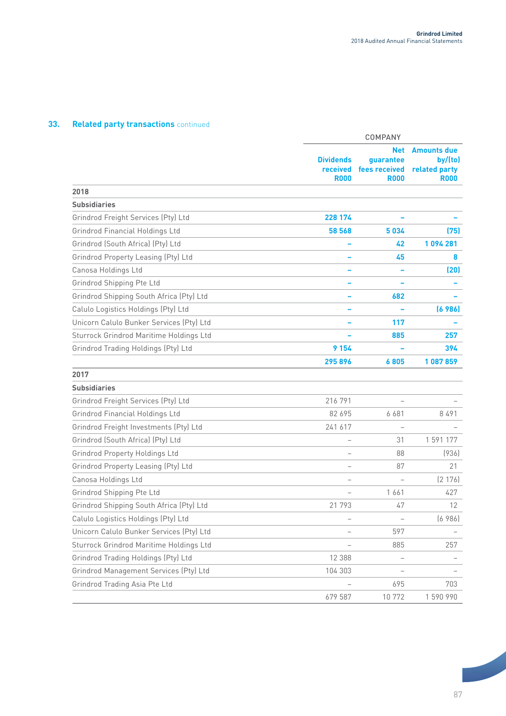## **33. Related party transactions** continued

|                                          | <b>COMPANY</b>                              |                                                         |                                                               |  |  |
|------------------------------------------|---------------------------------------------|---------------------------------------------------------|---------------------------------------------------------------|--|--|
|                                          | <b>Dividends</b><br>received<br><b>R000</b> | <b>Net</b><br>guarantee<br>fees received<br><b>R000</b> | <b>Amounts due</b><br>by/(to)<br>related party<br><b>R000</b> |  |  |
| 2018                                     |                                             |                                                         |                                                               |  |  |
| <b>Subsidiaries</b>                      |                                             |                                                         |                                                               |  |  |
| Grindrod Freight Services (Pty) Ltd      | 228 174                                     |                                                         |                                                               |  |  |
| <b>Grindrod Financial Holdings Ltd</b>   | 58 568                                      | 5034                                                    | (75)                                                          |  |  |
| Grindrod (South Africa) (Pty) Ltd        |                                             | 42                                                      | 1094281                                                       |  |  |
| Grindrod Property Leasing (Pty) Ltd      |                                             | 45                                                      | 8                                                             |  |  |
| Canosa Holdings Ltd                      |                                             |                                                         | (20)                                                          |  |  |
| Grindrod Shipping Pte Ltd                |                                             |                                                         |                                                               |  |  |
| Grindrod Shipping South Africa (Pty) Ltd |                                             | 682                                                     |                                                               |  |  |
| Calulo Logistics Holdings (Pty) Ltd      |                                             |                                                         | (6986)                                                        |  |  |
| Unicorn Calulo Bunker Services (Pty) Ltd |                                             | 117                                                     |                                                               |  |  |
| Sturrock Grindrod Maritime Holdings Ltd  |                                             | 885                                                     | 257                                                           |  |  |
| Grindrod Trading Holdings (Pty) Ltd      | 9 1 5 4                                     |                                                         | 394                                                           |  |  |
|                                          | 295896                                      | 6805                                                    | 1087859                                                       |  |  |
| 2017                                     |                                             |                                                         |                                                               |  |  |
| <b>Subsidiaries</b>                      |                                             |                                                         |                                                               |  |  |
| Grindrod Freight Services (Pty) Ltd      | 216 791                                     |                                                         |                                                               |  |  |
| Grindrod Financial Holdings Ltd          | 82 695                                      | 6 681                                                   | 8491                                                          |  |  |
| Grindrod Freight Investments (Pty) Ltd   | 241 617                                     | $\qquad \qquad -$                                       |                                                               |  |  |
| Grindrod (South Africa) (Pty) Ltd        |                                             | 31                                                      | 1 591 177                                                     |  |  |
| <b>Grindrod Property Holdings Ltd</b>    |                                             | 88                                                      | (936)                                                         |  |  |
| Grindrod Property Leasing (Pty) Ltd      |                                             | 87                                                      | 21                                                            |  |  |
| Canosa Holdings Ltd                      |                                             | $\overline{\phantom{0}}$                                | (2176)                                                        |  |  |
| Grindrod Shipping Pte Ltd                |                                             | 1661                                                    | 427                                                           |  |  |
| Grindrod Shipping South Africa (Pty) Ltd | 21 793                                      | 47                                                      | 12                                                            |  |  |
| Calulo Logistics Holdings (Pty) Ltd      | $\qquad \qquad -$                           | $\overline{\phantom{0}}$                                | (6986)                                                        |  |  |
| Unicorn Calulo Bunker Services (Pty) Ltd |                                             | 597                                                     |                                                               |  |  |
| Sturrock Grindrod Maritime Holdings Ltd  |                                             | 885                                                     | 257                                                           |  |  |
| Grindrod Trading Holdings (Pty) Ltd      | 12 388                                      | $\qquad \qquad -$                                       |                                                               |  |  |
| Grindrod Management Services (Pty) Ltd   | 104 303                                     |                                                         |                                                               |  |  |
| Grindrod Trading Asia Pte Ltd            |                                             | 695                                                     | 703                                                           |  |  |
|                                          | 679 587                                     | 10 772                                                  | 1590990                                                       |  |  |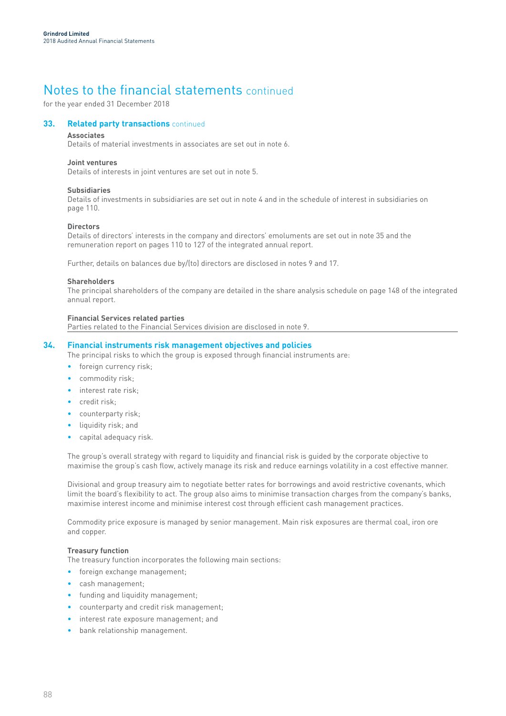for the year ended 31 December 2018

## **33. Related party transactions** continued

## **Associates**

Details of material investments in associates are set out in note 6.

### **Joint ventures**

Details of interests in joint ventures are set out in note 5.

### **Subsidiaries**

Details of investments in subsidiaries are set out in note 4 and in the schedule of interest in subsidiaries on page 110.

### **Directors**

Details of directors' interests in the company and directors' emoluments are set out in note 35 and the remuneration report on pages 110 to 127 of the integrated annual report.

Further, details on balances due by/(to) directors are disclosed in notes 9 and 17.

### **Shareholders**

The principal shareholders of the company are detailed in the share analysis schedule on page 148 of the integrated annual report.

### **Financial Services related parties**

Parties related to the Financial Services division are disclosed in note 9.

## **34. Financial instruments risk management objectives and policies**

The principal risks to which the group is exposed through financial instruments are:

- foreign currency risk;
- commodity risk;
- interest rate risk;
- credit risk;
- counterparty risk;
- liquidity risk; and
- capital adequacy risk.

The group's overall strategy with regard to liquidity and financial risk is guided by the corporate objective to maximise the group's cash flow, actively manage its risk and reduce earnings volatility in a cost effective manner.

Divisional and group treasury aim to negotiate better rates for borrowings and avoid restrictive covenants, which limit the board's flexibility to act. The group also aims to minimise transaction charges from the company's banks, maximise interest income and minimise interest cost through efficient cash management practices.

Commodity price exposure is managed by senior management. Main risk exposures are thermal coal, iron ore and copper.

## **Treasury function**

The treasury function incorporates the following main sections:

- foreign exchange management;
- cash management;
- funding and liquidity management;
- counterparty and credit risk management;
- interest rate exposure management; and
- bank relationship management.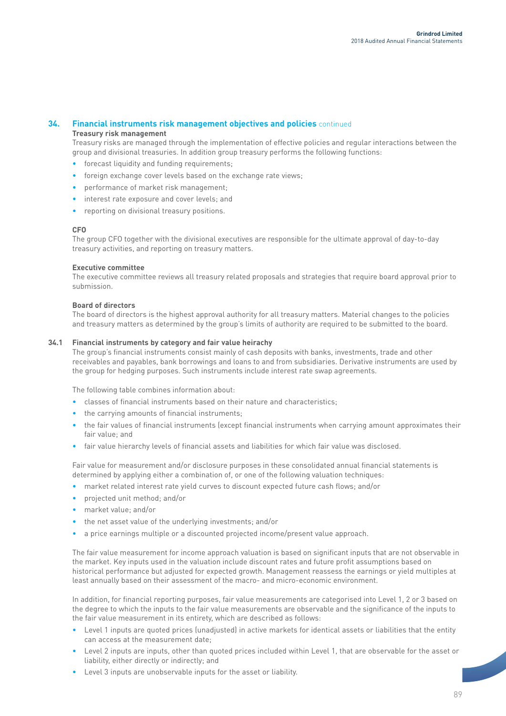## **34. Financial instruments risk management objectives and policies** continued

## **Treasury risk management**

Treasury risks are managed through the implementation of effective policies and regular interactions between the group and divisional treasuries. In addition group treasury performs the following functions:

- forecast liquidity and funding requirements;
- foreign exchange cover levels based on the exchange rate views;
- performance of market risk management;
- interest rate exposure and cover levels; and
- reporting on divisional treasury positions.

## **CFO**

The group CFO together with the divisional executives are responsible for the ultimate approval of day-to-day treasury activities, and reporting on treasury matters.

## **Executive committee**

The executive committee reviews all treasury related proposals and strategies that require board approval prior to submission.

## **Board of directors**

The board of directors is the highest approval authority for all treasury matters. Material changes to the policies and treasury matters as determined by the group's limits of authority are required to be submitted to the board.

## **34.1 Financial instruments by category and fair value heirachy**

The group's financial instruments consist mainly of cash deposits with banks, investments, trade and other receivables and payables, bank borrowings and loans to and from subsidiaries. Derivative instruments are used by the group for hedging purposes. Such instruments include interest rate swap agreements.

The following table combines information about:

- classes of financial instruments based on their nature and characteristics;
- the carrying amounts of financial instruments;
- the fair values of financial instruments (except financial instruments when carrying amount approximates their fair value; and
- fair value hierarchy levels of financial assets and liabilities for which fair value was disclosed.

Fair value for measurement and/or disclosure purposes in these consolidated annual financial statements is determined by applying either a combination of, or one of the following valuation techniques:

- market related interest rate yield curves to discount expected future cash flows; and/or
- projected unit method; and/or
- market value; and/or
- the net asset value of the underlying investments; and/or
- a price earnings multiple or a discounted projected income/present value approach.

The fair value measurement for income approach valuation is based on significant inputs that are not observable in the market. Key inputs used in the valuation include discount rates and future profit assumptions based on historical performance but adjusted for expected growth. Management reassess the earnings or yield multiples at least annually based on their assessment of the macro- and micro-economic environment.

In addition, for financial reporting purposes, fair value measurements are categorised into Level 1, 2 or 3 based on the degree to which the inputs to the fair value measurements are observable and the significance of the inputs to the fair value measurement in its entirety, which are described as follows:

- Level 1 inputs are quoted prices (unadjusted) in active markets for identical assets or liabilities that the entity can access at the measurement date;
- Level 2 inputs are inputs, other than quoted prices included within Level 1, that are observable for the asset or liability, either directly or indirectly; and
- Level 3 inputs are unobservable inputs for the asset or liability.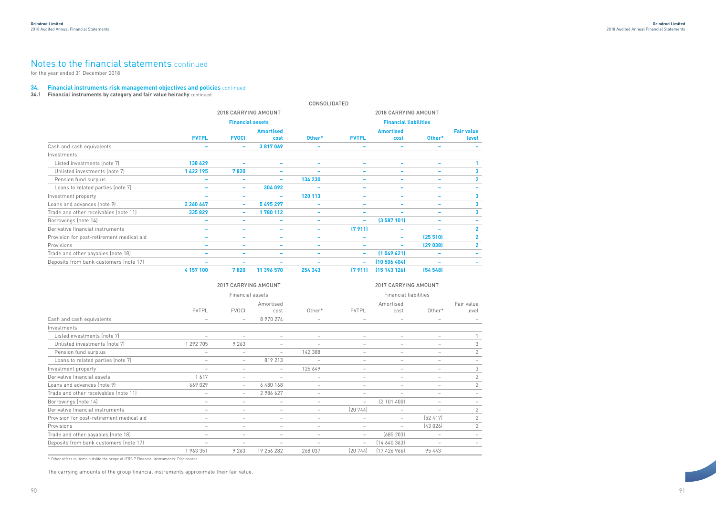91

#### **34. Financial instruments risk management objectives and policies** continued

**34.1 Financial instruments by category and fair value heirachy** continued

|                                           | <b>CONSOLIDATED</b>      |                          |                          |                          |                          |                              |                          |                          |  |
|-------------------------------------------|--------------------------|--------------------------|--------------------------|--------------------------|--------------------------|------------------------------|--------------------------|--------------------------|--|
|                                           |                          | 2018 CARRYING AMOUNT     |                          |                          | 2018 CARRYING AMOUNT     |                              |                          |                          |  |
|                                           |                          | <b>Financial assets</b>  |                          |                          |                          | <b>Financial liabilities</b> |                          |                          |  |
|                                           |                          |                          | <b>Amortised</b>         |                          | <b>Amortised</b>         |                              |                          | <b>Fair value</b>        |  |
|                                           | <b>FVTPL</b>             | <b>FVOCI</b>             | cost                     | Other*                   | <b>FVTPL</b>             | cost                         | Other*                   | level                    |  |
| Cash and cash equivalents                 | $\overline{\phantom{0}}$ | $\overline{\phantom{a}}$ | 3817069                  | $\overline{\phantom{a}}$ | $\overline{\phantom{0}}$ | $\overline{\phantom{a}}$     | $\overline{\phantom{0}}$ |                          |  |
| Investments                               |                          |                          |                          |                          |                          |                              |                          |                          |  |
| Listed investments (note 7)               | 138 629                  |                          | $\overline{\phantom{0}}$ |                          |                          | -                            | $\overline{\phantom{a}}$ |                          |  |
| Unlisted investments (note 7)             | 1 422 195                | 7820                     |                          |                          | $\overline{\phantom{0}}$ | $\overline{\phantom{0}}$     | $\overline{\phantom{a}}$ | 3                        |  |
| Pension fund surplus                      | $\overline{\phantom{0}}$ | $\overline{\phantom{a}}$ | $\sim$                   | 134 230                  | $\overline{\phantom{0}}$ | $\overline{\phantom{a}}$     | $\overline{\phantom{a}}$ | $\mathbf{2}$             |  |
| Loans to related parties (note 7)         | $\overline{\phantom{a}}$ | $\overline{\phantom{a}}$ | 304 092                  | ۰                        | $\overline{\phantom{a}}$ | $\overline{\phantom{a}}$     | $\overline{\phantom{a}}$ |                          |  |
| Investment property                       | $\overline{\phantom{0}}$ | $\overline{\phantom{a}}$ | $\overline{\phantom{a}}$ | 120 113                  | $\overline{\phantom{0}}$ | $\overline{\phantom{0}}$     | $\overline{\phantom{a}}$ | 3                        |  |
| Loans and advances (note 9)               | 2 2 6 4 4 7              | $\overline{\phantom{a}}$ | 5495297                  | $\overline{\phantom{a}}$ | $\overline{\phantom{0}}$ | $\overline{\phantom{0}}$     | $\overline{\phantom{a}}$ | 3                        |  |
| Trade and other receivables (note 11)     | 335829                   | $\sim$                   | 1780 112                 | $\overline{\phantom{a}}$ | $\overline{\phantom{0}}$ | -                            | $\overline{\phantom{a}}$ | 3                        |  |
| Borrowings (note 14)                      | $\overline{\phantom{a}}$ | $\overline{\phantom{0}}$ | $\overline{\phantom{a}}$ | $\overline{\phantom{a}}$ | $\overline{\phantom{a}}$ | (3587101)                    | $\overline{\phantom{a}}$ | $\overline{\phantom{0}}$ |  |
| Derivative financial instruments          | $\overline{\phantom{a}}$ | $\overline{\phantom{a}}$ | $\overline{\phantom{a}}$ | ۰                        | (7911)                   | $\overline{\phantom{0}}$     | $\overline{\phantom{a}}$ | $\overline{2}$           |  |
| Provision for post-retirement medical aid | $\overline{\phantom{0}}$ | $\overline{\phantom{0}}$ | $\overline{\phantom{a}}$ | -                        | $\overline{\phantom{0}}$ | $\overline{\phantom{a}}$     | (25510)                  | $\overline{2}$           |  |
| Provisions                                | $\overline{\phantom{0}}$ | -                        | $\overline{\phantom{a}}$ | -                        | $\overline{\phantom{0}}$ | $\overline{\phantom{a}}$     | (29038)                  | $\overline{2}$           |  |
| Trade and other payables (note 18)        | $\overline{\phantom{a}}$ | $\overline{\phantom{a}}$ | $\overline{\phantom{a}}$ | $\overline{\phantom{a}}$ | $\overline{\phantom{a}}$ | (1049621)                    | $\overline{\phantom{a}}$ |                          |  |
| Deposits from bank customers (note 17)    | $\overline{\phantom{0}}$ | -                        |                          | -                        | $\overline{\phantom{a}}$ | $(10\ 506\ 404)$             | $\overline{\phantom{a}}$ |                          |  |
|                                           | 4 157 100                | 7820                     | 11 396 570               | 254 343                  | (7911)                   | (15143126)                   | (54548)                  |                          |  |

|                                           | 2017 CARRYING AMOUNT     |                          |                                 |                          | <b>2017 CARRYING AMOUNT</b>  |                          |                          |                          |
|-------------------------------------------|--------------------------|--------------------------|---------------------------------|--------------------------|------------------------------|--------------------------|--------------------------|--------------------------|
|                                           |                          | Financial assets         |                                 |                          | <b>Financial liabilities</b> |                          |                          |                          |
|                                           | <b>FVTPL</b>             | <b>FVOCI</b>             | Amortised<br>cost               | Other*                   | <b>FVTPL</b>                 | Amortised<br>cost        | Other*                   | Fair value<br>level      |
| Cash and cash equivalents                 | $\qquad \qquad -$        | $-$                      | 8 970 274                       | $\overline{\phantom{a}}$ |                              | $\overline{\phantom{a}}$ | $\overline{\phantom{0}}$ |                          |
| Investments                               |                          |                          |                                 |                          |                              |                          |                          |                          |
| Listed investments (note 7)               | $\overline{\phantom{0}}$ |                          | $\overline{\phantom{0}}$        | $\overline{\phantom{a}}$ | $\overline{\phantom{0}}$     |                          | $\overline{\phantom{0}}$ |                          |
| Unlisted investments (note 7)             | 1 292 705                | 9 2 6 3                  | $\overline{\phantom{m}}$        | $\overline{\phantom{0}}$ | $\overline{\phantom{m}}$     | $\overline{\phantom{m}}$ | $\overline{\phantom{m}}$ | 3                        |
| Pension fund surplus                      | $\overline{\phantom{m}}$ | $\overline{\phantom{m}}$ | $\overline{\phantom{a}}$        | 142 388                  | $\overline{\phantom{0}}$     |                          |                          | 2                        |
| Loans to related parties (note 7)         | $\overline{\phantom{m}}$ | $-$                      | 819 213                         | $\overline{\phantom{a}}$ | $\overline{\phantom{m}}$     | $\overline{\phantom{m}}$ | $\overline{\phantom{m}}$ | $\overline{\phantom{a}}$ |
| Investment property                       | $\qquad \qquad -$        | $\qquad \qquad -$        | $\overline{\phantom{0}}$        | 125 649                  | $\overline{\phantom{m}}$     | $\overline{\phantom{m}}$ | $\qquad \qquad -$        | 3                        |
| Derivative financial assets               | 1617                     | $\qquad \qquad -$        | $\overline{\phantom{a}}$        | $\overline{\phantom{a}}$ | $\overline{\phantom{a}}$     |                          | $\overline{\phantom{a}}$ | $\overline{2}$           |
| Loans and advances (note 9)               | 669 029                  | $-$                      | 6 480 168                       | $\overline{\phantom{0}}$ | $\overline{\phantom{a}}$     | $\qquad \qquad$          | $\overline{\phantom{0}}$ | $\overline{2}$           |
| Trade and other receivables (note 11)     | $\overline{\phantom{a}}$ | $-$                      | 2 986 627                       | $\overline{\phantom{a}}$ |                              | $\overline{\phantom{a}}$ | $\overline{\phantom{a}}$ |                          |
| Borrowings (note 14)                      | $\qquad \qquad -$        | $\overline{\phantom{0}}$ | $\overline{\phantom{0}}$        | $\overline{\phantom{0}}$ | $\overline{\phantom{0}}$     | (2 101 400)              | $\overline{\phantom{0}}$ |                          |
| Derivative financial instruments          | $\overline{\phantom{0}}$ | $\qquad \qquad -$        | $\hspace{0.1mm}-\hspace{0.1mm}$ | $\overline{\phantom{a}}$ | (20744)                      | $\overline{\phantom{m}}$ | $\overline{\phantom{a}}$ | $\overline{2}$           |
| Provision for post-retirement medical aid | $\overline{\phantom{0}}$ | $\qquad \qquad$          | $\overline{\phantom{0}}$        | $\overline{\phantom{0}}$ | $\overline{\phantom{a}}$     | $\qquad \qquad -$        | (52, 417)                | $\overline{2}$           |
| Provisions                                | $\overline{\phantom{m}}$ | $\overline{\phantom{m}}$ | $\overline{\phantom{0}}$        | $\overline{\phantom{a}}$ | $\overline{\phantom{a}}$     | $\overline{\phantom{m}}$ | (43026)                  | 2                        |
| Trade and other payables (note 18)        | $\qquad \qquad -$        |                          | $\overline{\phantom{m}}$        | $\overline{\phantom{0}}$ | $\overline{\phantom{a}}$     | (685 203)                | $\overline{\phantom{a}}$ |                          |
| Deposits from bank customers (note 17)    | $\qquad \qquad -$        | $\qquad \qquad -$        | $\overline{\phantom{m}}$        | $\overline{\phantom{0}}$ | $\overline{\phantom{a}}$     | [14640363]               | $\overline{\phantom{a}}$ |                          |
|                                           | 1 963 351                | 9 2 6 3                  | 19 256 282                      | 268 037                  | (20744)                      | (17426966)               | 95 4 4 3                 |                          |

\* Other refers to items outside the scope of IFRS 7 Financial instruments: Disclosures.

The carrying amounts of the group financial instruments approximate their fair value.

# Notes to the financial statements continued

for the year ended 31 December 2018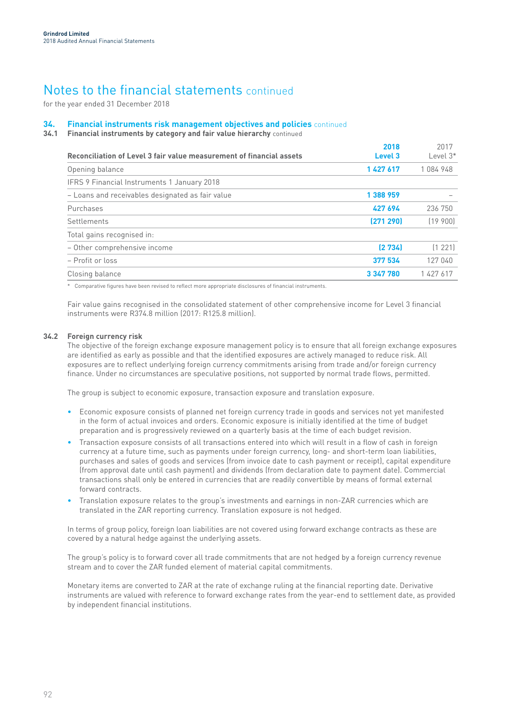for the year ended 31 December 2018

#### **34. Financial instruments risk management objectives and policies** continued

**34.1 Financial instruments by category and fair value hierarchy** continued

| Reconciliation of Level 3 fair value measurement of financial assets | 2018<br>Level 3 | 2017<br>Level $3*$ |
|----------------------------------------------------------------------|-----------------|--------------------|
| Opening balance                                                      | 1 427 617       | 1084948            |
| IFRS 9 Financial Instruments 1 January 2018                          |                 |                    |
| - Loans and receivables designated as fair value                     | 1 388 959       |                    |
| Purchases                                                            | 427 694         | 236 750            |
| Settlements                                                          | (271 290)       | (19, 900)          |
| Total gains recognised in:                                           |                 |                    |
| - Other comprehensive income                                         | [2 734]         | (1 221)            |
| - Profit or loss                                                     | 377 534         | 127 040            |
| Closing balance                                                      | 3 347 780       | 1 427 617          |

\* Comparative figures have been revised to reflect more appropriate disclosures of financial instruments.

Fair value gains recognised in the consolidated statement of other comprehensive income for Level 3 financial instruments were R374.8 million (2017: R125.8 million).

## **34.2 Foreign currency risk**

The objective of the foreign exchange exposure management policy is to ensure that all foreign exchange exposures are identified as early as possible and that the identified exposures are actively managed to reduce risk. All exposures are to reflect underlying foreign currency commitments arising from trade and/or foreign currency finance. Under no circumstances are speculative positions, not supported by normal trade flows, permitted.

The group is subject to economic exposure, transaction exposure and translation exposure.

- Economic exposure consists of planned net foreign currency trade in goods and services not yet manifested in the form of actual invoices and orders. Economic exposure is initially identified at the time of budget preparation and is progressively reviewed on a quarterly basis at the time of each budget revision.
- Transaction exposure consists of all transactions entered into which will result in a flow of cash in foreign currency at a future time, such as payments under foreign currency, long- and short-term loan liabilities, purchases and sales of goods and services (from invoice date to cash payment or receipt), capital expenditure (from approval date until cash payment) and dividends (from declaration date to payment date). Commercial transactions shall only be entered in currencies that are readily convertible by means of formal external forward contracts.
- Translation exposure relates to the group's investments and earnings in non-ZAR currencies which are translated in the ZAR reporting currency. Translation exposure is not hedged.

In terms of group policy, foreign loan liabilities are not covered using forward exchange contracts as these are covered by a natural hedge against the underlying assets.

The group's policy is to forward cover all trade commitments that are not hedged by a foreign currency revenue stream and to cover the ZAR funded element of material capital commitments.

Monetary items are converted to ZAR at the rate of exchange ruling at the financial reporting date. Derivative instruments are valued with reference to forward exchange rates from the year-end to settlement date, as provided by independent financial institutions.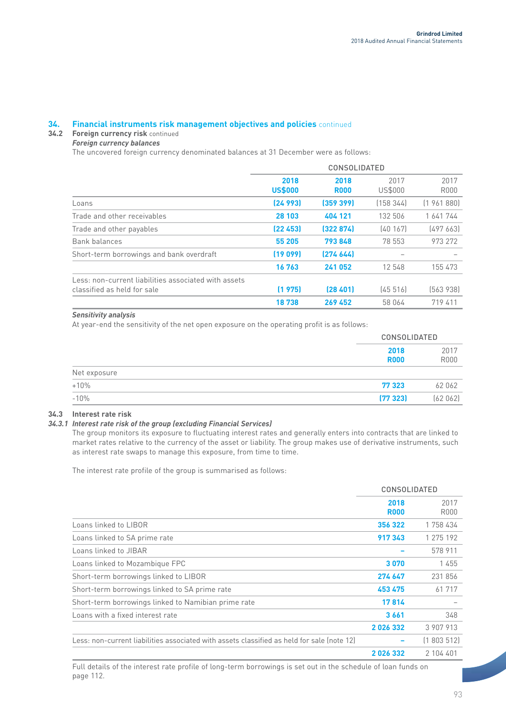#### **34. Financial instruments risk management objectives and policies** continued

## **34.2 Foreign currency risk** continued

## *Foreign currency balances*

The uncovered foreign currency denominated balances at 31 December were as follows:

|                                                                                     | <b>CONSOLIDATED</b>    |                     |                        |              |  |  |
|-------------------------------------------------------------------------------------|------------------------|---------------------|------------------------|--------------|--|--|
|                                                                                     | 2018<br><b>US\$000</b> | 2018<br><b>R000</b> | 2017<br><b>US\$000</b> | 2017<br>R000 |  |  |
| Loans                                                                               | [24993]                | (359 399)           | (158344)               | (1961880)    |  |  |
| Trade and other receivables                                                         | 28 103                 | 404 121             | 132 506                | 1 641 744    |  |  |
| Trade and other payables                                                            | [22 453]               | (322874)            | [40167]                | [497663]     |  |  |
| Bank balances                                                                       | 55 205                 | 793848              | 78 553                 | 973 272      |  |  |
| Short-term borrowings and bank overdraft                                            | (19099)                | [274 644]           |                        |              |  |  |
|                                                                                     | 16763                  | 241 052             | 12 548                 | 155 473      |  |  |
| Less: non-current liabilities associated with assets<br>classified as held for sale | (1975)                 | [28, 401]           | [45 516]               | [563 938]    |  |  |
|                                                                                     | 18738                  | 269 452             | 58 064                 | 719 411      |  |  |

## *Sensitivity analysis*

At year-end the sensitivity of the net open exposure on the operating profit is as follows:

|               |                     | <b>CONSOLIDATED</b> |  |  |
|---------------|---------------------|---------------------|--|--|
|               | 2018<br><b>R000</b> | 2017<br><b>R000</b> |  |  |
| Net exposure  |                     |                     |  |  |
| $+10%$        | 77 323              | 62 062              |  |  |
| ---<br>$-10%$ | (77323)             | (62062)             |  |  |

## **34.3 Interest rate risk**

## *34.3.1 Interest rate risk of the group (excluding Financial Services)*

The group monitors its exposure to fluctuating interest rates and generally enters into contracts that are linked to market rates relative to the currency of the asset or liability. The group makes use of derivative instruments, such as interest rate swaps to manage this exposure, from time to time.

The interest rate profile of the group is summarised as follows:

|                                                                                            | <b>CONSOLIDATED</b> |                     |
|--------------------------------------------------------------------------------------------|---------------------|---------------------|
|                                                                                            | 2018<br><b>R000</b> | 2017<br><b>R000</b> |
| Loans linked to LIBOR                                                                      | 356 322             | 1 758 434           |
| Loans linked to SA prime rate                                                              | 917343              | 1 275 192           |
| Loans linked to JIBAR                                                                      |                     | 578 911             |
| Loans linked to Mozambique FPC                                                             | 3070                | 1455                |
| Short-term borrowings linked to LIBOR                                                      | 274 647             | 231856              |
| Short-term borrowings linked to SA prime rate                                              | 453 475             | 61 717              |
| Short-term borrowings linked to Namibian prime rate                                        | 17814               |                     |
| Loans with a fixed interest rate                                                           | 3661                | 348                 |
|                                                                                            | 2026332             | 3 907 913           |
| Less: non-current liabilities associated with assets classified as held for sale (note 12) |                     | (1803512)           |
|                                                                                            | 2026332             | 2 104 401           |

Full details of the interest rate profile of long-term borrowings is set out in the schedule of loan funds on page 112.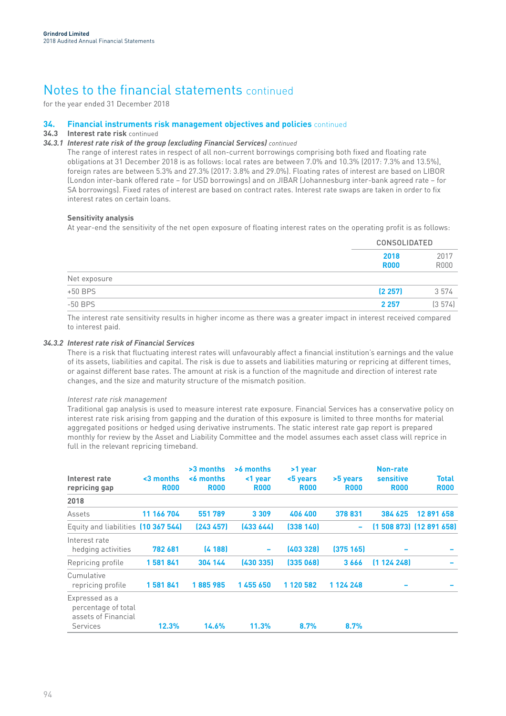for the year ended 31 December 2018

#### **34. Financial instruments risk management objectives and policies** continued

## **34.3 Interest rate risk** continued

## *34.3.1 Interest rate risk of the group (excluding Financial Services) continued*

The range of interest rates in respect of all non-current borrowings comprising both fixed and floating rate obligations at 31 December 2018 is as follows: local rates are between 7.0% and 10.3% (2017: 7.3% and 13.5%), foreign rates are between 5.3% and 27.3% (2017: 3.8% and 29.0%). Floating rates of interest are based on LIBOR (London inter-bank offered rate – for USD borrowings) and on JIBAR (Johannesburg inter-bank agreed rate – for SA borrowings). Fixed rates of interest are based on contract rates. Interest rate swaps are taken in order to fix interest rates on certain loans.

## **Sensitivity analysis**

At year-end the sensitivity of the net open exposure of floating interest rates on the operating profit is as follows:

|              |                     | <b>CONSOLIDATED</b> |  |  |
|--------------|---------------------|---------------------|--|--|
|              | 2018<br><b>R000</b> | 2017<br><b>R000</b> |  |  |
| Net exposure |                     |                     |  |  |
| $+50$ BPS    | (2257)              | 3 5 7 4             |  |  |
| $-50$ BPS    | 2 2 5 7             | (3574)              |  |  |

The interest rate sensitivity results in higher income as there was a greater impact in interest received compared to interest paid.

## *34.3.2 Interest rate risk of Financial Services*

There is a risk that fluctuating interest rates will unfavourably affect a financial institution's earnings and the value of its assets, liabilities and capital. The risk is due to assets and liabilities maturing or repricing at different times, or against different base rates. The amount at risk is a function of the magnitude and direction of interest rate changes, and the size and maturity structure of the mismatch position.

## *Interest rate risk management*

Traditional gap analysis is used to measure interest rate exposure. Financial Services has a conservative policy on interest rate risk arising from gapping and the duration of this exposure is limited to three months for material aggregated positions or hedged using derivative instruments. The static interest rate gap report is prepared monthly for review by the Asset and Liability Committee and the model assumes each asset class will reprice in full in the relevant repricing timeband.

| Interest rate<br>repricing gap                                           | $3$ months<br><b>R000</b> | $>3$ months<br><6 months<br><b>R000</b> | >6 months<br><1 year<br><b>ROO0</b> | >1 year<br><5 years<br><b>R000</b> | >5 years<br><b>R000</b> | Non-rate<br>sensitive<br><b>R000</b> | Total<br><b>R000</b>     |
|--------------------------------------------------------------------------|---------------------------|-----------------------------------------|-------------------------------------|------------------------------------|-------------------------|--------------------------------------|--------------------------|
| 2018                                                                     |                           |                                         |                                     |                                    |                         |                                      |                          |
| Assets                                                                   | 11 166 704                | 551789                                  | 3 3 0 9                             | 406 400                            | 378 831                 | 384 625                              | 12 891 658               |
| Equity and liabilities (10 367 544)                                      |                           | (243 457)                               | (433644)                            | (338 140)                          | ۰                       |                                      | $(1508873)$ $(12891658)$ |
| Interest rate<br>hedging activities                                      | 782 681                   | (4188)                                  | $\overline{\phantom{a}}$            | (403 328)                          | (375165)                |                                      |                          |
| Repricing profile                                                        | 1581841                   | 304 144                                 | (430335)                            | (335068)                           | 3666                    | (1124248)                            |                          |
| Cumulative<br>repricing profile                                          | 1581841                   | 1885985                                 | 1455650                             | 1 120 582                          | 1 124 248               |                                      |                          |
| Expressed as a<br>percentage of total<br>assets of Financial<br>Services | 12.3%                     | 14.6%                                   | 11.3%                               | 8.7%                               | 8.7%                    |                                      |                          |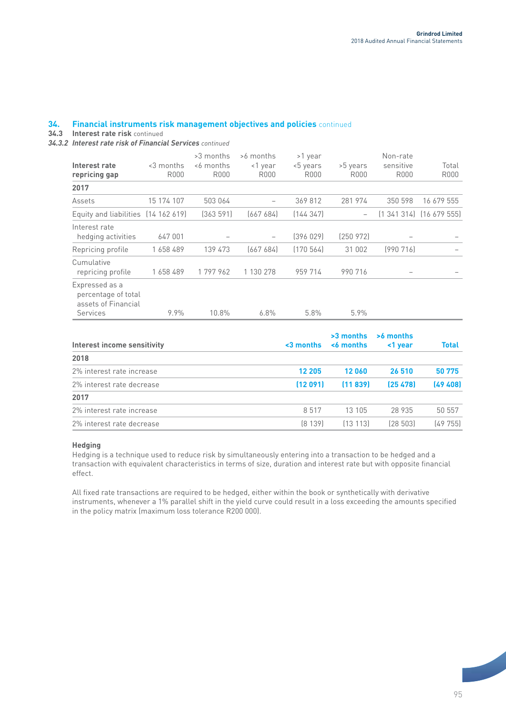#### **34. Financial instruments risk management objectives and policies** continued

**34.3 Interest rate risk** continued

*34.3.2 Interest rate risk of Financial Services continued*

| Interest rate<br>repricing gap                                           | <3 months<br>R000 | >3 months<br><6 months<br>R000 | >6 months<br><1 year<br>R000 | >1 year<br><5 years<br>R000 | >5 years<br>R000         | Non-rate<br>sensitive<br>R000 | Total<br>R000 |
|--------------------------------------------------------------------------|-------------------|--------------------------------|------------------------------|-----------------------------|--------------------------|-------------------------------|---------------|
| 2017                                                                     |                   |                                |                              |                             |                          |                               |               |
| Assets                                                                   | 15 174 107        | 503 064                        |                              | 369 812                     | 281 974                  | 350 598                       | 16 679 555    |
| Equity and liabilities (14 162 619)                                      |                   | (363591)                       | [667684]                     | (144347)                    | $\overline{\phantom{0}}$ | (1, 341, 314)                 | (16 679 555)  |
| Interest rate<br>hedging activities                                      | 647 001           |                                |                              | (396029)                    | [250972]                 |                               |               |
| Repricing profile                                                        | 1658489           | 139 473                        | (667684)                     | (170564)                    | 31 002                   | [990716]                      |               |
| Cumulative<br>repricing profile                                          | 1658489           | 1797962                        | 1 130 278                    | 959 714                     | 990 716                  |                               |               |
| Expressed as a<br>percentage of total<br>assets of Financial<br>Services | 9.9%              | 10.8%                          | 6.8%                         | 5.8%                        | 5.9%                     |                               |               |

| Interest income sensitivity | $3$ months | $>3$ months<br><6 months | >6 months<br><1 year | <b>Total</b> |
|-----------------------------|------------|--------------------------|----------------------|--------------|
| 2018                        |            |                          |                      |              |
| 2% interest rate increase   | 12 205     | 12060                    | 26 510               | 50 775       |
| 2% interest rate decrease   | (12091)    | (11839)                  | (25478)              | (49, 408)    |
| 2017                        |            |                          |                      |              |
| 2% interest rate increase   | 8517       | 13 105                   | 28 935               | 50 557       |
| 2% interest rate decrease   | [8 139]    | (13113)                  | [28 503]             | [49755]      |

## **Hedging**

Hedging is a technique used to reduce risk by simultaneously entering into a transaction to be hedged and a transaction with equivalent characteristics in terms of size, duration and interest rate but with opposite financial effect.

All fixed rate transactions are required to be hedged, either within the book or synthetically with derivative instruments, whenever a 1% parallel shift in the yield curve could result in a loss exceeding the amounts specified in the policy matrix (maximum loss tolerance R200 000).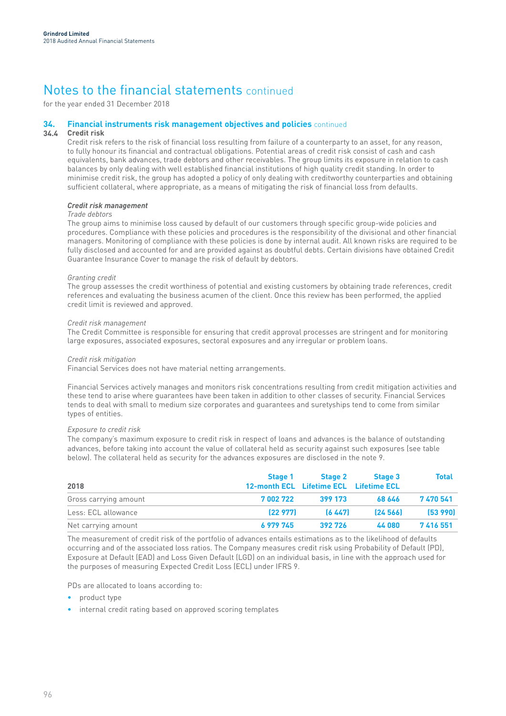for the year ended 31 December 2018

#### **34. Financial instruments risk management objectives and policies** continued

#### **34.4 Credit risk**

Credit risk refers to the risk of financial loss resulting from failure of a counterparty to an asset, for any reason, to fully honour its financial and contractual obligations. Potential areas of credit risk consist of cash and cash equivalents, bank advances, trade debtors and other receivables. The group limits its exposure in relation to cash balances by only dealing with well established financial institutions of high quality credit standing. In order to minimise credit risk, the group has adopted a policy of only dealing with creditworthy counterparties and obtaining sufficient collateral, where appropriate, as a means of mitigating the risk of financial loss from defaults.

## *Credit risk management*

## *Trade debtors*

The group aims to minimise loss caused by default of our customers through specific group-wide policies and procedures. Compliance with these policies and procedures is the responsibility of the divisional and other financial managers. Monitoring of compliance with these policies is done by internal audit. All known risks are required to be fully disclosed and accounted for and are provided against as doubtful debts. Certain divisions have obtained Credit Guarantee Insurance Cover to manage the risk of default by debtors.

## *Granting credit*

The group assesses the credit worthiness of potential and existing customers by obtaining trade references, credit references and evaluating the business acumen of the client. Once this review has been performed, the applied credit limit is reviewed and approved.

### *Credit risk management*

The Credit Committee is responsible for ensuring that credit approval processes are stringent and for monitoring large exposures, associated exposures, sectoral exposures and any irregular or problem loans.

### *Credit risk mitigation*

Financial Services does not have material netting arrangements.

Financial Services actively manages and monitors risk concentrations resulting from credit mitigation activities and these tend to arise where guarantees have been taken in addition to other classes of security. Financial Services tends to deal with small to medium size corporates and guarantees and suretyships tend to come from similar types of entities.

## *Exposure to credit risk*

The company's maximum exposure to credit risk in respect of loans and advances is the balance of outstanding advances, before taking into account the value of collateral held as security against such exposures (see table below). The collateral held as security for the advances exposures are disclosed in the note 9.

| 2018                  | <b>Stage 1</b><br>12-month ECL Lifetime ECL Lifetime ECL | <b>Stage 2</b> | Stage 3 | <b>Total</b> |
|-----------------------|----------------------------------------------------------|----------------|---------|--------------|
| Gross carrying amount | 7002722                                                  | 399 173        | 68 646  | 7470541      |
| Less: ECL allowance   | (22977)                                                  | (6447)         | [24566] | (53, 990)    |
| Net carrying amount   | 6 979 745                                                | 392 726        | 44 080  | 7416551      |

The measurement of credit risk of the portfolio of advances entails estimations as to the likelihood of defaults occurring and of the associated loss ratios. The Company measures credit risk using Probability of Default (PD), Exposure at Default (EAD) and Loss Given Default (LGD) on an individual basis, in line with the approach used for the purposes of measuring Expected Credit Loss (ECL) under IFRS 9.

PDs are allocated to loans according to:

- product type
- internal credit rating based on approved scoring templates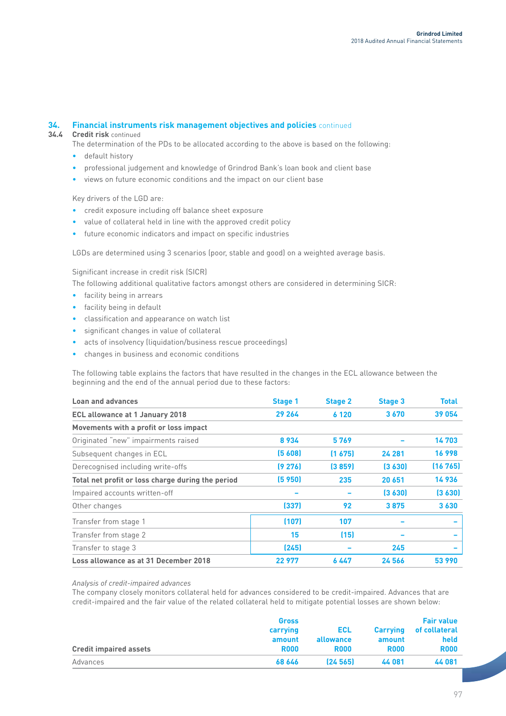#### **34. Financial instruments risk management objectives and policies** continued

**34.4 Credit risk** continued

- The determination of the PDs to be allocated according to the above is based on the following:
- default history
- professional judgement and knowledge of Grindrod Bank's loan book and client base
- views on future economic conditions and the impact on our client base

Key drivers of the LGD are:

- credit exposure including off balance sheet exposure
- value of collateral held in line with the approved credit policy
- future economic indicators and impact on specific industries

LGDs are determined using 3 scenarios (poor, stable and good) on a weighted average basis.

Significant increase in credit risk (SICR)

The following additional qualitative factors amongst others are considered in determining SICR:

- facility being in arrears
- facility being in default
- classification and appearance on watch list
- significant changes in value of collateral
- acts of insolvency (liquidation/business rescue proceedings)
- changes in business and economic conditions

The following table explains the factors that have resulted in the changes in the ECL allowance between the beginning and the end of the annual period due to these factors:

| <b>Loan and advances</b>                          | <b>Stage 1</b> | <b>Stage 2</b> | <b>Stage 3</b> | <b>Total</b> |
|---------------------------------------------------|----------------|----------------|----------------|--------------|
| <b>ECL allowance at 1 January 2018</b>            | 29 264         | 6 1 2 0        | 3670           | 39 054       |
| Movements with a profit or loss impact            |                |                |                |              |
| Originated "new" impairments raised               | 8934           | 5769           |                | 14703        |
| Subsequent changes in ECL                         | (5608)         | (1675)         | 24 281         | 16998        |
| Derecognised including write-offs                 | (9276)         | (3859)         | (3630)         | (16765)      |
| Total net profit or loss charge during the period | (5 950)        | 235            | 20 651         | 14936        |
| Impaired accounts written-off                     |                |                | (3630)         | (3630)       |
| Other changes                                     | (337)          | 92             | 3875           | 3630         |
| Transfer from stage 1                             | (107)          | 107            |                |              |
| Transfer from stage 2                             | 15             | (15)           |                |              |
| Transfer to stage 3                               | (245)          |                | 245            |              |
| Loss allowance as at 31 December 2018             | 22977          | 6 447          | 24 566         | 53 990       |

*Analysis of credit-impaired advances*

The company closely monitors collateral held for advances considered to be credit-impaired. Advances that are credit-impaired and the fair value of the related collateral held to mitigate potential losses are shown below:

|                               | <b>Gross</b> |             |                 | <b>Fair value</b> |  |
|-------------------------------|--------------|-------------|-----------------|-------------------|--|
|                               | carrying     | ECL         | <b>Carrying</b> | of collateral     |  |
|                               | amount       | allowance   | amount          | held              |  |
| <b>Credit impaired assets</b> | <b>R000</b>  | <b>R000</b> | <b>R000</b>     | <b>R000</b>       |  |
| Advances                      | 68 646       | [24 565]    | 44 081          | 44 081            |  |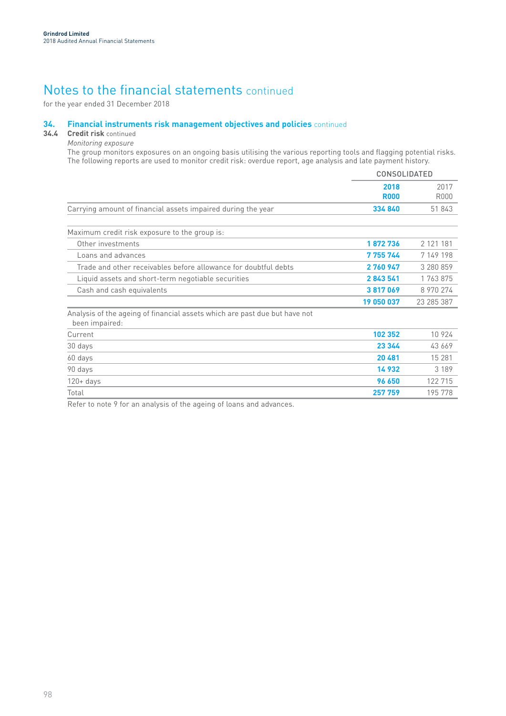for the year ended 31 December 2018

#### **34. Financial instruments risk management objectives and policies** continued

## **34.4 Credit risk** continued

*Monitoring exposure*

The group monitors exposures on an ongoing basis utilising the various reporting tools and flagging potential risks. The following reports are used to monitor credit risk: overdue report, age analysis and late payment history.

|                                                                                              | <b>CONSOLIDATED</b> |                     |
|----------------------------------------------------------------------------------------------|---------------------|---------------------|
|                                                                                              | 2018<br><b>R000</b> | 2017<br><b>R000</b> |
| Carrying amount of financial assets impaired during the year                                 | 334 840             | 51843               |
| Maximum credit risk exposure to the group is:                                                |                     |                     |
| Other investments                                                                            | 1872736             | 2 121 181           |
| Loans and advances                                                                           | 7 755 744           | 7 149 198           |
| Trade and other receivables before allowance for doubtful debts                              | 2760947             | 3 280 859           |
| Liquid assets and short-term negotiable securities                                           | 2843541             | 1 763 875           |
| Cash and cash equivalents                                                                    | 3817069             | 8 970 274           |
|                                                                                              | 19 050 037          | 23 285 387          |
| Analysis of the ageing of financial assets which are past due but have not<br>been impaired: |                     |                     |
| Current                                                                                      | 102 352             | 10 9 2 4            |
| 30 days                                                                                      | 23 344              | 43 669              |
| 60 days                                                                                      | 20 481              | 15 28 1             |
| 90 days                                                                                      | 14932               | 3 1 8 9             |
| $120 + days$                                                                                 | 96 650              | 122 715             |
| Total                                                                                        | 257 759             | 195 778             |

Refer to note 9 for an analysis of the ageing of loans and advances.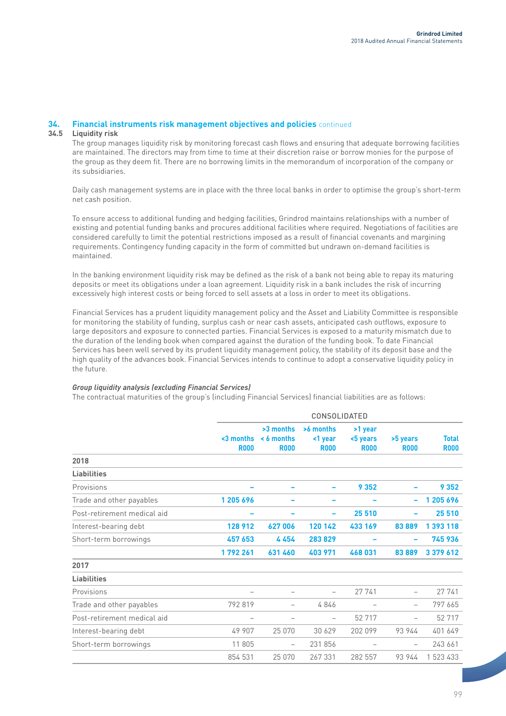#### **34. Financial instruments risk management objectives and policies** continued

#### **34.5 Liquidity risk**

The group manages liquidity risk by monitoring forecast cash flows and ensuring that adequate borrowing facilities are maintained. The directors may from time to time at their discretion raise or borrow monies for the purpose of the group as they deem fit. There are no borrowing limits in the memorandum of incorporation of the company or its subsidiaries.

Daily cash management systems are in place with the three local banks in order to optimise the group's short-term net cash position.

To ensure access to additional funding and hedging facilities, Grindrod maintains relationships with a number of existing and potential funding banks and procures additional facilities where required. Negotiations of facilities are considered carefully to limit the potential restrictions imposed as a result of financial covenants and margining requirements. Contingency funding capacity in the form of committed but undrawn on-demand facilities is maintained.

In the banking environment liquidity risk may be defined as the risk of a bank not being able to repay its maturing deposits or meet its obligations under a loan agreement. Liquidity risk in a bank includes the risk of incurring excessively high interest costs or being forced to sell assets at a loss in order to meet its obligations.

Financial Services has a prudent liquidity management policy and the Asset and Liability Committee is responsible for monitoring the stability of funding, surplus cash or near cash assets, anticipated cash outflows, exposure to large depositors and exposure to connected parties. Financial Services is exposed to a maturity mismatch due to the duration of the lending book when compared against the duration of the funding book. To date Financial Services has been well served by its prudent liquidity management policy, the stability of its deposit base and the high quality of the advances book. Financial Services intends to continue to adopt a conservative liquidity policy in the future.

## *Group liquidity analysis (excluding Financial Services)*

The contractual maturities of the group's (including Financial Services) financial liabilities are as follows:

|                             |                           |                                          | CONSOLIDATED                        |                                    |                          |                             |
|-----------------------------|---------------------------|------------------------------------------|-------------------------------------|------------------------------------|--------------------------|-----------------------------|
|                             | $3$ months<br><b>R000</b> | >3 months<br>$< 6$ months<br><b>R000</b> | >6 months<br><1 year<br><b>R000</b> | >1 year<br><5 years<br><b>R000</b> | >5 years<br><b>R000</b>  | <b>Total</b><br><b>R000</b> |
| 2018                        |                           |                                          |                                     |                                    |                          |                             |
| <b>Liabilities</b>          |                           |                                          |                                     |                                    |                          |                             |
| Provisions                  |                           |                                          |                                     | 9 3 5 2                            |                          | 9 3 5 2                     |
| Trade and other payables    | 1 205 696                 |                                          |                                     |                                    | -                        | 1 205 696                   |
| Post-retirement medical aid |                           |                                          | -                                   | 25 510                             |                          | 25 510                      |
| Interest-bearing debt       | 128 912                   | 627006                                   | 120 142                             | 433 169                            | 83889                    | 1 393 118                   |
| Short-term borrowings       | 457 653                   | 4454                                     | 283829                              |                                    |                          | 745 936                     |
|                             | 1792261                   | 631 460                                  | 403 971                             | 468 031                            | 83889                    | 3 379 612                   |
| 2017                        |                           |                                          |                                     |                                    |                          |                             |
| <b>Liabilities</b>          |                           |                                          |                                     |                                    |                          |                             |
| Provisions                  | $\qquad \qquad -$         | $\qquad \qquad -$                        |                                     | 27 741                             | $\overline{\phantom{0}}$ | 27 741                      |
| Trade and other payables    | 792 819                   | $\qquad \qquad -$                        | 4846                                |                                    | $\overline{\phantom{0}}$ | 797 665                     |
| Post-retirement medical aid | $\overline{\phantom{0}}$  |                                          |                                     | 52 717                             |                          | 52 717                      |
| Interest-bearing debt       | 49 907                    | 25 0 70                                  | 30 629                              | 202 099                            | 93 944                   | 401 649                     |
| Short-term borrowings       | 11 805                    | $\overline{\phantom{0}}$                 | 231 856                             | $\qquad \qquad -$                  | $\overline{\phantom{0}}$ | 243 661                     |
|                             | 854 531                   | 25 0 70                                  | 267 331                             | 282 557                            | 93 944                   | 1 523 433                   |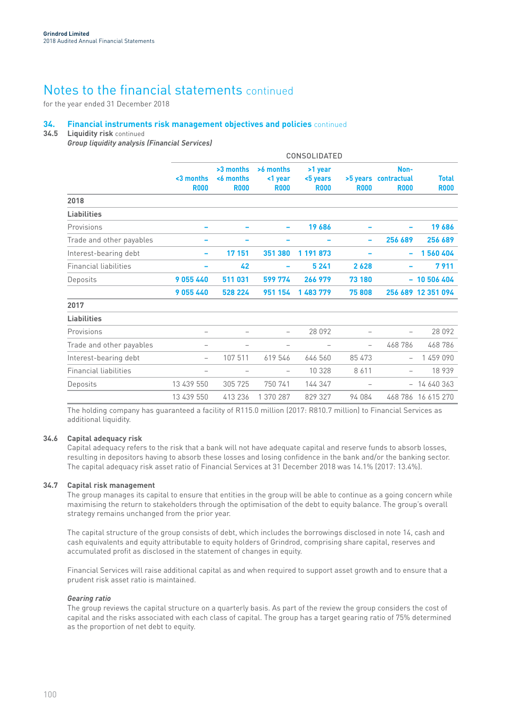for the year ended 31 December 2018

#### **34. Financial instruments risk management objectives and policies** continued

#### **34.5 Liquidity risk** continued

*Group liquidity analysis (Financial Services)*

|                              |                           |                                       |                                     | <b>CONSOLIDATED</b>                |             |                                             |                             |
|------------------------------|---------------------------|---------------------------------------|-------------------------------------|------------------------------------|-------------|---------------------------------------------|-----------------------------|
|                              | $3$ months<br><b>R000</b> | >3 months<br><6 months<br><b>R000</b> | >6 months<br><1 year<br><b>R000</b> | >1 year<br><5 years<br><b>R000</b> | <b>R000</b> | Non-<br>>5 years contractual<br><b>R000</b> | <b>Total</b><br><b>R000</b> |
| 2018                         |                           |                                       |                                     |                                    |             |                                             |                             |
| <b>Liabilities</b>           |                           |                                       |                                     |                                    |             |                                             |                             |
| Provisions                   |                           |                                       |                                     | 19686                              |             |                                             | 19686                       |
| Trade and other payables     |                           |                                       |                                     |                                    |             | 256 689                                     | 256 689                     |
| Interest-bearing debt        | $\overline{\phantom{0}}$  | 17 151                                | 351 380                             | 1 191 873                          |             | -                                           | 1560404                     |
| <b>Financial liabilities</b> |                           | 42                                    |                                     | 5 2 4 1                            | 2628        |                                             | 7911                        |
| Deposits                     | 9055440                   | 511 031                               | 599 774                             | 266 979                            | 73 180      |                                             | $-10506404$                 |
|                              | 9055440                   | 528 224                               | 951 154                             | 1 483 779                          | 75 808      |                                             | 256 689 12 351 094          |
| 2017                         |                           |                                       |                                     |                                    |             |                                             |                             |
| <b>Liabilities</b>           |                           |                                       |                                     |                                    |             |                                             |                             |
| Provisions                   |                           |                                       |                                     | 28 092                             |             |                                             | 28 0 9 2                    |
| Trade and other payables     |                           |                                       |                                     |                                    |             | 468 786                                     | 468786                      |
| Interest-bearing debt        | $\overline{\phantom{0}}$  | 107 511                               | 619 546                             | 646 560                            | 85 473      | $\qquad \qquad -$                           | 1 459 090                   |
| <b>Financial liabilities</b> |                           |                                       | $\qquad \qquad -$                   | 10 328                             | 8611        | $\qquad \qquad -$                           | 18 939                      |
| Deposits                     | 13 439 550                | 305 725                               | 750 741                             | 144 347                            |             |                                             | $-14640363$                 |
|                              | 13 439 550                | 413 236                               | 1 370 287                           | 829 327                            | 94 084      |                                             | 468 786 16 615 270          |

The holding company has guaranteed a facility of R115.0 million (2017: R810.7 million) to Financial Services as additional liquidity.

## **34.6 Capital adequacy risk**

Capital adequacy refers to the risk that a bank will not have adequate capital and reserve funds to absorb losses, resulting in depositors having to absorb these losses and losing confidence in the bank and/or the banking sector. The capital adequacy risk asset ratio of Financial Services at 31 December 2018 was 14.1% (2017: 13.4%).

#### **34.7 Capital risk management**

The group manages its capital to ensure that entities in the group will be able to continue as a going concern while maximising the return to stakeholders through the optimisation of the debt to equity balance. The group's overall strategy remains unchanged from the prior year.

The capital structure of the group consists of debt, which includes the borrowings disclosed in note 14, cash and cash equivalents and equity attributable to equity holders of Grindrod, comprising share capital, reserves and accumulated profit as disclosed in the statement of changes in equity.

Financial Services will raise additional capital as and when required to support asset growth and to ensure that a prudent risk asset ratio is maintained.

## *Gearing ratio*

The group reviews the capital structure on a quarterly basis. As part of the review the group considers the cost of capital and the risks associated with each class of capital. The group has a target gearing ratio of 75% determined as the proportion of net debt to equity.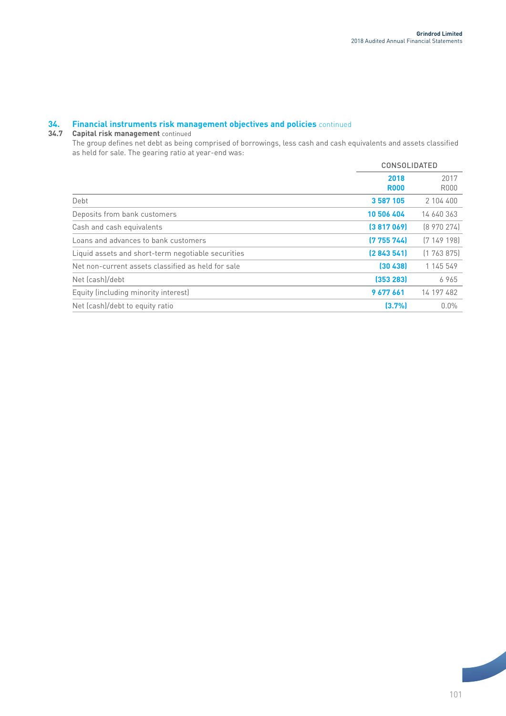# **34. Financial instruments risk management objectives and policies** continued

## **34.7 Capital risk management** continued

The group defines net debt as being comprised of borrowings, less cash and cash equivalents and assets classified as held for sale. The gearing ratio at year-end was:

|                                                    | <b>CONSOLIDATED</b> |                     |
|----------------------------------------------------|---------------------|---------------------|
|                                                    | 2018<br><b>R000</b> | 2017<br><b>R000</b> |
| Debt                                               | 3 587 105           | 2 104 400           |
| Deposits from bank customers                       | 10 506 404          | 14 640 363          |
| Cash and cash equivalents                          | (3817069)           | [8970274]           |
| Loans and advances to bank customers               | (775574)            | [7149198]           |
| Liquid assets and short-term negotiable securities | [2843541]           | (1763875)           |
| Net non-current assets classified as held for sale | (30438)             | 1 145 549           |
| Net (cash)/debt                                    | (353 283)           | 6965                |
| Equity (including minority interest)               | 9677661             | 14 197 482          |
| Net (cash)/debt to equity ratio                    | (3.7%               | $0.0\%$             |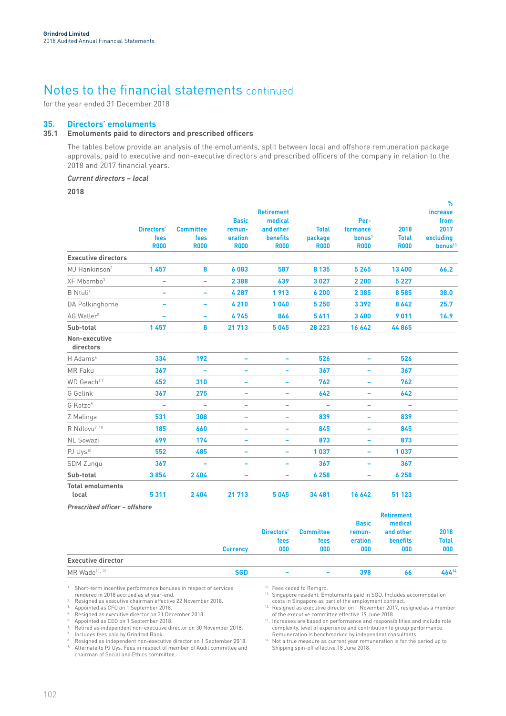for the year ended 31 December 2018

## **35. Directors' emoluments**

## **35.1 Emoluments paid to directors and prescribed officers**

The tables below provide an analysis of the emoluments, split between local and offshore remuneration package approvals, paid to executive and non-executive directors and prescribed officers of the company in relation to the 2018 and 2017 financial years.

*Current directors – local*

**2018**

|                                  |                     |                          |                        |                                |                        |                                |                             | %                                |
|----------------------------------|---------------------|--------------------------|------------------------|--------------------------------|------------------------|--------------------------------|-----------------------------|----------------------------------|
|                                  |                     |                          |                        | <b>Retirement</b>              |                        |                                |                             | increase                         |
|                                  |                     |                          | <b>Basic</b>           | medical                        |                        | Per-                           |                             | from                             |
|                                  | Directors'          | <b>Committee</b>         | remun-                 | and other                      | <b>Total</b>           | formance<br>bonus <sup>1</sup> | 2018                        | 2017                             |
|                                  | fees<br><b>R000</b> | fees<br><b>R000</b>      | eration<br><b>R000</b> | <b>benefits</b><br><b>R000</b> | package<br><b>R000</b> | <b>R000</b>                    | <b>Total</b><br><b>R000</b> | excluding<br>bonus <sup>13</sup> |
| <b>Executive directors</b>       |                     |                          |                        |                                |                        |                                |                             |                                  |
| MJ Hankinson <sup>2</sup>        | 1457                | 8                        | 6083                   | 587                            | 8 1 3 5                | 5 2 6 5                        | 13 400                      | 66.2                             |
| XF Mbambo <sup>3</sup>           | ۰                   | ۰                        | 2 3 8 8                | 639                            | 3027                   | 2 2 0 0                        | 5 2 2 7                     |                                  |
| <b>B</b> Ntuli <sup>4</sup>      |                     | -                        | 4 2 8 7                | 1913                           | 6 200                  | 2 3 8 5                        | 8585                        | 38.0                             |
| DA Polkinghorne                  | ۰                   | ۰                        | 4210                   | 1040                           | 5 2 5 0                | 3392                           | 8642                        | 25.7                             |
| AG Waller <sup>5</sup>           |                     | $\overline{\phantom{0}}$ | 4745                   | 866                            | 5611                   | 3 4 0 0                        | 9011                        | 16.9                             |
| Sub-total                        | 1457                | 8                        | 21 713                 | 5045                           | 28 2 23                | 16 642                         | 44865                       |                                  |
| Non-executive<br>directors       |                     |                          |                        |                                |                        |                                |                             |                                  |
| H Adams <sup>6</sup>             | 334                 | 192                      |                        |                                | 526                    |                                | 526                         |                                  |
| MR Faku                          | 367                 | ۰                        | -                      | -                              | 367                    |                                | 367                         |                                  |
| WD Geach <sup>6,7</sup>          | 452                 | 310                      | ۰                      |                                | 762                    |                                | 762                         |                                  |
| G Gelink                         | 367                 | 275                      | -                      |                                | 642                    |                                | 642                         |                                  |
| G Kotze <sup>8</sup>             |                     |                          |                        |                                |                        |                                |                             |                                  |
| Z Malinga                        | 531                 | 308                      |                        | -                              | 839                    |                                | 839                         |                                  |
| R Ndlovu <sup>9, 10</sup>        | 185                 | 660                      | -                      | -                              | 845                    |                                | 845                         |                                  |
| <b>NL Sowazi</b>                 | 699                 | 174                      | ۰                      | -                              | 873                    |                                | 873                         |                                  |
| PJ Uys <sup>10</sup>             | 552                 | 485                      | -                      | ۰                              | 1037                   | $\overline{\phantom{a}}$       | 1037                        |                                  |
| <b>SDM Zungu</b>                 | 367                 | ۰                        | ۰                      | -                              | 367                    | $\overline{\phantom{a}}$       | 367                         |                                  |
| Sub-total                        | 3854                | 2404                     | ۰                      | ۰                              | 6 258                  | ۰                              | 6 2 5 8                     |                                  |
| <b>Total emoluments</b><br>local | 5311                | 2404                     | 21 713                 | 5045                           | 34 481                 | 16 642                         | 51 123                      |                                  |

*Prescribed officer – offshore*

|                           |                 |                          |                          |                                   | <b>Retirement</b>                       |                      |
|---------------------------|-----------------|--------------------------|--------------------------|-----------------------------------|-----------------------------------------|----------------------|
|                           |                 | Directors'<br>fees       | <b>Committee</b><br>fees | <b>Basic</b><br>remun-<br>eration | medical<br>and other<br><b>benefits</b> | 2018<br><b>Total</b> |
|                           | <b>Currency</b> | 000                      | 000                      | 000                               | 000                                     | 000                  |
| <b>Executive director</b> |                 |                          |                          |                                   |                                         |                      |
| MR Wade <sup>11, 12</sup> | <b>SGD</b>      | $\overline{\phantom{a}}$ | -                        | 398                               | 66                                      | 46414                |

1. Short-term incentive performance bonuses in respect of services rendered in 2018 accrued as at year-end.

2. Resigned as executive chairman effective 22 November 2018. 3. Appointed as CFO on 1 September 2018.

<sup>4.</sup> Resigned as executive director on 31 December 2018.<br><sup>5.</sup> Appointed as CEO on 1 September 2018.

Retired as independent non-executive director on 30 November 2018.

Includes fees paid by Grindrod Bank.

 $^{\text{\tiny{\textup{8}}}{}$  - Resigned as independent non-executive director on 1 September 2018.<br><sup>9.</sup> Alternate to PJ Uys. Fees in respect of member of Audit committee and chairman of Social and Ethics committee.

<sup>10.</sup> Fees ceded to Remgro.

Singapore resident. Emoluments paid in SGD. Includes accommodation costs in Singapore as part of the employment contract.

<sup>12</sup>. Resigned as executive director on 1 November 2017, resigned as a member

of the executive committee effective 19 June 2018. 13. Increases are based on performance and responsibilities and include role complexity, level of experience and contribution to group performance. Remuneration is benchmarked by independent consultants.

14. Not a true measure as current year remuneration is for the period up to Shipping spin-off effective 18 June 2018.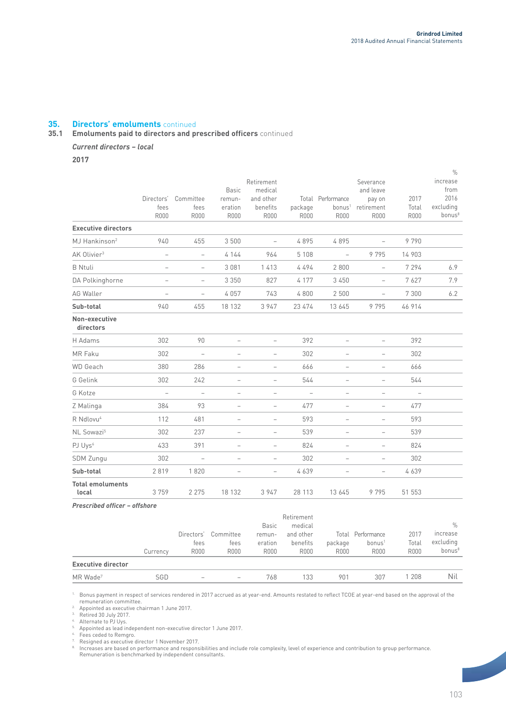## **35. Directors' emoluments** continued

### **35.1 Emoluments paid to directors and prescribed officers** continued

## *Current directors – local*

**2017**

|                                  |                          |                          |                          |                          |                          |                                   |                          |                          | $\%$               |
|----------------------------------|--------------------------|--------------------------|--------------------------|--------------------------|--------------------------|-----------------------------------|--------------------------|--------------------------|--------------------|
|                                  |                          |                          |                          | Retirement               |                          |                                   | Severance                |                          | increase           |
|                                  |                          |                          | <b>Basic</b>             | medical                  |                          |                                   | and leave                |                          | from               |
|                                  | Directors'<br>fees       | Committee                | remun-                   | and other                |                          | Total Performance                 | pay on<br>retirement     | 2017                     | 2016<br>excluding  |
|                                  | <b>R000</b>              | fees<br><b>R000</b>      | eration<br><b>R000</b>   | benefits<br><b>R000</b>  | package<br><b>R000</b>   | bonus <sup>1</sup><br><b>R000</b> | <b>R000</b>              | Total<br><b>R000</b>     | bonus <sup>8</sup> |
| <b>Executive directors</b>       |                          |                          |                          |                          |                          |                                   |                          |                          |                    |
| MJ Hankinson <sup>2</sup>        | 940                      | 455                      | 3 500                    | $\qquad \qquad -$        | 4895                     | 4895                              | $\overline{\phantom{0}}$ | 9790                     |                    |
| AK Olivier <sup>3</sup>          | $\overline{\phantom{0}}$ | $\overline{a}$           | 4 1 4 4                  | 964                      | 5 1 0 8                  | $\overline{\phantom{a}}$          | 9795                     | 14 903                   |                    |
| <b>B</b> Ntuli                   | $\overline{\phantom{0}}$ | $\overline{a}$           | 3 0 8 1                  | 1413                     | 4494                     | 2 8 0 0                           | $\overline{a}$           | 7 2 9 4                  | 6.9                |
| DA Polkinghorne                  | $\qquad \qquad -$        | $\qquad \qquad -$        | 3 3 5 0                  | 827                      | 4 1 7 7                  | 3 4 5 0                           | $\overline{\phantom{a}}$ | 7627                     | 7.9                |
| AG Waller                        | $\qquad \qquad -$        | $\overline{\phantom{a}}$ | 4057                     | 743                      | 4800                     | 2 500                             | $\qquad \qquad -$        | 7 3 0 0                  | 6.2                |
| Sub-total                        | 940                      | 455                      | 18 132                   | 3 9 4 7                  | 23 474                   | 13 645                            | 9 7 9 5                  | 46 914                   |                    |
| Non-executive<br>directors       |                          |                          |                          |                          |                          |                                   |                          |                          |                    |
| H Adams                          | 302                      | 90                       |                          |                          | 392                      |                                   |                          | 392                      |                    |
| MR Faku                          | 302                      | $\overline{a}$           |                          |                          | 302                      |                                   |                          | 302                      |                    |
| <b>WD</b> Geach                  | 380                      | 286                      |                          | $\overline{\phantom{0}}$ | 666                      |                                   | $\overline{\phantom{0}}$ | 666                      |                    |
| G Gelink                         | 302                      | 242                      | $\overline{\phantom{0}}$ | $\qquad \qquad -$        | 544                      | $\overline{\phantom{0}}$          | $\overline{\phantom{a}}$ | 544                      |                    |
| G Kotze                          | $\overline{\phantom{a}}$ | $\overline{a}$           | $\overline{\phantom{0}}$ | $\overline{\phantom{0}}$ | $\overline{\phantom{a}}$ | $\overline{\phantom{0}}$          | $\overline{\phantom{0}}$ | $\overline{\phantom{0}}$ |                    |
| Z Malinga                        | 384                      | 93                       | $\overline{\phantom{0}}$ | $\qquad \qquad -$        | 477                      | $\qquad \qquad -$                 | $\overline{\phantom{0}}$ | 477                      |                    |
| R Ndlovu <sup>4</sup>            | 112                      | 481                      | -                        | $\overline{\phantom{a}}$ | 593                      | $\qquad \qquad -$                 | $\overline{\phantom{m}}$ | 593                      |                    |
| NL Sowazi <sup>5</sup>           | 302                      | 237                      | $\overline{\phantom{0}}$ | $\qquad \qquad -$        | 539                      | $\overline{\phantom{0}}$          | $\qquad \qquad -$        | 539                      |                    |
| PJ Uys <sup>6</sup>              | 433                      | 391                      | $\qquad \qquad -$        | $\qquad \qquad -$        | 824                      | $\qquad \qquad -$                 | $\overline{\phantom{a}}$ | 824                      |                    |
| <b>SDM Zungu</b>                 | 302                      | $\overline{\phantom{0}}$ | $\overline{\phantom{0}}$ | $\qquad \qquad -$        | 302                      | $\overline{\phantom{0}}$          | $\overline{\phantom{a}}$ | 302                      |                    |
| Sub-total                        | 2819                     | 1820                     | $\overline{\phantom{0}}$ | $\overline{\phantom{a}}$ | 4639                     | $\overline{\phantom{0}}$          | $\overline{\phantom{a}}$ | 4639                     |                    |
| <b>Total emoluments</b><br>local | 3759                     | 2 2 7 5                  | 18 132                   | 3 9 4 7                  | 28 113                   | 13 645                            | 9795                     | 51 553                   |                    |
| Droceribod officer - offchare    |                          |                          |                          |                          |                          |                                   |                          |                          |                    |

| r resumed vincer – viishvie |          |                            |                           |                                  |                                      |                                 |                                                  |                              |                                             |
|-----------------------------|----------|----------------------------|---------------------------|----------------------------------|--------------------------------------|---------------------------------|--------------------------------------------------|------------------------------|---------------------------------------------|
|                             |          |                            |                           | <b>Basic</b>                     | Retirement<br>medical                |                                 |                                                  |                              | $\%$                                        |
|                             | Currency | Directors'<br>fees<br>R000 | Committee<br>fees<br>R000 | remun-<br>eration<br><b>R000</b> | and other<br>benefits<br><b>R000</b> | Total<br>package<br><b>R000</b> | Performance<br>bonus <sup>1</sup><br><b>R000</b> | 2017<br>Total<br><b>R000</b> | increase<br>excluding<br>bonus <sup>8</sup> |
| <b>Executive director</b>   |          |                            |                           |                                  |                                      |                                 |                                                  |                              |                                             |
| MR Wade <sup>7</sup>        | SGD      | $\hspace{0.05cm}$          | -                         | 768                              | 133                                  | 901                             | 307                                              | l 208                        | Nil                                         |

1. Bonus payment in respect of services rendered in 2017 accrued as at year-end. Amounts restated to reflect TCOE at year-end based on the approval of the remuneration committee.

2. Appointed as executive chairman 1 June 2017.<br>
<sup>2.</sup> Appointed as executive chairman 1 June 2017.

<sup>3.</sup> Retired 30 July 2017.<br><sup>4.</sup> Alternate to PJ Uys.<br><sup>5.</sup> Appointed as lead independent non-executive director 1 June 2017.

 $6.$  Fees ceded to Remgro.

<sup>7</sup>. Resigned as executive director 1 November 2017.<br><sup>8.</sup> Increases are based on performance and respons

® Increases are based on performance and responsibilities and include role complexity, level of experience and contribution to group performance.<br>Remuneration is benchmarked by independent consultants.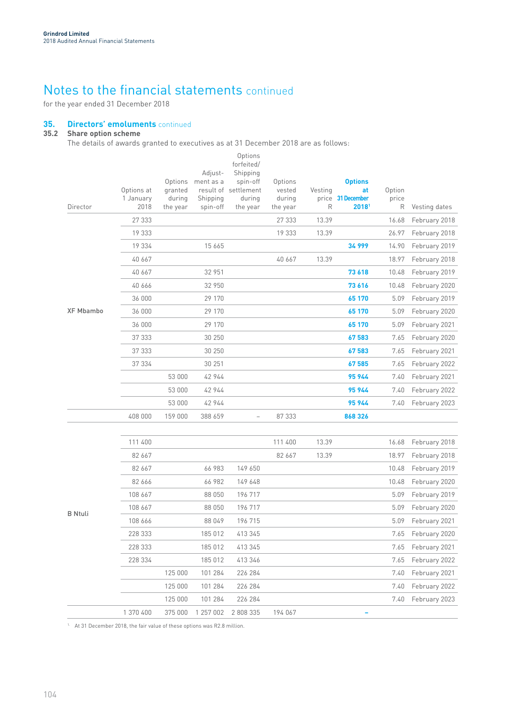for the year ended 31 December 2018

## **35. Directors' emoluments** continued

## **35.2 Share option scheme**

The details of awards granted to executives as at 31 December 2018 are as follows:

| Director         | Options at<br>1 January<br>2018 | Options<br>granted<br>during<br>the year | Adjust-<br>ment as a<br>Shipping<br>spin-off | Options<br>forfeited/<br>Shipping<br>spin-off<br>result of settlement<br>during<br>the year | Options<br>vested<br>during<br>the year | Vesting<br>R | <b>Options</b><br>at<br>price 31 December<br>2018 | Option<br>price<br>R | Vesting dates      |
|------------------|---------------------------------|------------------------------------------|----------------------------------------------|---------------------------------------------------------------------------------------------|-----------------------------------------|--------------|---------------------------------------------------|----------------------|--------------------|
|                  | 27 333                          |                                          |                                              |                                                                                             | 27 333                                  | 13.39        |                                                   | 16.68                | February 2018      |
|                  | 19 333                          |                                          |                                              |                                                                                             | 19 333                                  | 13.39        |                                                   | 26.97                | February 2018      |
|                  | 19 334                          |                                          | 15 665                                       |                                                                                             |                                         |              | 34 999                                            | 14.90                | February 2019      |
|                  | 40 667                          |                                          |                                              |                                                                                             | 40 667                                  | 13.39        |                                                   | 18.97                | February 2018      |
|                  | 40 667                          |                                          | 32 951                                       |                                                                                             |                                         |              | 73 618                                            | 10.48                | February 2019      |
|                  | 40 666                          |                                          | 32 950                                       |                                                                                             |                                         |              | 73 616                                            | 10.48                | February 2020      |
|                  | 36 000                          |                                          | 29 170                                       |                                                                                             |                                         |              | 65 170                                            | 5.09                 | February 2019      |
| <b>XF Mbambo</b> | 36 000                          |                                          | 29 170                                       |                                                                                             |                                         |              | 65 170                                            | 5.09                 | February 2020      |
|                  | 36 000                          |                                          | 29 170                                       |                                                                                             |                                         |              | 65 170                                            | 5.09                 | February 2021      |
|                  | 37 333                          |                                          | 30 250                                       |                                                                                             |                                         |              | 67583                                             | 7.65                 | February 2020      |
|                  | 37 333                          |                                          | 30 250                                       |                                                                                             |                                         |              | 67 583                                            | 7.65                 | February 2021      |
|                  | 37 334                          |                                          | 30 251                                       |                                                                                             |                                         |              | 67 585                                            | 7.65                 | February 2022      |
|                  |                                 | 53 000                                   | 42 944                                       |                                                                                             |                                         |              | 95 944                                            | 7.40                 | February 2021      |
|                  |                                 | 53 000                                   | 42 944                                       |                                                                                             |                                         |              | 95944                                             | 7.40                 | February 2022      |
|                  |                                 | 53 000                                   | 42 944                                       |                                                                                             |                                         |              | 95944                                             | 7.40                 | February 2023      |
|                  | 408 000                         | 159 000                                  | 388 659                                      |                                                                                             | 87 333                                  |              | 868 326                                           |                      |                    |
|                  |                                 |                                          |                                              |                                                                                             |                                         |              |                                                   |                      |                    |
|                  | 111 400                         |                                          |                                              |                                                                                             | 111 400                                 | 13.39        |                                                   | 16.68                | February 2018      |
|                  | 82 667                          |                                          |                                              |                                                                                             | 82 667                                  | 13.39        |                                                   | 18.97                | February 2018      |
|                  | 82 667                          |                                          | 66 983                                       | 149 650                                                                                     |                                         |              |                                                   | 10.48                | February 2019      |
|                  | 82 666                          |                                          | 66 982                                       | 149 648                                                                                     |                                         |              |                                                   | 10.48                | February 2020      |
|                  | 108 667                         |                                          | 88 050                                       | 196 717                                                                                     |                                         |              |                                                   | 5.09                 | February 2019      |
|                  | 108 667                         |                                          | 88 050                                       | 196 717                                                                                     |                                         |              |                                                   | 5.09                 | February 2020      |
| <b>B</b> Ntuli   | 108 666                         |                                          | 88 049                                       | 196 715                                                                                     |                                         |              |                                                   |                      | 5.09 February 2021 |
|                  | 228 333                         |                                          | 185 012                                      | 413 345                                                                                     |                                         |              |                                                   | 7.65                 | February 2020      |
|                  | 228 333                         |                                          | 185 012                                      | 413 345                                                                                     |                                         |              |                                                   | 7.65                 | February 2021      |
|                  | 228 334                         |                                          | 185 012                                      | 413 346                                                                                     |                                         |              |                                                   | 7.65                 | February 2022      |
|                  |                                 | 125 000                                  | 101 284                                      | 226 284                                                                                     |                                         |              |                                                   | 7.40                 | February 2021      |
|                  |                                 | 125 000                                  | 101 284                                      | 226 284                                                                                     |                                         |              |                                                   | 7.40                 | February 2022      |
|                  |                                 | 125 000                                  | 101 284                                      | 226 284                                                                                     |                                         |              |                                                   | 7.40                 | February 2023      |
|                  | 1 370 400                       | 375 000                                  | 1 257 002                                    | 2 808 335                                                                                   | 194 067                                 |              | ۰                                                 |                      |                    |

<sup>1.</sup> At 31 December 2018, the fair value of these options was R2.8 million.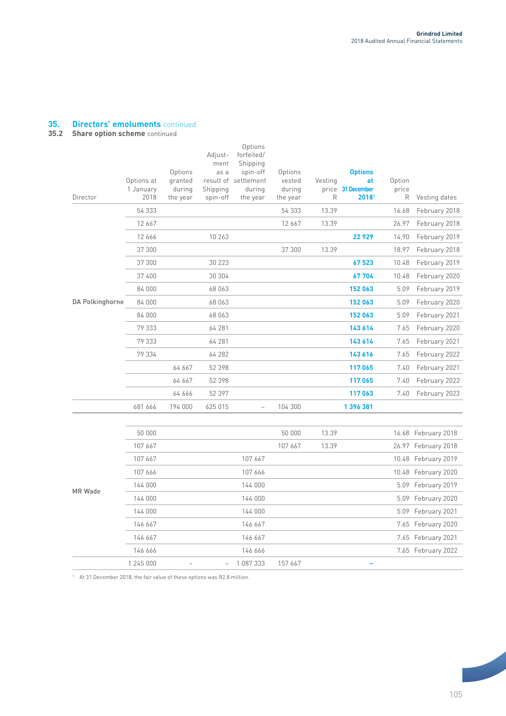## **35. Directors' emoluments** continued

## **35.2 Share option scheme** continued

| Director        | Options at<br>1 January<br>2018 | Options<br>granted<br>during<br>the year | Adjust-<br>ment<br>as a<br>Shipping<br>spin-off | Options<br>forfeited/<br>Shipping<br>spin-off<br>result of settlement<br>during<br>the year | Options<br>vested<br>during<br>the year | Vesting<br>R | <b>Options</b><br>at<br>price 31 December<br>2018 | Option<br>price<br>R | Vesting dates       |
|-----------------|---------------------------------|------------------------------------------|-------------------------------------------------|---------------------------------------------------------------------------------------------|-----------------------------------------|--------------|---------------------------------------------------|----------------------|---------------------|
|                 | 54 333                          |                                          |                                                 |                                                                                             | 54 333                                  | 13.39        |                                                   | 16.68                | February 2018       |
|                 | 12 667                          |                                          |                                                 |                                                                                             | 12 667                                  | 13.39        |                                                   | 26.97                | February 2018       |
|                 | 12 666                          |                                          | 10 263                                          |                                                                                             |                                         |              | 22929                                             | 14.90                | February 2019       |
|                 | 37 300                          |                                          |                                                 |                                                                                             | 37 300                                  | 13.39        |                                                   | 18.97                | February 2018       |
|                 | 37 300                          |                                          | 30 223                                          |                                                                                             |                                         |              | 67523                                             | 10.48                | February 2019       |
|                 | 37 400                          |                                          | 30 304                                          |                                                                                             |                                         |              | 67704                                             | 10.48                | February 2020       |
|                 | 84 000                          |                                          | 68 063                                          |                                                                                             |                                         |              | 152 063                                           | 5.09                 | February 2019       |
| DA Polkinghorne | 84 000                          |                                          | 68 063                                          |                                                                                             |                                         |              | 152 063                                           | 5.09                 | February 2020       |
|                 | 84 000                          |                                          | 68 063                                          |                                                                                             |                                         |              | 152 063                                           | 5.09                 | February 2021       |
|                 | 79 333                          |                                          | 64 281                                          |                                                                                             |                                         |              | 143 614                                           | 7.65                 | February 2020       |
|                 | 79 333                          |                                          | 64 281                                          |                                                                                             |                                         |              | 143 614                                           | 7.65                 | February 2021       |
|                 | 79 334                          |                                          | 64 282                                          |                                                                                             |                                         |              | 143 616                                           | 7.65                 | February 2022       |
|                 |                                 | 64 667                                   | 52 398                                          |                                                                                             |                                         |              | 117065                                            | 7.40                 | February 2021       |
|                 |                                 | 64 667                                   | 52 398                                          |                                                                                             |                                         |              | 117065                                            | 7.40                 | February 2022       |
|                 |                                 | 64 666                                   | 52 397                                          |                                                                                             |                                         |              | 117063                                            | 7.40                 | February 2023       |
|                 | 681 666                         | 194 000                                  | 625 015                                         | $\overline{\phantom{0}}$                                                                    | 104 300                                 |              | 1396381                                           |                      |                     |
|                 |                                 |                                          |                                                 |                                                                                             |                                         |              |                                                   |                      |                     |
|                 | 50 000                          |                                          |                                                 |                                                                                             | 50 000                                  | 13.39        |                                                   |                      | 16.68 February 2018 |
|                 | 107 667                         |                                          |                                                 |                                                                                             | 107 667                                 | 13.39        |                                                   |                      | 26.97 February 2018 |
|                 | 107 667                         |                                          |                                                 | 107 667                                                                                     |                                         |              |                                                   |                      | 10.48 February 2019 |
|                 | 107 666                         |                                          |                                                 | 107 666                                                                                     |                                         |              |                                                   |                      | 10.48 February 2020 |
| MR Wade         | 144 000                         |                                          |                                                 | 144 000                                                                                     |                                         |              |                                                   |                      | 5.09 February 2019  |
|                 | 144 000                         |                                          |                                                 | 144 000                                                                                     |                                         |              |                                                   |                      | 5.09 February 2020  |
|                 | 144 000                         |                                          |                                                 | 144 000                                                                                     |                                         |              |                                                   |                      | 5.09 February 2021  |
|                 | 146 667                         |                                          |                                                 | 146 667                                                                                     |                                         |              |                                                   |                      | 7.65 February 2020  |
|                 | 146 667                         |                                          |                                                 | 146 667                                                                                     |                                         |              |                                                   |                      | 7.65 February 2021  |
|                 | 146 666                         |                                          |                                                 | 146 666                                                                                     |                                         |              |                                                   |                      | 7.65 February 2022  |
|                 | 1 245 000                       |                                          |                                                 | 1 087 333                                                                                   | 157 667                                 |              |                                                   |                      |                     |

<sup>1.</sup> At 31 December 2018, the fair value of these options was R2.8 million.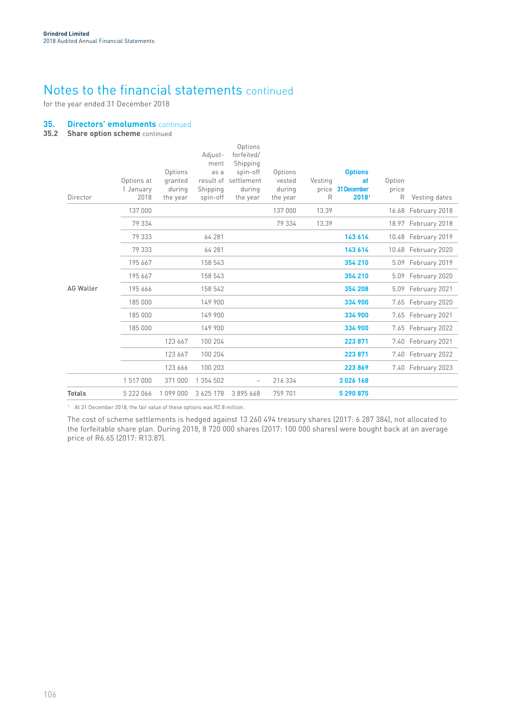for the year ended 31 December 2018

## **35. Directors' emoluments** continued

**35.2 Share option scheme** continued

| Director         | Options at<br>1 January<br>2018 | Options<br>granted<br>durina<br>the year | Adjust-<br>ment<br>as a<br>Shipping<br>spin-off | Options<br>forfeited/<br>Shipping<br>spin-off<br>result of settlement<br>during<br>the year | Options<br>vested<br>during<br>the year | Vesting<br>R | <b>Options</b><br>at<br>price 31 December<br>20181 | Option<br>price<br>R | Vesting dates       |
|------------------|---------------------------------|------------------------------------------|-------------------------------------------------|---------------------------------------------------------------------------------------------|-----------------------------------------|--------------|----------------------------------------------------|----------------------|---------------------|
|                  | 137 000                         |                                          |                                                 |                                                                                             | 137 000                                 | 13.39        |                                                    |                      | 16.68 February 2018 |
|                  | 79 334                          |                                          |                                                 |                                                                                             | 79 334                                  | 13.39        |                                                    |                      | 18.97 February 2018 |
|                  | 79 333                          |                                          | 64 281                                          |                                                                                             |                                         |              | 143 614                                            |                      | 10.48 February 2019 |
|                  | 79 333                          |                                          | 64 281                                          |                                                                                             |                                         |              | 143 614                                            |                      | 10.48 February 2020 |
|                  | 195 667                         |                                          | 158 543                                         |                                                                                             |                                         |              | 354 210                                            |                      | 5.09 February 2019  |
|                  | 195 667                         |                                          | 158 543                                         |                                                                                             |                                         |              | 354 210                                            |                      | 5.09 February 2020  |
| <b>AG Waller</b> | 195 666                         |                                          | 158 542                                         |                                                                                             |                                         |              | 354 208                                            |                      | 5.09 February 2021  |
|                  | 185 000                         |                                          | 149 900                                         |                                                                                             |                                         |              | 334 900                                            |                      | 7.65 February 2020  |
|                  | 185 000                         |                                          | 149 900                                         |                                                                                             |                                         |              | 334 900                                            |                      | 7.65 February 2021  |
|                  | 185 000                         |                                          | 149 900                                         |                                                                                             |                                         |              | 334 900                                            |                      | 7.65 February 2022  |
|                  |                                 | 123 667                                  | 100 204                                         |                                                                                             |                                         |              | 223 871                                            |                      | 7.40 February 2021  |
|                  |                                 | 123 667                                  | 100 204                                         |                                                                                             |                                         |              | 223 871                                            |                      | 7.40 February 2022  |
|                  |                                 | 123 666                                  | 100 203                                         |                                                                                             |                                         |              | 223869                                             |                      | 7.40 February 2023  |
|                  | 1517000                         | 371 000                                  | 1 354 502                                       | $\overline{\phantom{0}}$                                                                    | 216 334                                 |              | 3 0 2 6 1 6 8                                      |                      |                     |
| <b>Totals</b>    | 5 222 066                       | 1 099 000                                | 3 6 25 1 78                                     | 3895668                                                                                     | 759 701                                 |              | 5 290 875                                          |                      |                     |

<sup>1.</sup> At 31 December 2018, the fair value of these options was R2.8 million.

The cost of scheme settlements is hedged against 13 260 494 treasury shares (2017: 6 287 384), not allocated to the forfeitable share plan. During 2018, 8 720 000 shares (2017: 100 000 shares) were bought back at an average price of R6.65 (2017: R13.87).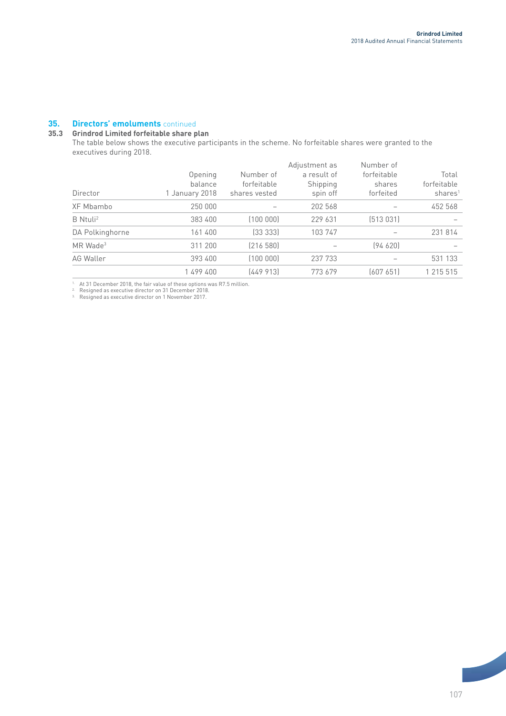## **35. Directors' emoluments** continued

## **35.3 Grindrod Limited forfeitable share plan**

The table below shows the executive participants in the scheme. No forfeitable shares were granted to the executives during 2018.

| Director               | Opening<br>balance<br>1 January 2018 | Number of<br>forfeitable<br>shares vested | Adjustment as<br>a result of<br>Shipping<br>spin off | Number of<br>forfeitable<br>shares<br>forfeited | Total<br>forfeitable<br>shares <sup>1</sup> |
|------------------------|--------------------------------------|-------------------------------------------|------------------------------------------------------|-------------------------------------------------|---------------------------------------------|
| XF Mbambo              | 250 000                              |                                           | 202 568                                              |                                                 | 452 568                                     |
| B Ntuli <sup>2</sup>   | 383 400                              | (100000)                                  | 229 631                                              | (513031)                                        |                                             |
| DA Polkinghorne        | 161400                               | [33 333]                                  | 103 747                                              |                                                 | 231814                                      |
| $MR$ Wade <sup>3</sup> | 311 200                              | (216 580)                                 |                                                      | (94620)                                         |                                             |
| AG Waller              | 393 400                              | (100000)                                  | 237 733                                              |                                                 | 531 133                                     |
|                        | 1499400                              | [449913]                                  | 773 679                                              | (607651)                                        | 1 215 515                                   |

<sup>1.</sup> At 31 December 2018, the fair value of these options was R7.5 million.<br><sup>2.</sup> Resigned as executive director on 31 December 2018.<br><sup>3.</sup> Resigned as executive director on 1 November 2017.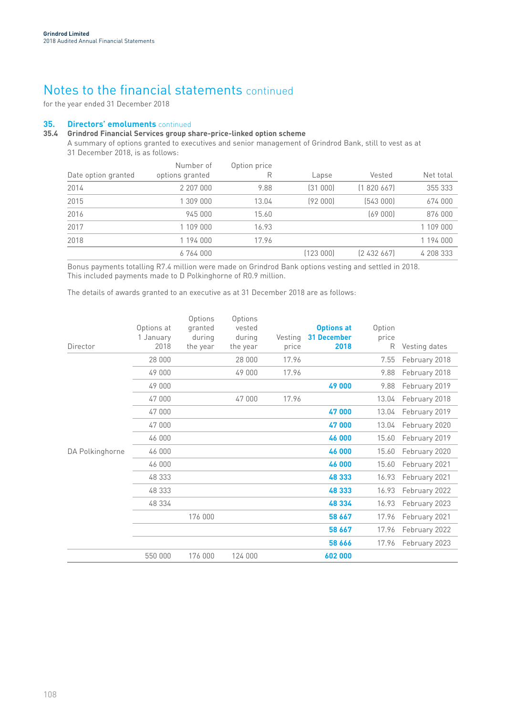for the year ended 31 December 2018

## **35. Directors' emoluments** continued

## **35.4 Grindrod Financial Services group share-price-linked option scheme**

A summary of options granted to executives and senior management of Grindrod Bank, still to vest as at 31 December 2018, is as follows:

|                     | Number of       | Option price |          |               |           |
|---------------------|-----------------|--------------|----------|---------------|-----------|
| Date option granted | options granted | R            | Lapse    | Vested        | Net total |
| 2014                | 2 207 000       | 9.88         | (31000)  | [1 820 667]   | 355 333   |
| 2015                | 1 309 000       | 13.04        | (92000)  | [543000]      | 674 000   |
| 2016                | 945 000         | 15.60        |          | (69000)       | 876 000   |
| 2017                | 1 109 000       | 16.93        |          |               | 1 109 000 |
| 2018                | 1 194 000       | 17.96        |          |               | 1 194 000 |
|                     | 6764000         |              | (123000) | [2, 432, 667] | 4 208 333 |

Bonus payments totalling R7.4 million were made on Grindrod Bank options vesting and settled in 2018. This included payments made to D Polkinghorne of R0.9 million.

The details of awards granted to an executive as at 31 December 2018 are as follows:

| Director        | Options at<br>1 January<br>2018 | Options<br>granted<br>during<br>the year | Options<br>vested<br>during<br>the year | Vesting<br>price | <b>Options at</b><br><b>31 December</b><br>2018 | Option<br>price<br>R | Vesting dates |
|-----------------|---------------------------------|------------------------------------------|-----------------------------------------|------------------|-------------------------------------------------|----------------------|---------------|
|                 | 28 000                          |                                          | 28 000                                  | 17.96            |                                                 | 7.55                 | February 2018 |
|                 | 49 000                          |                                          | 49 000                                  | 17.96            |                                                 | 9.88                 | February 2018 |
|                 | 49 000                          |                                          |                                         |                  | 49 000                                          | 9.88                 | February 2019 |
|                 | 47 000                          |                                          | 47 000                                  | 17.96            |                                                 | 13.04                | February 2018 |
|                 | 47 000                          |                                          |                                         |                  | 47000                                           | 13.04                | February 2019 |
|                 | 47 000                          |                                          |                                         |                  | 47000                                           | 13.04                | February 2020 |
|                 | 46 000                          |                                          |                                         |                  | 46 000                                          | 15.60                | February 2019 |
| DA Polkinghorne | 46 000                          |                                          |                                         |                  | 46 000                                          | 15.60                | February 2020 |
|                 | 46 000                          |                                          |                                         |                  | 46 000                                          | 15.60                | February 2021 |
|                 | 48 333                          |                                          |                                         |                  | 48 333                                          | 16.93                | February 2021 |
|                 | 48 333                          |                                          |                                         |                  | 48 333                                          | 16.93                | February 2022 |
|                 | 48 334                          |                                          |                                         |                  | 48 334                                          | 16.93                | February 2023 |
|                 |                                 | 176 000                                  |                                         |                  | 58 667                                          | 17.96                | February 2021 |
|                 |                                 |                                          |                                         |                  | 58 667                                          | 17.96                | February 2022 |
|                 |                                 |                                          |                                         |                  | 58 666                                          | 17.96                | February 2023 |
|                 | 550 000                         | 176 000                                  | 124 000                                 |                  | 602 000                                         |                      |               |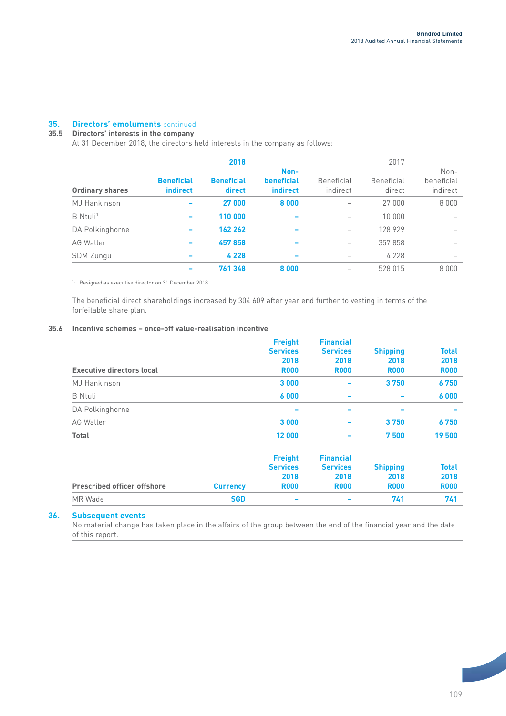## **35. Directors' emoluments** continued

## **35.5 Directors' interests in the company**

At 31 December 2018, the directors held interests in the company as follows:

|                        |                               | 2018                        |                                |                        | 2017                        |                                |
|------------------------|-------------------------------|-----------------------------|--------------------------------|------------------------|-----------------------------|--------------------------------|
| <b>Ordinary shares</b> | <b>Beneficial</b><br>indirect | <b>Beneficial</b><br>direct | Non-<br>beneficial<br>indirect | Beneficial<br>indirect | <b>Beneficial</b><br>direct | Non-<br>beneficial<br>indirect |
| <b>MJ</b> Hankinson    |                               | 27 000                      | 8000                           |                        | 27 000                      | 8 0 0 0                        |
| B Ntuli <sup>1</sup>   |                               | 110 000                     |                                |                        | 10 000                      |                                |
| DA Polkinghorne        |                               | 162 262                     |                                | $\qquad \qquad -$      | 128 929                     |                                |
| AG Waller              |                               | 457858                      |                                |                        | 357 858                     |                                |
| <b>SDM Zungu</b>       |                               | 4 2 2 8                     |                                |                        | 4 2 2 8                     |                                |
|                        |                               | 761 348                     | 8000                           |                        | 528 015                     | 8 0 0 0                        |

1. Resigned as executive director on 31 December 2018.

The beneficial direct shareholdings increased by 304 609 after year end further to vesting in terms of the forfeitable share plan.

## **35.6 Incentive schemes – once-off value-realisation incentive**

|                                  | <b>Freight</b><br><b>Services</b><br>2018 | <b>Financial</b><br><b>Services</b><br>2018 | <b>Shipping</b><br>2018 | Total<br>2018 |
|----------------------------------|-------------------------------------------|---------------------------------------------|-------------------------|---------------|
| <b>Executive directors local</b> | <b>R000</b>                               | <b>R000</b>                                 | <b>R000</b>             | <b>R000</b>   |
| <b>MJ</b> Hankinson              | 3 0 0 0                                   | $\overline{\phantom{0}}$                    | 3750                    | 6750          |
| <b>B</b> Ntuli                   | 6000                                      | $\overline{\phantom{0}}$                    | -                       | 6000          |
| DA Polkinghorne                  | $\overline{\phantom{0}}$                  | -                                           |                         |               |
| AG Waller                        | 3 0 0 0                                   | $\overline{\phantom{0}}$                    | 3750                    | 6750          |
| <b>Total</b>                     | 12 000                                    | $\overline{\phantom{0}}$                    | 7500                    | 19 500        |
|                                  |                                           |                                             |                         |               |

| <b>Prescribed officer offshore</b> | <b>Currency</b> | <b>Freight</b><br><b>Services</b><br>2018<br><b>R000</b> | <b>Financial</b><br><b>Services</b><br>2018<br><b>R000</b> | <b>Shipping</b><br>2018<br><b>R000</b> | Total<br>2018<br><b>R000</b> |
|------------------------------------|-----------------|----------------------------------------------------------|------------------------------------------------------------|----------------------------------------|------------------------------|
| MR Wade                            | <b>SGD</b>      | $\overline{\phantom{a}}$                                 | $\overline{\phantom{a}}$                                   | 741                                    | 741                          |

## **36. Subsequent events**

No material change has taken place in the affairs of the group between the end of the financial year and the date of this report.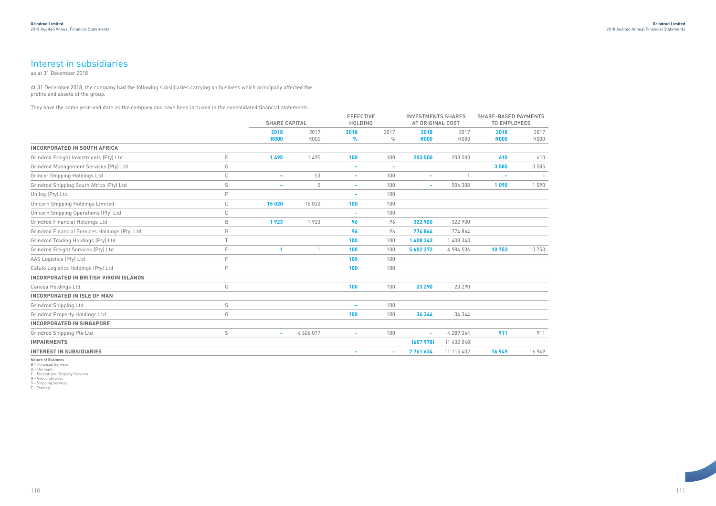111

At 31 December 2018, the company had the following subsidiaries carrying on business which principally affected the profits and assets of the group.

They have the same year-end date as the company and have been included in the consolidated financial statements.



|                                                |              | <b>SHARE CAPITAL</b>     |             | <b>EFFECTIVE</b><br><b>HOLDING</b> |                                 | <b>INVESTMENTS SHARES</b><br>AT ORIGINAL COST |             | <b>SHARE-BASED PAYMENTS</b><br><b>TO EMPLOYEES</b> |             |
|------------------------------------------------|--------------|--------------------------|-------------|------------------------------------|---------------------------------|-----------------------------------------------|-------------|----------------------------------------------------|-------------|
|                                                |              | 2018                     | 2017        | 2018                               | 2017                            | 2018                                          | 2017        | 2018                                               | 2017        |
|                                                |              | <b>R000</b>              | <b>R000</b> | %                                  | $\frac{0}{0}$                   | <b>R000</b>                                   | <b>R000</b> | <b>R000</b>                                        | <b>R000</b> |
| <b>INCORPORATED IN SOUTH AFRICA</b>            |              |                          |             |                                    |                                 |                                               |             |                                                    |             |
| Grindrod Freight Investments (Pty) Ltd         | F            | 1495                     | 1495        | 100                                | 100                             | 203 500                                       | 203 500     | 610                                                | 610         |
| Grindrod Management Services (Pty) Ltd         | G            |                          |             | $\overline{\phantom{a}}$           | $\hspace{0.1mm}-\hspace{0.1mm}$ |                                               |             | 3585                                               | 3 5 8 5     |
| Grincor Shipping Holdings Ltd                  | $\mathsf D$  | $\overline{\phantom{a}}$ | 53          | $\overline{\phantom{a}}$           | 100                             | $\overline{\phantom{a}}$                      |             | $\overline{\phantom{a}}$                           |             |
| Grindrod Shipping South Africa (Pty) Ltd       | $\mathsf S$  |                          | 5           | $\overline{\phantom{0}}$           | 100                             | $\overline{\phantom{a}}$                      | 506 308     | 1090                                               | 1 0 9 0     |
| Unilog (Pty) Ltd                               | E            |                          |             | $\overline{\phantom{a}}$           | 100                             |                                               |             |                                                    |             |
| Unicorn Shipping Holdings Limited              | D            | 15 0 20                  | 15 0 20     | 100                                | 100                             |                                               |             |                                                    |             |
| Unicorn Shipping Operations (Pty) Ltd          | $\mathsf D$  |                          |             | $\overline{\phantom{a}}$           | 100                             |                                               |             |                                                    |             |
| Grindrod Financial Holdings Ltd                | $\,$ B       | 1923                     | 1923        | 96                                 | 96                              | 322 900                                       | 322 900     |                                                    |             |
| Grindrod Financial Services Holdings (Pty) Ltd | $\,$ B       |                          |             | 96                                 | 96                              | 774864                                        | 774 864     |                                                    |             |
| Grindrod Trading Holdings (Pty) Ltd            | $\top$       |                          |             | 100                                | 100                             | 1 408 343                                     | 1 408 343   |                                                    |             |
| Grindrod Freight Services (Pty) Ltd            | F            |                          | 1           | 100                                | 100                             | 5 602 372                                     | 4 984 536   | 10753                                              | 10 753      |
| AAS Logistics (Pty) Ltd                        | $\mathsf{F}$ |                          |             | 100                                | 100                             |                                               |             |                                                    |             |
| Calulo Logistics Holdings (Pty) Ltd            | E            |                          |             | 100                                | 100                             |                                               |             |                                                    |             |
| <b>INCORPORATED IN BRITISH VIRGIN ISLANDS</b>  |              |                          |             |                                    |                                 |                                               |             |                                                    |             |
| Canosa Holdings Ltd                            | G            |                          |             | 100                                | 100                             | 23 290                                        | 23 290      |                                                    |             |
| <b>INCORPORATED IN ISLE OF MAN</b>             |              |                          |             |                                    |                                 |                                               |             |                                                    |             |
| Grindrod Shipping Ltd                          | $\mathsf S$  |                          |             | $\overline{\phantom{0}}$           | 100                             |                                               |             |                                                    |             |
| <b>Grindrod Property Holdings Ltd</b>          | G            |                          |             | 100                                | 100                             | 34 344                                        | 34 344      |                                                    |             |
| <b>INCORPORATED IN SINGAPORE</b>               |              |                          |             |                                    |                                 |                                               |             |                                                    |             |
| Grindrod Shipping Pte Ltd                      | $\mathsf S$  | $\overline{\phantom{a}}$ | 4 606 077   | -                                  | 100                             | $\overline{\phantom{a}}$                      | 4 289 364   | 911                                                | 911         |
| <b>IMPAIRMENTS</b>                             |              |                          |             |                                    |                                 | (607978)                                      | (1432048)   |                                                    |             |
| <b>INTEREST IN SUBSIDIARIES</b>                |              |                          |             |                                    | $\hspace{0.1mm}-\hspace{0.1mm}$ | 7761634                                       | 11 115 402  | 16 949                                             | 16 949      |
|                                                |              |                          |             |                                    |                                 |                                               |             |                                                    |             |

Nature of Business B – Financial Services D – Dormant F – Freight and Property Services

G – Group Services S – Shipping Services T – Trading

# Interest in subsidiaries

as at 31 December 2018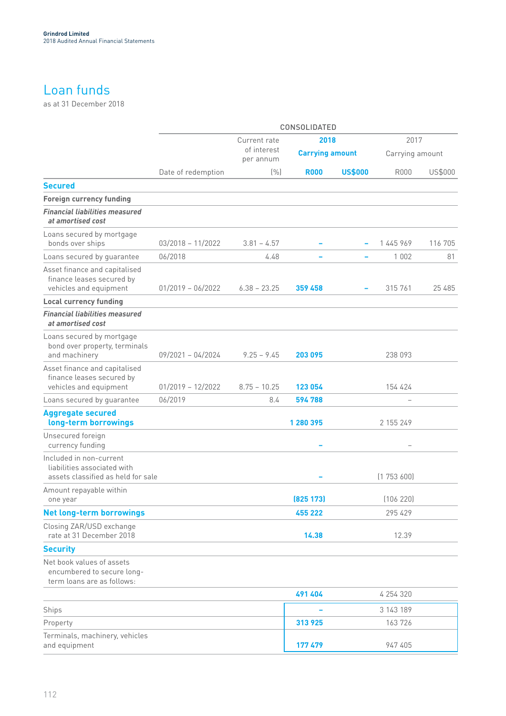# Loan funds

as at 31 December 2018

|                                                                                              |                     |                          | CONSOLIDATED           |                          |                 |         |
|----------------------------------------------------------------------------------------------|---------------------|--------------------------|------------------------|--------------------------|-----------------|---------|
|                                                                                              |                     | Current rate             | 2018                   |                          | 2017            |         |
|                                                                                              |                     | of interest<br>per annum | <b>Carrying amount</b> |                          | Carrying amount |         |
|                                                                                              | Date of redemption  | (% )                     | <b>R000</b>            | <b>US\$000</b>           | <b>R000</b>     | US\$000 |
| <b>Secured</b>                                                                               |                     |                          |                        |                          |                 |         |
| <b>Foreign currency funding</b>                                                              |                     |                          |                        |                          |                 |         |
| <b>Financial liabilities measured</b><br>at amortised cost                                   |                     |                          |                        |                          |                 |         |
| Loans secured by mortgage<br>bonds over ships                                                | $03/2018 - 11/2022$ | $3.81 - 4.57$            |                        |                          | 1 445 969       | 116 705 |
| Loans secured by guarantee                                                                   | 06/2018             | 4.48                     |                        | $\overline{\phantom{a}}$ | 1 0 0 2         | 81      |
| Asset finance and capitalised<br>finance leases secured by<br>vehicles and equipment         | $01/2019 - 06/2022$ | $6.38 - 23.25$           | 359 458                |                          | 315 761         | 25 485  |
| <b>Local currency funding</b>                                                                |                     |                          |                        |                          |                 |         |
| <b>Financial liabilities measured</b><br>at amortised cost                                   |                     |                          |                        |                          |                 |         |
| Loans secured by mortgage<br>bond over property, terminals<br>and machinery                  | $09/2021 - 04/2024$ | $9.25 - 9.45$            | 203 095                |                          | 238 093         |         |
| Asset finance and capitalised<br>finance leases secured by<br>vehicles and equipment         | $01/2019 - 12/2022$ | $8.75 - 10.25$           | 123 054                |                          | 154 424         |         |
| Loans secured by guarantee                                                                   | 06/2019             | 8.4                      | 594 788                |                          |                 |         |
| <b>Aggregate secured</b><br>long-term borrowings                                             |                     |                          | 1 280 395              |                          | 2 155 249       |         |
| Unsecured foreign<br>currency funding                                                        |                     |                          |                        |                          |                 |         |
| Included in non-current<br>liabilities associated with<br>assets classified as held for sale |                     |                          |                        |                          | (1753600)       |         |
| Amount repayable within<br>one year                                                          |                     |                          | (825 173)              |                          | (106 220)       |         |
| <b>Net long-term borrowings</b>                                                              |                     |                          | 455 222                |                          | 295 429         |         |
| Closing ZAR/USD exchange<br>rate at 31 December 2018                                         |                     |                          | 14.38                  |                          | 12.39           |         |
| <b>Security</b>                                                                              |                     |                          |                        |                          |                 |         |
| Net book values of assets<br>encumbered to secure long-<br>term loans are as follows:        |                     |                          |                        |                          |                 |         |
|                                                                                              |                     |                          | 491 404                |                          | 4 254 320       |         |
| Ships                                                                                        |                     |                          |                        |                          | 3 143 189       |         |
| Property                                                                                     |                     |                          | 313 925                |                          | 163726          |         |
| Terminals, machinery, vehicles<br>and equipment                                              |                     |                          | 177 479                |                          | 947 405         |         |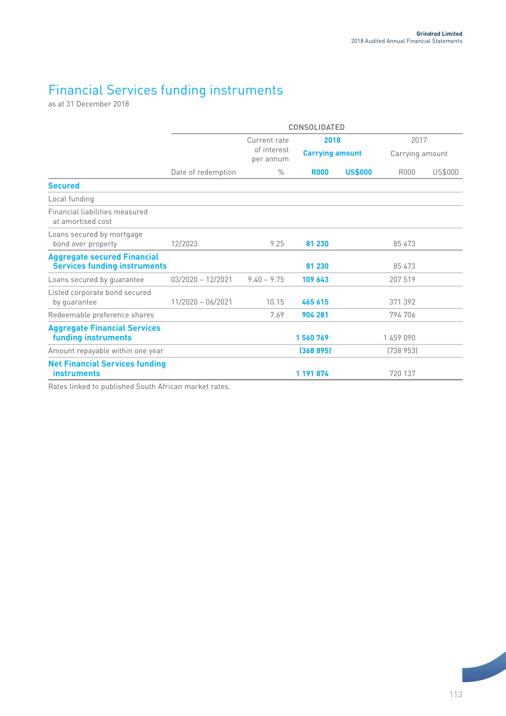# Financial Services funding instruments

as at 31 December 2018

|                                                                           |                     |                          | <b>CONSOLIDATED</b>    |                |                 |         |
|---------------------------------------------------------------------------|---------------------|--------------------------|------------------------|----------------|-----------------|---------|
|                                                                           |                     | Current rate             | 2018                   |                | 2017            |         |
|                                                                           |                     | of interest<br>per annum | <b>Carrying amount</b> |                | Carrying amount |         |
|                                                                           | Date of redemption  | $\frac{0}{0}$            | <b>R000</b>            | <b>US\$000</b> | <b>R000</b>     | US\$000 |
| <b>Secured</b>                                                            |                     |                          |                        |                |                 |         |
| Local funding                                                             |                     |                          |                        |                |                 |         |
| Financial liabilities measured<br>at amortised cost                       |                     |                          |                        |                |                 |         |
| Loans secured by mortgage<br>bond over property                           | 12/2023             | 9.25                     | 81 230                 |                | 85 473          |         |
| <b>Aggregate secured Financial</b><br><b>Services funding instruments</b> |                     |                          | 81 230                 |                | 85 473          |         |
| Loans secured by guarantee                                                | $03/2020 - 12/2021$ | $9.40 - 9.75$            | 109 643                |                | 207 519         |         |
| Listed corporate bond secured<br>by quarantee                             | $11/2020 - 06/2021$ | 10.15                    | 465 615                |                | 371 392         |         |
| Redeemable preference shares                                              |                     | 7.69                     | 904 281                |                | 794 706         |         |
| <b>Aggregate Financial Services</b><br>funding instruments                |                     |                          | 1560769                |                | 1459090         |         |
| Amount repayable within one year                                          |                     |                          | (368895)               |                | (738953)        |         |
| <b>Net Financial Services funding</b><br><b>instruments</b>               |                     |                          | 1 191 874              |                | 720 137         |         |

Rates linked to published South African market rates.